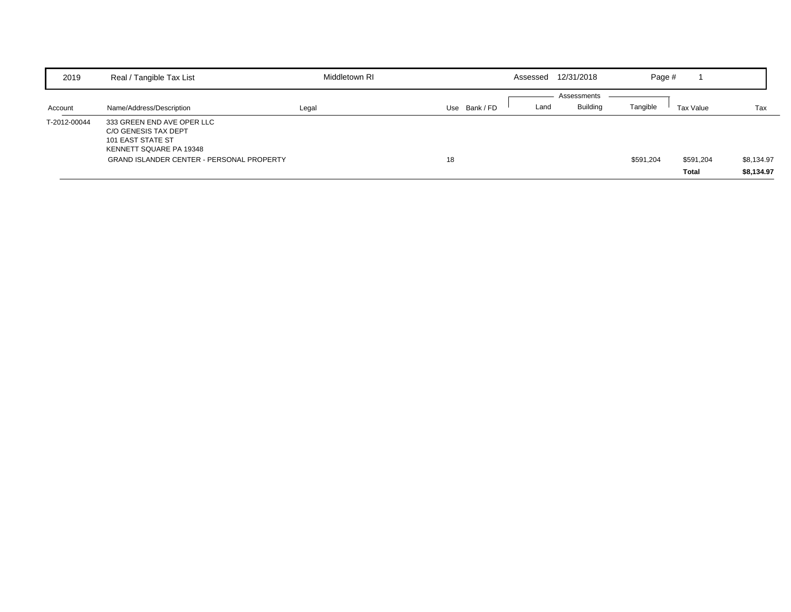| 2019         | Real / Tangible Tax List                                                                           | Middletown RI |                  | Assessed | 12/31/2018      | Page #    |           |            |
|--------------|----------------------------------------------------------------------------------------------------|---------------|------------------|----------|-----------------|-----------|-----------|------------|
|              |                                                                                                    |               |                  |          | Assessments     |           |           |            |
| Account      | Name/Address/Description                                                                           | Legal         | Use<br>Bank / FD | Land     | <b>Building</b> | Tangible  | Tax Value | Tax        |
| T-2012-00044 | 333 GREEN END AVE OPER LLC<br>C/O GENESIS TAX DEPT<br>101 EAST STATE ST<br>KENNETT SQUARE PA 19348 |               |                  |          |                 |           |           |            |
|              | <b>GRAND ISLANDER CENTER - PERSONAL PROPERTY</b>                                                   |               | 18               |          |                 | \$591,204 | \$591,204 | \$8,134.97 |
|              |                                                                                                    |               |                  |          |                 |           | Total     | \$8,134.97 |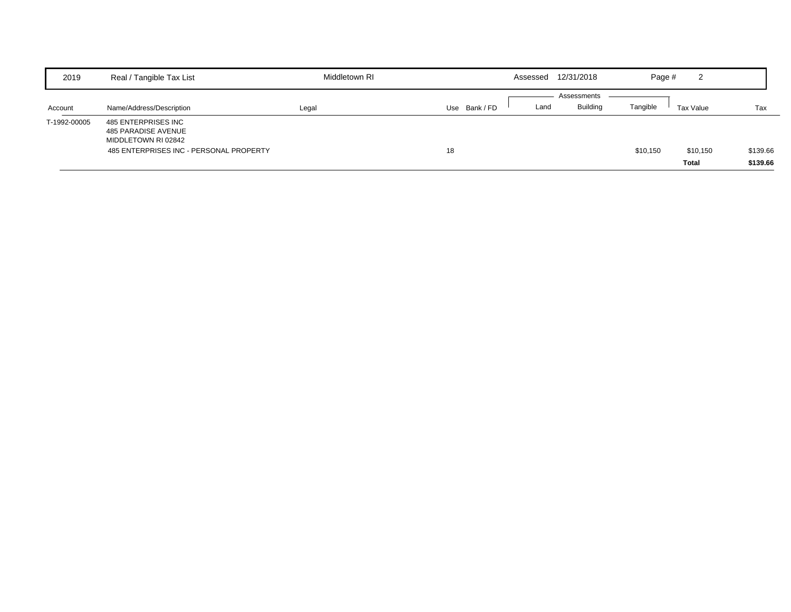| 2019         | Real / Tangible Tax List                                                                                     | Middletown RI |             | Assessed | 12/31/2018                     | Page #   | ົ<br>∠            |                      |
|--------------|--------------------------------------------------------------------------------------------------------------|---------------|-------------|----------|--------------------------------|----------|-------------------|----------------------|
| Account      | Name/Address/Description                                                                                     | Legal         | Use Bank/FD | Land     | Assessments<br><b>Building</b> | Tangible | Tax Value         | Tax                  |
| T-1992-00005 | 485 ENTERPRISES INC<br>485 PARADISE AVENUE<br>MIDDLETOWN RI 02842<br>485 ENTERPRISES INC - PERSONAL PROPERTY |               | 18          |          |                                | \$10,150 | \$10,150<br>Total | \$139.66<br>\$139.66 |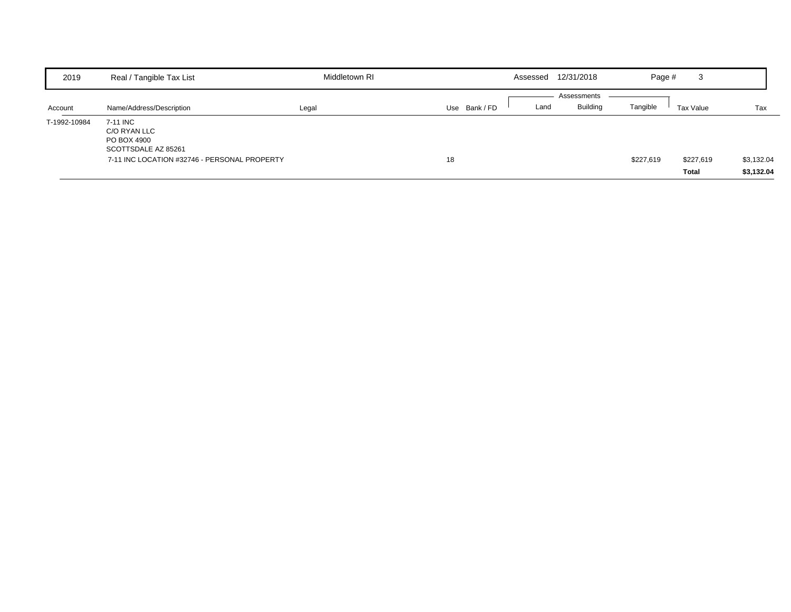| 2019         | Real / Tangible Tax List                                       | Middletown RI |             | Assessed | 12/31/2018      | Page #    | 3                  |                          |
|--------------|----------------------------------------------------------------|---------------|-------------|----------|-----------------|-----------|--------------------|--------------------------|
|              |                                                                |               |             |          | Assessments     |           |                    |                          |
| Account      | Name/Address/Description                                       | Legal         | Use Bank/FD | Land     | <b>Building</b> | Tangible  | Tax Value          | Tax                      |
| T-1992-10984 | 7-11 INC<br>C/O RYAN LLC<br>PO BOX 4900<br>SCOTTSDALE AZ 85261 |               |             |          |                 |           |                    |                          |
|              | 7-11 INC LOCATION #32746 - PERSONAL PROPERTY                   |               | 18          |          |                 | \$227,619 | \$227,619<br>Total | \$3,132.04<br>\$3,132.04 |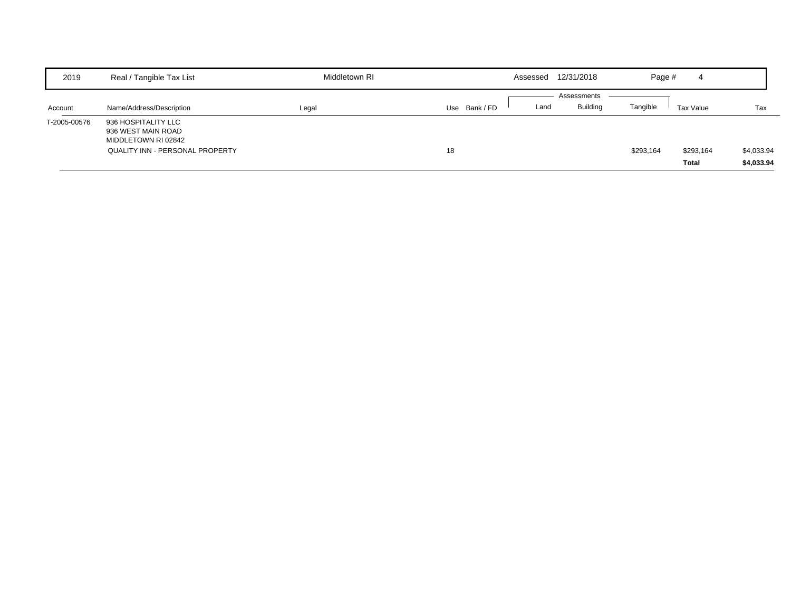| 2019         | Real / Tangible Tax List                                                                                   | Middletown RI |             | Assessed | 12/31/2018              | Page #    | 4                  |                          |
|--------------|------------------------------------------------------------------------------------------------------------|---------------|-------------|----------|-------------------------|-----------|--------------------|--------------------------|
| Account      | Name/Address/Description                                                                                   | Legal         | Use Bank/FD | Land     | Assessments<br>Building | Tangible  | Tax Value          | Tax                      |
| T-2005-00576 | 936 HOSPITALITY LLC<br>936 WEST MAIN ROAD<br>MIDDLETOWN RI 02842<br><b>QUALITY INN - PERSONAL PROPERTY</b> |               | 18          |          |                         | \$293,164 | \$293,164<br>Total | \$4,033.94<br>\$4,033.94 |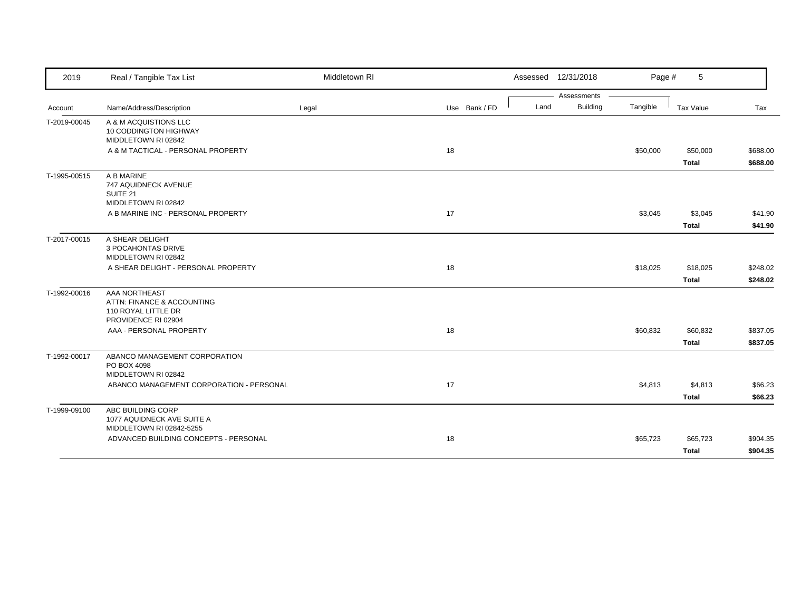| 2019         | Real / Tangible Tax List                                                                  | Middletown RI |               | Assessed 12/31/2018 |                 | Page #   | 5                        |                      |
|--------------|-------------------------------------------------------------------------------------------|---------------|---------------|---------------------|-----------------|----------|--------------------------|----------------------|
|              |                                                                                           |               |               |                     | Assessments     |          |                          |                      |
| Account      | Name/Address/Description                                                                  | Legal         | Use Bank / FD | Land                | <b>Building</b> | Tangible | Tax Value                | Tax                  |
| T-2019-00045 | A & M ACQUISTIONS LLC<br>10 CODDINGTON HIGHWAY<br>MIDDLETOWN RI 02842                     |               |               |                     |                 |          |                          |                      |
|              | A & M TACTICAL - PERSONAL PROPERTY                                                        |               | 18            |                     |                 | \$50,000 | \$50,000<br><b>Total</b> | \$688.00<br>\$688.00 |
| T-1995-00515 | A B MARINE<br>747 AQUIDNECK AVENUE<br>SUITE 21<br>MIDDLETOWN RI 02842                     |               |               |                     |                 |          |                          |                      |
|              | A B MARINE INC - PERSONAL PROPERTY                                                        |               | 17            |                     |                 | \$3,045  | \$3,045<br><b>Total</b>  | \$41.90<br>\$41.90   |
| T-2017-00015 | A SHEAR DELIGHT<br>3 POCAHONTAS DRIVE<br>MIDDLETOWN RI 02842                              |               |               |                     |                 |          |                          |                      |
|              | A SHEAR DELIGHT - PERSONAL PROPERTY                                                       |               | 18            |                     |                 | \$18,025 | \$18,025<br><b>Total</b> | \$248.02             |
| T-1992-00016 | AAA NORTHEAST<br>ATTN: FINANCE & ACCOUNTING<br>110 ROYAL LITTLE DR<br>PROVIDENCE RI 02904 |               |               |                     |                 |          |                          | \$248.02             |
|              | AAA - PERSONAL PROPERTY                                                                   |               | 18            |                     |                 | \$60,832 | \$60,832<br><b>Total</b> | \$837.05<br>\$837.05 |
| T-1992-00017 | ABANCO MANAGEMENT CORPORATION<br>PO BOX 4098<br>MIDDLETOWN RI 02842                       |               |               |                     |                 |          |                          |                      |
|              | ABANCO MANAGEMENT CORPORATION - PERSONAL                                                  |               | 17            |                     |                 | \$4,813  | \$4,813<br><b>Total</b>  | \$66.23<br>\$66.23   |
| T-1999-09100 | ABC BUILDING CORP<br>1077 AQUIDNECK AVE SUITE A<br>MIDDLETOWN RI 02842-5255               |               |               |                     |                 |          |                          |                      |
|              | ADVANCED BUILDING CONCEPTS - PERSONAL                                                     |               | 18            |                     |                 | \$65,723 | \$65,723<br><b>Total</b> | \$904.35<br>\$904.35 |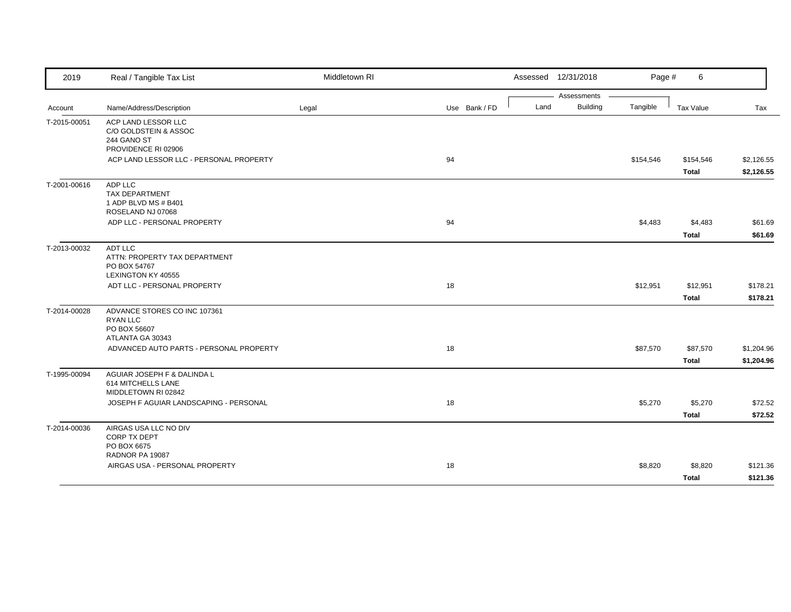| 2019         | Real / Tangible Tax List                                                            | Middletown RI |               |      | Assessed 12/31/2018 | Page #    | 6            |            |
|--------------|-------------------------------------------------------------------------------------|---------------|---------------|------|---------------------|-----------|--------------|------------|
|              |                                                                                     |               |               |      | Assessments         |           |              |            |
| Account      | Name/Address/Description                                                            | Legal         | Use Bank / FD | Land | <b>Building</b>     | Tangible  | Tax Value    | Tax        |
| T-2015-00051 | ACP LAND LESSOR LLC<br>C/O GOLDSTEIN & ASSOC<br>244 GANO ST<br>PROVIDENCE RI 02906  |               |               |      |                     |           |              |            |
|              | ACP LAND LESSOR LLC - PERSONAL PROPERTY                                             |               | 94            |      |                     | \$154,546 | \$154,546    | \$2,126.55 |
|              |                                                                                     |               |               |      |                     |           | Total        | \$2,126.55 |
| T-2001-00616 | ADP LLC<br><b>TAX DEPARTMENT</b><br>1 ADP BLVD MS # B401<br>ROSELAND NJ 07068       |               |               |      |                     |           |              |            |
|              | ADP LLC - PERSONAL PROPERTY                                                         |               | 94            |      |                     | \$4,483   | \$4,483      | \$61.69    |
|              |                                                                                     |               |               |      |                     |           | <b>Total</b> | \$61.69    |
| T-2013-00032 | ADT LLC<br>ATTN: PROPERTY TAX DEPARTMENT<br>PO BOX 54767<br>LEXINGTON KY 40555      |               |               |      |                     |           |              |            |
|              | ADT LLC - PERSONAL PROPERTY                                                         |               | 18            |      |                     | \$12,951  | \$12,951     | \$178.21   |
|              |                                                                                     |               |               |      |                     |           | <b>Total</b> | \$178.21   |
| T-2014-00028 | ADVANCE STORES CO INC 107361<br><b>RYAN LLC</b><br>PO BOX 56607<br>ATLANTA GA 30343 |               |               |      |                     |           |              |            |
|              | ADVANCED AUTO PARTS - PERSONAL PROPERTY                                             |               | 18            |      |                     | \$87,570  | \$87,570     | \$1,204.96 |
|              |                                                                                     |               |               |      |                     |           | <b>Total</b> | \$1,204.96 |
| T-1995-00094 | AGUIAR JOSEPH F & DALINDA L<br>614 MITCHELLS LANE<br>MIDDLETOWN RI 02842            |               |               |      |                     |           |              |            |
|              | JOSEPH F AGUIAR LANDSCAPING - PERSONAL                                              |               | 18            |      |                     | \$5,270   | \$5,270      | \$72.52    |
|              |                                                                                     |               |               |      |                     |           | <b>Total</b> | \$72.52    |
| T-2014-00036 | AIRGAS USA LLC NO DIV<br>CORP TX DEPT<br>PO BOX 6675<br>RADNOR PA 19087             |               |               |      |                     |           |              |            |
|              | AIRGAS USA - PERSONAL PROPERTY                                                      |               | 18            |      |                     | \$8,820   | \$8,820      | \$121.36   |
|              |                                                                                     |               |               |      |                     |           | <b>Total</b> | \$121.36   |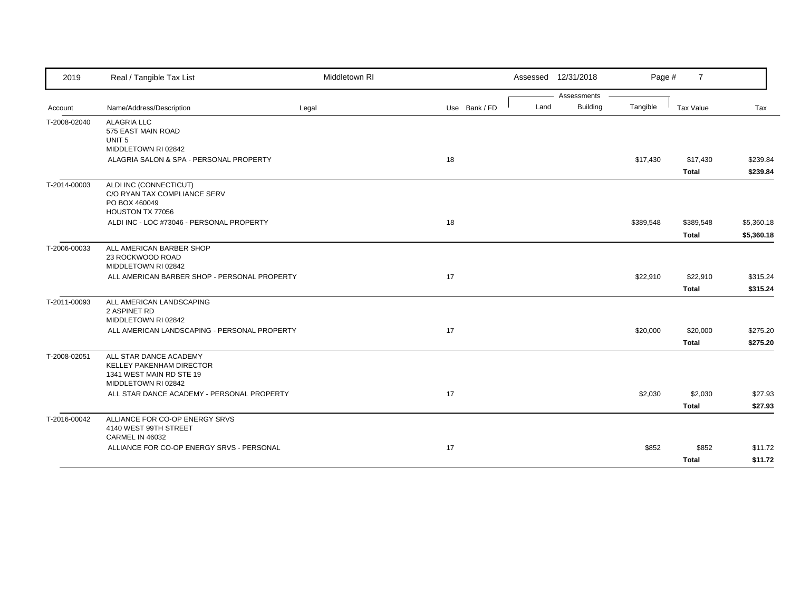| 2019         | Real / Tangible Tax List                                                                                                                                   | Middletown RI |               |      | Assessed 12/31/2018 | Page #    | $\overline{7}$            |                          |
|--------------|------------------------------------------------------------------------------------------------------------------------------------------------------------|---------------|---------------|------|---------------------|-----------|---------------------------|--------------------------|
|              |                                                                                                                                                            |               |               |      | Assessments         |           |                           |                          |
| Account      | Name/Address/Description                                                                                                                                   | Legal         | Use Bank / FD | Land | Building            | Tangible  | Tax Value                 | Tax                      |
| T-2008-02040 | <b>ALAGRIA LLC</b><br>575 EAST MAIN ROAD<br>UNIT <sub>5</sub>                                                                                              |               |               |      |                     |           |                           |                          |
|              | MIDDLETOWN RI 02842<br>ALAGRIA SALON & SPA - PERSONAL PROPERTY                                                                                             |               | 18            |      |                     | \$17,430  | \$17,430                  | \$239.84                 |
|              |                                                                                                                                                            |               |               |      |                     |           | <b>Total</b>              | \$239.84                 |
| T-2014-00003 | ALDI INC (CONNECTICUT)<br>C/O RYAN TAX COMPLIANCE SERV<br>PO BOX 460049<br>HOUSTON TX 77056                                                                |               |               |      |                     |           |                           |                          |
|              | ALDI INC - LOC #73046 - PERSONAL PROPERTY                                                                                                                  |               | 18            |      |                     | \$389,548 | \$389,548<br><b>Total</b> | \$5,360.18<br>\$5,360.18 |
| T-2006-00033 | ALL AMERICAN BARBER SHOP<br>23 ROCKWOOD ROAD<br>MIDDLETOWN RI 02842<br>ALL AMERICAN BARBER SHOP - PERSONAL PROPERTY                                        |               | 17            |      |                     | \$22,910  | \$22,910                  | \$315.24                 |
|              |                                                                                                                                                            |               |               |      |                     |           | <b>Total</b>              | \$315.24                 |
| T-2011-00093 | ALL AMERICAN LANDSCAPING<br>2 ASPINET RD<br>MIDDLETOWN RI 02842<br>ALL AMERICAN LANDSCAPING - PERSONAL PROPERTY                                            |               | 17            |      |                     | \$20,000  | \$20,000                  | \$275.20                 |
| T-2008-02051 | ALL STAR DANCE ACADEMY<br><b>KELLEY PAKENHAM DIRECTOR</b><br>1341 WEST MAIN RD STE 19<br>MIDDLETOWN RI 02842<br>ALL STAR DANCE ACADEMY - PERSONAL PROPERTY |               | 17            |      |                     | \$2,030   | <b>Total</b><br>\$2,030   | \$275.20<br>\$27.93      |
|              | ALLIANCE FOR CO-OP ENERGY SRVS                                                                                                                             |               |               |      |                     |           | <b>Total</b>              | \$27.93                  |
| T-2016-00042 | 4140 WEST 99TH STREET<br>CARMEL IN 46032                                                                                                                   |               |               |      |                     |           |                           |                          |
|              | ALLIANCE FOR CO-OP ENERGY SRVS - PERSONAL                                                                                                                  |               | 17            |      |                     | \$852     | \$852                     | \$11.72                  |
|              |                                                                                                                                                            |               |               |      |                     |           | <b>Total</b>              | \$11.72                  |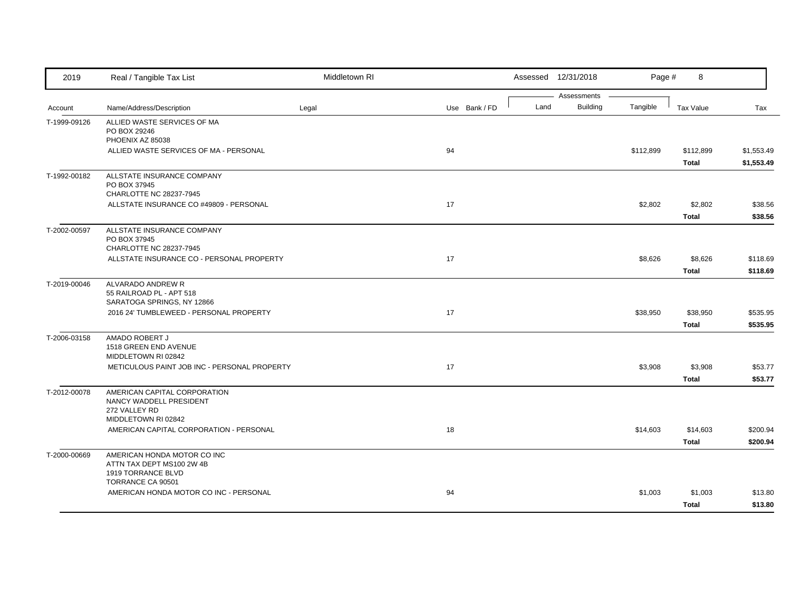| 2019         | Real / Tangible Tax List                                                                        | Middletown RI |               |      | Assessed 12/31/2018            | Page #    | 8                         |                          |
|--------------|-------------------------------------------------------------------------------------------------|---------------|---------------|------|--------------------------------|-----------|---------------------------|--------------------------|
| Account      | Name/Address/Description                                                                        | Legal         | Use Bank / FD | Land | Assessments<br><b>Building</b> | Tangible  | <b>Tax Value</b>          | Tax                      |
| T-1999-09126 | ALLIED WASTE SERVICES OF MA<br>PO BOX 29246<br>PHOENIX AZ 85038                                 |               |               |      |                                |           |                           |                          |
|              | ALLIED WASTE SERVICES OF MA - PERSONAL                                                          |               | 94            |      |                                | \$112,899 | \$112,899<br><b>Total</b> | \$1,553.49<br>\$1,553.49 |
| T-1992-00182 | ALLSTATE INSURANCE COMPANY<br>PO BOX 37945<br>CHARLOTTE NC 28237-7945                           |               |               |      |                                |           |                           |                          |
|              | ALLSTATE INSURANCE CO #49809 - PERSONAL                                                         |               | 17            |      |                                | \$2,802   | \$2,802<br><b>Total</b>   | \$38.56<br>\$38.56       |
| T-2002-00597 | ALLSTATE INSURANCE COMPANY<br>PO BOX 37945<br>CHARLOTTE NC 28237-7945                           |               |               |      |                                |           |                           |                          |
|              | ALLSTATE INSURANCE CO - PERSONAL PROPERTY                                                       |               | 17            |      |                                | \$8,626   | \$8,626<br><b>Total</b>   | \$118.69<br>\$118.69     |
| T-2019-00046 | ALVARADO ANDREW R<br>55 RAILROAD PL - APT 518<br>SARATOGA SPRINGS, NY 12866                     |               |               |      |                                |           |                           |                          |
|              | 2016 24' TUMBLEWEED - PERSONAL PROPERTY                                                         |               | 17            |      |                                | \$38,950  | \$38,950<br><b>Total</b>  | \$535.95<br>\$535.95     |
| T-2006-03158 | AMADO ROBERT J<br>1518 GREEN END AVENUE<br>MIDDLETOWN RI 02842                                  |               |               |      |                                |           |                           |                          |
|              | METICULOUS PAINT JOB INC - PERSONAL PROPERTY                                                    |               | 17            |      |                                | \$3,908   | \$3,908<br>Total          | \$53.77<br>\$53.77       |
| T-2012-00078 | AMERICAN CAPITAL CORPORATION<br>NANCY WADDELL PRESIDENT<br>272 VALLEY RD<br>MIDDLETOWN RI 02842 |               |               |      |                                |           |                           |                          |
|              | AMERICAN CAPITAL CORPORATION - PERSONAL                                                         |               | 18            |      |                                | \$14,603  | \$14,603<br><b>Total</b>  | \$200.94<br>\$200.94     |
| T-2000-00669 | AMERICAN HONDA MOTOR CO INC<br>ATTN TAX DEPT MS100 2W 4B<br>1919 TORRANCE BLVD                  |               |               |      |                                |           |                           |                          |
|              | TORRANCE CA 90501<br>AMERICAN HONDA MOTOR CO INC - PERSONAL                                     |               | 94            |      |                                | \$1,003   | \$1,003<br><b>Total</b>   | \$13.80<br>\$13.80       |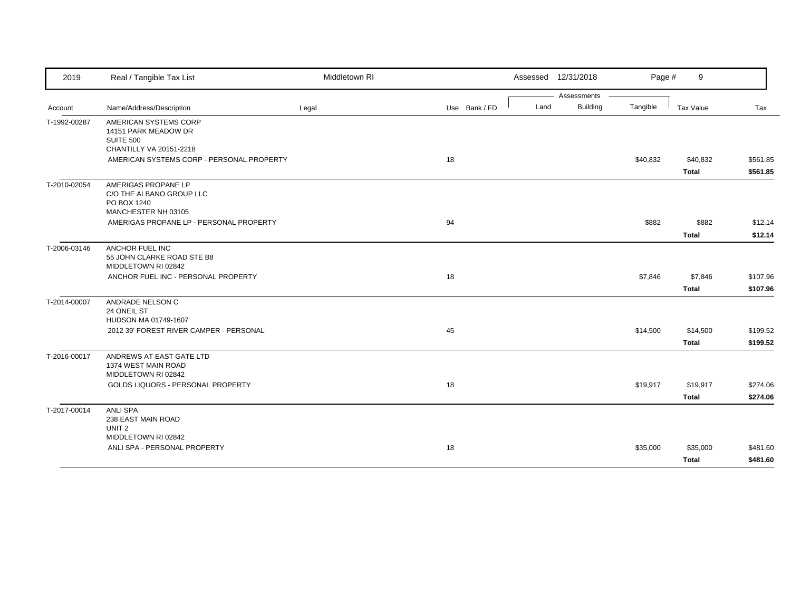| 2019         | Real / Tangible Tax List                                                                                                         | Middletown RI |               |      | Assessed 12/31/2018            | Page #   | 9                        |                      |
|--------------|----------------------------------------------------------------------------------------------------------------------------------|---------------|---------------|------|--------------------------------|----------|--------------------------|----------------------|
| Account      | Name/Address/Description                                                                                                         | Legal         | Use Bank / FD | Land | Assessments<br><b>Building</b> | Tangible | Tax Value                | Tax                  |
| T-1992-00287 | AMERICAN SYSTEMS CORP<br>14151 PARK MEADOW DR<br><b>SUITE 500</b>                                                                |               |               |      |                                |          |                          |                      |
|              | CHANTILLY VA 20151-2218<br>AMERICAN SYSTEMS CORP - PERSONAL PROPERTY                                                             |               | 18            |      |                                | \$40,832 | \$40,832<br><b>Total</b> | \$561.85<br>\$561.85 |
| T-2010-02054 | AMERIGAS PROPANE LP<br>C/O THE ALBANO GROUP LLC<br>PO BOX 1240<br>MANCHESTER NH 03105<br>AMERIGAS PROPANE LP - PERSONAL PROPERTY |               | 94            |      |                                | \$882    | \$882                    | \$12.14              |
|              |                                                                                                                                  |               |               |      |                                |          | <b>Total</b>             | \$12.14              |
| T-2006-03146 | <b>ANCHOR FUEL INC</b><br>55 JOHN CLARKE ROAD STE B8<br>MIDDLETOWN RI 02842                                                      |               |               |      |                                |          |                          |                      |
|              | ANCHOR FUEL INC - PERSONAL PROPERTY                                                                                              |               | 18            |      |                                | \$7,846  | \$7,846<br><b>Total</b>  | \$107.96<br>\$107.96 |
| T-2014-00007 | ANDRADE NELSON C<br>24 ONEIL ST<br>HUDSON MA 01749-1607                                                                          |               |               |      |                                |          |                          |                      |
|              | 2012 39' FOREST RIVER CAMPER - PERSONAL                                                                                          |               | 45            |      |                                | \$14,500 | \$14,500<br><b>Total</b> | \$199.52<br>\$199.52 |
| T-2016-00017 | ANDREWS AT EAST GATE LTD<br>1374 WEST MAIN ROAD<br>MIDDLETOWN RI 02842                                                           |               |               |      |                                |          |                          |                      |
|              | GOLDS LIQUORS - PERSONAL PROPERTY                                                                                                |               | 18            |      |                                | \$19,917 | \$19,917<br><b>Total</b> | \$274.06<br>\$274.06 |
| T-2017-00014 | <b>ANLI SPA</b><br>238 EAST MAIN ROAD<br>UNIT <sub>2</sub><br>MIDDLETOWN RI 02842                                                |               |               |      |                                |          |                          |                      |
|              | ANLI SPA - PERSONAL PROPERTY                                                                                                     |               | 18            |      |                                | \$35,000 | \$35,000<br><b>Total</b> | \$481.60<br>\$481.60 |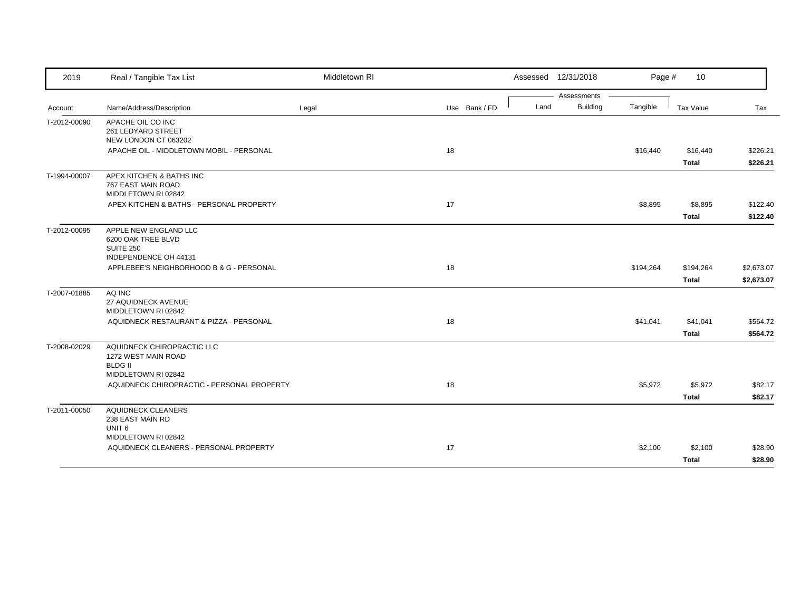| 2019         | Real / Tangible Tax List                                                                   | Middletown RI |               |      | Assessed 12/31/2018 | Page #    | 10           |            |
|--------------|--------------------------------------------------------------------------------------------|---------------|---------------|------|---------------------|-----------|--------------|------------|
|              |                                                                                            |               |               |      | Assessments         |           |              |            |
| Account      | Name/Address/Description                                                                   | Legal         | Use Bank / FD | Land | <b>Building</b>     | Tangible  | Tax Value    | Tax        |
| T-2012-00090 | APACHE OIL CO INC<br>261 LEDYARD STREET<br>NEW LONDON CT 063202                            |               |               |      |                     |           |              |            |
|              | APACHE OIL - MIDDLETOWN MOBIL - PERSONAL                                                   |               | 18            |      |                     | \$16,440  | \$16,440     | \$226.21   |
|              |                                                                                            |               |               |      |                     |           | <b>Total</b> | \$226.21   |
| T-1994-00007 | APEX KITCHEN & BATHS INC<br>767 EAST MAIN ROAD<br>MIDDLETOWN RI 02842                      |               |               |      |                     |           |              |            |
|              | APEX KITCHEN & BATHS - PERSONAL PROPERTY                                                   |               | 17            |      |                     | \$8,895   | \$8,895      | \$122.40   |
|              |                                                                                            |               |               |      |                     |           | <b>Total</b> | \$122.40   |
| T-2012-00095 | APPLE NEW ENGLAND LLC<br>6200 OAK TREE BLVD<br><b>SUITE 250</b><br>INDEPENDENCE OH 44131   |               |               |      |                     |           |              |            |
|              | APPLEBEE'S NEIGHBORHOOD B & G - PERSONAL                                                   |               | 18            |      |                     | \$194,264 | \$194,264    | \$2,673.07 |
|              |                                                                                            |               |               |      |                     |           | <b>Total</b> | \$2,673.07 |
| T-2007-01885 | AQ INC                                                                                     |               |               |      |                     |           |              |            |
|              | 27 AQUIDNECK AVENUE<br>MIDDLETOWN RI 02842                                                 |               |               |      |                     |           |              |            |
|              | AQUIDNECK RESTAURANT & PIZZA - PERSONAL                                                    |               | 18            |      |                     | \$41,041  | \$41,041     | \$564.72   |
|              |                                                                                            |               |               |      |                     |           | <b>Total</b> | \$564.72   |
| T-2008-02029 | AQUIDNECK CHIROPRACTIC LLC<br>1272 WEST MAIN ROAD<br><b>BLDG II</b><br>MIDDLETOWN RI 02842 |               |               |      |                     |           |              |            |
|              | AQUIDNECK CHIROPRACTIC - PERSONAL PROPERTY                                                 |               | 18            |      |                     | \$5,972   | \$5,972      | \$82.17    |
|              |                                                                                            |               |               |      |                     |           | <b>Total</b> | \$82.17    |
| T-2011-00050 | <b>AQUIDNECK CLEANERS</b><br>238 EAST MAIN RD<br>UNIT <sub>6</sub>                         |               |               |      |                     |           |              |            |
|              | MIDDLETOWN RI 02842                                                                        |               |               |      |                     |           |              |            |
|              | AQUIDNECK CLEANERS - PERSONAL PROPERTY                                                     |               | 17            |      |                     | \$2,100   | \$2,100      | \$28.90    |
|              |                                                                                            |               |               |      |                     |           | <b>Total</b> | \$28.90    |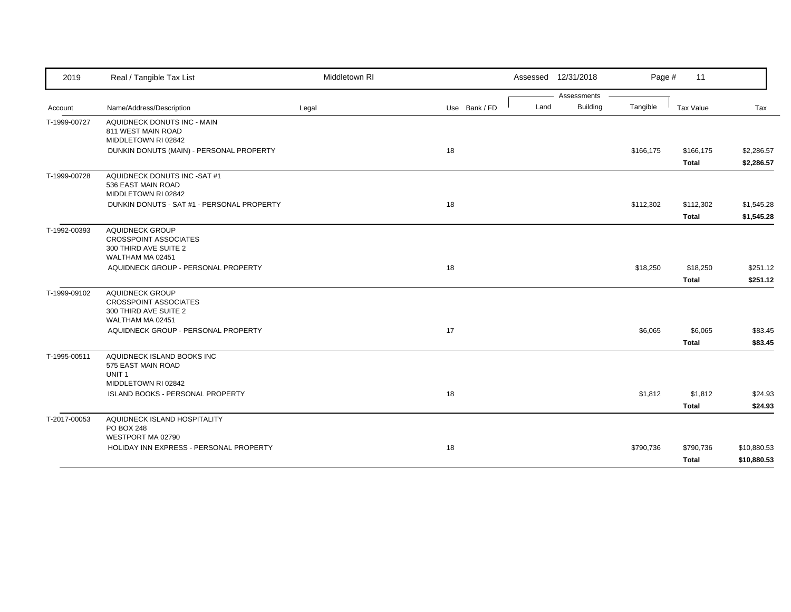| 2019         | Real / Tangible Tax List                                                                                                                   | Middletown RI |               |      | Assessed 12/31/2018 | Page #    | 11           |             |
|--------------|--------------------------------------------------------------------------------------------------------------------------------------------|---------------|---------------|------|---------------------|-----------|--------------|-------------|
|              |                                                                                                                                            |               |               |      | Assessments         |           |              |             |
| Account      | Name/Address/Description                                                                                                                   | Legal         | Use Bank / FD | Land | <b>Building</b>     | Tangible  | Tax Value    | Tax         |
| T-1999-00727 | AQUIDNECK DONUTS INC - MAIN<br>811 WEST MAIN ROAD<br>MIDDLETOWN RI 02842                                                                   |               |               |      |                     |           |              |             |
|              | DUNKIN DONUTS (MAIN) - PERSONAL PROPERTY                                                                                                   |               | 18            |      |                     | \$166,175 | \$166,175    | \$2,286.57  |
|              |                                                                                                                                            |               |               |      |                     |           | <b>Total</b> | \$2,286.57  |
| T-1999-00728 | AQUIDNECK DONUTS INC -SAT #1<br>536 EAST MAIN ROAD<br>MIDDLETOWN RI 02842                                                                  |               |               |      |                     |           |              |             |
|              | DUNKIN DONUTS - SAT #1 - PERSONAL PROPERTY                                                                                                 |               | 18            |      |                     | \$112,302 | \$112,302    | \$1,545.28  |
|              |                                                                                                                                            |               |               |      |                     |           | <b>Total</b> | \$1,545.28  |
| T-1992-00393 | <b>AQUIDNECK GROUP</b><br><b>CROSSPOINT ASSOCIATES</b><br>300 THIRD AVE SUITE 2<br>WALTHAM MA 02451                                        |               |               |      |                     |           |              |             |
|              | AQUIDNECK GROUP - PERSONAL PROPERTY                                                                                                        |               | 18            |      |                     | \$18,250  | \$18,250     | \$251.12    |
|              |                                                                                                                                            |               |               |      |                     |           | <b>Total</b> | \$251.12    |
| T-1999-09102 | <b>AQUIDNECK GROUP</b><br><b>CROSSPOINT ASSOCIATES</b><br>300 THIRD AVE SUITE 2<br>WALTHAM MA 02451<br>AQUIDNECK GROUP - PERSONAL PROPERTY |               | 17            |      |                     | \$6,065   | \$6,065      | \$83.45     |
|              |                                                                                                                                            |               |               |      |                     |           | <b>Total</b> | \$83.45     |
| T-1995-00511 | AQUIDNECK ISLAND BOOKS INC<br>575 EAST MAIN ROAD<br>UNIT <sub>1</sub><br>MIDDLETOWN RI 02842                                               |               |               |      |                     |           |              |             |
|              | ISLAND BOOKS - PERSONAL PROPERTY                                                                                                           |               | 18            |      |                     | \$1,812   | \$1,812      | \$24.93     |
|              |                                                                                                                                            |               |               |      |                     |           | <b>Total</b> | \$24.93     |
| T-2017-00053 | AQUIDNECK ISLAND HOSPITALITY<br>PO BOX 248<br>WESTPORT MA 02790                                                                            |               |               |      |                     |           |              |             |
|              | HOLIDAY INN EXPRESS - PERSONAL PROPERTY                                                                                                    |               | 18            |      |                     | \$790,736 | \$790,736    | \$10,880.53 |
|              |                                                                                                                                            |               |               |      |                     |           | <b>Total</b> | \$10,880.53 |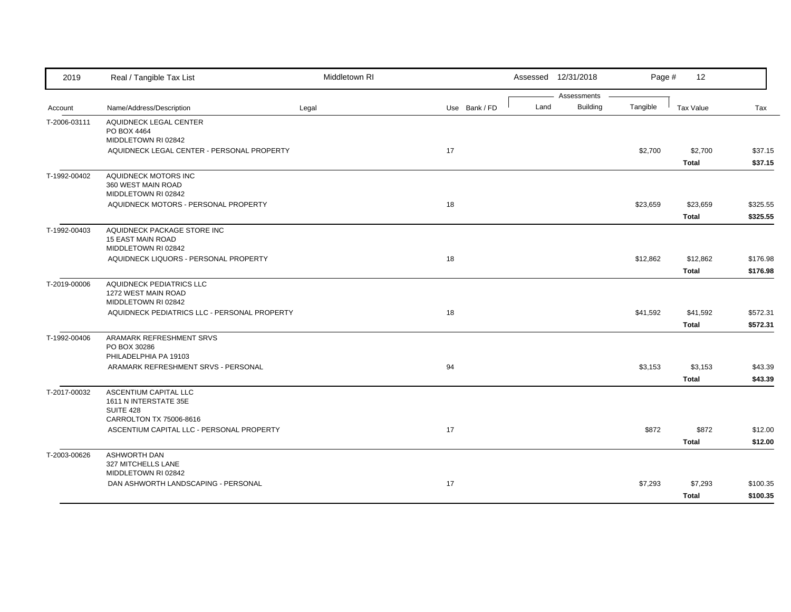| 2019         | Real / Tangible Tax List                                                       | Middletown RI |               |      | Assessed 12/31/2018            | Page #   | 12                       |                      |
|--------------|--------------------------------------------------------------------------------|---------------|---------------|------|--------------------------------|----------|--------------------------|----------------------|
| Account      | Name/Address/Description                                                       | Legal         | Use Bank / FD | Land | Assessments<br><b>Building</b> | Tangible | <b>Tax Value</b>         | Tax                  |
| T-2006-03111 | AQUIDNECK LEGAL CENTER<br>PO BOX 4464                                          |               |               |      |                                |          |                          |                      |
|              | MIDDLETOWN RI 02842<br>AQUIDNECK LEGAL CENTER - PERSONAL PROPERTY              |               | 17            |      |                                | \$2,700  | \$2,700<br><b>Total</b>  | \$37.15<br>\$37.15   |
| T-1992-00402 | AQUIDNECK MOTORS INC<br>360 WEST MAIN ROAD<br>MIDDLETOWN RI 02842              |               |               |      |                                |          |                          |                      |
|              | AQUIDNECK MOTORS - PERSONAL PROPERTY                                           |               | 18            |      |                                | \$23,659 | \$23,659<br><b>Total</b> | \$325.55<br>\$325.55 |
| T-1992-00403 | AQUIDNECK PACKAGE STORE INC<br><b>15 EAST MAIN ROAD</b><br>MIDDLETOWN RI 02842 |               |               |      |                                |          |                          |                      |
|              | AQUIDNECK LIQUORS - PERSONAL PROPERTY                                          |               | 18            |      |                                | \$12,862 | \$12,862<br><b>Total</b> | \$176.98<br>\$176.98 |
| T-2019-00006 | AQUIDNECK PEDIATRICS LLC<br>1272 WEST MAIN ROAD<br>MIDDLETOWN RI 02842         |               |               |      |                                |          |                          |                      |
|              | AQUIDNECK PEDIATRICS LLC - PERSONAL PROPERTY                                   |               | 18            |      |                                | \$41,592 | \$41,592<br><b>Total</b> | \$572.31<br>\$572.31 |
| T-1992-00406 | ARAMARK REFRESHMENT SRVS<br>PO BOX 30286<br>PHILADELPHIA PA 19103              |               |               |      |                                |          |                          |                      |
|              | ARAMARK REFRESHMENT SRVS - PERSONAL                                            |               | 94            |      |                                | \$3,153  | \$3,153<br><b>Total</b>  | \$43.39<br>\$43.39   |
| T-2017-00032 | ASCENTIUM CAPITAL LLC<br>1611 N INTERSTATE 35E<br>SUITE 428                    |               |               |      |                                |          |                          |                      |
|              | CARROLTON TX 75006-8616<br>ASCENTIUM CAPITAL LLC - PERSONAL PROPERTY           |               | 17            |      |                                | \$872    | \$872<br><b>Total</b>    | \$12.00<br>\$12.00   |
| T-2003-00626 | <b>ASHWORTH DAN</b><br>327 MITCHELLS LANE<br>MIDDLETOWN RI 02842               |               |               |      |                                |          |                          |                      |
|              | DAN ASHWORTH LANDSCAPING - PERSONAL                                            |               | 17            |      |                                | \$7,293  | \$7,293<br><b>Total</b>  | \$100.35<br>\$100.35 |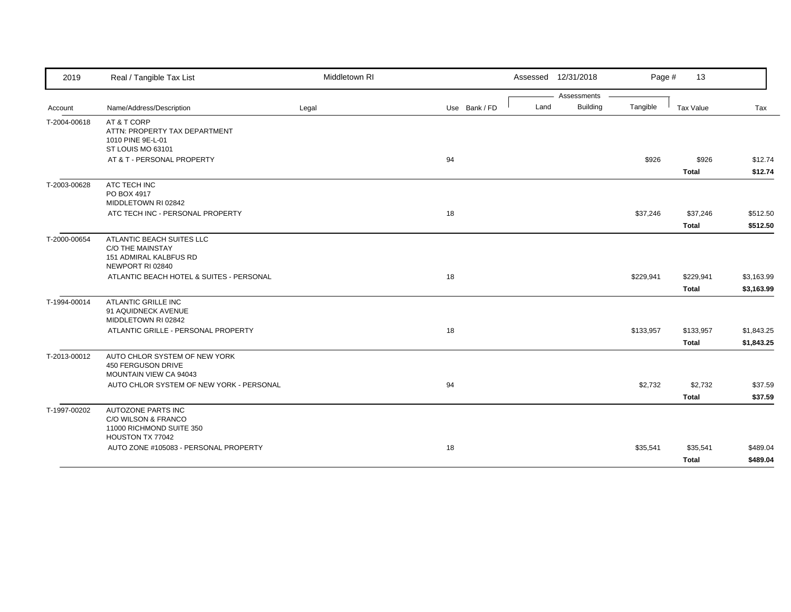| 2019         | Real / Tangible Tax List                                   | Middletown RI |               |      | Assessed 12/31/2018            | Page #    | 13                        |                          |
|--------------|------------------------------------------------------------|---------------|---------------|------|--------------------------------|-----------|---------------------------|--------------------------|
| Account      | Name/Address/Description                                   | Legal         | Use Bank / FD | Land | Assessments<br><b>Building</b> | Tangible  | Tax Value                 | Tax                      |
|              |                                                            |               |               |      |                                |           |                           |                          |
| T-2004-00618 | AT & T CORP<br>ATTN: PROPERTY TAX DEPARTMENT               |               |               |      |                                |           |                           |                          |
|              | 1010 PINE 9E-L-01                                          |               |               |      |                                |           |                           |                          |
|              | ST LOUIS MO 63101                                          |               |               |      |                                |           |                           |                          |
|              | AT & T - PERSONAL PROPERTY                                 |               | 94            |      |                                | \$926     | \$926                     | \$12.74                  |
|              |                                                            |               |               |      |                                |           | <b>Total</b>              | \$12.74                  |
| T-2003-00628 | ATC TECH INC                                               |               |               |      |                                |           |                           |                          |
|              | PO BOX 4917<br>MIDDLETOWN RI 02842                         |               |               |      |                                |           |                           |                          |
|              | ATC TECH INC - PERSONAL PROPERTY                           |               | 18            |      |                                | \$37,246  | \$37,246                  | \$512.50                 |
|              |                                                            |               |               |      |                                |           | <b>Total</b>              | \$512.50                 |
| T-2000-00654 | ATLANTIC BEACH SUITES LLC                                  |               |               |      |                                |           |                           |                          |
|              | C/O THE MAINSTAY                                           |               |               |      |                                |           |                           |                          |
|              | 151 ADMIRAL KALBFUS RD                                     |               |               |      |                                |           |                           |                          |
|              | NEWPORT RI 02840                                           |               |               |      |                                |           |                           |                          |
|              | ATLANTIC BEACH HOTEL & SUITES - PERSONAL                   |               | 18            |      |                                | \$229,941 | \$229,941                 | \$3,163.99               |
|              |                                                            |               |               |      |                                |           | <b>Total</b>              | \$3,163.99               |
| T-1994-00014 | <b>ATLANTIC GRILLE INC</b>                                 |               |               |      |                                |           |                           |                          |
|              | 91 AQUIDNECK AVENUE                                        |               |               |      |                                |           |                           |                          |
|              | MIDDLETOWN RI 02842<br>ATLANTIC GRILLE - PERSONAL PROPERTY |               | 18            |      |                                |           |                           |                          |
|              |                                                            |               |               |      |                                | \$133,957 | \$133,957<br><b>Total</b> | \$1,843.25<br>\$1,843.25 |
|              |                                                            |               |               |      |                                |           |                           |                          |
| T-2013-00012 | AUTO CHLOR SYSTEM OF NEW YORK<br>450 FERGUSON DRIVE        |               |               |      |                                |           |                           |                          |
|              | MOUNTAIN VIEW CA 94043                                     |               |               |      |                                |           |                           |                          |
|              | AUTO CHLOR SYSTEM OF NEW YORK - PERSONAL                   |               | 94            |      |                                | \$2,732   | \$2,732                   | \$37.59                  |
|              |                                                            |               |               |      |                                |           | <b>Total</b>              | \$37.59                  |
| T-1997-00202 | AUTOZONE PARTS INC                                         |               |               |      |                                |           |                           |                          |
|              | C/O WILSON & FRANCO                                        |               |               |      |                                |           |                           |                          |
|              | 11000 RICHMOND SUITE 350                                   |               |               |      |                                |           |                           |                          |
|              | HOUSTON TX 77042                                           |               |               |      |                                |           |                           |                          |
|              | AUTO ZONE #105083 - PERSONAL PROPERTY                      |               | 18            |      |                                | \$35,541  | \$35,541                  | \$489.04                 |
|              |                                                            |               |               |      |                                |           | <b>Total</b>              | \$489.04                 |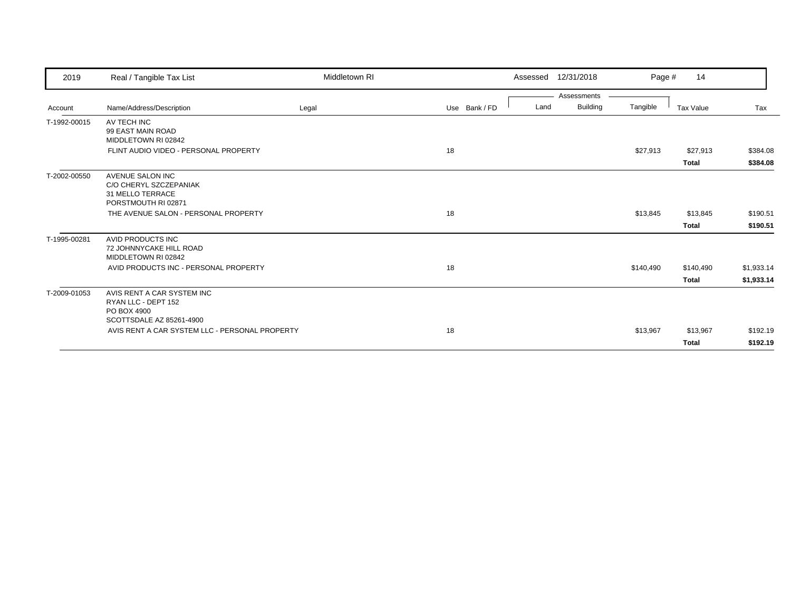| 2019         | Real / Tangible Tax List                                                                     | Middletown RI |               | 12/31/2018<br>Assessed                 | Page #    | 14                        |                          |
|--------------|----------------------------------------------------------------------------------------------|---------------|---------------|----------------------------------------|-----------|---------------------------|--------------------------|
| Account      | Name/Address/Description                                                                     | Legal         | Use Bank / FD | Assessments<br><b>Building</b><br>Land | Tangible  | Tax Value                 | Tax                      |
| T-1992-00015 | AV TECH INC<br>99 EAST MAIN ROAD<br>MIDDLETOWN RI 02842                                      |               |               |                                        |           |                           |                          |
|              | FLINT AUDIO VIDEO - PERSONAL PROPERTY                                                        |               | 18            |                                        | \$27,913  | \$27,913<br><b>Total</b>  | \$384.08<br>\$384.08     |
| T-2002-00550 | AVENUE SALON INC<br>C/O CHERYL SZCZEPANIAK<br>31 MELLO TERRACE<br>PORSTMOUTH RI 02871        |               |               |                                        |           |                           |                          |
|              | THE AVENUE SALON - PERSONAL PROPERTY                                                         |               | 18            |                                        | \$13,845  | \$13,845<br><b>Total</b>  | \$190.51<br>\$190.51     |
| T-1995-00281 | AVID PRODUCTS INC<br>72 JOHNNYCAKE HILL ROAD<br>MIDDLETOWN RI 02842                          |               |               |                                        |           |                           |                          |
|              | AVID PRODUCTS INC - PERSONAL PROPERTY                                                        |               | 18            |                                        | \$140,490 | \$140,490<br><b>Total</b> | \$1,933.14<br>\$1,933.14 |
| T-2009-01053 | AVIS RENT A CAR SYSTEM INC<br>RYAN LLC - DEPT 152<br>PO BOX 4900<br>SCOTTSDALE AZ 85261-4900 |               |               |                                        |           |                           |                          |
|              | AVIS RENT A CAR SYSTEM LLC - PERSONAL PROPERTY                                               |               | 18            |                                        | \$13,967  | \$13,967<br><b>Total</b>  | \$192.19<br>\$192.19     |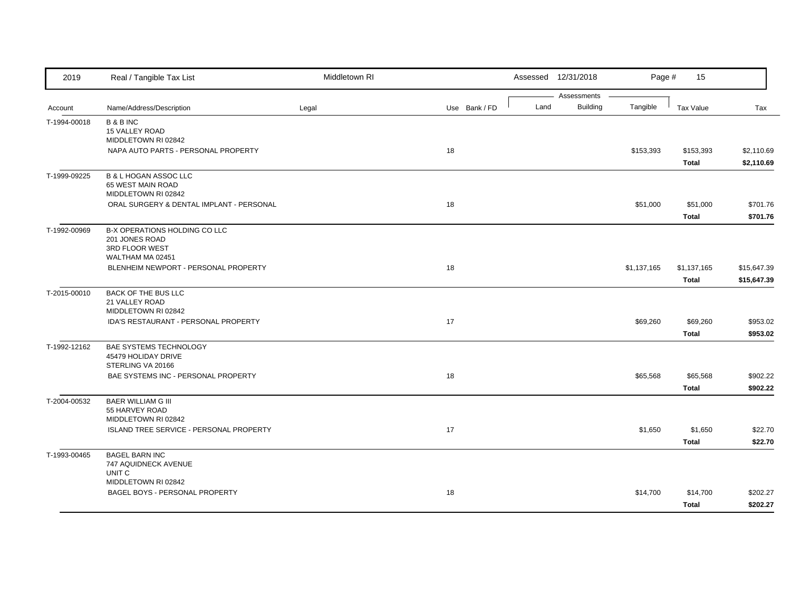| 2019         | Real / Tangible Tax List                  | Middletown RI |               |      | Assessed 12/31/2018 | Page #      | 15               |             |
|--------------|-------------------------------------------|---------------|---------------|------|---------------------|-------------|------------------|-------------|
|              |                                           |               |               | Land | Assessments         |             |                  |             |
| Account      | Name/Address/Description                  | Legal         | Use Bank / FD |      | <b>Building</b>     | Tangible    | <b>Tax Value</b> | Tax         |
| T-1994-00018 | <b>B &amp; B INC</b><br>15 VALLEY ROAD    |               |               |      |                     |             |                  |             |
|              | MIDDLETOWN RI 02842                       |               |               |      |                     |             |                  |             |
|              | NAPA AUTO PARTS - PERSONAL PROPERTY       |               | 18            |      |                     | \$153,393   | \$153,393        | \$2,110.69  |
|              |                                           |               |               |      |                     |             | <b>Total</b>     | \$2,110.69  |
| T-1999-09225 | <b>B &amp; L HOGAN ASSOC LLC</b>          |               |               |      |                     |             |                  |             |
|              | 65 WEST MAIN ROAD                         |               |               |      |                     |             |                  |             |
|              | MIDDLETOWN RI 02842                       |               |               |      |                     |             |                  |             |
|              | ORAL SURGERY & DENTAL IMPLANT - PERSONAL  |               | 18            |      |                     | \$51,000    | \$51,000         | \$701.76    |
|              |                                           |               |               |      |                     |             | <b>Total</b>     | \$701.76    |
| T-1992-00969 | B-X OPERATIONS HOLDING CO LLC             |               |               |      |                     |             |                  |             |
|              | 201 JONES ROAD<br>3RD FLOOR WEST          |               |               |      |                     |             |                  |             |
|              | WALTHAM MA 02451                          |               |               |      |                     |             |                  |             |
|              | BLENHEIM NEWPORT - PERSONAL PROPERTY      |               | 18            |      |                     | \$1,137,165 | \$1,137,165      | \$15,647.39 |
|              |                                           |               |               |      |                     |             | <b>Total</b>     | \$15,647.39 |
| T-2015-00010 | <b>BACK OF THE BUS LLC</b>                |               |               |      |                     |             |                  |             |
|              | 21 VALLEY ROAD                            |               |               |      |                     |             |                  |             |
|              | MIDDLETOWN RI 02842                       |               |               |      |                     |             |                  |             |
|              | IDA'S RESTAURANT - PERSONAL PROPERTY      |               | 17            |      |                     | \$69,260    | \$69,260         | \$953.02    |
|              |                                           |               |               |      |                     |             | <b>Total</b>     | \$953.02    |
| T-1992-12162 | BAE SYSTEMS TECHNOLOGY                    |               |               |      |                     |             |                  |             |
|              | 45479 HOLIDAY DRIVE<br>STERLING VA 20166  |               |               |      |                     |             |                  |             |
|              | BAE SYSTEMS INC - PERSONAL PROPERTY       |               | 18            |      |                     | \$65,568    | \$65,568         | \$902.22    |
|              |                                           |               |               |      |                     |             | <b>Total</b>     | \$902.22    |
| T-2004-00532 | <b>BAER WILLIAM G III</b>                 |               |               |      |                     |             |                  |             |
|              | 55 HARVEY ROAD                            |               |               |      |                     |             |                  |             |
|              | MIDDLETOWN RI 02842                       |               |               |      |                     |             |                  |             |
|              | ISLAND TREE SERVICE - PERSONAL PROPERTY   |               | 17            |      |                     | \$1,650     | \$1,650          | \$22.70     |
|              |                                           |               |               |      |                     |             | <b>Total</b>     | \$22.70     |
| T-1993-00465 | <b>BAGEL BARN INC</b>                     |               |               |      |                     |             |                  |             |
|              | 747 AQUIDNECK AVENUE<br>UNIT <sub>C</sub> |               |               |      |                     |             |                  |             |
|              | MIDDLETOWN RI 02842                       |               |               |      |                     |             |                  |             |
|              | BAGEL BOYS - PERSONAL PROPERTY            |               | 18            |      |                     | \$14,700    | \$14,700         | \$202.27    |
|              |                                           |               |               |      |                     |             | <b>Total</b>     | \$202.27    |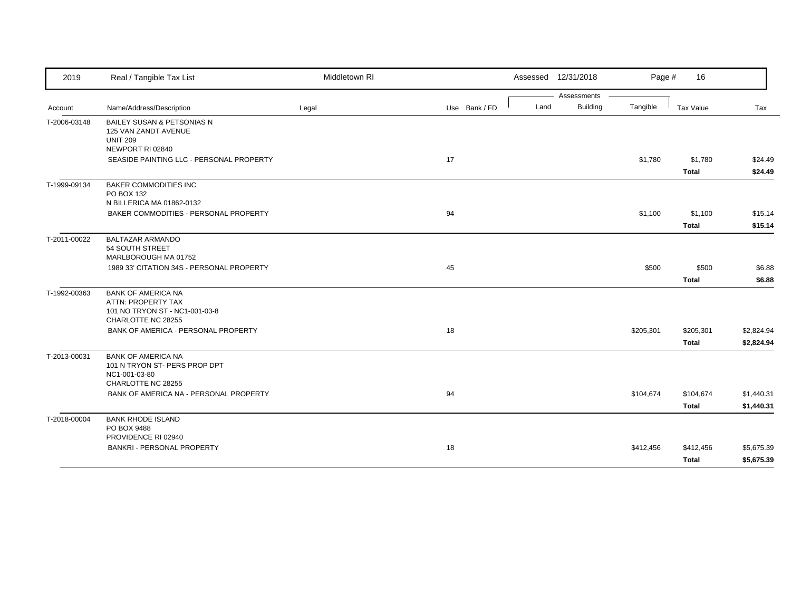| 2019         | Real / Tangible Tax List                                                                                | Middletown RI |               | Assessed 12/31/2018 |                 | Page #    | 16           |            |
|--------------|---------------------------------------------------------------------------------------------------------|---------------|---------------|---------------------|-----------------|-----------|--------------|------------|
|              |                                                                                                         |               |               |                     | Assessments     |           |              |            |
| Account      | Name/Address/Description                                                                                | Legal         | Use Bank / FD | Land                | <b>Building</b> | Tangible  | Tax Value    | Tax        |
| T-2006-03148 | <b>BAILEY SUSAN &amp; PETSONIAS N</b><br>125 VAN ZANDT AVENUE<br><b>UNIT 209</b>                        |               |               |                     |                 |           |              |            |
|              | NEWPORT RI 02840                                                                                        |               |               |                     |                 |           |              |            |
|              | SEASIDE PAINTING LLC - PERSONAL PROPERTY                                                                |               | 17            |                     |                 | \$1,780   | \$1,780      | \$24.49    |
|              |                                                                                                         |               |               |                     |                 |           | <b>Total</b> | \$24.49    |
| T-1999-09134 | <b>BAKER COMMODITIES INC</b><br>PO BOX 132<br>N BILLERICA MA 01862-0132                                 |               |               |                     |                 |           |              |            |
|              | BAKER COMMODITIES - PERSONAL PROPERTY                                                                   |               | 94            |                     |                 | \$1,100   | \$1,100      | \$15.14    |
|              |                                                                                                         |               |               |                     |                 |           | <b>Total</b> | \$15.14    |
| T-2011-00022 | <b>BALTAZAR ARMANDO</b><br>54 SOUTH STREET<br>MARLBOROUGH MA 01752                                      |               |               |                     |                 |           |              |            |
|              | 1989 33' CITATION 34S - PERSONAL PROPERTY                                                               |               | 45            |                     |                 | \$500     | \$500        | \$6.88     |
|              |                                                                                                         |               |               |                     |                 |           | <b>Total</b> | \$6.88     |
| T-1992-00363 | <b>BANK OF AMERICA NA</b><br>ATTN: PROPERTY TAX<br>101 NO TRYON ST - NC1-001-03-8<br>CHARLOTTE NC 28255 |               |               |                     |                 |           |              |            |
|              | BANK OF AMERICA - PERSONAL PROPERTY                                                                     |               | 18            |                     |                 | \$205,301 | \$205,301    | \$2,824.94 |
|              |                                                                                                         |               |               |                     |                 |           | <b>Total</b> | \$2,824.94 |
| T-2013-00031 | <b>BANK OF AMERICA NA</b><br>101 N TRYON ST- PERS PROP DPT<br>NC1-001-03-80<br>CHARLOTTE NC 28255       |               |               |                     |                 |           |              |            |
|              | BANK OF AMERICA NA - PERSONAL PROPERTY                                                                  |               | 94            |                     |                 | \$104,674 | \$104,674    | \$1,440.31 |
|              |                                                                                                         |               |               |                     |                 |           | Total        | \$1,440.31 |
|              | <b>BANK RHODE ISLAND</b>                                                                                |               |               |                     |                 |           |              |            |
| T-2018-00004 | PO BOX 9488<br>PROVIDENCE RI 02940                                                                      |               |               |                     |                 |           |              |            |
|              | <b>BANKRI - PERSONAL PROPERTY</b>                                                                       |               | 18            |                     |                 | \$412,456 | \$412,456    | \$5,675.39 |
|              |                                                                                                         |               |               |                     |                 |           | Total        | \$5,675.39 |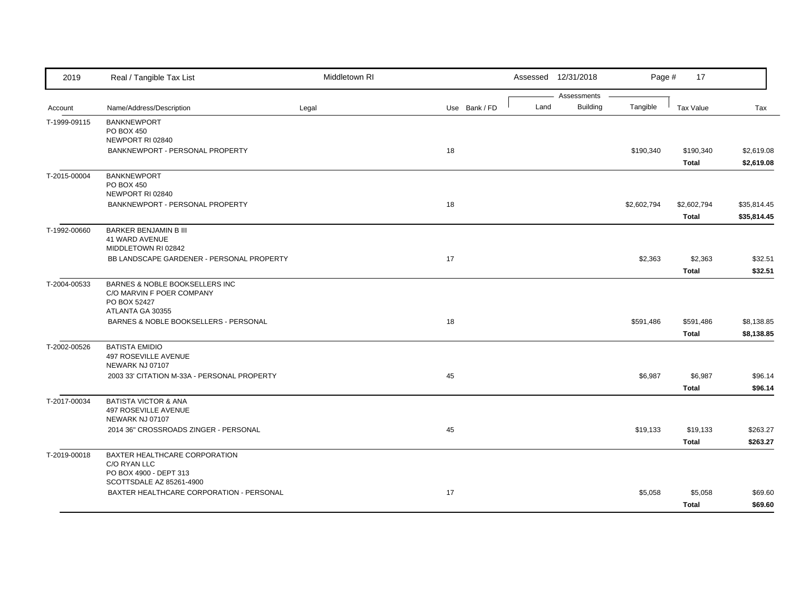| Assessments<br><b>Building</b><br>Tangible<br>Name/Address/Description<br>Land<br><b>Tax Value</b><br>Legal<br>Use Bank / FD<br>Tax<br>Account<br><b>BANKNEWPORT</b><br>T-1999-09115<br>PO BOX 450<br>NEWPORT RI 02840<br>BANKNEWPORT - PERSONAL PROPERTY<br>18<br>\$190,340<br>\$190,340<br><b>Total</b><br><b>BANKNEWPORT</b><br>PO BOX 450<br>NEWPORT RI 02840<br>BANKNEWPORT - PERSONAL PROPERTY<br>18<br>\$2,602,794<br>\$2,602,794<br><b>Total</b><br>T-1992-00660<br>BARKER BENJAMIN B III<br>41 WARD AVENUE<br>MIDDLETOWN RI 02842<br>17<br>BB LANDSCAPE GARDENER - PERSONAL PROPERTY<br>\$2,363<br>\$2,363<br><b>Total</b><br>BARNES & NOBLE BOOKSELLERS INC<br>C/O MARVIN F POER COMPANY<br>PO BOX 52427<br>ATLANTA GA 30355<br>18<br>BARNES & NOBLE BOOKSELLERS - PERSONAL<br>\$591,486<br>\$591,486<br>Total<br><b>BATISTA EMIDIO</b><br>497 ROSEVILLE AVENUE<br>NEWARK NJ 07107<br>45<br>\$6,987<br>2003 33' CITATION M-33A - PERSONAL PROPERTY<br>\$6,987<br><b>Total</b><br>T-2017-00034<br><b>BATISTA VICTOR &amp; ANA</b><br>497 ROSEVILLE AVENUE<br>NEWARK NJ 07107<br>2014 36" CROSSROADS ZINGER - PERSONAL<br>45<br>\$19,133<br>\$19,133<br><b>Total</b><br>BAXTER HEALTHCARE CORPORATION<br>C/O RYAN LLC<br>PO BOX 4900 - DEPT 313<br>SCOTTSDALE AZ 85261-4900<br>BAXTER HEALTHCARE CORPORATION - PERSONAL<br>17<br>\$5,058<br>\$5,058<br><b>Total</b> | 2019         | Real / Tangible Tax List | Middletown RI |  | Assessed 12/31/2018 | Page # | 17 |            |
|-----------------------------------------------------------------------------------------------------------------------------------------------------------------------------------------------------------------------------------------------------------------------------------------------------------------------------------------------------------------------------------------------------------------------------------------------------------------------------------------------------------------------------------------------------------------------------------------------------------------------------------------------------------------------------------------------------------------------------------------------------------------------------------------------------------------------------------------------------------------------------------------------------------------------------------------------------------------------------------------------------------------------------------------------------------------------------------------------------------------------------------------------------------------------------------------------------------------------------------------------------------------------------------------------------------------------------------------------------------------------------|--------------|--------------------------|---------------|--|---------------------|--------|----|------------|
| \$35,814.45<br>\$35,814.45<br>\$8,138.85<br>\$96.14<br>\$96.14                                                                                                                                                                                                                                                                                                                                                                                                                                                                                                                                                                                                                                                                                                                                                                                                                                                                                                                                                                                                                                                                                                                                                                                                                                                                                                              |              |                          |               |  |                     |        |    |            |
|                                                                                                                                                                                                                                                                                                                                                                                                                                                                                                                                                                                                                                                                                                                                                                                                                                                                                                                                                                                                                                                                                                                                                                                                                                                                                                                                                                             |              |                          |               |  |                     |        |    |            |
|                                                                                                                                                                                                                                                                                                                                                                                                                                                                                                                                                                                                                                                                                                                                                                                                                                                                                                                                                                                                                                                                                                                                                                                                                                                                                                                                                                             |              |                          |               |  |                     |        |    |            |
|                                                                                                                                                                                                                                                                                                                                                                                                                                                                                                                                                                                                                                                                                                                                                                                                                                                                                                                                                                                                                                                                                                                                                                                                                                                                                                                                                                             |              |                          |               |  |                     |        |    |            |
|                                                                                                                                                                                                                                                                                                                                                                                                                                                                                                                                                                                                                                                                                                                                                                                                                                                                                                                                                                                                                                                                                                                                                                                                                                                                                                                                                                             |              |                          |               |  |                     |        |    | \$2,619.08 |
|                                                                                                                                                                                                                                                                                                                                                                                                                                                                                                                                                                                                                                                                                                                                                                                                                                                                                                                                                                                                                                                                                                                                                                                                                                                                                                                                                                             |              |                          |               |  |                     |        |    | \$2,619.08 |
|                                                                                                                                                                                                                                                                                                                                                                                                                                                                                                                                                                                                                                                                                                                                                                                                                                                                                                                                                                                                                                                                                                                                                                                                                                                                                                                                                                             | T-2015-00004 |                          |               |  |                     |        |    |            |
|                                                                                                                                                                                                                                                                                                                                                                                                                                                                                                                                                                                                                                                                                                                                                                                                                                                                                                                                                                                                                                                                                                                                                                                                                                                                                                                                                                             |              |                          |               |  |                     |        |    |            |
|                                                                                                                                                                                                                                                                                                                                                                                                                                                                                                                                                                                                                                                                                                                                                                                                                                                                                                                                                                                                                                                                                                                                                                                                                                                                                                                                                                             |              |                          |               |  |                     |        |    |            |
|                                                                                                                                                                                                                                                                                                                                                                                                                                                                                                                                                                                                                                                                                                                                                                                                                                                                                                                                                                                                                                                                                                                                                                                                                                                                                                                                                                             |              |                          |               |  |                     |        |    |            |
|                                                                                                                                                                                                                                                                                                                                                                                                                                                                                                                                                                                                                                                                                                                                                                                                                                                                                                                                                                                                                                                                                                                                                                                                                                                                                                                                                                             |              |                          |               |  |                     |        |    |            |
|                                                                                                                                                                                                                                                                                                                                                                                                                                                                                                                                                                                                                                                                                                                                                                                                                                                                                                                                                                                                                                                                                                                                                                                                                                                                                                                                                                             |              |                          |               |  |                     |        |    |            |
|                                                                                                                                                                                                                                                                                                                                                                                                                                                                                                                                                                                                                                                                                                                                                                                                                                                                                                                                                                                                                                                                                                                                                                                                                                                                                                                                                                             |              |                          |               |  |                     |        |    |            |
|                                                                                                                                                                                                                                                                                                                                                                                                                                                                                                                                                                                                                                                                                                                                                                                                                                                                                                                                                                                                                                                                                                                                                                                                                                                                                                                                                                             |              |                          |               |  |                     |        |    | \$32.51    |
|                                                                                                                                                                                                                                                                                                                                                                                                                                                                                                                                                                                                                                                                                                                                                                                                                                                                                                                                                                                                                                                                                                                                                                                                                                                                                                                                                                             |              |                          |               |  |                     |        |    | \$32.51    |
|                                                                                                                                                                                                                                                                                                                                                                                                                                                                                                                                                                                                                                                                                                                                                                                                                                                                                                                                                                                                                                                                                                                                                                                                                                                                                                                                                                             | T-2004-00533 |                          |               |  |                     |        |    |            |
|                                                                                                                                                                                                                                                                                                                                                                                                                                                                                                                                                                                                                                                                                                                                                                                                                                                                                                                                                                                                                                                                                                                                                                                                                                                                                                                                                                             |              |                          |               |  |                     |        |    |            |
|                                                                                                                                                                                                                                                                                                                                                                                                                                                                                                                                                                                                                                                                                                                                                                                                                                                                                                                                                                                                                                                                                                                                                                                                                                                                                                                                                                             |              |                          |               |  |                     |        |    |            |
|                                                                                                                                                                                                                                                                                                                                                                                                                                                                                                                                                                                                                                                                                                                                                                                                                                                                                                                                                                                                                                                                                                                                                                                                                                                                                                                                                                             |              |                          |               |  |                     |        |    |            |
|                                                                                                                                                                                                                                                                                                                                                                                                                                                                                                                                                                                                                                                                                                                                                                                                                                                                                                                                                                                                                                                                                                                                                                                                                                                                                                                                                                             |              |                          |               |  |                     |        |    | \$8,138.85 |
|                                                                                                                                                                                                                                                                                                                                                                                                                                                                                                                                                                                                                                                                                                                                                                                                                                                                                                                                                                                                                                                                                                                                                                                                                                                                                                                                                                             | T-2002-00526 |                          |               |  |                     |        |    |            |
|                                                                                                                                                                                                                                                                                                                                                                                                                                                                                                                                                                                                                                                                                                                                                                                                                                                                                                                                                                                                                                                                                                                                                                                                                                                                                                                                                                             |              |                          |               |  |                     |        |    |            |
|                                                                                                                                                                                                                                                                                                                                                                                                                                                                                                                                                                                                                                                                                                                                                                                                                                                                                                                                                                                                                                                                                                                                                                                                                                                                                                                                                                             |              |                          |               |  |                     |        |    |            |
|                                                                                                                                                                                                                                                                                                                                                                                                                                                                                                                                                                                                                                                                                                                                                                                                                                                                                                                                                                                                                                                                                                                                                                                                                                                                                                                                                                             |              |                          |               |  |                     |        |    |            |
|                                                                                                                                                                                                                                                                                                                                                                                                                                                                                                                                                                                                                                                                                                                                                                                                                                                                                                                                                                                                                                                                                                                                                                                                                                                                                                                                                                             |              |                          |               |  |                     |        |    |            |
|                                                                                                                                                                                                                                                                                                                                                                                                                                                                                                                                                                                                                                                                                                                                                                                                                                                                                                                                                                                                                                                                                                                                                                                                                                                                                                                                                                             |              |                          |               |  |                     |        |    |            |
|                                                                                                                                                                                                                                                                                                                                                                                                                                                                                                                                                                                                                                                                                                                                                                                                                                                                                                                                                                                                                                                                                                                                                                                                                                                                                                                                                                             |              |                          |               |  |                     |        |    |            |
|                                                                                                                                                                                                                                                                                                                                                                                                                                                                                                                                                                                                                                                                                                                                                                                                                                                                                                                                                                                                                                                                                                                                                                                                                                                                                                                                                                             |              |                          |               |  |                     |        |    | \$263.27   |
|                                                                                                                                                                                                                                                                                                                                                                                                                                                                                                                                                                                                                                                                                                                                                                                                                                                                                                                                                                                                                                                                                                                                                                                                                                                                                                                                                                             |              |                          |               |  |                     |        |    | \$263.27   |
|                                                                                                                                                                                                                                                                                                                                                                                                                                                                                                                                                                                                                                                                                                                                                                                                                                                                                                                                                                                                                                                                                                                                                                                                                                                                                                                                                                             | T-2019-00018 |                          |               |  |                     |        |    |            |
|                                                                                                                                                                                                                                                                                                                                                                                                                                                                                                                                                                                                                                                                                                                                                                                                                                                                                                                                                                                                                                                                                                                                                                                                                                                                                                                                                                             |              |                          |               |  |                     |        |    |            |
|                                                                                                                                                                                                                                                                                                                                                                                                                                                                                                                                                                                                                                                                                                                                                                                                                                                                                                                                                                                                                                                                                                                                                                                                                                                                                                                                                                             |              |                          |               |  |                     |        |    |            |
|                                                                                                                                                                                                                                                                                                                                                                                                                                                                                                                                                                                                                                                                                                                                                                                                                                                                                                                                                                                                                                                                                                                                                                                                                                                                                                                                                                             |              |                          |               |  |                     |        |    | \$69.60    |
|                                                                                                                                                                                                                                                                                                                                                                                                                                                                                                                                                                                                                                                                                                                                                                                                                                                                                                                                                                                                                                                                                                                                                                                                                                                                                                                                                                             |              |                          |               |  |                     |        |    | \$69.60    |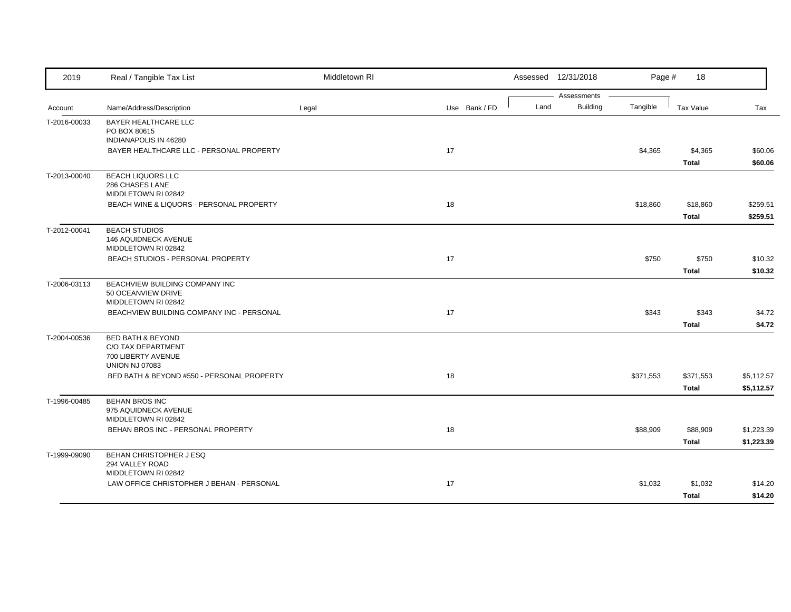| 2019         | Real / Tangible Tax List                                                                          | Middletown RI |               |      | Assessed 12/31/2018            | Page #    | 18                        |                          |
|--------------|---------------------------------------------------------------------------------------------------|---------------|---------------|------|--------------------------------|-----------|---------------------------|--------------------------|
| Account      | Name/Address/Description                                                                          | Legal         | Use Bank / FD | Land | Assessments<br><b>Building</b> | Tangible  | <b>Tax Value</b>          | Tax                      |
| T-2016-00033 | <b>BAYER HEALTHCARE LLC</b><br>PO BOX 80615<br>INDIANAPOLIS IN 46280                              |               |               |      |                                |           |                           |                          |
|              | BAYER HEALTHCARE LLC - PERSONAL PROPERTY                                                          |               | 17            |      |                                | \$4,365   | \$4,365<br><b>Total</b>   | \$60.06<br>\$60.06       |
| T-2013-00040 | <b>BEACH LIQUORS LLC</b><br>286 CHASES LANE<br>MIDDLETOWN RI 02842                                |               |               |      |                                |           |                           |                          |
|              | BEACH WINE & LIQUORS - PERSONAL PROPERTY                                                          |               | 18            |      |                                | \$18,860  | \$18,860<br><b>Total</b>  | \$259.51<br>\$259.51     |
| T-2012-00041 | <b>BEACH STUDIOS</b><br>146 AQUIDNECK AVENUE<br>MIDDLETOWN RI 02842                               |               |               |      |                                |           |                           |                          |
|              | BEACH STUDIOS - PERSONAL PROPERTY                                                                 |               | 17            |      |                                | \$750     | \$750<br><b>Total</b>     | \$10.32<br>\$10.32       |
| T-2006-03113 | BEACHVIEW BUILDING COMPANY INC<br>50 OCEANVIEW DRIVE<br>MIDDLETOWN RI 02842                       |               |               |      |                                |           |                           |                          |
|              | BEACHVIEW BUILDING COMPANY INC - PERSONAL                                                         |               | 17            |      |                                | \$343     | \$343<br><b>Total</b>     | \$4.72<br>\$4.72         |
| T-2004-00536 | <b>BED BATH &amp; BEYOND</b><br>C/O TAX DEPARTMENT<br>700 LIBERTY AVENUE<br><b>UNION NJ 07083</b> |               |               |      |                                |           |                           |                          |
|              | BED BATH & BEYOND #550 - PERSONAL PROPERTY                                                        |               | 18            |      |                                | \$371,553 | \$371,553<br><b>Total</b> | \$5,112.57<br>\$5,112.57 |
| T-1996-00485 | <b>BEHAN BROS INC</b><br>975 AQUIDNECK AVENUE<br>MIDDLETOWN RI 02842                              |               |               |      |                                |           |                           |                          |
|              | BEHAN BROS INC - PERSONAL PROPERTY                                                                |               | 18            |      |                                | \$88,909  | \$88,909<br><b>Total</b>  | \$1,223.39<br>\$1,223.39 |
| T-1999-09090 | BEHAN CHRISTOPHER J ESQ<br>294 VALLEY ROAD<br>MIDDLETOWN RI 02842                                 |               |               |      |                                |           |                           |                          |
|              | LAW OFFICE CHRISTOPHER J BEHAN - PERSONAL                                                         |               | 17            |      |                                | \$1,032   | \$1,032<br><b>Total</b>   | \$14.20<br>\$14.20       |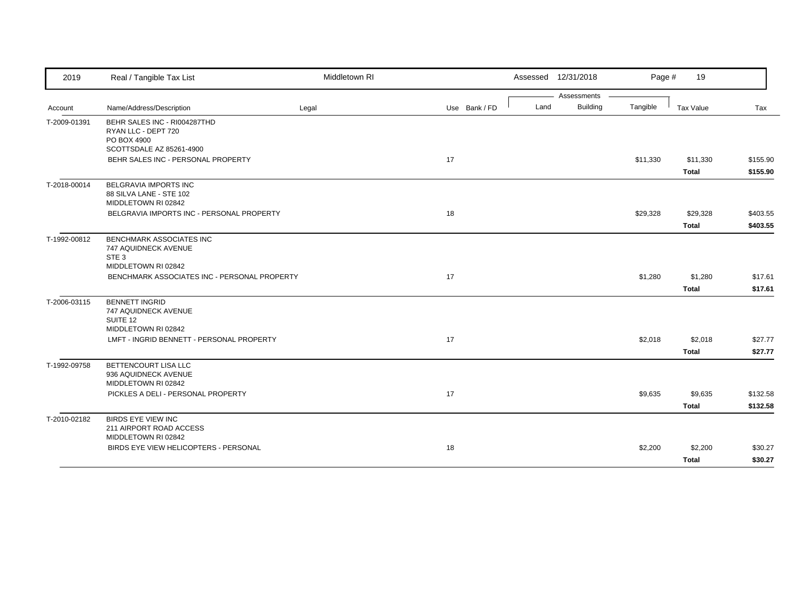| 2019         | Real / Tangible Tax List                                                                           | Middletown RI |               |      | Assessed 12/31/2018 | Page #   | 19           |          |
|--------------|----------------------------------------------------------------------------------------------------|---------------|---------------|------|---------------------|----------|--------------|----------|
|              |                                                                                                    |               |               |      | Assessments         |          |              |          |
| Account      | Name/Address/Description                                                                           | Legal         | Use Bank / FD | Land | <b>Building</b>     | Tangible | Tax Value    | Tax      |
| T-2009-01391 | BEHR SALES INC - RI004287THD<br>RYAN LLC - DEPT 720<br>PO BOX 4900                                 |               |               |      |                     |          |              |          |
|              | SCOTTSDALE AZ 85261-4900                                                                           |               |               |      |                     |          |              |          |
|              | BEHR SALES INC - PERSONAL PROPERTY                                                                 |               | 17            |      |                     | \$11,330 | \$11,330     | \$155.90 |
|              |                                                                                                    |               |               |      |                     |          | <b>Total</b> | \$155.90 |
| T-2018-00014 | BELGRAVIA IMPORTS INC<br>88 SILVA LANE - STE 102<br>MIDDLETOWN RI 02842                            |               |               |      |                     |          |              |          |
|              | BELGRAVIA IMPORTS INC - PERSONAL PROPERTY                                                          |               | 18            |      |                     | \$29,328 | \$29,328     | \$403.55 |
|              |                                                                                                    |               |               |      |                     |          | <b>Total</b> | \$403.55 |
| T-1992-00812 | <b>BENCHMARK ASSOCIATES INC</b><br>747 AQUIDNECK AVENUE<br>STE <sub>3</sub><br>MIDDLETOWN RI 02842 |               |               |      |                     |          |              |          |
|              | BENCHMARK ASSOCIATES INC - PERSONAL PROPERTY                                                       |               | 17            |      |                     | \$1,280  | \$1,280      | \$17.61  |
|              |                                                                                                    |               |               |      |                     |          | <b>Total</b> | \$17.61  |
|              |                                                                                                    |               |               |      |                     |          |              |          |
| T-2006-03115 | <b>BENNETT INGRID</b><br>747 AQUIDNECK AVENUE<br>SUITE 12                                          |               |               |      |                     |          |              |          |
|              | MIDDLETOWN RI 02842                                                                                |               |               |      |                     |          |              |          |
|              | LMFT - INGRID BENNETT - PERSONAL PROPERTY                                                          |               | 17            |      |                     | \$2,018  | \$2,018      | \$27.77  |
|              |                                                                                                    |               |               |      |                     |          | <b>Total</b> | \$27.77  |
| T-1992-09758 | BETTENCOURT LISA LLC<br>936 AQUIDNECK AVENUE<br>MIDDLETOWN RI 02842                                |               |               |      |                     |          |              |          |
|              | PICKLES A DELI - PERSONAL PROPERTY                                                                 |               | 17            |      |                     | \$9,635  | \$9,635      | \$132.58 |
|              |                                                                                                    |               |               |      |                     |          | <b>Total</b> | \$132.58 |
| T-2010-02182 | <b>BIRDS EYE VIEW INC</b><br>211 AIRPORT ROAD ACCESS<br>MIDDLETOWN RI 02842                        |               |               |      |                     |          |              |          |
|              | BIRDS EYE VIEW HELICOPTERS - PERSONAL                                                              |               | 18            |      |                     | \$2,200  | \$2,200      | \$30.27  |
|              |                                                                                                    |               |               |      |                     |          | <b>Total</b> | \$30.27  |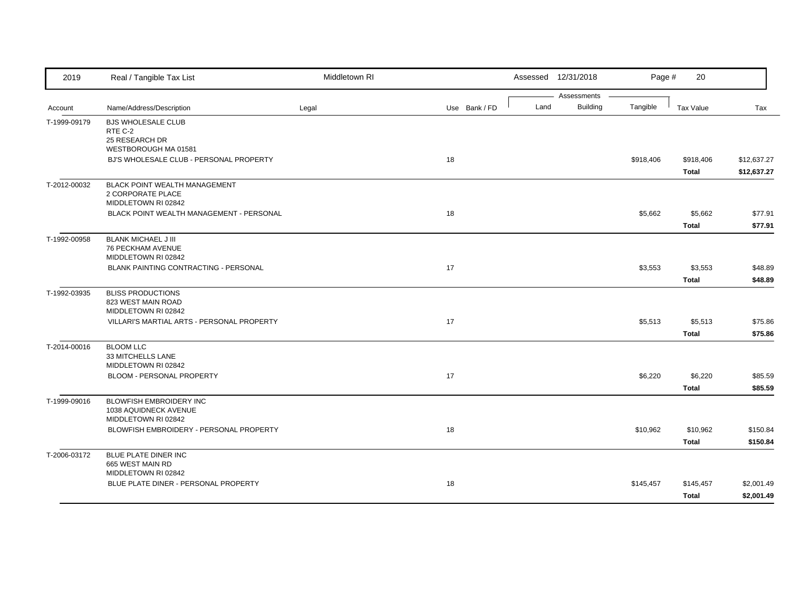| 2019         | Real / Tangible Tax List                               | Middletown RI |               |      | Assessed 12/31/2018     | Page #    | 20               |             |
|--------------|--------------------------------------------------------|---------------|---------------|------|-------------------------|-----------|------------------|-------------|
| Account      | Name/Address/Description                               | Legal         | Use Bank / FD | Land | Assessments<br>Building | Tangible  | <b>Tax Value</b> | Tax         |
|              |                                                        |               |               |      |                         |           |                  |             |
| T-1999-09179 | <b>BJS WHOLESALE CLUB</b><br>RTE C-2                   |               |               |      |                         |           |                  |             |
|              | 25 RESEARCH DR                                         |               |               |      |                         |           |                  |             |
|              | WESTBOROUGH MA 01581                                   |               |               |      |                         |           |                  |             |
|              | BJ'S WHOLESALE CLUB - PERSONAL PROPERTY                |               | 18            |      |                         | \$918,406 | \$918,406        | \$12,637.27 |
|              |                                                        |               |               |      |                         |           | <b>Total</b>     | \$12,637.27 |
| T-2012-00032 | <b>BLACK POINT WEALTH MANAGEMENT</b>                   |               |               |      |                         |           |                  |             |
|              | 2 CORPORATE PLACE<br>MIDDLETOWN RI 02842               |               |               |      |                         |           |                  |             |
|              | BLACK POINT WEALTH MANAGEMENT - PERSONAL               |               | 18            |      |                         | \$5,662   | \$5,662          | \$77.91     |
|              |                                                        |               |               |      |                         |           |                  |             |
|              |                                                        |               |               |      |                         |           | <b>Total</b>     | \$77.91     |
| T-1992-00958 | <b>BLANK MICHAEL J III</b><br><b>76 PECKHAM AVENUE</b> |               |               |      |                         |           |                  |             |
|              | MIDDLETOWN RI 02842                                    |               |               |      |                         |           |                  |             |
|              | BLANK PAINTING CONTRACTING - PERSONAL                  |               | 17            |      |                         | \$3,553   | \$3,553          | \$48.89     |
|              |                                                        |               |               |      |                         |           | <b>Total</b>     | \$48.89     |
| T-1992-03935 | <b>BLISS PRODUCTIONS</b>                               |               |               |      |                         |           |                  |             |
|              | 823 WEST MAIN ROAD                                     |               |               |      |                         |           |                  |             |
|              | MIDDLETOWN RI 02842                                    |               |               |      |                         |           |                  |             |
|              | VILLARI'S MARTIAL ARTS - PERSONAL PROPERTY             |               | 17            |      |                         | \$5,513   | \$5,513          | \$75.86     |
|              |                                                        |               |               |      |                         |           | <b>Total</b>     | \$75.86     |
| T-2014-00016 | <b>BLOOM LLC</b>                                       |               |               |      |                         |           |                  |             |
|              | 33 MITCHELLS LANE<br>MIDDLETOWN RI 02842               |               |               |      |                         |           |                  |             |
|              | BLOOM - PERSONAL PROPERTY                              |               | 17            |      |                         | \$6,220   | \$6,220          | \$85.59     |
|              |                                                        |               |               |      |                         |           | <b>Total</b>     | \$85.59     |
|              |                                                        |               |               |      |                         |           |                  |             |
| T-1999-09016 | BLOWFISH EMBROIDERY INC<br>1038 AQUIDNECK AVENUE       |               |               |      |                         |           |                  |             |
|              | MIDDLETOWN RI 02842                                    |               |               |      |                         |           |                  |             |
|              | BLOWFISH EMBROIDERY - PERSONAL PROPERTY                |               | 18            |      |                         | \$10,962  | \$10,962         | \$150.84    |
|              |                                                        |               |               |      |                         |           | <b>Total</b>     | \$150.84    |
| T-2006-03172 | BLUE PLATE DINER INC                                   |               |               |      |                         |           |                  |             |
|              | 665 WEST MAIN RD                                       |               |               |      |                         |           |                  |             |
|              | MIDDLETOWN RI 02842                                    |               |               |      |                         |           |                  |             |
|              | BLUE PLATE DINER - PERSONAL PROPERTY                   |               | 18            |      |                         | \$145,457 | \$145,457        | \$2,001.49  |
|              |                                                        |               |               |      |                         |           | <b>Total</b>     | \$2,001.49  |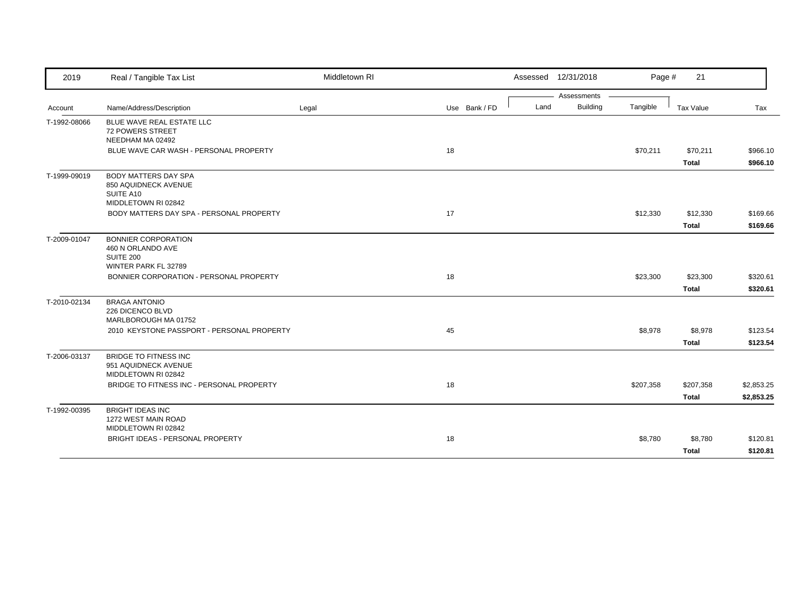| Assessments<br><b>Building</b><br>Land<br>Tangible<br>Name/Address/Description<br>Use Bank / FD<br>Tax Value<br>Legal<br>Tax<br>Account<br>BLUE WAVE REAL ESTATE LLC<br>72 POWERS STREET<br>NEEDHAM MA 02492<br>18<br>BLUE WAVE CAR WASH - PERSONAL PROPERTY<br>\$70,211<br>\$70,211<br><b>Total</b><br><b>BODY MATTERS DAY SPA</b><br>850 AQUIDNECK AVENUE<br>SUITE A10<br>MIDDLETOWN RI 02842<br>17<br>BODY MATTERS DAY SPA - PERSONAL PROPERTY<br>\$12,330<br>\$12,330<br><b>Total</b><br><b>BONNIER CORPORATION</b><br>460 N ORLANDO AVE<br>SUITE 200<br>WINTER PARK FL 32789<br>BONNIER CORPORATION - PERSONAL PROPERTY<br>18<br>\$23,300<br>\$23,300<br><b>Total</b><br><b>BRAGA ANTONIO</b><br>T-2010-02134<br>226 DICENCO BLVD<br>MARLBOROUGH MA 01752<br>45<br>\$8,978<br>\$8,978<br>2010 KEYSTONE PASSPORT - PERSONAL PROPERTY<br><b>Total</b><br><b>BRIDGE TO FITNESS INC</b><br>951 AQUIDNECK AVENUE<br>MIDDLETOWN RI 02842<br>BRIDGE TO FITNESS INC - PERSONAL PROPERTY<br>18<br>\$207,358<br>\$207,358<br><b>Total</b><br><b>BRIGHT IDEAS INC</b><br>1272 WEST MAIN ROAD<br>MIDDLETOWN RI 02842<br>BRIGHT IDEAS - PERSONAL PROPERTY<br>18<br>\$8,780<br>\$8,780 | 2019         | Real / Tangible Tax List | Middletown RI |  | Assessed 12/31/2018 | Page # | 21           |          |
|-------------------------------------------------------------------------------------------------------------------------------------------------------------------------------------------------------------------------------------------------------------------------------------------------------------------------------------------------------------------------------------------------------------------------------------------------------------------------------------------------------------------------------------------------------------------------------------------------------------------------------------------------------------------------------------------------------------------------------------------------------------------------------------------------------------------------------------------------------------------------------------------------------------------------------------------------------------------------------------------------------------------------------------------------------------------------------------------------------------------------------------------------------------------------------|--------------|--------------------------|---------------|--|---------------------|--------|--------------|----------|
|                                                                                                                                                                                                                                                                                                                                                                                                                                                                                                                                                                                                                                                                                                                                                                                                                                                                                                                                                                                                                                                                                                                                                                               |              |                          |               |  |                     |        |              |          |
|                                                                                                                                                                                                                                                                                                                                                                                                                                                                                                                                                                                                                                                                                                                                                                                                                                                                                                                                                                                                                                                                                                                                                                               |              |                          |               |  |                     |        |              |          |
|                                                                                                                                                                                                                                                                                                                                                                                                                                                                                                                                                                                                                                                                                                                                                                                                                                                                                                                                                                                                                                                                                                                                                                               | T-1992-08066 |                          |               |  |                     |        |              |          |
| \$966.10                                                                                                                                                                                                                                                                                                                                                                                                                                                                                                                                                                                                                                                                                                                                                                                                                                                                                                                                                                                                                                                                                                                                                                      |              |                          |               |  |                     |        |              | \$966.10 |
| \$169.66                                                                                                                                                                                                                                                                                                                                                                                                                                                                                                                                                                                                                                                                                                                                                                                                                                                                                                                                                                                                                                                                                                                                                                      |              |                          |               |  |                     |        |              |          |
|                                                                                                                                                                                                                                                                                                                                                                                                                                                                                                                                                                                                                                                                                                                                                                                                                                                                                                                                                                                                                                                                                                                                                                               | T-1999-09019 |                          |               |  |                     |        |              |          |
| \$169.66<br>\$320.61<br>\$320.61<br>\$123.54<br>\$123.54<br>\$2,853.25<br>\$2,853.25<br>\$120.81<br>\$120.81                                                                                                                                                                                                                                                                                                                                                                                                                                                                                                                                                                                                                                                                                                                                                                                                                                                                                                                                                                                                                                                                  |              |                          |               |  |                     |        |              |          |
|                                                                                                                                                                                                                                                                                                                                                                                                                                                                                                                                                                                                                                                                                                                                                                                                                                                                                                                                                                                                                                                                                                                                                                               |              |                          |               |  |                     |        |              |          |
|                                                                                                                                                                                                                                                                                                                                                                                                                                                                                                                                                                                                                                                                                                                                                                                                                                                                                                                                                                                                                                                                                                                                                                               | T-2009-01047 |                          |               |  |                     |        |              |          |
|                                                                                                                                                                                                                                                                                                                                                                                                                                                                                                                                                                                                                                                                                                                                                                                                                                                                                                                                                                                                                                                                                                                                                                               |              |                          |               |  |                     |        |              |          |
|                                                                                                                                                                                                                                                                                                                                                                                                                                                                                                                                                                                                                                                                                                                                                                                                                                                                                                                                                                                                                                                                                                                                                                               |              |                          |               |  |                     |        |              |          |
|                                                                                                                                                                                                                                                                                                                                                                                                                                                                                                                                                                                                                                                                                                                                                                                                                                                                                                                                                                                                                                                                                                                                                                               |              |                          |               |  |                     |        |              |          |
|                                                                                                                                                                                                                                                                                                                                                                                                                                                                                                                                                                                                                                                                                                                                                                                                                                                                                                                                                                                                                                                                                                                                                                               |              |                          |               |  |                     |        |              |          |
|                                                                                                                                                                                                                                                                                                                                                                                                                                                                                                                                                                                                                                                                                                                                                                                                                                                                                                                                                                                                                                                                                                                                                                               | T-2006-03137 |                          |               |  |                     |        |              |          |
|                                                                                                                                                                                                                                                                                                                                                                                                                                                                                                                                                                                                                                                                                                                                                                                                                                                                                                                                                                                                                                                                                                                                                                               |              |                          |               |  |                     |        |              |          |
|                                                                                                                                                                                                                                                                                                                                                                                                                                                                                                                                                                                                                                                                                                                                                                                                                                                                                                                                                                                                                                                                                                                                                                               |              |                          |               |  |                     |        |              |          |
|                                                                                                                                                                                                                                                                                                                                                                                                                                                                                                                                                                                                                                                                                                                                                                                                                                                                                                                                                                                                                                                                                                                                                                               | T-1992-00395 |                          |               |  |                     |        |              |          |
|                                                                                                                                                                                                                                                                                                                                                                                                                                                                                                                                                                                                                                                                                                                                                                                                                                                                                                                                                                                                                                                                                                                                                                               |              |                          |               |  |                     |        |              |          |
|                                                                                                                                                                                                                                                                                                                                                                                                                                                                                                                                                                                                                                                                                                                                                                                                                                                                                                                                                                                                                                                                                                                                                                               |              |                          |               |  |                     |        | <b>Total</b> |          |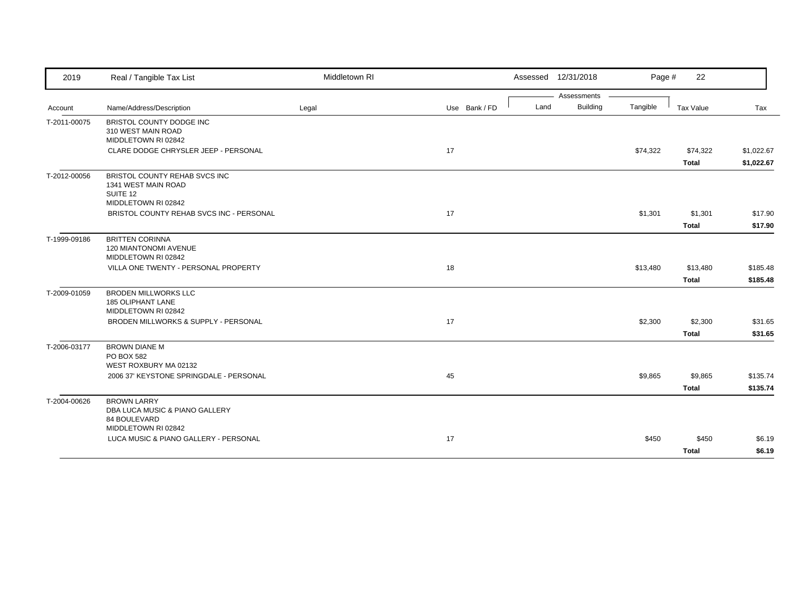| Assessments<br><b>Building</b><br>Tangible<br>Name/Address/Description<br>Use Bank / FD<br>Land<br>Tax Value<br>Tax<br>Legal<br>Account<br>BRISTOL COUNTY DODGE INC<br>310 WEST MAIN ROAD<br>MIDDLETOWN RI 02842<br>17<br>CLARE DODGE CHRYSLER JEEP - PERSONAL<br>\$74,322<br>\$74,322<br>\$1,022.67<br><b>Total</b><br>\$1,022.67<br>BRISTOL COUNTY REHAB SVCS INC<br>T-2012-00056<br>1341 WEST MAIN ROAD<br>SUITE 12<br>MIDDLETOWN RI 02842<br>17<br>BRISTOL COUNTY REHAB SVCS INC - PERSONAL<br>\$1,301<br>\$1,301<br>\$17.90<br><b>Total</b><br>\$17.90<br><b>BRITTEN CORINNA</b><br><b>120 MIANTONOMI AVENUE</b><br>MIDDLETOWN RI 02842<br>18<br>VILLA ONE TWENTY - PERSONAL PROPERTY<br>\$13,480<br>\$13,480<br>\$185.48<br><b>Total</b><br>\$185.48<br><b>BRODEN MILLWORKS LLC</b><br>185 OLIPHANT LANE<br>MIDDLETOWN RI 02842<br>BRODEN MILLWORKS & SUPPLY - PERSONAL<br>17<br>\$2,300<br>\$2,300<br>\$31.65<br><b>Total</b><br>\$31.65<br><b>BROWN DIANE M</b><br>PO BOX 582<br>WEST ROXBURY MA 02132<br>45<br>2006 37' KEYSTONE SPRINGDALE - PERSONAL<br>\$9,865<br>\$9,865<br>\$135.74<br><b>Total</b><br>\$135.74<br><b>BROWN LARRY</b><br>DBA LUCA MUSIC & PIANO GALLERY<br>84 BOULEVARD<br>MIDDLETOWN RI 02842<br>LUCA MUSIC & PIANO GALLERY - PERSONAL<br>17<br>\$450<br>\$450<br>\$6.19 | 2019         | Real / Tangible Tax List | Middletown RI | Assessed 12/31/2018 | Page # | 22           |        |
|---------------------------------------------------------------------------------------------------------------------------------------------------------------------------------------------------------------------------------------------------------------------------------------------------------------------------------------------------------------------------------------------------------------------------------------------------------------------------------------------------------------------------------------------------------------------------------------------------------------------------------------------------------------------------------------------------------------------------------------------------------------------------------------------------------------------------------------------------------------------------------------------------------------------------------------------------------------------------------------------------------------------------------------------------------------------------------------------------------------------------------------------------------------------------------------------------------------------------------------------------------------------------------------------------------|--------------|--------------------------|---------------|---------------------|--------|--------------|--------|
|                                                                                                                                                                                                                                                                                                                                                                                                                                                                                                                                                                                                                                                                                                                                                                                                                                                                                                                                                                                                                                                                                                                                                                                                                                                                                                         |              |                          |               |                     |        |              |        |
|                                                                                                                                                                                                                                                                                                                                                                                                                                                                                                                                                                                                                                                                                                                                                                                                                                                                                                                                                                                                                                                                                                                                                                                                                                                                                                         |              |                          |               |                     |        |              |        |
|                                                                                                                                                                                                                                                                                                                                                                                                                                                                                                                                                                                                                                                                                                                                                                                                                                                                                                                                                                                                                                                                                                                                                                                                                                                                                                         | T-2011-00075 |                          |               |                     |        |              |        |
|                                                                                                                                                                                                                                                                                                                                                                                                                                                                                                                                                                                                                                                                                                                                                                                                                                                                                                                                                                                                                                                                                                                                                                                                                                                                                                         |              |                          |               |                     |        |              |        |
|                                                                                                                                                                                                                                                                                                                                                                                                                                                                                                                                                                                                                                                                                                                                                                                                                                                                                                                                                                                                                                                                                                                                                                                                                                                                                                         |              |                          |               |                     |        |              |        |
|                                                                                                                                                                                                                                                                                                                                                                                                                                                                                                                                                                                                                                                                                                                                                                                                                                                                                                                                                                                                                                                                                                                                                                                                                                                                                                         |              |                          |               |                     |        |              |        |
|                                                                                                                                                                                                                                                                                                                                                                                                                                                                                                                                                                                                                                                                                                                                                                                                                                                                                                                                                                                                                                                                                                                                                                                                                                                                                                         |              |                          |               |                     |        |              |        |
|                                                                                                                                                                                                                                                                                                                                                                                                                                                                                                                                                                                                                                                                                                                                                                                                                                                                                                                                                                                                                                                                                                                                                                                                                                                                                                         | T-1999-09186 |                          |               |                     |        |              |        |
|                                                                                                                                                                                                                                                                                                                                                                                                                                                                                                                                                                                                                                                                                                                                                                                                                                                                                                                                                                                                                                                                                                                                                                                                                                                                                                         |              |                          |               |                     |        |              |        |
|                                                                                                                                                                                                                                                                                                                                                                                                                                                                                                                                                                                                                                                                                                                                                                                                                                                                                                                                                                                                                                                                                                                                                                                                                                                                                                         |              |                          |               |                     |        |              |        |
|                                                                                                                                                                                                                                                                                                                                                                                                                                                                                                                                                                                                                                                                                                                                                                                                                                                                                                                                                                                                                                                                                                                                                                                                                                                                                                         | T-2009-01059 |                          |               |                     |        |              |        |
|                                                                                                                                                                                                                                                                                                                                                                                                                                                                                                                                                                                                                                                                                                                                                                                                                                                                                                                                                                                                                                                                                                                                                                                                                                                                                                         |              |                          |               |                     |        |              |        |
|                                                                                                                                                                                                                                                                                                                                                                                                                                                                                                                                                                                                                                                                                                                                                                                                                                                                                                                                                                                                                                                                                                                                                                                                                                                                                                         |              |                          |               |                     |        |              |        |
|                                                                                                                                                                                                                                                                                                                                                                                                                                                                                                                                                                                                                                                                                                                                                                                                                                                                                                                                                                                                                                                                                                                                                                                                                                                                                                         | T-2006-03177 |                          |               |                     |        |              |        |
|                                                                                                                                                                                                                                                                                                                                                                                                                                                                                                                                                                                                                                                                                                                                                                                                                                                                                                                                                                                                                                                                                                                                                                                                                                                                                                         |              |                          |               |                     |        |              |        |
|                                                                                                                                                                                                                                                                                                                                                                                                                                                                                                                                                                                                                                                                                                                                                                                                                                                                                                                                                                                                                                                                                                                                                                                                                                                                                                         |              |                          |               |                     |        |              |        |
|                                                                                                                                                                                                                                                                                                                                                                                                                                                                                                                                                                                                                                                                                                                                                                                                                                                                                                                                                                                                                                                                                                                                                                                                                                                                                                         | T-2004-00626 |                          |               |                     |        |              |        |
|                                                                                                                                                                                                                                                                                                                                                                                                                                                                                                                                                                                                                                                                                                                                                                                                                                                                                                                                                                                                                                                                                                                                                                                                                                                                                                         |              |                          |               |                     |        |              |        |
|                                                                                                                                                                                                                                                                                                                                                                                                                                                                                                                                                                                                                                                                                                                                                                                                                                                                                                                                                                                                                                                                                                                                                                                                                                                                                                         |              |                          |               |                     |        | <b>Total</b> | \$6.19 |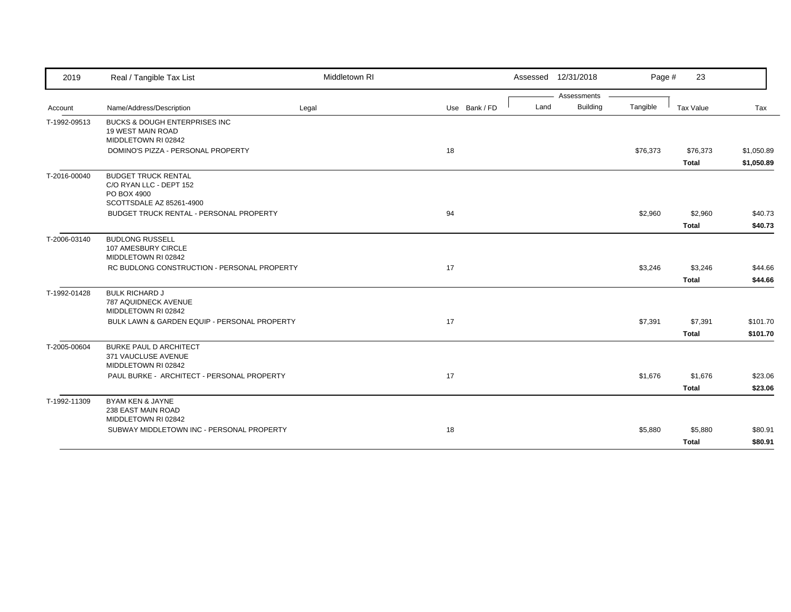| 2019         | Real / Tangible Tax List                                                                         | Middletown RI |    |               |      | Assessed 12/31/2018 | Page #   | 23                       |                          |
|--------------|--------------------------------------------------------------------------------------------------|---------------|----|---------------|------|---------------------|----------|--------------------------|--------------------------|
|              |                                                                                                  |               |    |               |      | Assessments         |          |                          |                          |
| Account      | Name/Address/Description                                                                         | Legal         |    | Use Bank / FD | Land | <b>Building</b>     | Tangible | Tax Value                | Tax                      |
| T-1992-09513 | <b>BUCKS &amp; DOUGH ENTERPRISES INC</b><br>19 WEST MAIN ROAD<br>MIDDLETOWN RI 02842             |               |    |               |      |                     |          |                          |                          |
|              | DOMINO'S PIZZA - PERSONAL PROPERTY                                                               |               | 18 |               |      |                     | \$76,373 | \$76,373<br><b>Total</b> | \$1,050.89<br>\$1,050.89 |
| T-2016-00040 | <b>BUDGET TRUCK RENTAL</b><br>C/O RYAN LLC - DEPT 152<br>PO BOX 4900<br>SCOTTSDALE AZ 85261-4900 |               |    |               |      |                     |          |                          |                          |
|              | BUDGET TRUCK RENTAL - PERSONAL PROPERTY                                                          |               | 94 |               |      |                     | \$2,960  | \$2,960                  | \$40.73                  |
|              |                                                                                                  |               |    |               |      |                     |          | <b>Total</b>             | \$40.73                  |
| T-2006-03140 | <b>BUDLONG RUSSELL</b><br>107 AMESBURY CIRCLE<br>MIDDLETOWN RI 02842                             |               |    |               |      |                     |          |                          |                          |
|              | RC BUDLONG CONSTRUCTION - PERSONAL PROPERTY                                                      |               | 17 |               |      |                     | \$3,246  | \$3,246                  | \$44.66                  |
|              |                                                                                                  |               |    |               |      |                     |          | <b>Total</b>             | \$44.66                  |
| T-1992-01428 | <b>BULK RICHARD J</b><br>787 AQUIDNECK AVENUE<br>MIDDLETOWN RI 02842                             |               |    |               |      |                     |          |                          |                          |
|              | BULK LAWN & GARDEN EQUIP - PERSONAL PROPERTY                                                     |               | 17 |               |      |                     | \$7,391  | \$7,391                  | \$101.70                 |
|              |                                                                                                  |               |    |               |      |                     |          | <b>Total</b>             | \$101.70                 |
| T-2005-00604 | <b>BURKE PAUL D ARCHITECT</b><br>371 VAUCLUSE AVENUE<br>MIDDLETOWN RI 02842                      |               |    |               |      |                     |          |                          |                          |
|              | PAUL BURKE - ARCHITECT - PERSONAL PROPERTY                                                       |               | 17 |               |      |                     | \$1,676  | \$1,676                  | \$23.06                  |
|              |                                                                                                  |               |    |               |      |                     |          | <b>Total</b>             | \$23.06                  |
| T-1992-11309 | <b>BYAM KEN &amp; JAYNE</b><br>238 EAST MAIN ROAD<br>MIDDLETOWN RI 02842                         |               |    |               |      |                     |          |                          |                          |
|              | SUBWAY MIDDLETOWN INC - PERSONAL PROPERTY                                                        |               | 18 |               |      |                     | \$5,880  | \$5,880                  | \$80.91                  |
|              |                                                                                                  |               |    |               |      |                     |          | <b>Total</b>             | \$80.91                  |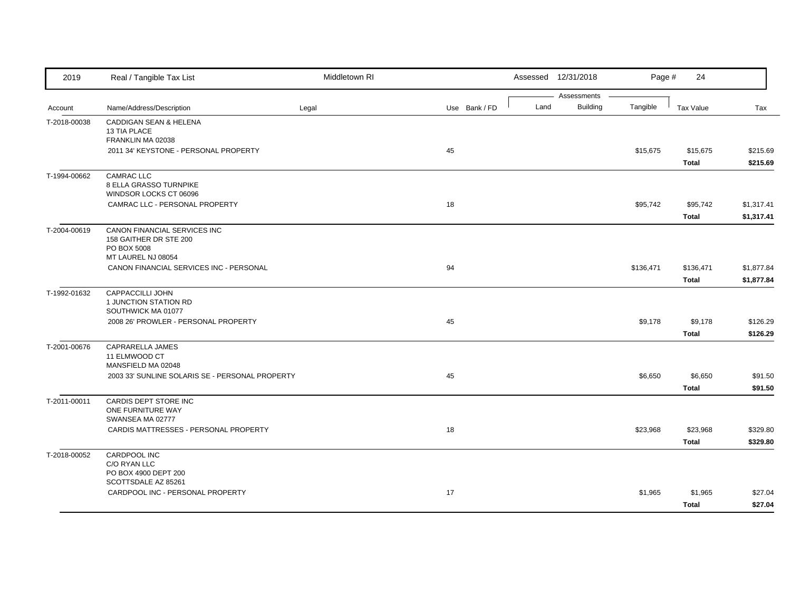| 2019         | Real / Tangible Tax List                        | Middletown RI |               |      | Assessed 12/31/2018            | Page #    | 24               |            |
|--------------|-------------------------------------------------|---------------|---------------|------|--------------------------------|-----------|------------------|------------|
| Account      | Name/Address/Description                        | Legal         | Use Bank / FD | Land | Assessments<br><b>Building</b> | Tangible  | <b>Tax Value</b> | Tax        |
| T-2018-00038 | CADDIGAN SEAN & HELENA                          |               |               |      |                                |           |                  |            |
|              | 13 TIA PLACE                                    |               |               |      |                                |           |                  |            |
|              | FRANKLIN MA 02038                               |               |               |      |                                |           |                  |            |
|              | 2011 34' KEYSTONE - PERSONAL PROPERTY           |               | 45            |      |                                | \$15,675  | \$15,675         | \$215.69   |
|              |                                                 |               |               |      |                                |           | <b>Total</b>     | \$215.69   |
| T-1994-00662 | <b>CAMRAC LLC</b>                               |               |               |      |                                |           |                  |            |
|              | 8 ELLA GRASSO TURNPIKE                          |               |               |      |                                |           |                  |            |
|              | WINDSOR LOCKS CT 06096                          |               |               |      |                                |           |                  |            |
|              | CAMRAC LLC - PERSONAL PROPERTY                  |               | 18            |      |                                | \$95,742  | \$95,742         | \$1,317.41 |
|              |                                                 |               |               |      |                                |           | <b>Total</b>     | \$1,317.41 |
| T-2004-00619 | CANON FINANCIAL SERVICES INC                    |               |               |      |                                |           |                  |            |
|              | 158 GAITHER DR STE 200<br>PO BOX 5008           |               |               |      |                                |           |                  |            |
|              | MT LAUREL NJ 08054                              |               |               |      |                                |           |                  |            |
|              | CANON FINANCIAL SERVICES INC - PERSONAL         |               | 94            |      |                                | \$136,471 | \$136,471        | \$1,877.84 |
|              |                                                 |               |               |      |                                |           | <b>Total</b>     | \$1,877.84 |
| T-1992-01632 | CAPPACCILLI JOHN                                |               |               |      |                                |           |                  |            |
|              | 1 JUNCTION STATION RD                           |               |               |      |                                |           |                  |            |
|              | SOUTHWICK MA 01077                              |               |               |      |                                |           |                  |            |
|              | 2008 26' PROWLER - PERSONAL PROPERTY            |               | 45            |      |                                | \$9,178   | \$9,178          | \$126.29   |
|              |                                                 |               |               |      |                                |           | <b>Total</b>     | \$126.29   |
| T-2001-00676 | CAPRARELLA JAMES                                |               |               |      |                                |           |                  |            |
|              | 11 ELMWOOD CT                                   |               |               |      |                                |           |                  |            |
|              | MANSFIELD MA 02048                              |               |               |      |                                |           |                  |            |
|              | 2003 33' SUNLINE SOLARIS SE - PERSONAL PROPERTY |               | 45            |      |                                | \$6,650   | \$6,650          | \$91.50    |
|              |                                                 |               |               |      |                                |           | <b>Total</b>     | \$91.50    |
| T-2011-00011 | CARDIS DEPT STORE INC                           |               |               |      |                                |           |                  |            |
|              | ONE FURNITURE WAY<br>SWANSEA MA 02777           |               |               |      |                                |           |                  |            |
|              | CARDIS MATTRESSES - PERSONAL PROPERTY           |               | 18            |      |                                | \$23,968  | \$23,968         | \$329.80   |
|              |                                                 |               |               |      |                                |           | <b>Total</b>     | \$329.80   |
|              | CARDPOOL INC                                    |               |               |      |                                |           |                  |            |
| T-2018-00052 | C/O RYAN LLC                                    |               |               |      |                                |           |                  |            |
|              | PO BOX 4900 DEPT 200                            |               |               |      |                                |           |                  |            |
|              | SCOTTSDALE AZ 85261                             |               |               |      |                                |           |                  |            |
|              | CARDPOOL INC - PERSONAL PROPERTY                |               | 17            |      |                                | \$1,965   | \$1,965          | \$27.04    |
|              |                                                 |               |               |      |                                |           | <b>Total</b>     | \$27.04    |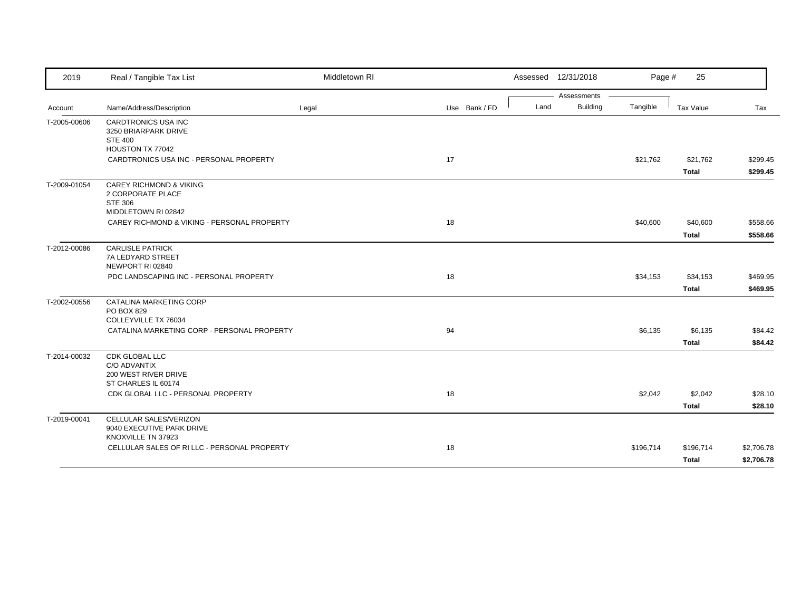| 2019         | Real / Tangible Tax List                                                                  | Middletown RI |               |      | Assessed 12/31/2018 | Page #    | 25           |            |
|--------------|-------------------------------------------------------------------------------------------|---------------|---------------|------|---------------------|-----------|--------------|------------|
|              |                                                                                           |               |               |      | Assessments         |           |              |            |
| Account      | Name/Address/Description                                                                  | Legal         | Use Bank / FD | Land | <b>Building</b>     | Tangible  | Tax Value    | Tax        |
| T-2005-00606 | CARDTRONICS USA INC<br>3250 BRIARPARK DRIVE<br><b>STE 400</b><br>HOUSTON TX 77042         |               |               |      |                     |           |              |            |
|              | CARDTRONICS USA INC - PERSONAL PROPERTY                                                   |               | 17            |      |                     | \$21,762  | \$21,762     | \$299.45   |
|              |                                                                                           |               |               |      |                     |           | <b>Total</b> | \$299.45   |
| T-2009-01054 | <b>CAREY RICHMOND &amp; VIKING</b><br>2 CORPORATE PLACE<br>STE 306<br>MIDDLETOWN RI 02842 |               |               |      |                     |           |              |            |
|              | CAREY RICHMOND & VIKING - PERSONAL PROPERTY                                               |               | 18            |      |                     | \$40,600  | \$40,600     | \$558.66   |
|              |                                                                                           |               |               |      |                     |           | <b>Total</b> | \$558.66   |
| T-2012-00086 | <b>CARLISLE PATRICK</b><br>7A LEDYARD STREET<br>NEWPORT RI 02840                          |               |               |      |                     |           |              |            |
|              | PDC LANDSCAPING INC - PERSONAL PROPERTY                                                   |               | 18            |      |                     | \$34,153  | \$34,153     | \$469.95   |
|              |                                                                                           |               |               |      |                     |           | Total        | \$469.95   |
| T-2002-00556 | CATALINA MARKETING CORP<br><b>PO BOX 829</b><br>COLLEYVILLE TX 76034                      |               |               |      |                     |           |              |            |
|              | CATALINA MARKETING CORP - PERSONAL PROPERTY                                               |               | 94            |      |                     | \$6,135   | \$6,135      | \$84.42    |
|              |                                                                                           |               |               |      |                     |           | <b>Total</b> | \$84.42    |
| T-2014-00032 | CDK GLOBAL LLC<br>C/O ADVANTIX<br>200 WEST RIVER DRIVE<br>ST CHARLES IL 60174             |               |               |      |                     |           |              |            |
|              | CDK GLOBAL LLC - PERSONAL PROPERTY                                                        |               | 18            |      |                     | \$2,042   | \$2,042      | \$28.10    |
|              |                                                                                           |               |               |      |                     |           | <b>Total</b> | \$28.10    |
| T-2019-00041 | CELLULAR SALES/VERIZON<br>9040 EXECUTIVE PARK DRIVE<br>KNOXVILLE TN 37923                 |               |               |      |                     |           |              |            |
|              | CELLULAR SALES OF RI LLC - PERSONAL PROPERTY                                              |               | 18            |      |                     | \$196,714 | \$196,714    | \$2,706.78 |
|              |                                                                                           |               |               |      |                     |           | <b>Total</b> | \$2,706.78 |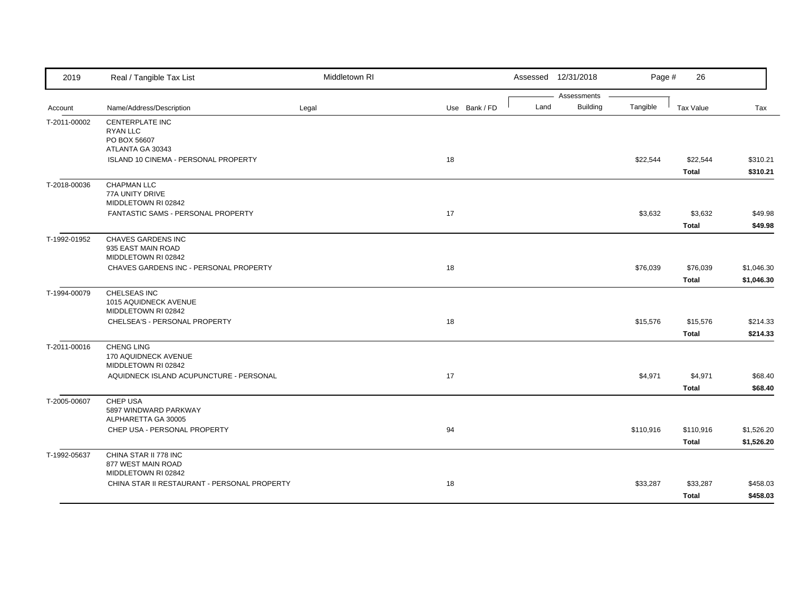| 2019         | Real / Tangible Tax List                                           | Middletown RI |               |      | Assessed 12/31/2018            | Page #    | 26                        |                          |
|--------------|--------------------------------------------------------------------|---------------|---------------|------|--------------------------------|-----------|---------------------------|--------------------------|
| Account      | Name/Address/Description                                           | Legal         | Use Bank / FD | Land | Assessments<br><b>Building</b> | Tangible  | Tax Value                 | Tax                      |
| T-2011-00002 | CENTERPLATE INC<br>RYAN LLC<br>PO BOX 56607                        |               |               |      |                                |           |                           |                          |
|              | ATLANTA GA 30343<br><b>ISLAND 10 CINEMA - PERSONAL PROPERTY</b>    |               | 18            |      |                                | \$22,544  | \$22,544<br><b>Total</b>  | \$310.21<br>\$310.21     |
| T-2018-00036 | <b>CHAPMAN LLC</b><br>77A UNITY DRIVE<br>MIDDLETOWN RI 02842       |               |               |      |                                |           |                           |                          |
|              | FANTASTIC SAMS - PERSONAL PROPERTY                                 |               | 17            |      |                                | \$3,632   | \$3,632<br><b>Total</b>   | \$49.98<br>\$49.98       |
| T-1992-01952 | CHAVES GARDENS INC<br>935 EAST MAIN ROAD<br>MIDDLETOWN RI 02842    |               |               |      |                                |           |                           |                          |
|              | CHAVES GARDENS INC - PERSONAL PROPERTY                             |               | 18            |      |                                | \$76,039  | \$76,039<br><b>Total</b>  | \$1,046.30<br>\$1,046.30 |
| T-1994-00079 | CHELSEAS INC<br>1015 AQUIDNECK AVENUE<br>MIDDLETOWN RI 02842       |               |               |      |                                |           |                           |                          |
|              | CHELSEA'S - PERSONAL PROPERTY                                      |               | 18            |      |                                | \$15,576  | \$15,576<br><b>Total</b>  | \$214.33<br>\$214.33     |
| T-2011-00016 | <b>CHENG LING</b><br>170 AQUIDNECK AVENUE<br>MIDDLETOWN RI 02842   |               |               |      |                                |           |                           |                          |
|              | AQUIDNECK ISLAND ACUPUNCTURE - PERSONAL                            |               | 17            |      |                                | \$4,971   | \$4,971<br><b>Total</b>   | \$68.40<br>\$68.40       |
| T-2005-00607 | CHEP USA<br>5897 WINDWARD PARKWAY<br>ALPHARETTA GA 30005           |               |               |      |                                |           |                           |                          |
|              | CHEP USA - PERSONAL PROPERTY                                       |               | 94            |      |                                | \$110,916 | \$110,916<br><b>Total</b> | \$1,526.20<br>\$1,526.20 |
| T-1992-05637 | CHINA STAR II 778 INC<br>877 WEST MAIN ROAD<br>MIDDLETOWN RI 02842 |               |               |      |                                |           |                           |                          |
|              | CHINA STAR II RESTAURANT - PERSONAL PROPERTY                       |               | 18            |      |                                | \$33,287  | \$33,287<br><b>Total</b>  | \$458.03<br>\$458.03     |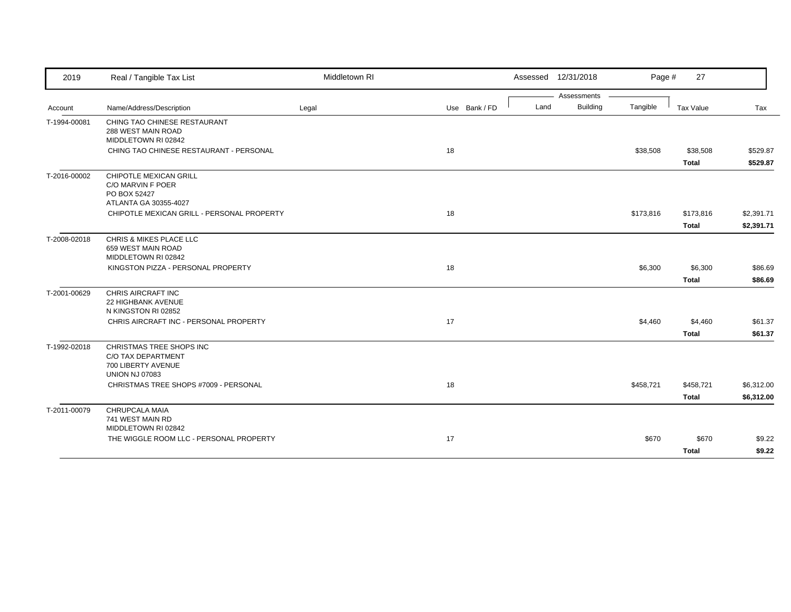| 2019         | Real / Tangible Tax List                                                             | Middletown RI |               |      | Assessed 12/31/2018 | Page #    | 27           |            |
|--------------|--------------------------------------------------------------------------------------|---------------|---------------|------|---------------------|-----------|--------------|------------|
|              |                                                                                      |               |               |      | Assessments         |           |              |            |
| Account      | Name/Address/Description                                                             | Legal         | Use Bank / FD | Land | <b>Building</b>     | Tangible  | Tax Value    | Tax        |
| T-1994-00081 | CHING TAO CHINESE RESTAURANT<br>288 WEST MAIN ROAD<br>MIDDLETOWN RI 02842            |               |               |      |                     |           |              |            |
|              | CHING TAO CHINESE RESTAURANT - PERSONAL                                              |               | 18            |      |                     | \$38,508  | \$38,508     | \$529.87   |
|              |                                                                                      |               |               |      |                     |           | <b>Total</b> | \$529.87   |
| T-2016-00002 | CHIPOTLE MEXICAN GRILL<br>C/O MARVIN F POER<br>PO BOX 52427<br>ATLANTA GA 30355-4027 |               |               |      |                     |           |              |            |
|              | CHIPOTLE MEXICAN GRILL - PERSONAL PROPERTY                                           |               | 18            |      |                     | \$173,816 | \$173,816    | \$2,391.71 |
|              |                                                                                      |               |               |      |                     |           | <b>Total</b> | \$2,391.71 |
| T-2008-02018 | CHRIS & MIKES PLACE LLC<br>659 WEST MAIN ROAD<br>MIDDLETOWN RI 02842                 |               |               |      |                     |           |              |            |
|              | KINGSTON PIZZA - PERSONAL PROPERTY                                                   |               | 18            |      |                     | \$6,300   | \$6,300      | \$86.69    |
|              |                                                                                      |               |               |      |                     |           | <b>Total</b> | \$86.69    |
| T-2001-00629 | CHRIS AIRCRAFT INC<br>22 HIGHBANK AVENUE<br>N KINGSTON RI 02852                      |               |               |      |                     |           |              |            |
|              | CHRIS AIRCRAFT INC - PERSONAL PROPERTY                                               |               | 17            |      |                     | \$4,460   | \$4,460      | \$61.37    |
|              |                                                                                      |               |               |      |                     |           | <b>Total</b> | \$61.37    |
| T-1992-02018 | CHRISTMAS TREE SHOPS INC<br>C/O TAX DEPARTMENT<br>700 LIBERTY AVENUE                 |               |               |      |                     |           |              |            |
|              | <b>UNION NJ 07083</b><br>CHRISTMAS TREE SHOPS #7009 - PERSONAL                       |               | 18            |      |                     | \$458,721 | \$458,721    |            |
|              |                                                                                      |               |               |      |                     |           | <b>Total</b> | \$6,312.00 |
|              |                                                                                      |               |               |      |                     |           |              | \$6,312.00 |
| T-2011-00079 | CHRUPCALA MAIA<br>741 WEST MAIN RD<br>MIDDLETOWN RI 02842                            |               |               |      |                     |           |              |            |
|              | THE WIGGLE ROOM LLC - PERSONAL PROPERTY                                              |               | 17            |      |                     | \$670     | \$670        | \$9.22     |
|              |                                                                                      |               |               |      |                     |           | <b>Total</b> | \$9.22     |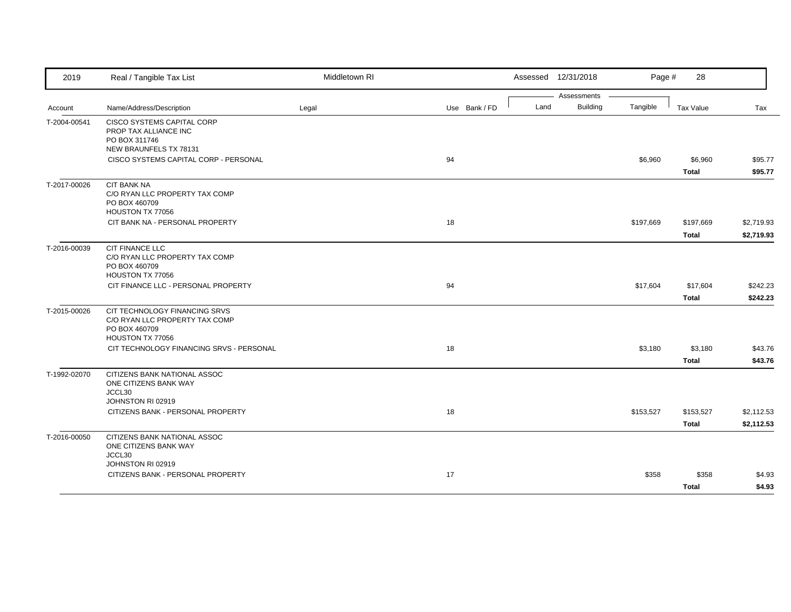| 2019         | Real / Tangible Tax List                                                                              | Middletown RI |               |      | Assessed 12/31/2018            | Page #    | 28                        |                          |
|--------------|-------------------------------------------------------------------------------------------------------|---------------|---------------|------|--------------------------------|-----------|---------------------------|--------------------------|
| Account      | Name/Address/Description                                                                              | Legal         | Use Bank / FD | Land | Assessments<br><b>Building</b> | Tangible  | Tax Value                 | Tax                      |
| T-2004-00541 | <b>CISCO SYSTEMS CAPITAL CORP</b><br>PROP TAX ALLIANCE INC<br>PO BOX 311746<br>NEW BRAUNFELS TX 78131 |               |               |      |                                |           |                           |                          |
|              | CISCO SYSTEMS CAPITAL CORP - PERSONAL                                                                 |               | 94            |      |                                | \$6,960   | \$6,960<br><b>Total</b>   | \$95.77<br>\$95.77       |
| T-2017-00026 | <b>CIT BANK NA</b><br>C/O RYAN LLC PROPERTY TAX COMP<br>PO BOX 460709<br>HOUSTON TX 77056             |               |               |      |                                |           |                           |                          |
|              | CIT BANK NA - PERSONAL PROPERTY                                                                       |               | 18            |      |                                | \$197,669 | \$197,669<br><b>Total</b> | \$2,719.93<br>\$2,719.93 |
| T-2016-00039 | CIT FINANCE LLC<br>C/O RYAN LLC PROPERTY TAX COMP<br>PO BOX 460709<br>HOUSTON TX 77056                |               |               |      |                                |           |                           |                          |
|              | CIT FINANCE LLC - PERSONAL PROPERTY                                                                   |               | 94            |      |                                | \$17,604  | \$17,604<br><b>Total</b>  | \$242.23<br>\$242.23     |
| T-2015-00026 | CIT TECHNOLOGY FINANCING SRVS<br>C/O RYAN LLC PROPERTY TAX COMP<br>PO BOX 460709<br>HOUSTON TX 77056  |               |               |      |                                |           |                           |                          |
|              | CIT TECHNOLOGY FINANCING SRVS - PERSONAL                                                              |               | 18            |      |                                | \$3,180   | \$3,180<br><b>Total</b>   | \$43.76<br>\$43.76       |
| T-1992-02070 | CITIZENS BANK NATIONAL ASSOC<br>ONE CITIZENS BANK WAY<br>JCCL30<br>JOHNSTON RI 02919                  |               |               |      |                                |           |                           |                          |
|              | CITIZENS BANK - PERSONAL PROPERTY                                                                     |               | 18            |      |                                | \$153,527 | \$153,527<br><b>Total</b> | \$2,112.53<br>\$2,112.53 |
| T-2016-00050 | CITIZENS BANK NATIONAL ASSOC<br>ONE CITIZENS BANK WAY<br>JCCL30<br>JOHNSTON RI 02919                  |               |               |      |                                |           |                           |                          |
|              | CITIZENS BANK - PERSONAL PROPERTY                                                                     |               | 17            |      |                                | \$358     | \$358<br><b>Total</b>     | \$4.93<br>\$4.93         |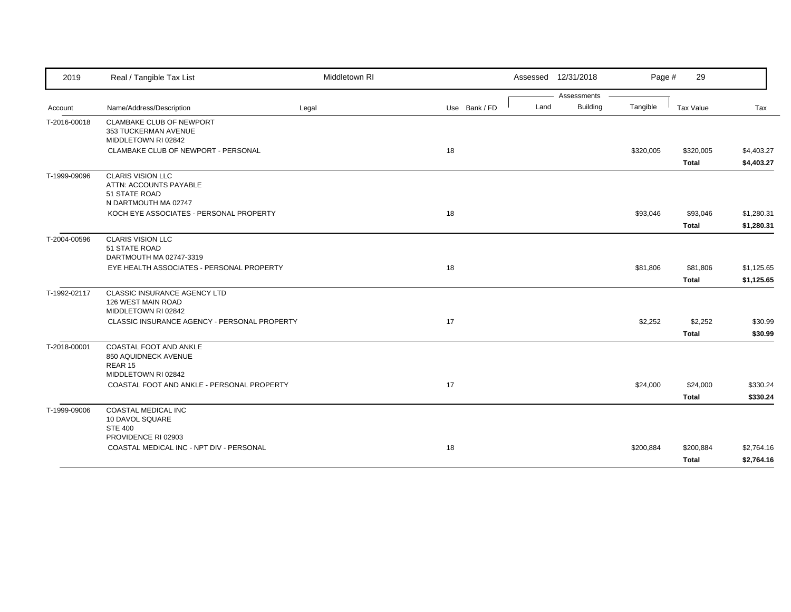| 2019         | Real / Tangible Tax List                                          | Middletown RI |               |      | Assessed 12/31/2018            | Page #    | 29           |            |
|--------------|-------------------------------------------------------------------|---------------|---------------|------|--------------------------------|-----------|--------------|------------|
|              | Name/Address/Description                                          |               | Use Bank / FD | Land | Assessments<br><b>Building</b> | Tangible  | Tax Value    | Tax        |
| Account      |                                                                   | Legal         |               |      |                                |           |              |            |
| T-2016-00018 | <b>CLAMBAKE CLUB OF NEWPORT</b><br>353 TUCKERMAN AVENUE           |               |               |      |                                |           |              |            |
|              | MIDDLETOWN RI 02842                                               |               |               |      |                                |           |              |            |
|              | CLAMBAKE CLUB OF NEWPORT - PERSONAL                               |               | 18            |      |                                | \$320,005 | \$320,005    | \$4,403.27 |
|              |                                                                   |               |               |      |                                |           | <b>Total</b> | \$4,403.27 |
| T-1999-09096 | <b>CLARIS VISION LLC</b>                                          |               |               |      |                                |           |              |            |
|              | ATTN: ACCOUNTS PAYABLE                                            |               |               |      |                                |           |              |            |
|              | 51 STATE ROAD<br>N DARTMOUTH MA 02747                             |               |               |      |                                |           |              |            |
|              | KOCH EYE ASSOCIATES - PERSONAL PROPERTY                           |               | 18            |      |                                | \$93,046  | \$93,046     | \$1,280.31 |
|              |                                                                   |               |               |      |                                |           | <b>Total</b> | \$1,280.31 |
| T-2004-00596 | <b>CLARIS VISION LLC</b>                                          |               |               |      |                                |           |              |            |
|              | 51 STATE ROAD                                                     |               |               |      |                                |           |              |            |
|              | DARTMOUTH MA 02747-3319                                           |               |               |      |                                |           |              |            |
|              | EYE HEALTH ASSOCIATES - PERSONAL PROPERTY                         |               | 18            |      |                                | \$81,806  | \$81,806     | \$1,125.65 |
|              |                                                                   |               |               |      |                                |           | <b>Total</b> | \$1,125.65 |
| T-1992-02117 | CLASSIC INSURANCE AGENCY LTD                                      |               |               |      |                                |           |              |            |
|              | 126 WEST MAIN ROAD<br>MIDDLETOWN RI 02842                         |               |               |      |                                |           |              |            |
|              | CLASSIC INSURANCE AGENCY - PERSONAL PROPERTY                      |               | 17            |      |                                | \$2,252   | \$2,252      | \$30.99    |
|              |                                                                   |               |               |      |                                |           | <b>Total</b> | \$30.99    |
| T-2018-00001 | COASTAL FOOT AND ANKLE                                            |               |               |      |                                |           |              |            |
|              | 850 AQUIDNECK AVENUE                                              |               |               |      |                                |           |              |            |
|              | REAR 15                                                           |               |               |      |                                |           |              |            |
|              | MIDDLETOWN RI 02842<br>COASTAL FOOT AND ANKLE - PERSONAL PROPERTY |               | 17            |      |                                | \$24,000  | \$24,000     | \$330.24   |
|              |                                                                   |               |               |      |                                |           |              |            |
|              |                                                                   |               |               |      |                                |           | <b>Total</b> | \$330.24   |
| T-1999-09006 | <b>COASTAL MEDICAL INC</b><br>10 DAVOL SQUARE                     |               |               |      |                                |           |              |            |
|              | <b>STE 400</b>                                                    |               |               |      |                                |           |              |            |
|              | PROVIDENCE RI 02903                                               |               |               |      |                                |           |              |            |
|              | COASTAL MEDICAL INC - NPT DIV - PERSONAL                          |               | 18            |      |                                | \$200,884 | \$200,884    | \$2,764.16 |
|              |                                                                   |               |               |      |                                |           | Total        | \$2,764.16 |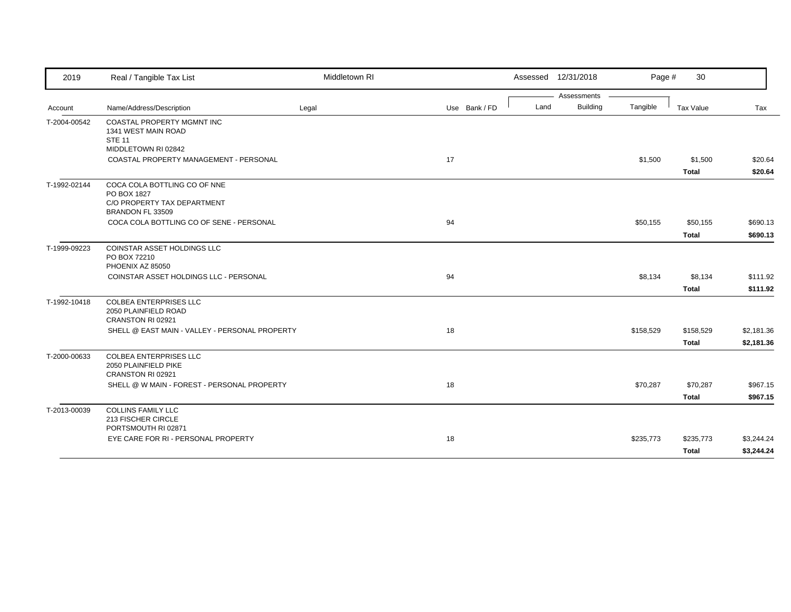| 2019         | Real / Tangible Tax List                                                                       | Middletown RI |               |      | Assessed 12/31/2018 | Page #    | 30                      |                    |
|--------------|------------------------------------------------------------------------------------------------|---------------|---------------|------|---------------------|-----------|-------------------------|--------------------|
|              |                                                                                                |               |               |      | Assessments         |           |                         |                    |
| Account      | Name/Address/Description                                                                       | Legal         | Use Bank / FD | Land | Building            | Tangible  | Tax Value               | Tax                |
| T-2004-00542 | <b>COASTAL PROPERTY MGMNT INC</b><br>1341 WEST MAIN ROAD<br><b>STE 11</b>                      |               |               |      |                     |           |                         |                    |
|              | MIDDLETOWN RI 02842                                                                            |               |               |      |                     |           |                         |                    |
|              | COASTAL PROPERTY MANAGEMENT - PERSONAL                                                         |               | 17            |      |                     | \$1,500   | \$1,500<br><b>Total</b> | \$20.64<br>\$20.64 |
| T-1992-02144 | COCA COLA BOTTLING CO OF NNE<br>PO BOX 1827<br>C/O PROPERTY TAX DEPARTMENT<br>BRANDON FL 33509 |               |               |      |                     |           |                         |                    |
|              | COCA COLA BOTTLING CO OF SENE - PERSONAL                                                       |               | 94            |      |                     | \$50,155  | \$50,155                | \$690.13           |
|              |                                                                                                |               |               |      |                     |           | <b>Total</b>            | \$690.13           |
| T-1999-09223 | <b>COINSTAR ASSET HOLDINGS LLC</b><br>PO BOX 72210<br>PHOENIX AZ 85050                         |               |               |      |                     |           |                         |                    |
|              | COINSTAR ASSET HOLDINGS LLC - PERSONAL                                                         |               | 94            |      |                     | \$8,134   | \$8,134                 | \$111.92           |
|              |                                                                                                |               |               |      |                     |           | <b>Total</b>            | \$111.92           |
| T-1992-10418 | <b>COLBEA ENTERPRISES LLC</b><br>2050 PLAINFIELD ROAD<br>CRANSTON RI 02921                     |               |               |      |                     |           |                         |                    |
|              | SHELL @ EAST MAIN - VALLEY - PERSONAL PROPERTY                                                 |               | 18            |      |                     | \$158,529 | \$158,529               | \$2,181.36         |
|              |                                                                                                |               |               |      |                     |           | <b>Total</b>            | \$2,181.36         |
| T-2000-00633 | <b>COLBEA ENTERPRISES LLC</b><br>2050 PLAINFIELD PIKE<br>CRANSTON RI 02921                     |               |               |      |                     |           |                         |                    |
|              | SHELL @ W MAIN - FOREST - PERSONAL PROPERTY                                                    |               | 18            |      |                     | \$70,287  | \$70,287                | \$967.15           |
|              |                                                                                                |               |               |      |                     |           | <b>Total</b>            | \$967.15           |
| T-2013-00039 | <b>COLLINS FAMILY LLC</b><br>213 FISCHER CIRCLE<br>PORTSMOUTH RI 02871                         |               |               |      |                     |           |                         |                    |
|              | EYE CARE FOR RI - PERSONAL PROPERTY                                                            |               | 18            |      |                     | \$235,773 | \$235,773               | \$3,244.24         |
|              |                                                                                                |               |               |      |                     |           | <b>Total</b>            | \$3,244.24         |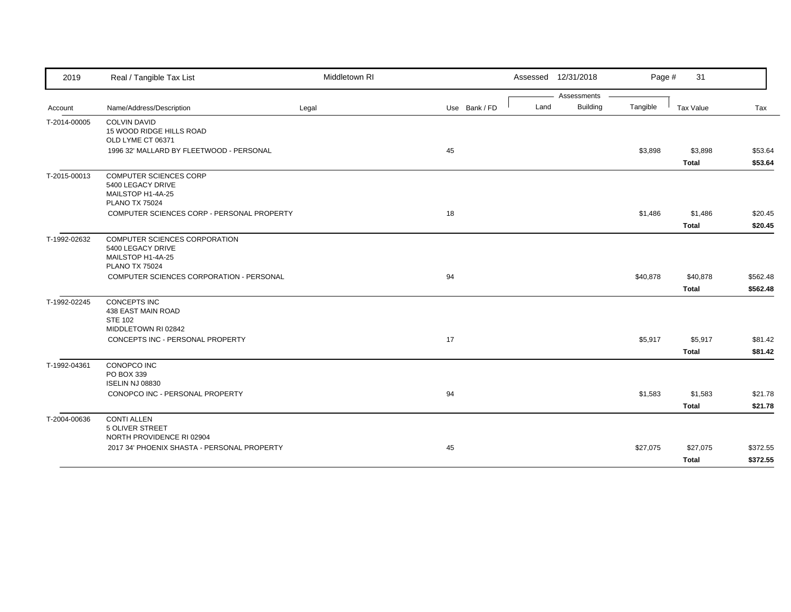| 2019         | Real / Tangible Tax List                            | Middletown RI |               |      | Assessed 12/31/2018            | Page #   | 31           |          |
|--------------|-----------------------------------------------------|---------------|---------------|------|--------------------------------|----------|--------------|----------|
|              |                                                     |               | Use Bank / FD | Land | Assessments<br><b>Building</b> | Tangible | Tax Value    |          |
| Account      | Name/Address/Description                            | Legal         |               |      |                                |          |              | Tax      |
| T-2014-00005 | <b>COLVIN DAVID</b><br>15 WOOD RIDGE HILLS ROAD     |               |               |      |                                |          |              |          |
|              | OLD LYME CT 06371                                   |               |               |      |                                |          |              |          |
|              | 1996 32' MALLARD BY FLEETWOOD - PERSONAL            |               | 45            |      |                                | \$3,898  | \$3,898      | \$53.64  |
|              |                                                     |               |               |      |                                |          | <b>Total</b> | \$53.64  |
| T-2015-00013 | <b>COMPUTER SCIENCES CORP</b>                       |               |               |      |                                |          |              |          |
|              | 5400 LEGACY DRIVE                                   |               |               |      |                                |          |              |          |
|              | MAILSTOP H1-4A-25<br><b>PLANO TX 75024</b>          |               |               |      |                                |          |              |          |
|              | COMPUTER SCIENCES CORP - PERSONAL PROPERTY          |               | 18            |      |                                | \$1,486  | \$1,486      | \$20.45  |
|              |                                                     |               |               |      |                                |          | <b>Total</b> | \$20.45  |
| T-1992-02632 | <b>COMPUTER SCIENCES CORPORATION</b>                |               |               |      |                                |          |              |          |
|              | 5400 LEGACY DRIVE                                   |               |               |      |                                |          |              |          |
|              | MAILSTOP H1-4A-25                                   |               |               |      |                                |          |              |          |
|              | <b>PLANO TX 75024</b>                               |               |               |      |                                |          |              |          |
|              | COMPUTER SCIENCES CORPORATION - PERSONAL            |               | 94            |      |                                | \$40,878 | \$40,878     | \$562.48 |
|              |                                                     |               |               |      |                                |          | <b>Total</b> | \$562.48 |
| T-1992-02245 | <b>CONCEPTS INC</b>                                 |               |               |      |                                |          |              |          |
|              | 438 EAST MAIN ROAD<br><b>STE 102</b>                |               |               |      |                                |          |              |          |
|              | MIDDLETOWN RI 02842                                 |               |               |      |                                |          |              |          |
|              | CONCEPTS INC - PERSONAL PROPERTY                    |               | 17            |      |                                | \$5,917  | \$5,917      | \$81.42  |
|              |                                                     |               |               |      |                                |          | <b>Total</b> | \$81.42  |
| T-1992-04361 | CONOPCO INC                                         |               |               |      |                                |          |              |          |
|              | PO BOX 339                                          |               |               |      |                                |          |              |          |
|              | <b>ISELIN NJ 08830</b>                              |               |               |      |                                |          |              |          |
|              | CONOPCO INC - PERSONAL PROPERTY                     |               | 94            |      |                                | \$1,583  | \$1,583      | \$21.78  |
|              |                                                     |               |               |      |                                |          | <b>Total</b> | \$21.78  |
| T-2004-00636 | <b>CONTI ALLEN</b>                                  |               |               |      |                                |          |              |          |
|              | <b>5 OLIVER STREET</b><br>NORTH PROVIDENCE RI 02904 |               |               |      |                                |          |              |          |
|              | 2017 34' PHOENIX SHASTA - PERSONAL PROPERTY         |               | 45            |      |                                | \$27,075 | \$27,075     | \$372.55 |
|              |                                                     |               |               |      |                                |          |              | \$372.55 |
|              |                                                     |               |               |      |                                |          | <b>Total</b> |          |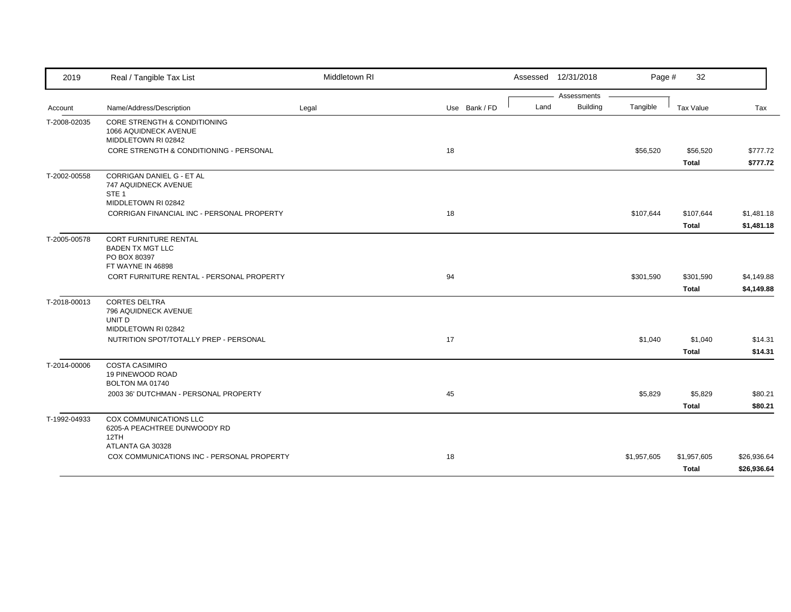| 2019         | Real / Tangible Tax List                                                                            | Middletown RI |               | Assessed 12/31/2018     | Page #      | 32                       |                      |
|--------------|-----------------------------------------------------------------------------------------------------|---------------|---------------|-------------------------|-------------|--------------------------|----------------------|
|              |                                                                                                     |               |               | Assessments             |             |                          |                      |
| Account      | Name/Address/Description                                                                            | Legal         | Use Bank / FD | <b>Building</b><br>Land | Tangible    | <b>Tax Value</b>         | Tax                  |
| T-2008-02035 | <b>CORE STRENGTH &amp; CONDITIONING</b><br>1066 AQUIDNECK AVENUE<br>MIDDLETOWN RI 02842             |               |               |                         |             |                          |                      |
|              | CORE STRENGTH & CONDITIONING - PERSONAL                                                             |               | 18            |                         | \$56,520    | \$56,520<br><b>Total</b> | \$777.72<br>\$777.72 |
| T-2002-00558 | <b>CORRIGAN DANIEL G - ET AL</b><br>747 AQUIDNECK AVENUE<br>STE <sub>1</sub><br>MIDDLETOWN RI 02842 |               |               |                         |             |                          |                      |
|              | CORRIGAN FINANCIAL INC - PERSONAL PROPERTY                                                          |               | 18            |                         | \$107,644   | \$107,644                | \$1,481.18           |
|              |                                                                                                     |               |               |                         |             | <b>Total</b>             | \$1,481.18           |
| T-2005-00578 | <b>CORT FURNITURE RENTAL</b><br><b>BADEN TX MGT LLC</b><br>PO BOX 80397                             |               |               |                         |             |                          |                      |
|              | FT WAYNE IN 46898<br>CORT FURNITURE RENTAL - PERSONAL PROPERTY                                      |               | 94            |                         | \$301,590   | \$301,590                | \$4,149.88           |
|              |                                                                                                     |               |               |                         |             | <b>Total</b>             | \$4,149.88           |
| T-2018-00013 | <b>CORTES DELTRA</b><br>796 AQUIDNECK AVENUE<br>UNIT D<br>MIDDLETOWN RI 02842                       |               |               |                         |             |                          |                      |
|              | NUTRITION SPOT/TOTALLY PREP - PERSONAL                                                              |               | 17            |                         | \$1,040     | \$1,040                  | \$14.31              |
|              |                                                                                                     |               |               |                         |             | <b>Total</b>             | \$14.31              |
| T-2014-00006 | <b>COSTA CASIMIRO</b><br>19 PINEWOOD ROAD<br>BOLTON MA 01740                                        |               |               |                         |             |                          |                      |
|              | 2003 36' DUTCHMAN - PERSONAL PROPERTY                                                               |               | 45            |                         | \$5,829     | \$5,829                  | \$80.21              |
|              |                                                                                                     |               |               |                         |             | <b>Total</b>             | \$80.21              |
| T-1992-04933 | COX COMMUNICATIONS LLC<br>6205-A PEACHTREE DUNWOODY RD<br>12TH                                      |               |               |                         |             |                          |                      |
|              | ATLANTA GA 30328<br>COX COMMUNICATIONS INC - PERSONAL PROPERTY                                      |               | 18            |                         | \$1,957,605 | \$1,957,605              | \$26,936.64          |
|              |                                                                                                     |               |               |                         |             | <b>Total</b>             | \$26,936.64          |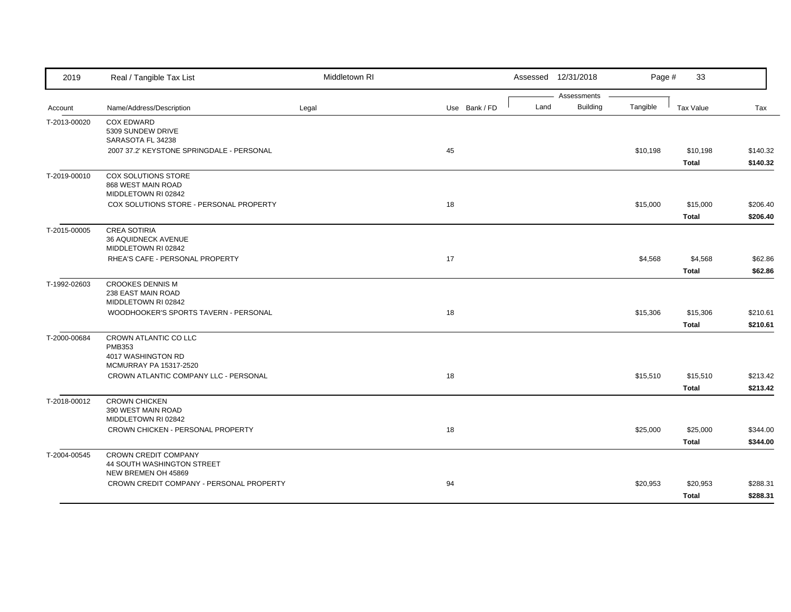| 2019         | Real / Tangible Tax List                                  | Middletown RI |               |      | Assessed 12/31/2018            | Page #   | 33               |          |
|--------------|-----------------------------------------------------------|---------------|---------------|------|--------------------------------|----------|------------------|----------|
| Account      | Name/Address/Description                                  | Legal         | Use Bank / FD | Land | Assessments<br><b>Building</b> | Tangible | <b>Tax Value</b> | Tax      |
|              |                                                           |               |               |      |                                |          |                  |          |
| T-2013-00020 | <b>COX EDWARD</b><br>5309 SUNDEW DRIVE                    |               |               |      |                                |          |                  |          |
|              | SARASOTA FL 34238                                         |               |               |      |                                |          |                  |          |
|              | 2007 37.2' KEYSTONE SPRINGDALE - PERSONAL                 |               | 45            |      |                                | \$10,198 | \$10,198         | \$140.32 |
|              |                                                           |               |               |      |                                |          | <b>Total</b>     | \$140.32 |
| T-2019-00010 | COX SOLUTIONS STORE                                       |               |               |      |                                |          |                  |          |
|              | 868 WEST MAIN ROAD<br>MIDDLETOWN RI 02842                 |               |               |      |                                |          |                  |          |
|              | COX SOLUTIONS STORE - PERSONAL PROPERTY                   |               | 18            |      |                                | \$15,000 | \$15,000         | \$206.40 |
|              |                                                           |               |               |      |                                |          | Total            | \$206.40 |
| T-2015-00005 | <b>CREA SOTIRIA</b>                                       |               |               |      |                                |          |                  |          |
|              | 36 AQUIDNECK AVENUE                                       |               |               |      |                                |          |                  |          |
|              | MIDDLETOWN RI 02842                                       |               |               |      |                                |          |                  |          |
|              | RHEA'S CAFE - PERSONAL PROPERTY                           |               | 17            |      |                                | \$4,568  | \$4,568          | \$62.86  |
|              |                                                           |               |               |      |                                |          | <b>Total</b>     | \$62.86  |
| T-1992-02603 | <b>CROOKES DENNIS M</b><br>238 EAST MAIN ROAD             |               |               |      |                                |          |                  |          |
|              | MIDDLETOWN RI 02842                                       |               |               |      |                                |          |                  |          |
|              | WOODHOOKER'S SPORTS TAVERN - PERSONAL                     |               | 18            |      |                                | \$15,306 | \$15,306         | \$210.61 |
|              |                                                           |               |               |      |                                |          | <b>Total</b>     | \$210.61 |
| T-2000-00684 | CROWN ATLANTIC CO LLC                                     |               |               |      |                                |          |                  |          |
|              | <b>PMB353</b><br>4017 WASHINGTON RD                       |               |               |      |                                |          |                  |          |
|              | MCMURRAY PA 15317-2520                                    |               |               |      |                                |          |                  |          |
|              | CROWN ATLANTIC COMPANY LLC - PERSONAL                     |               | 18            |      |                                | \$15,510 | \$15,510         | \$213.42 |
|              |                                                           |               |               |      |                                |          | <b>Total</b>     | \$213.42 |
| T-2018-00012 | <b>CROWN CHICKEN</b>                                      |               |               |      |                                |          |                  |          |
|              | 390 WEST MAIN ROAD                                        |               |               |      |                                |          |                  |          |
|              | MIDDLETOWN RI 02842                                       |               | 18            |      |                                |          |                  |          |
|              | CROWN CHICKEN - PERSONAL PROPERTY                         |               |               |      |                                | \$25,000 | \$25,000         | \$344.00 |
|              |                                                           |               |               |      |                                |          | <b>Total</b>     | \$344.00 |
| T-2004-00545 | <b>CROWN CREDIT COMPANY</b><br>44 SOUTH WASHINGTON STREET |               |               |      |                                |          |                  |          |
|              | NEW BREMEN OH 45869                                       |               |               |      |                                |          |                  |          |
|              | CROWN CREDIT COMPANY - PERSONAL PROPERTY                  |               | 94            |      |                                | \$20,953 | \$20,953         | \$288.31 |
|              |                                                           |               |               |      |                                |          | <b>Total</b>     | \$288.31 |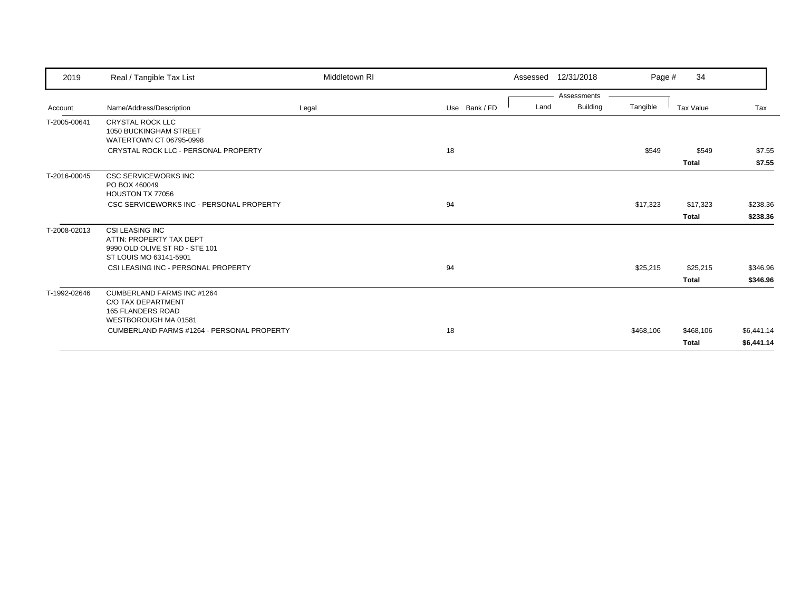| 2019         | Real / Tangible Tax List                                           | Middletown RI |               | Assessed | 12/31/2018                     | Page #    | 34           |            |
|--------------|--------------------------------------------------------------------|---------------|---------------|----------|--------------------------------|-----------|--------------|------------|
|              | Name/Address/Description                                           |               | Use Bank / FD | Land     | Assessments<br><b>Building</b> | Tangible  |              | Tax        |
| Account      |                                                                    | Legal         |               |          |                                |           | Tax Value    |            |
| T-2005-00641 | <b>CRYSTAL ROCK LLC</b><br>1050 BUCKINGHAM STREET                  |               |               |          |                                |           |              |            |
|              | WATERTOWN CT 06795-0998                                            |               |               |          |                                |           |              |            |
|              | CRYSTAL ROCK LLC - PERSONAL PROPERTY                               |               | 18            |          |                                | \$549     | \$549        | \$7.55     |
|              |                                                                    |               |               |          |                                |           | <b>Total</b> | \$7.55     |
| T-2016-00045 | <b>CSC SERVICEWORKS INC</b>                                        |               |               |          |                                |           |              |            |
|              | PO BOX 460049                                                      |               |               |          |                                |           |              |            |
|              | HOUSTON TX 77056                                                   |               |               |          |                                |           |              |            |
|              | CSC SERVICEWORKS INC - PERSONAL PROPERTY                           |               | 94            |          |                                | \$17,323  | \$17,323     | \$238.36   |
|              |                                                                    |               |               |          |                                |           | <b>Total</b> | \$238.36   |
| T-2008-02013 | <b>CSI LEASING INC</b>                                             |               |               |          |                                |           |              |            |
|              | ATTN: PROPERTY TAX DEPT                                            |               |               |          |                                |           |              |            |
|              | 9990 OLD OLIVE ST RD - STE 101<br>ST LOUIS MO 63141-5901           |               |               |          |                                |           |              |            |
|              | CSI LEASING INC - PERSONAL PROPERTY                                |               | 94            |          |                                | \$25,215  | \$25,215     | \$346.96   |
|              |                                                                    |               |               |          |                                |           | <b>Total</b> | \$346.96   |
| T-1992-02646 | <b>CUMBERLAND FARMS INC #1264</b>                                  |               |               |          |                                |           |              |            |
|              | C/O TAX DEPARTMENT                                                 |               |               |          |                                |           |              |            |
|              | 165 FLANDERS ROAD                                                  |               |               |          |                                |           |              |            |
|              | WESTBOROUGH MA 01581<br>CUMBERLAND FARMS #1264 - PERSONAL PROPERTY |               |               |          |                                |           |              |            |
|              |                                                                    |               | 18            |          |                                | \$468,106 | \$468,106    | \$6,441.14 |
|              |                                                                    |               |               |          |                                |           | <b>Total</b> | \$6,441.14 |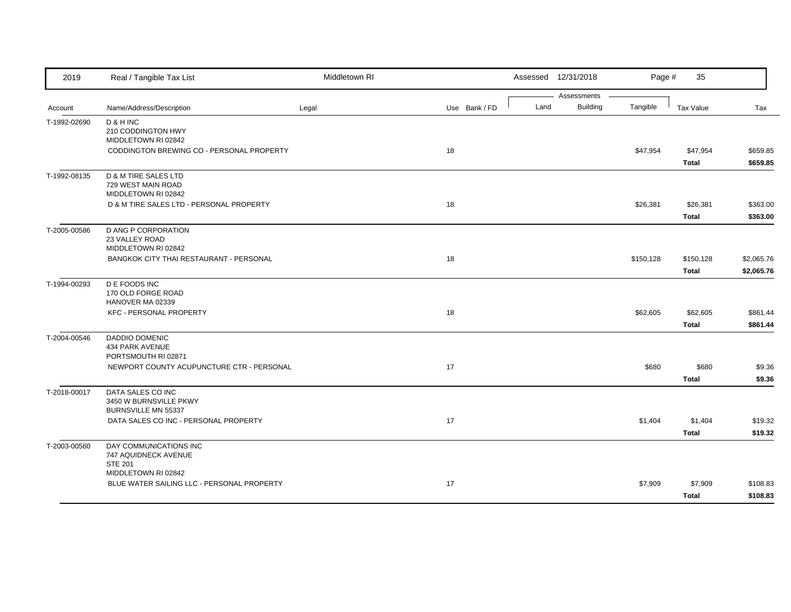| 2019         | Real / Tangible Tax List                                            | Middletown RI |               |  |      | Assessed 12/31/2018            | Page #    | 35                        |                          |
|--------------|---------------------------------------------------------------------|---------------|---------------|--|------|--------------------------------|-----------|---------------------------|--------------------------|
| Account      | Name/Address/Description                                            | Legal         | Use Bank / FD |  | Land | Assessments<br><b>Building</b> | Tangible  | <b>Tax Value</b>          | Tax                      |
| T-1992-02690 | D & H INC<br>210 CODDINGTON HWY<br>MIDDLETOWN RI 02842              |               |               |  |      |                                |           |                           |                          |
|              | CODDINGTON BREWING CO - PERSONAL PROPERTY                           |               | 18            |  |      |                                | \$47,954  | \$47,954<br><b>Total</b>  | \$659.85<br>\$659.85     |
| T-1992-08135 | D & M TIRE SALES LTD<br>729 WEST MAIN ROAD<br>MIDDLETOWN RI 02842   |               |               |  |      |                                |           |                           |                          |
|              | D & M TIRE SALES LTD - PERSONAL PROPERTY                            |               | 18            |  |      |                                | \$26,381  | \$26,381<br><b>Total</b>  | \$363.00<br>\$363.00     |
| T-2005-00586 | <b>D ANG P CORPORATION</b><br>23 VALLEY ROAD<br>MIDDLETOWN RI 02842 |               |               |  |      |                                |           |                           |                          |
|              | <b>BANGKOK CITY THAI RESTAURANT - PERSONAL</b>                      |               | 18            |  |      |                                | \$150,128 | \$150,128<br><b>Total</b> | \$2,065.76<br>\$2,065.76 |
| T-1994-00293 | D E FOODS INC<br>170 OLD FORGE ROAD<br>HANOVER MA 02339             |               |               |  |      |                                |           |                           |                          |
|              | <b>KFC - PERSONAL PROPERTY</b>                                      |               | 18            |  |      |                                | \$62,605  | \$62,605<br><b>Total</b>  | \$861.44<br>\$861.44     |
| T-2004-00546 | DADDIO DOMENIC<br>434 PARK AVENUE<br>PORTSMOUTH RI 02871            |               |               |  |      |                                |           |                           |                          |
|              | NEWPORT COUNTY ACUPUNCTURE CTR - PERSONAL                           |               | 17            |  |      |                                | \$680     | \$680<br><b>Total</b>     | \$9.36<br>\$9.36         |
| T-2018-00017 | DATA SALES CO INC<br>3450 W BURNSVILLE PKWY<br>BURNSVILLE MN 55337  |               |               |  |      |                                |           |                           |                          |
|              | DATA SALES CO INC - PERSONAL PROPERTY                               |               | 17            |  |      |                                | \$1,404   | \$1,404<br>Total          | \$19.32<br>\$19.32       |
| T-2003-00560 | DAY COMMUNICATIONS INC<br>747 AQUIDNECK AVENUE<br><b>STE 201</b>    |               |               |  |      |                                |           |                           |                          |
|              | MIDDLETOWN RI 02842<br>BLUE WATER SAILING LLC - PERSONAL PROPERTY   |               | 17            |  |      |                                | \$7,909   | \$7,909<br><b>Total</b>   | \$108.83<br>\$108.83     |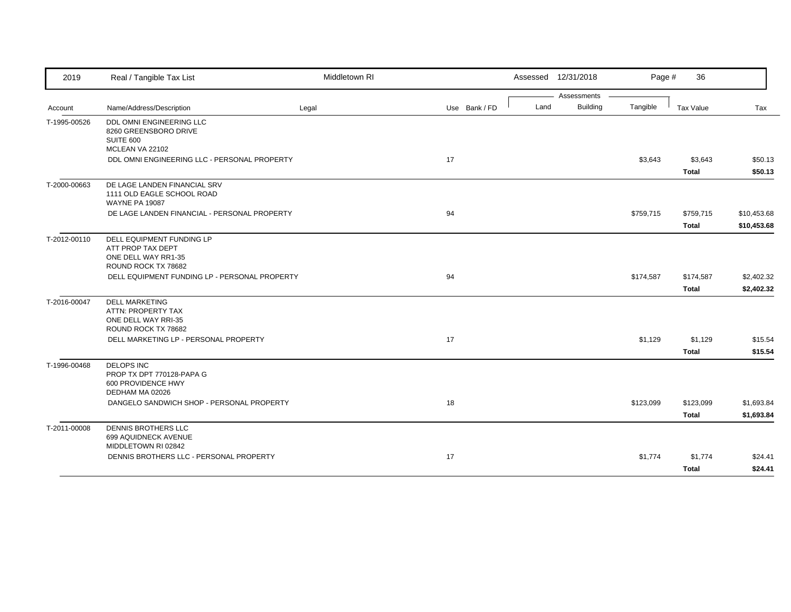| 2019         | Real / Tangible Tax List                                                                                                           | Middletown RI |               |      | Assessed 12/31/2018 | Page #    | 36                      |                    |
|--------------|------------------------------------------------------------------------------------------------------------------------------------|---------------|---------------|------|---------------------|-----------|-------------------------|--------------------|
|              |                                                                                                                                    |               |               |      | Assessments         |           |                         |                    |
| Account      | Name/Address/Description                                                                                                           | Legal         | Use Bank / FD | Land | <b>Building</b>     | Tangible  | Tax Value               | Tax                |
| T-1995-00526 | DDL OMNI ENGINEERING LLC<br>8260 GREENSBORO DRIVE<br><b>SUITE 600</b><br>MCLEAN VA 22102                                           |               |               |      |                     |           |                         |                    |
|              | DDL OMNI ENGINEERING LLC - PERSONAL PROPERTY                                                                                       |               | 17            |      |                     | \$3,643   | \$3,643                 | \$50.13            |
|              |                                                                                                                                    |               |               |      |                     |           | <b>Total</b>            | \$50.13            |
| T-2000-00663 | DE LAGE LANDEN FINANCIAL SRV<br>1111 OLD EAGLE SCHOOL ROAD<br><b>WAYNE PA 19087</b>                                                |               |               |      |                     |           |                         |                    |
|              | DE LAGE LANDEN FINANCIAL - PERSONAL PROPERTY                                                                                       |               | 94            |      |                     | \$759,715 | \$759,715               | \$10,453.68        |
|              |                                                                                                                                    |               |               |      |                     |           | <b>Total</b>            | \$10,453.68        |
| T-2012-00110 | <b>DELL EQUIPMENT FUNDING LP</b><br>ATT PROP TAX DEPT<br>ONE DELL WAY RR1-35<br>ROUND ROCK TX 78682                                |               |               |      |                     |           |                         |                    |
|              | DELL EQUIPMENT FUNDING LP - PERSONAL PROPERTY                                                                                      |               | 94            |      |                     | \$174,587 | \$174,587               | \$2,402.32         |
|              |                                                                                                                                    |               |               |      |                     |           | <b>Total</b>            | \$2,402.32         |
| T-2016-00047 | <b>DELL MARKETING</b><br>ATTN: PROPERTY TAX<br>ONE DELL WAY RRI-35<br>ROUND ROCK TX 78682<br>DELL MARKETING LP - PERSONAL PROPERTY |               | 17            |      |                     | \$1,129   | \$1,129<br><b>Total</b> | \$15.54<br>\$15.54 |
| T-1996-00468 | <b>DELOPS INC</b><br>PROP TX DPT 770128-PAPA G<br>600 PROVIDENCE HWY<br>DEDHAM MA 02026                                            |               |               |      |                     |           |                         |                    |
|              | DANGELO SANDWICH SHOP - PERSONAL PROPERTY                                                                                          |               | 18            |      |                     | \$123,099 | \$123,099               | \$1,693.84         |
|              |                                                                                                                                    |               |               |      |                     |           | <b>Total</b>            | \$1,693.84         |
| T-2011-00008 | <b>DENNIS BROTHERS LLC</b><br>699 AQUIDNECK AVENUE<br>MIDDLETOWN RI 02842                                                          |               |               |      |                     |           |                         |                    |
|              | DENNIS BROTHERS LLC - PERSONAL PROPERTY                                                                                            |               | 17            |      |                     | \$1,774   | \$1,774                 | \$24.41            |
|              |                                                                                                                                    |               |               |      |                     |           | Total                   | \$24.41            |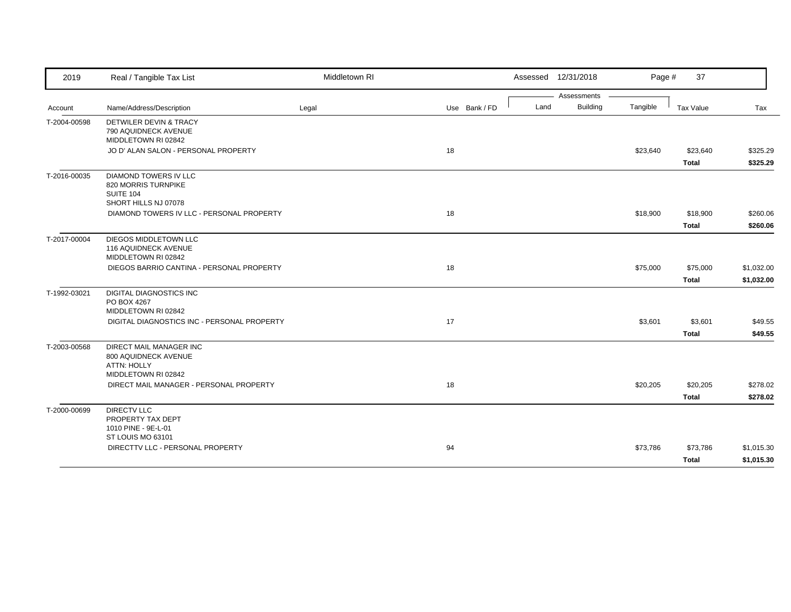| 2019         | Real / Tangible Tax List                                                     | Middletown RI |               |      | Assessed 12/31/2018 | Page #   | 37           |            |
|--------------|------------------------------------------------------------------------------|---------------|---------------|------|---------------------|----------|--------------|------------|
|              |                                                                              |               |               |      | Assessments         |          |              |            |
| Account      | Name/Address/Description                                                     | Legal         | Use Bank / FD | Land | <b>Building</b>     | Tangible | Tax Value    | Tax        |
| T-2004-00598 | DETWILER DEVIN & TRACY<br>790 AQUIDNECK AVENUE                               |               |               |      |                     |          |              |            |
|              | MIDDLETOWN RI 02842                                                          |               |               |      |                     |          |              |            |
|              | JO D' ALAN SALON - PERSONAL PROPERTY                                         |               | 18            |      |                     | \$23,640 | \$23,640     | \$325.29   |
|              |                                                                              |               |               |      |                     |          | <b>Total</b> | \$325.29   |
| T-2016-00035 | <b>DIAMOND TOWERS IV LLC</b><br>820 MORRIS TURNPIKE<br><b>SUITE 104</b>      |               |               |      |                     |          |              |            |
|              | SHORT HILLS NJ 07078                                                         |               |               |      |                     |          |              |            |
|              | DIAMOND TOWERS IV LLC - PERSONAL PROPERTY                                    |               | 18            |      |                     | \$18,900 | \$18,900     | \$260.06   |
|              |                                                                              |               |               |      |                     |          | <b>Total</b> | \$260.06   |
| T-2017-00004 | DIEGOS MIDDLETOWN LLC<br>116 AQUIDNECK AVENUE<br>MIDDLETOWN RI 02842         |               |               |      |                     |          |              |            |
|              | DIEGOS BARRIO CANTINA - PERSONAL PROPERTY                                    |               | 18            |      |                     | \$75,000 | \$75,000     | \$1,032.00 |
|              |                                                                              |               |               |      |                     |          | <b>Total</b> | \$1,032.00 |
|              |                                                                              |               |               |      |                     |          |              |            |
| T-1992-03021 | <b>DIGITAL DIAGNOSTICS INC</b><br>PO BOX 4267                                |               |               |      |                     |          |              |            |
|              | MIDDLETOWN RI 02842                                                          |               |               |      |                     |          |              |            |
|              | DIGITAL DIAGNOSTICS INC - PERSONAL PROPERTY                                  |               | 17            |      |                     | \$3,601  | \$3,601      | \$49.55    |
|              |                                                                              |               |               |      |                     |          | <b>Total</b> | \$49.55    |
| T-2003-00568 | <b>DIRECT MAIL MANAGER INC</b><br>800 AQUIDNECK AVENUE<br><b>ATTN: HOLLY</b> |               |               |      |                     |          |              |            |
|              | MIDDLETOWN RI 02842                                                          |               |               |      |                     |          |              |            |
|              | DIRECT MAIL MANAGER - PERSONAL PROPERTY                                      |               | 18            |      |                     | \$20,205 | \$20,205     | \$278.02   |
|              |                                                                              |               |               |      |                     |          | <b>Total</b> | \$278.02   |
| T-2000-00699 | <b>DIRECTV LLC</b><br>PROPERTY TAX DEPT<br>1010 PINE - 9E-L-01               |               |               |      |                     |          |              |            |
|              | ST LOUIS MO 63101                                                            |               |               |      |                     |          |              |            |
|              | DIRECTTV LLC - PERSONAL PROPERTY                                             |               | 94            |      |                     | \$73,786 | \$73,786     | \$1,015.30 |
|              |                                                                              |               |               |      |                     |          | <b>Total</b> | \$1,015.30 |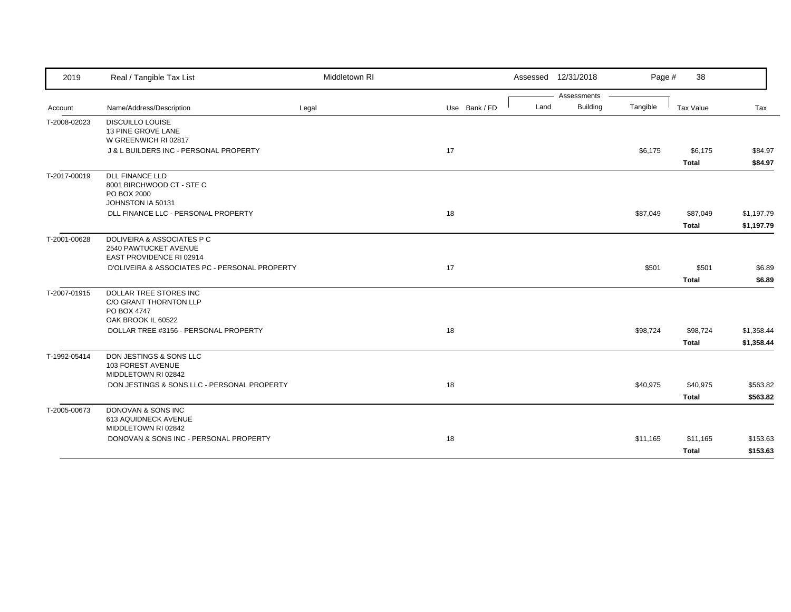| 2019         | Real / Tangible Tax List                                                                | Middletown RI |               |      | Assessed 12/31/2018 | Page #   | 38                      |                    |
|--------------|-----------------------------------------------------------------------------------------|---------------|---------------|------|---------------------|----------|-------------------------|--------------------|
|              |                                                                                         |               |               |      | Assessments         |          |                         |                    |
| Account      | Name/Address/Description                                                                | Legal         | Use Bank / FD | Land | <b>Building</b>     | Tangible | Tax Value               | Tax                |
| T-2008-02023 | <b>DISCUILLO LOUISE</b><br>13 PINE GROVE LANE<br>W GREENWICH RI 02817                   |               |               |      |                     |          |                         |                    |
|              | J & L BUILDERS INC - PERSONAL PROPERTY                                                  |               | 17            |      |                     | \$6,175  | \$6,175<br><b>Total</b> | \$84.97<br>\$84.97 |
| T-2017-00019 | <b>DLL FINANCE LLD</b><br>8001 BIRCHWOOD CT - STE C<br>PO BOX 2000<br>JOHNSTON IA 50131 |               |               |      |                     |          |                         |                    |
|              | DLL FINANCE LLC - PERSONAL PROPERTY                                                     |               | 18            |      |                     | \$87,049 | \$87,049                | \$1,197.79         |
|              |                                                                                         |               |               |      |                     |          | <b>Total</b>            | \$1,197.79         |
| T-2001-00628 | DOLIVEIRA & ASSOCIATES P C<br>2540 PAWTUCKET AVENUE<br>EAST PROVIDENCE RI 02914         |               |               |      |                     |          |                         |                    |
|              | D'OLIVEIRA & ASSOCIATES PC - PERSONAL PROPERTY                                          |               | 17            |      |                     | \$501    | \$501                   | \$6.89             |
|              |                                                                                         |               |               |      |                     |          | <b>Total</b>            | \$6.89             |
| T-2007-01915 | DOLLAR TREE STORES INC<br>C/O GRANT THORNTON LLP<br>PO BOX 4747<br>OAK BROOK IL 60522   |               |               |      |                     |          |                         |                    |
|              | DOLLAR TREE #3156 - PERSONAL PROPERTY                                                   |               | 18            |      |                     | \$98,724 | \$98,724                | \$1,358.44         |
|              |                                                                                         |               |               |      |                     |          | <b>Total</b>            | \$1,358.44         |
| T-1992-05414 | DON JESTINGS & SONS LLC<br>103 FOREST AVENUE<br>MIDDLETOWN RI 02842                     |               |               |      |                     |          |                         |                    |
|              | DON JESTINGS & SONS LLC - PERSONAL PROPERTY                                             |               | 18            |      |                     | \$40,975 | \$40,975                | \$563.82           |
|              |                                                                                         |               |               |      |                     |          | <b>Total</b>            | \$563.82           |
| T-2005-00673 | DONOVAN & SONS INC<br>613 AQUIDNECK AVENUE<br>MIDDLETOWN RI 02842                       |               |               |      |                     |          |                         |                    |
|              | DONOVAN & SONS INC - PERSONAL PROPERTY                                                  |               | 18            |      |                     | \$11,165 | \$11,165                | \$153.63           |
|              |                                                                                         |               |               |      |                     |          | <b>Total</b>            | \$153.63           |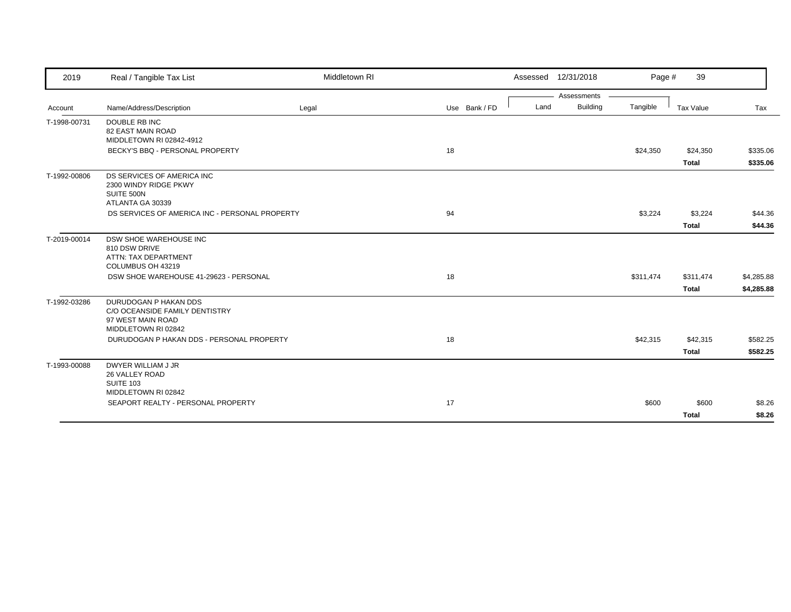| 2019         | Real / Tangible Tax List                            | Middletown RI |               |      | Assessed 12/31/2018 | Page #    | 39           |            |
|--------------|-----------------------------------------------------|---------------|---------------|------|---------------------|-----------|--------------|------------|
|              |                                                     |               |               |      | Assessments         |           |              |            |
| Account      | Name/Address/Description                            | Legal         | Use Bank / FD | Land | <b>Building</b>     | Tangible  | Tax Value    | Tax        |
| T-1998-00731 | <b>DOUBLE RB INC</b>                                |               |               |      |                     |           |              |            |
|              | 82 EAST MAIN ROAD                                   |               |               |      |                     |           |              |            |
|              | MIDDLETOWN RI 02842-4912                            |               | 18            |      |                     |           |              |            |
|              | BECKY'S BBQ - PERSONAL PROPERTY                     |               |               |      |                     | \$24,350  | \$24,350     | \$335.06   |
|              |                                                     |               |               |      |                     |           | <b>Total</b> | \$335.06   |
| T-1992-00806 | DS SERVICES OF AMERICA INC<br>2300 WINDY RIDGE PKWY |               |               |      |                     |           |              |            |
|              | SUITE 500N                                          |               |               |      |                     |           |              |            |
|              | ATLANTA GA 30339                                    |               |               |      |                     |           |              |            |
|              | DS SERVICES OF AMERICA INC - PERSONAL PROPERTY      |               | 94            |      |                     | \$3,224   | \$3,224      | \$44.36    |
|              |                                                     |               |               |      |                     |           | <b>Total</b> | \$44.36    |
| T-2019-00014 | DSW SHOE WAREHOUSE INC                              |               |               |      |                     |           |              |            |
|              | 810 DSW DRIVE                                       |               |               |      |                     |           |              |            |
|              | ATTN: TAX DEPARTMENT                                |               |               |      |                     |           |              |            |
|              | COLUMBUS OH 43219                                   |               |               |      |                     |           |              |            |
|              | DSW SHOE WAREHOUSE 41-29623 - PERSONAL              |               | 18            |      |                     | \$311,474 | \$311,474    | \$4,285.88 |
|              |                                                     |               |               |      |                     |           | <b>Total</b> | \$4,285.88 |
| T-1992-03286 | DURUDOGAN P HAKAN DDS                               |               |               |      |                     |           |              |            |
|              | C/O OCEANSIDE FAMILY DENTISTRY                      |               |               |      |                     |           |              |            |
|              | 97 WEST MAIN ROAD<br>MIDDLETOWN RI 02842            |               |               |      |                     |           |              |            |
|              | DURUDOGAN P HAKAN DDS - PERSONAL PROPERTY           |               | 18            |      |                     | \$42,315  | \$42,315     | \$582.25   |
|              |                                                     |               |               |      |                     |           |              |            |
|              |                                                     |               |               |      |                     |           | <b>Total</b> | \$582.25   |
| T-1993-00088 | DWYER WILLIAM J JR                                  |               |               |      |                     |           |              |            |
|              | 26 VALLEY ROAD<br>SUITE 103                         |               |               |      |                     |           |              |            |
|              | MIDDLETOWN RI 02842                                 |               |               |      |                     |           |              |            |
|              | SEAPORT REALTY - PERSONAL PROPERTY                  |               | 17            |      |                     | \$600     | \$600        | \$8.26     |
|              |                                                     |               |               |      |                     |           | <b>Total</b> | \$8.26     |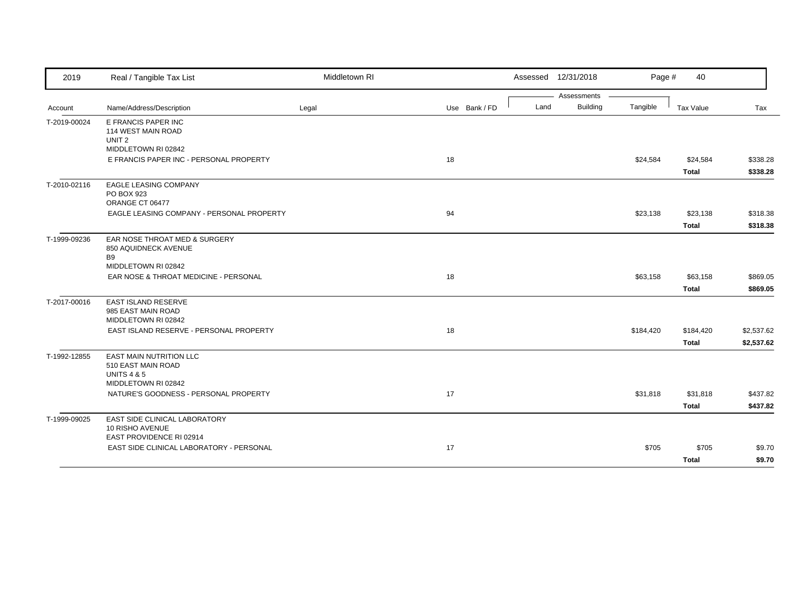| 2019         | Real / Tangible Tax List                                                                              | Middletown RI |               | Assessed 12/31/2018     | Page #    | 40           |            |
|--------------|-------------------------------------------------------------------------------------------------------|---------------|---------------|-------------------------|-----------|--------------|------------|
|              |                                                                                                       |               |               | Assessments             |           |              |            |
| Account      | Name/Address/Description                                                                              | Legal         | Use Bank / FD | <b>Building</b><br>Land | Tangible  | Tax Value    | Tax        |
| T-2019-00024 | E FRANCIS PAPER INC<br>114 WEST MAIN ROAD<br>UNIT <sub>2</sub>                                        |               |               |                         |           |              |            |
|              | MIDDLETOWN RI 02842<br>E FRANCIS PAPER INC - PERSONAL PROPERTY                                        |               | 18            |                         | \$24,584  | \$24,584     | \$338.28   |
|              |                                                                                                       |               |               |                         |           | <b>Total</b> | \$338.28   |
| T-2010-02116 | <b>EAGLE LEASING COMPANY</b><br>PO BOX 923<br>ORANGE CT 06477                                         |               |               |                         |           |              |            |
|              | EAGLE LEASING COMPANY - PERSONAL PROPERTY                                                             |               | 94            |                         | \$23,138  | \$23,138     | \$318.38   |
|              |                                                                                                       |               |               |                         |           | <b>Total</b> | \$318.38   |
| T-1999-09236 | EAR NOSE THROAT MED & SURGERY<br>850 AQUIDNECK AVENUE<br><b>B9</b>                                    |               |               |                         |           |              |            |
|              | MIDDLETOWN RI 02842<br>EAR NOSE & THROAT MEDICINE - PERSONAL                                          |               | 18            |                         | \$63,158  | \$63,158     | \$869.05   |
|              |                                                                                                       |               |               |                         |           | <b>Total</b> | \$869.05   |
| T-2017-00016 | EAST ISLAND RESERVE<br>985 EAST MAIN ROAD<br>MIDDLETOWN RI 02842                                      |               |               |                         |           |              |            |
|              | EAST ISLAND RESERVE - PERSONAL PROPERTY                                                               |               | 18            |                         | \$184,420 | \$184,420    | \$2,537.62 |
|              |                                                                                                       |               |               |                         |           | <b>Total</b> | \$2,537.62 |
| T-1992-12855 | <b>EAST MAIN NUTRITION LLC</b><br>510 EAST MAIN ROAD<br><b>UNITS 4 &amp; 5</b><br>MIDDLETOWN RI 02842 |               |               |                         |           |              |            |
|              | NATURE'S GOODNESS - PERSONAL PROPERTY                                                                 |               | 17            |                         | \$31,818  | \$31,818     | \$437.82   |
|              |                                                                                                       |               |               |                         |           | <b>Total</b> | \$437.82   |
| T-1999-09025 | EAST SIDE CLINICAL LABORATORY<br>10 RISHO AVENUE<br>EAST PROVIDENCE RI 02914                          |               |               |                         |           |              |            |
|              | EAST SIDE CLINICAL LABORATORY - PERSONAL                                                              |               | 17            |                         | \$705     | \$705        | \$9.70     |
|              |                                                                                                       |               |               |                         |           | <b>Total</b> | \$9.70     |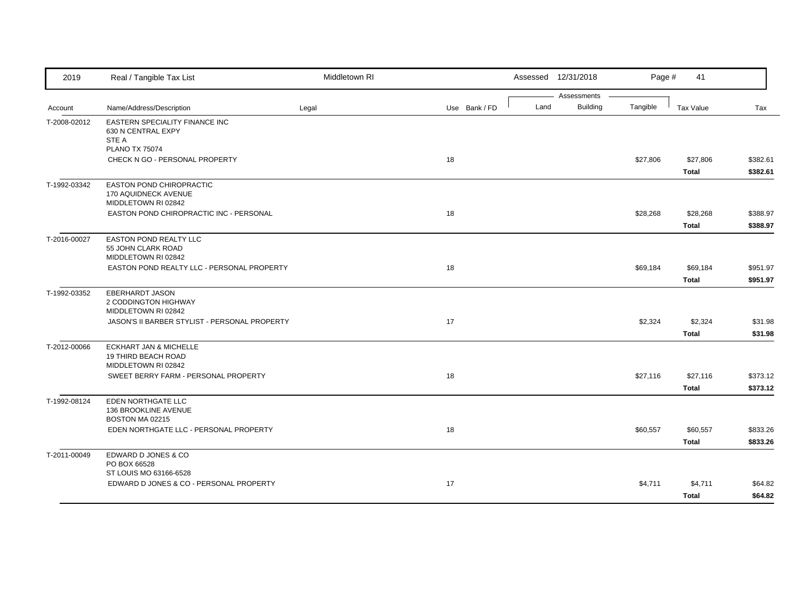| 2019                    | Real / Tangible Tax List                                                        | Middletown RI |               |      | Assessed 12/31/2018            | Page #   | 41           |          |
|-------------------------|---------------------------------------------------------------------------------|---------------|---------------|------|--------------------------------|----------|--------------|----------|
|                         | Name/Address/Description                                                        |               | Use Bank / FD | Land | Assessments<br><b>Building</b> | Tangible | Tax Value    | Tax      |
| Account<br>T-2008-02012 | EASTERN SPECIALITY FINANCE INC                                                  | Legal         |               |      |                                |          |              |          |
|                         | 630 N CENTRAL EXPY<br>STE A                                                     |               |               |      |                                |          |              |          |
|                         | <b>PLANO TX 75074</b>                                                           |               |               |      |                                |          |              |          |
|                         | CHECK N GO - PERSONAL PROPERTY                                                  |               | 18            |      |                                | \$27,806 | \$27,806     | \$382.61 |
|                         |                                                                                 |               |               |      |                                |          | <b>Total</b> | \$382.61 |
| T-1992-03342            | <b>EASTON POND CHIROPRACTIC</b><br>170 AQUIDNECK AVENUE<br>MIDDLETOWN RI 02842  |               |               |      |                                |          |              |          |
|                         | EASTON POND CHIROPRACTIC INC - PERSONAL                                         |               | 18            |      |                                | \$28,268 | \$28,268     | \$388.97 |
|                         |                                                                                 |               |               |      |                                |          | <b>Total</b> | \$388.97 |
| T-2016-00027            | EASTON POND REALTY LLC<br>55 JOHN CLARK ROAD<br>MIDDLETOWN RI 02842             |               |               |      |                                |          |              |          |
|                         | EASTON POND REALTY LLC - PERSONAL PROPERTY                                      |               | 18            |      |                                | \$69,184 | \$69,184     | \$951.97 |
|                         |                                                                                 |               |               |      |                                |          | <b>Total</b> | \$951.97 |
| T-1992-03352            | <b>EBERHARDT JASON</b><br>2 CODDINGTON HIGHWAY<br>MIDDLETOWN RI 02842           |               |               |      |                                |          |              |          |
|                         | JASON'S II BARBER STYLIST - PERSONAL PROPERTY                                   |               | 17            |      |                                | \$2,324  | \$2,324      | \$31.98  |
|                         |                                                                                 |               |               |      |                                |          | <b>Total</b> | \$31.98  |
| T-2012-00066            | <b>ECKHART JAN &amp; MICHELLE</b><br>19 THIRD BEACH ROAD<br>MIDDLETOWN RI 02842 |               |               |      |                                |          |              |          |
|                         | SWEET BERRY FARM - PERSONAL PROPERTY                                            |               | 18            |      |                                | \$27,116 | \$27,116     | \$373.12 |
|                         |                                                                                 |               |               |      |                                |          | <b>Total</b> | \$373.12 |
| T-1992-08124            | EDEN NORTHGATE LLC<br>136 BROOKLINE AVENUE<br>BOSTON MA 02215                   |               |               |      |                                |          |              |          |
|                         | EDEN NORTHGATE LLC - PERSONAL PROPERTY                                          |               | 18            |      |                                | \$60,557 | \$60,557     | \$833.26 |
|                         |                                                                                 |               |               |      |                                |          | <b>Total</b> | \$833.26 |
| T-2011-00049            | EDWARD D JONES & CO<br>PO BOX 66528                                             |               |               |      |                                |          |              |          |
|                         | ST LOUIS MO 63166-6528<br>EDWARD D JONES & CO - PERSONAL PROPERTY               |               | 17            |      |                                | \$4,711  | \$4,711      | \$64.82  |
|                         |                                                                                 |               |               |      |                                |          | <b>Total</b> | \$64.82  |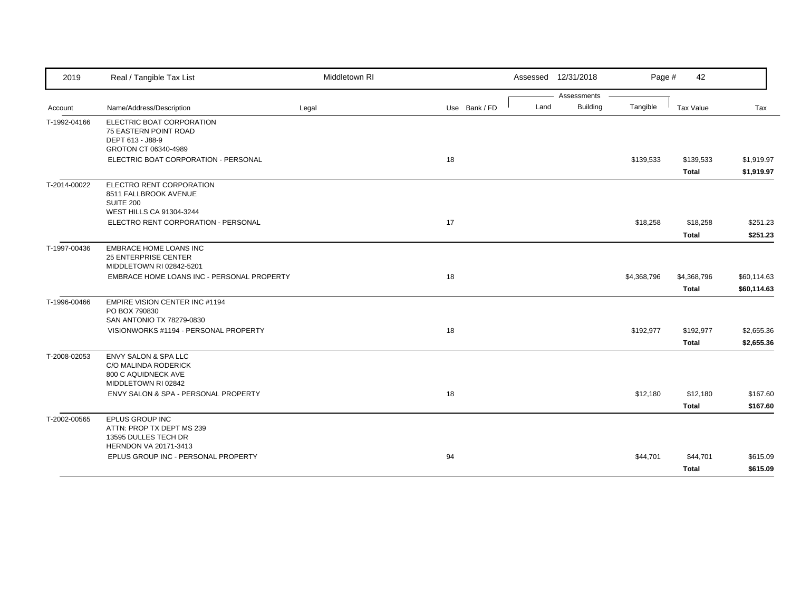| 2019         | Real / Tangible Tax List                                                                              | Middletown RI |    |               |      | Assessed 12/31/2018 | Page #      | 42           |             |
|--------------|-------------------------------------------------------------------------------------------------------|---------------|----|---------------|------|---------------------|-------------|--------------|-------------|
|              |                                                                                                       |               |    |               |      | Assessments         |             |              |             |
| Account      | Name/Address/Description                                                                              | Legal         |    | Use Bank / FD | Land | <b>Building</b>     | Tangible    | Tax Value    | Tax         |
| T-1992-04166 | ELECTRIC BOAT CORPORATION<br><b>75 EASTERN POINT ROAD</b><br>DEPT 613 - J88-9<br>GROTON CT 06340-4989 |               |    |               |      |                     |             |              |             |
|              | ELECTRIC BOAT CORPORATION - PERSONAL                                                                  |               | 18 |               |      |                     | \$139,533   | \$139,533    | \$1,919.97  |
|              |                                                                                                       |               |    |               |      |                     |             | <b>Total</b> | \$1,919.97  |
| T-2014-00022 | ELECTRO RENT CORPORATION<br>8511 FALLBROOK AVENUE<br>SUITE 200<br>WEST HILLS CA 91304-3244            |               |    |               |      |                     |             |              |             |
|              | ELECTRO RENT CORPORATION - PERSONAL                                                                   |               | 17 |               |      |                     | \$18,258    | \$18,258     | \$251.23    |
|              |                                                                                                       |               |    |               |      |                     |             | <b>Total</b> | \$251.23    |
| T-1997-00436 | <b>EMBRACE HOME LOANS INC</b><br><b>25 ENTERPRISE CENTER</b><br>MIDDLETOWN RI 02842-5201              |               |    |               |      |                     |             |              |             |
|              | EMBRACE HOME LOANS INC - PERSONAL PROPERTY                                                            |               | 18 |               |      |                     | \$4,368,796 | \$4,368,796  | \$60,114.63 |
|              |                                                                                                       |               |    |               |      |                     |             | <b>Total</b> | \$60,114.63 |
| T-1996-00466 | EMPIRE VISION CENTER INC #1194<br>PO BOX 790830<br>SAN ANTONIO TX 78279-0830                          |               |    |               |      |                     |             |              |             |
|              | VISIONWORKS #1194 - PERSONAL PROPERTY                                                                 |               | 18 |               |      |                     | \$192,977   | \$192,977    | \$2,655.36  |
|              |                                                                                                       |               |    |               |      |                     |             | <b>Total</b> | \$2,655.36  |
| T-2008-02053 | <b>ENVY SALON &amp; SPA LLC</b><br>C/O MALINDA RODERICK<br>800 C AQUIDNECK AVE<br>MIDDLETOWN RI 02842 |               |    |               |      |                     |             |              |             |
|              | ENVY SALON & SPA - PERSONAL PROPERTY                                                                  |               | 18 |               |      |                     | \$12,180    | \$12,180     | \$167.60    |
|              |                                                                                                       |               |    |               |      |                     |             | <b>Total</b> | \$167.60    |
| T-2002-00565 | EPLUS GROUP INC<br>ATTN: PROP TX DEPT MS 239<br>13595 DULLES TECH DR                                  |               |    |               |      |                     |             |              |             |
|              | HERNDON VA 20171-3413<br>EPLUS GROUP INC - PERSONAL PROPERTY                                          |               | 94 |               |      |                     | \$44,701    | \$44,701     | \$615.09    |
|              |                                                                                                       |               |    |               |      |                     |             |              | \$615.09    |
|              |                                                                                                       |               |    |               |      |                     |             | <b>Total</b> |             |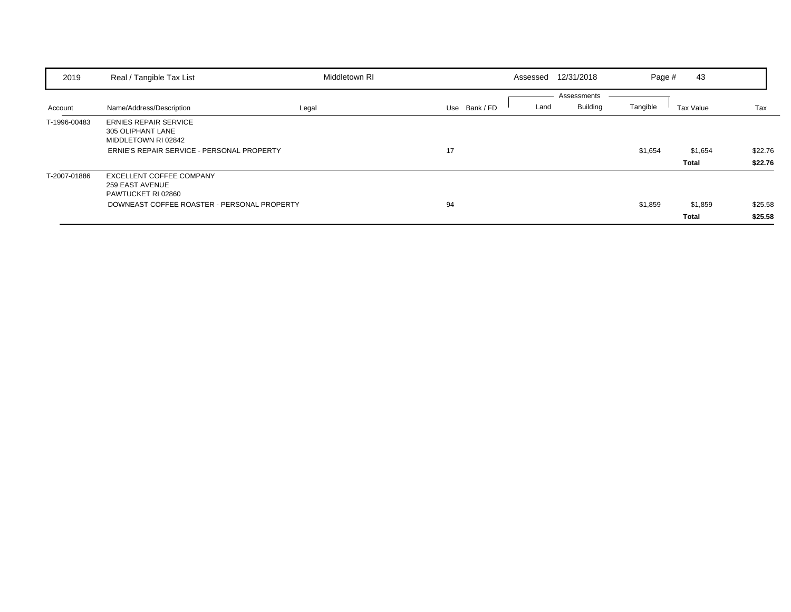| 2019         | Real / Tangible Tax List                                                                                                | Middletown RI |               | Assessed | 12/31/2018                     | Page #   | 43                      |                    |
|--------------|-------------------------------------------------------------------------------------------------------------------------|---------------|---------------|----------|--------------------------------|----------|-------------------------|--------------------|
| Account      | Name/Address/Description                                                                                                | Legal         | Use Bank / FD | Land     | Assessments<br><b>Building</b> | Tangible | Tax Value               | Tax                |
| T-1996-00483 | <b>ERNIES REPAIR SERVICE</b><br>305 OLIPHANT LANE<br>MIDDLETOWN RI 02842<br>ERNIE'S REPAIR SERVICE - PERSONAL PROPERTY  |               | 17            |          |                                | \$1,654  | \$1,654<br>Total        | \$22.76<br>\$22.76 |
| T-2007-01886 | <b>EXCELLENT COFFEE COMPANY</b><br>259 EAST AVENUE<br>PAWTUCKET RI 02860<br>DOWNEAST COFFEE ROASTER - PERSONAL PROPERTY |               | 94            |          |                                | \$1,859  | \$1,859<br><b>Total</b> | \$25.58<br>\$25.58 |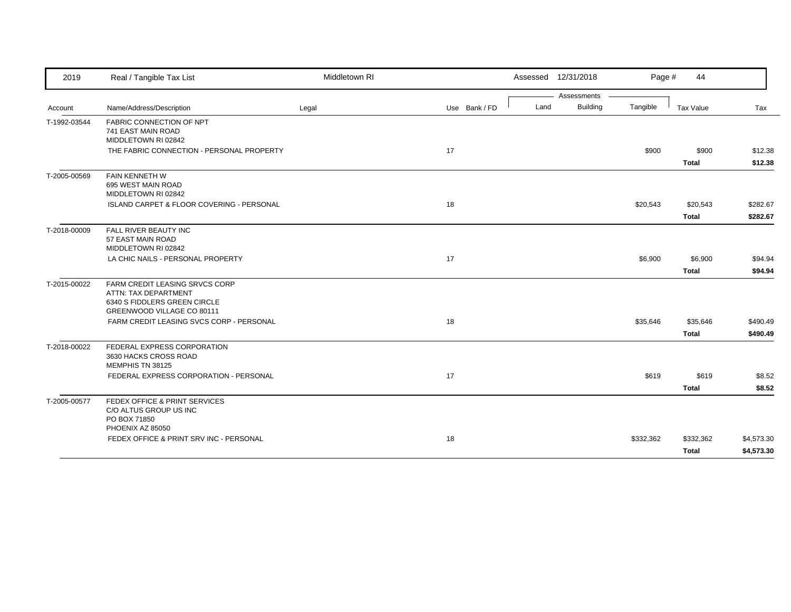| 2019         | Real / Tangible Tax List                                                                                             | Middletown RI |               |      | Assessed 12/31/2018 | Page #    | 44           |            |
|--------------|----------------------------------------------------------------------------------------------------------------------|---------------|---------------|------|---------------------|-----------|--------------|------------|
|              |                                                                                                                      |               |               |      | Assessments         |           |              |            |
| Account      | Name/Address/Description                                                                                             | Legal         | Use Bank / FD | Land | <b>Building</b>     | Tangible  | Tax Value    | Tax        |
| T-1992-03544 | FABRIC CONNECTION OF NPT<br>741 EAST MAIN ROAD<br>MIDDLETOWN RI 02842                                                |               |               |      |                     |           |              |            |
|              | THE FABRIC CONNECTION - PERSONAL PROPERTY                                                                            |               | 17            |      |                     | \$900     | \$900        | \$12.38    |
|              |                                                                                                                      |               |               |      |                     |           | <b>Total</b> | \$12.38    |
| T-2005-00569 | <b>FAIN KENNETH W</b><br>695 WEST MAIN ROAD<br>MIDDLETOWN RI 02842                                                   |               |               |      |                     |           |              |            |
|              | ISLAND CARPET & FLOOR COVERING - PERSONAL                                                                            |               | 18            |      |                     | \$20,543  | \$20,543     | \$282.67   |
|              |                                                                                                                      |               |               |      |                     |           | <b>Total</b> | \$282.67   |
| T-2018-00009 | FALL RIVER BEAUTY INC<br>57 EAST MAIN ROAD<br>MIDDLETOWN RI 02842                                                    |               |               |      |                     |           |              |            |
|              | LA CHIC NAILS - PERSONAL PROPERTY                                                                                    |               | 17            |      |                     | \$6,900   | \$6,900      | \$94.94    |
|              |                                                                                                                      |               |               |      |                     |           | <b>Total</b> | \$94.94    |
| T-2015-00022 | FARM CREDIT LEASING SRVCS CORP<br>ATTN: TAX DEPARTMENT<br>6340 S FIDDLERS GREEN CIRCLE<br>GREENWOOD VILLAGE CO 80111 |               |               |      |                     |           |              |            |
|              | FARM CREDIT LEASING SVCS CORP - PERSONAL                                                                             |               | 18            |      |                     | \$35,646  | \$35,646     | \$490.49   |
|              |                                                                                                                      |               |               |      |                     |           | <b>Total</b> | \$490.49   |
| T-2018-00022 | FEDERAL EXPRESS CORPORATION<br>3630 HACKS CROSS ROAD<br>MEMPHIS TN 38125                                             |               |               |      |                     |           |              |            |
|              | FEDERAL EXPRESS CORPORATION - PERSONAL                                                                               |               | 17            |      |                     | \$619     | \$619        | \$8.52     |
|              |                                                                                                                      |               |               |      |                     |           | <b>Total</b> | \$8.52     |
| T-2005-00577 | FEDEX OFFICE & PRINT SERVICES<br>C/O ALTUS GROUP US INC<br>PO BOX 71850<br>PHOENIX AZ 85050                          |               |               |      |                     |           |              |            |
|              | FEDEX OFFICE & PRINT SRV INC - PERSONAL                                                                              |               | 18            |      |                     | \$332,362 | \$332,362    | \$4,573.30 |
|              |                                                                                                                      |               |               |      |                     |           | <b>Total</b> | \$4,573.30 |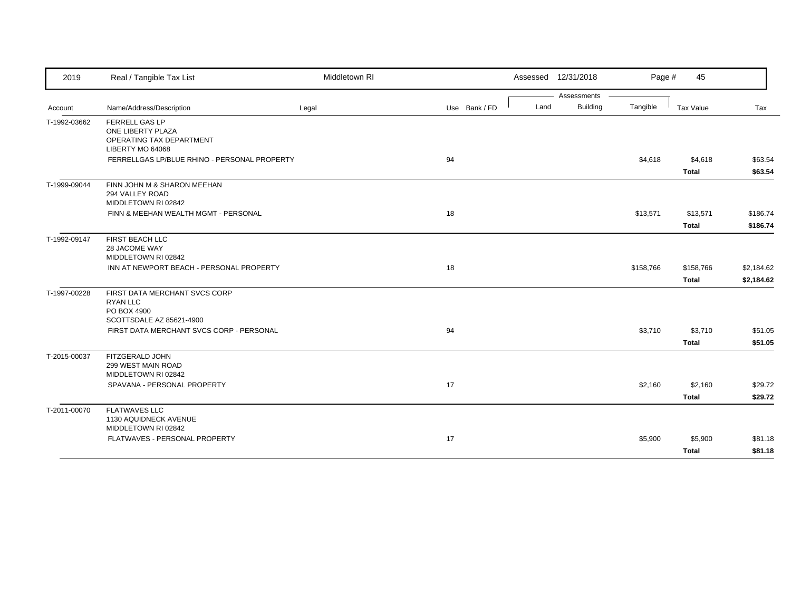| 2019         | Real / Tangible Tax List                                               | Middletown RI |               |      | Assessed 12/31/2018 | Page #    | 45                      |                    |
|--------------|------------------------------------------------------------------------|---------------|---------------|------|---------------------|-----------|-------------------------|--------------------|
|              |                                                                        |               |               |      | Assessments         |           |                         |                    |
| Account      | Name/Address/Description                                               | Legal         | Use Bank / FD | Land | <b>Building</b>     | Tangible  | Tax Value               | Tax                |
| T-1992-03662 | <b>FERRELL GAS LP</b><br>ONE LIBERTY PLAZA<br>OPERATING TAX DEPARTMENT |               |               |      |                     |           |                         |                    |
|              | LIBERTY MO 64068                                                       |               |               |      |                     |           |                         |                    |
|              | FERRELLGAS LP/BLUE RHINO - PERSONAL PROPERTY                           |               | 94            |      |                     | \$4,618   | \$4,618<br><b>Total</b> | \$63.54<br>\$63.54 |
| T-1999-09044 | FINN JOHN M & SHARON MEEHAN<br>294 VALLEY ROAD<br>MIDDLETOWN RI 02842  |               |               |      |                     |           |                         |                    |
|              | FINN & MEEHAN WEALTH MGMT - PERSONAL                                   |               | 18            |      |                     | \$13,571  | \$13,571                | \$186.74           |
|              |                                                                        |               |               |      |                     |           | <b>Total</b>            | \$186.74           |
| T-1992-09147 | FIRST BEACH LLC<br>28 JACOME WAY<br>MIDDLETOWN RI 02842                |               |               |      |                     |           |                         |                    |
|              | INN AT NEWPORT BEACH - PERSONAL PROPERTY                               |               | 18            |      |                     | \$158,766 | \$158,766               | \$2,184.62         |
|              |                                                                        |               |               |      |                     |           | <b>Total</b>            | \$2,184.62         |
| T-1997-00228 | FIRST DATA MERCHANT SVCS CORP<br><b>RYAN LLC</b><br>PO BOX 4900        |               |               |      |                     |           |                         |                    |
|              | SCOTTSDALE AZ 85621-4900<br>FIRST DATA MERCHANT SVCS CORP - PERSONAL   |               | 94            |      |                     | \$3,710   | \$3,710                 | \$51.05            |
|              |                                                                        |               |               |      |                     |           | <b>Total</b>            | \$51.05            |
| T-2015-00037 | FITZGERALD JOHN<br>299 WEST MAIN ROAD<br>MIDDLETOWN RI 02842           |               |               |      |                     |           |                         |                    |
|              | SPAVANA - PERSONAL PROPERTY                                            |               | 17            |      |                     | \$2,160   | \$2,160                 | \$29.72            |
|              |                                                                        |               |               |      |                     |           | <b>Total</b>            | \$29.72            |
| T-2011-00070 | <b>FLATWAVES LLC</b><br>1130 AQUIDNECK AVENUE<br>MIDDLETOWN RI 02842   |               |               |      |                     |           |                         |                    |
|              | FLATWAVES - PERSONAL PROPERTY                                          |               | 17            |      |                     | \$5,900   | \$5,900                 | \$81.18            |
|              |                                                                        |               |               |      |                     |           | <b>Total</b>            | \$81.18            |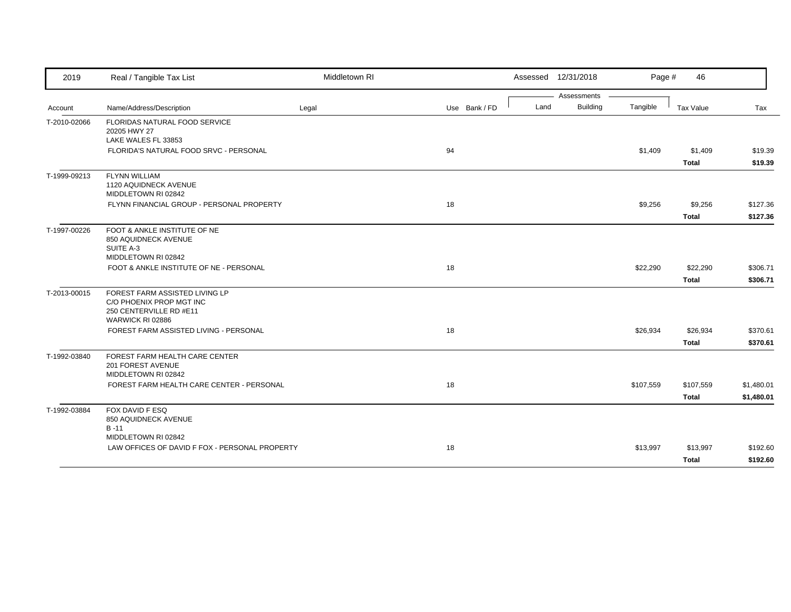| 2019         | Real / Tangible Tax List                                                                                  | Middletown RI |               |      | Assessed 12/31/2018            | Page #    | 46                        |                          |
|--------------|-----------------------------------------------------------------------------------------------------------|---------------|---------------|------|--------------------------------|-----------|---------------------------|--------------------------|
| Account      | Name/Address/Description                                                                                  | Legal         | Use Bank / FD | Land | Assessments<br><b>Building</b> | Tangible  | Tax Value                 | Tax                      |
| T-2010-02066 | FLORIDAS NATURAL FOOD SERVICE<br>20205 HWY 27                                                             |               |               |      |                                |           |                           |                          |
|              | LAKE WALES FL 33853<br>FLORIDA'S NATURAL FOOD SRVC - PERSONAL                                             |               | 94            |      |                                | \$1,409   | \$1,409<br><b>Total</b>   | \$19.39<br>\$19.39       |
| T-1999-09213 | <b>FLYNN WILLIAM</b><br>1120 AQUIDNECK AVENUE<br>MIDDLETOWN RI 02842                                      |               |               |      |                                |           |                           |                          |
|              | FLYNN FINANCIAL GROUP - PERSONAL PROPERTY                                                                 |               | 18            |      |                                | \$9,256   | \$9,256<br><b>Total</b>   | \$127.36<br>\$127.36     |
| T-1997-00226 | FOOT & ANKLE INSTITUTE OF NE<br>850 AQUIDNECK AVENUE<br>SUITE A-3<br>MIDDLETOWN RI 02842                  |               |               |      |                                |           |                           |                          |
|              | FOOT & ANKLE INSTITUTE OF NE - PERSONAL                                                                   |               | 18            |      |                                | \$22,290  | \$22,290<br><b>Total</b>  | \$306.71<br>\$306.71     |
| T-2013-00015 | FOREST FARM ASSISTED LIVING LP<br>C/O PHOENIX PROP MGT INC<br>250 CENTERVILLE RD #E11<br>WARWICK RI 02886 |               |               |      |                                |           |                           |                          |
|              | FOREST FARM ASSISTED LIVING - PERSONAL                                                                    |               | 18            |      |                                | \$26,934  | \$26,934<br><b>Total</b>  | \$370.61<br>\$370.61     |
| T-1992-03840 | FOREST FARM HEALTH CARE CENTER<br>201 FOREST AVENUE<br>MIDDLETOWN RI 02842                                |               |               |      |                                |           |                           |                          |
|              | FOREST FARM HEALTH CARE CENTER - PERSONAL                                                                 |               | 18            |      |                                | \$107,559 | \$107,559<br><b>Total</b> | \$1,480.01<br>\$1,480.01 |
| T-1992-03884 | FOX DAVID F ESQ<br>850 AQUIDNECK AVENUE<br>$B - 11$                                                       |               |               |      |                                |           |                           |                          |
|              | MIDDLETOWN RI 02842<br>LAW OFFICES OF DAVID F FOX - PERSONAL PROPERTY                                     |               | 18            |      |                                | \$13,997  | \$13,997<br><b>Total</b>  | \$192.60<br>\$192.60     |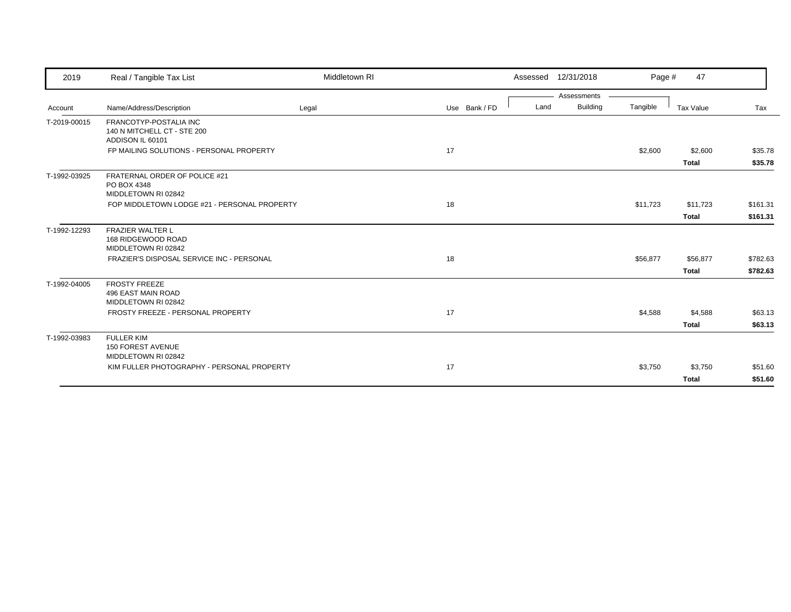| 2019         | Real / Tangible Tax List                                                  | Middletown RI |               | Assessed 12/31/2018     | Page #   | 47           |          |
|--------------|---------------------------------------------------------------------------|---------------|---------------|-------------------------|----------|--------------|----------|
|              |                                                                           |               |               | Assessments             |          |              |          |
| Account      | Name/Address/Description                                                  | Legal         | Use Bank / FD | <b>Building</b><br>Land | Tangible | Tax Value    | Tax      |
| T-2019-00015 | FRANCOTYP-POSTALIA INC<br>140 N MITCHELL CT - STE 200<br>ADDISON IL 60101 |               |               |                         |          |              |          |
|              | FP MAILING SOLUTIONS - PERSONAL PROPERTY                                  |               | 17            |                         | \$2,600  | \$2,600      | \$35.78  |
|              |                                                                           |               |               |                         |          | <b>Total</b> | \$35.78  |
| T-1992-03925 | FRATERNAL ORDER OF POLICE #21<br>PO BOX 4348<br>MIDDLETOWN RI 02842       |               |               |                         |          |              |          |
|              | FOP MIDDLETOWN LODGE #21 - PERSONAL PROPERTY                              |               | 18            |                         | \$11,723 | \$11,723     | \$161.31 |
|              |                                                                           |               |               |                         |          | <b>Total</b> | \$161.31 |
| T-1992-12293 | <b>FRAZIER WALTER L</b><br>168 RIDGEWOOD ROAD<br>MIDDLETOWN RI 02842      |               |               |                         |          |              |          |
|              | FRAZIER'S DISPOSAL SERVICE INC - PERSONAL                                 |               | 18            |                         | \$56,877 | \$56,877     | \$782.63 |
|              |                                                                           |               |               |                         |          | <b>Total</b> | \$782.63 |
| T-1992-04005 | <b>FROSTY FREEZE</b><br>496 EAST MAIN ROAD<br>MIDDLETOWN RI 02842         |               |               |                         |          |              |          |
|              | FROSTY FREEZE - PERSONAL PROPERTY                                         |               | 17            |                         | \$4,588  | \$4,588      | \$63.13  |
|              |                                                                           |               |               |                         |          | <b>Total</b> | \$63.13  |
| T-1992-03983 | <b>FULLER KIM</b><br><b>150 FOREST AVENUE</b><br>MIDDLETOWN RI 02842      |               |               |                         |          |              |          |
|              | KIM FULLER PHOTOGRAPHY - PERSONAL PROPERTY                                |               | 17            |                         | \$3,750  | \$3,750      | \$51.60  |
|              |                                                                           |               |               |                         |          | <b>Total</b> | \$51.60  |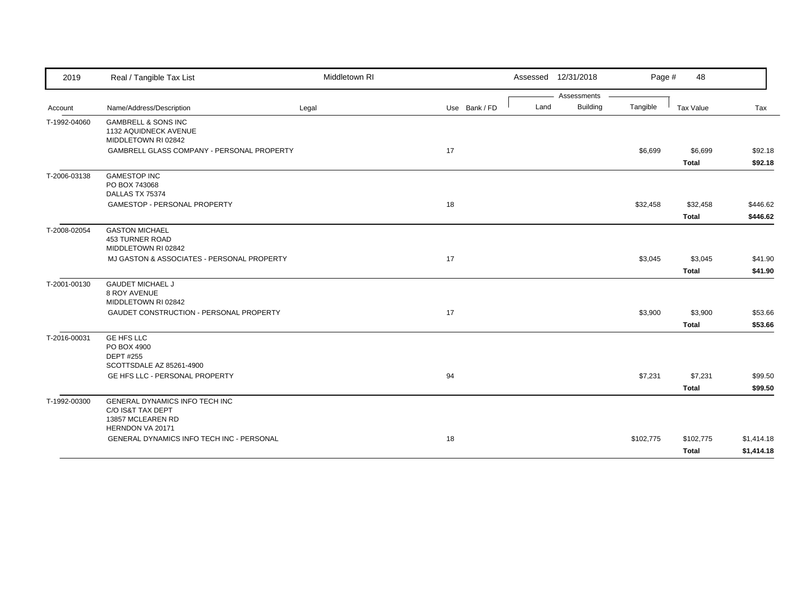| 2019         | Real / Tangible Tax List                                                                     | Middletown RI |               |      | Assessed 12/31/2018            | Page #    | 48                      |                    |
|--------------|----------------------------------------------------------------------------------------------|---------------|---------------|------|--------------------------------|-----------|-------------------------|--------------------|
|              | Name/Address/Description                                                                     |               | Use Bank / FD | Land | Assessments<br><b>Building</b> | Tangible  | Tax Value               | Tax                |
| Account      |                                                                                              | Legal         |               |      |                                |           |                         |                    |
| T-1992-04060 | <b>GAMBRELL &amp; SONS INC</b><br>1132 AQUIDNECK AVENUE<br>MIDDLETOWN RI 02842               |               |               |      |                                |           |                         |                    |
|              | GAMBRELL GLASS COMPANY - PERSONAL PROPERTY                                                   |               | 17            |      |                                | \$6,699   | \$6,699<br><b>Total</b> | \$92.18<br>\$92.18 |
| T-2006-03138 | <b>GAMESTOP INC</b><br>PO BOX 743068<br>DALLAS TX 75374                                      |               |               |      |                                |           |                         |                    |
|              | GAMESTOP - PERSONAL PROPERTY                                                                 |               | 18            |      |                                | \$32,458  | \$32,458                | \$446.62           |
|              |                                                                                              |               |               |      |                                |           | <b>Total</b>            | \$446.62           |
| T-2008-02054 | <b>GASTON MICHAEL</b><br><b>453 TURNER ROAD</b><br>MIDDLETOWN RI 02842                       |               |               |      |                                |           |                         |                    |
|              | MJ GASTON & ASSOCIATES - PERSONAL PROPERTY                                                   |               | 17            |      |                                | \$3,045   | \$3,045                 | \$41.90            |
|              |                                                                                              |               |               |      |                                |           | <b>Total</b>            | \$41.90            |
| T-2001-00130 | <b>GAUDET MICHAEL J</b><br><b>8 ROY AVENUE</b>                                               |               |               |      |                                |           |                         |                    |
|              | MIDDLETOWN RI 02842                                                                          |               |               |      |                                |           |                         |                    |
|              | GAUDET CONSTRUCTION - PERSONAL PROPERTY                                                      |               | 17            |      |                                | \$3,900   | \$3,900                 | \$53.66            |
|              |                                                                                              |               |               |      |                                |           | <b>Total</b>            | \$53.66            |
| T-2016-00031 | <b>GE HFS LLC</b><br>PO BOX 4900<br><b>DEPT #255</b><br>SCOTTSDALE AZ 85261-4900             |               |               |      |                                |           |                         |                    |
|              | GE HFS LLC - PERSONAL PROPERTY                                                               |               | 94            |      |                                | \$7,231   | \$7,231                 | \$99.50            |
|              |                                                                                              |               |               |      |                                |           | <b>Total</b>            | \$99.50            |
| T-1992-00300 | GENERAL DYNAMICS INFO TECH INC<br>C/O IS&T TAX DEPT<br>13857 MCLEAREN RD<br>HERNDON VA 20171 |               |               |      |                                |           |                         |                    |
|              | GENERAL DYNAMICS INFO TECH INC - PERSONAL                                                    |               | 18            |      |                                | \$102,775 | \$102,775               | \$1,414.18         |
|              |                                                                                              |               |               |      |                                |           | <b>Total</b>            | \$1,414.18         |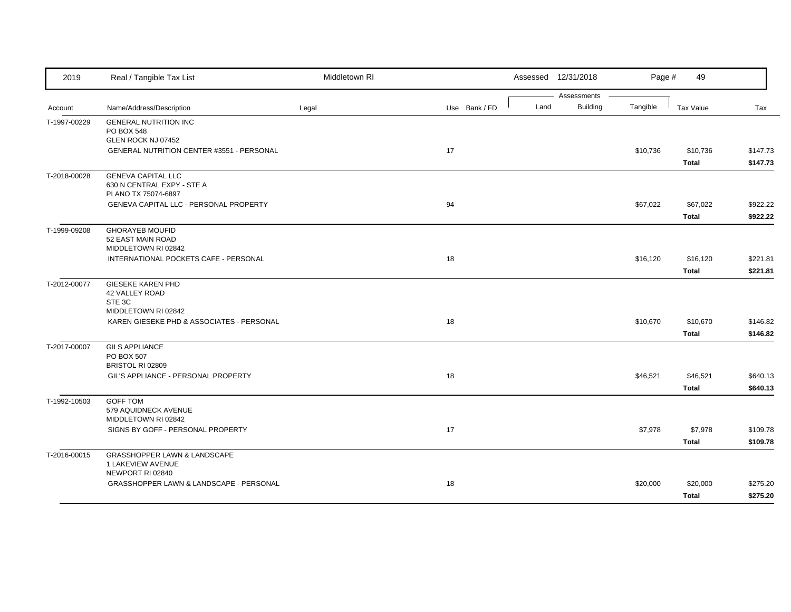| 2019         | Real / Tangible Tax List                                                         | Middletown RI |               |      | Assessed 12/31/2018            | Page #   | 49           |          |
|--------------|----------------------------------------------------------------------------------|---------------|---------------|------|--------------------------------|----------|--------------|----------|
|              | Name/Address/Description                                                         | Legal         | Use Bank / FD | Land | Assessments<br><b>Building</b> | Tangible | Tax Value    | Tax      |
| Account      |                                                                                  |               |               |      |                                |          |              |          |
| T-1997-00229 | <b>GENERAL NUTRITION INC</b><br>PO BOX 548                                       |               |               |      |                                |          |              |          |
|              | GLEN ROCK NJ 07452                                                               |               |               |      |                                |          |              |          |
|              | GENERAL NUTRITION CENTER #3551 - PERSONAL                                        |               | 17            |      |                                | \$10,736 | \$10,736     | \$147.73 |
|              |                                                                                  |               |               |      |                                |          | <b>Total</b> | \$147.73 |
| T-2018-00028 | <b>GENEVA CAPITAL LLC</b><br>630 N CENTRAL EXPY - STE A                          |               |               |      |                                |          |              |          |
|              | PLANO TX 75074-6897                                                              |               |               |      |                                |          |              |          |
|              | <b>GENEVA CAPITAL LLC - PERSONAL PROPERTY</b>                                    |               | 94            |      |                                | \$67,022 | \$67,022     | \$922.22 |
|              |                                                                                  |               |               |      |                                |          | <b>Total</b> | \$922.22 |
| T-1999-09208 | <b>GHORAYEB MOUFID</b><br>52 EAST MAIN ROAD<br>MIDDLETOWN RI 02842               |               |               |      |                                |          |              |          |
|              | INTERNATIONAL POCKETS CAFE - PERSONAL                                            |               | 18            |      |                                | \$16,120 | \$16,120     | \$221.81 |
|              |                                                                                  |               |               |      |                                |          | <b>Total</b> | \$221.81 |
| T-2012-00077 | <b>GIESEKE KAREN PHD</b><br>42 VALLEY ROAD<br>STE 3C                             |               |               |      |                                |          |              |          |
|              | MIDDLETOWN RI 02842<br>KAREN GIESEKE PHD & ASSOCIATES - PERSONAL                 |               | 18            |      |                                | \$10,670 | \$10,670     | \$146.82 |
|              |                                                                                  |               |               |      |                                |          |              |          |
|              |                                                                                  |               |               |      |                                |          | <b>Total</b> | \$146.82 |
| T-2017-00007 | <b>GILS APPLIANCE</b><br>PO BOX 507<br>BRISTOL RI 02809                          |               |               |      |                                |          |              |          |
|              | GIL'S APPLIANCE - PERSONAL PROPERTY                                              |               | 18            |      |                                | \$46,521 | \$46,521     | \$640.13 |
|              |                                                                                  |               |               |      |                                |          | <b>Total</b> | \$640.13 |
| T-1992-10503 | <b>GOFF TOM</b><br>579 AQUIDNECK AVENUE                                          |               |               |      |                                |          |              |          |
|              | MIDDLETOWN RI 02842                                                              |               |               |      |                                |          |              |          |
|              | SIGNS BY GOFF - PERSONAL PROPERTY                                                |               | 17            |      |                                | \$7,978  | \$7,978      | \$109.78 |
|              |                                                                                  |               |               |      |                                |          | <b>Total</b> | \$109.78 |
| T-2016-00015 | <b>GRASSHOPPER LAWN &amp; LANDSCAPE</b><br>1 LAKEVIEW AVENUE<br>NEWPORT RI 02840 |               |               |      |                                |          |              |          |
|              | GRASSHOPPER LAWN & LANDSCAPE - PERSONAL                                          |               | 18            |      |                                | \$20,000 | \$20,000     | \$275.20 |
|              |                                                                                  |               |               |      |                                |          | <b>Total</b> | \$275.20 |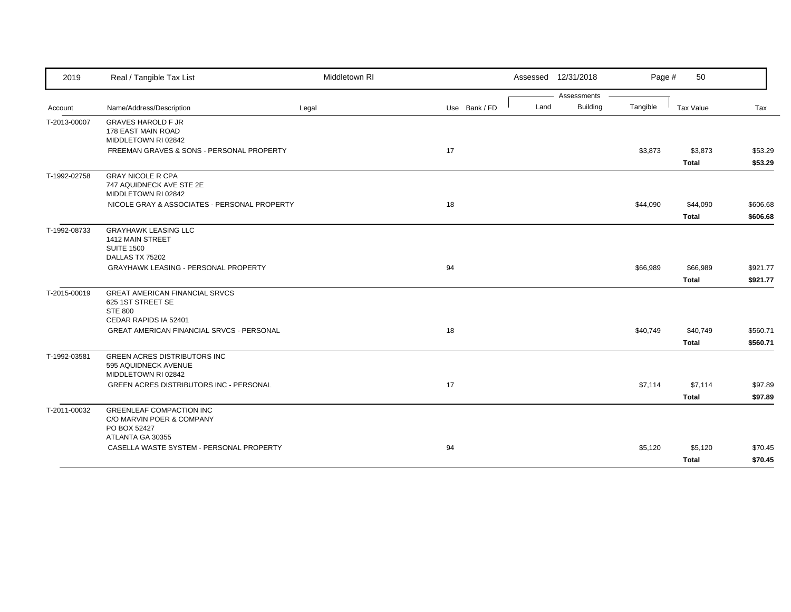| 2019         | Real / Tangible Tax List                                            | Middletown RI |               |      | Assessed 12/31/2018            | Page #   | 50           |          |
|--------------|---------------------------------------------------------------------|---------------|---------------|------|--------------------------------|----------|--------------|----------|
| Account      | Name/Address/Description                                            | Legal         | Use Bank / FD | Land | Assessments<br><b>Building</b> | Tangible | Tax Value    | Tax      |
|              |                                                                     |               |               |      |                                |          |              |          |
| T-2013-00007 | <b>GRAVES HAROLD F JR</b><br>178 EAST MAIN ROAD                     |               |               |      |                                |          |              |          |
|              | MIDDLETOWN RI 02842                                                 |               |               |      |                                |          |              |          |
|              | FREEMAN GRAVES & SONS - PERSONAL PROPERTY                           |               | 17            |      |                                | \$3,873  | \$3,873      | \$53.29  |
|              |                                                                     |               |               |      |                                |          | <b>Total</b> | \$53.29  |
| T-1992-02758 | <b>GRAY NICOLE R CPA</b>                                            |               |               |      |                                |          |              |          |
|              | 747 AQUIDNECK AVE STE 2E                                            |               |               |      |                                |          |              |          |
|              | MIDDLETOWN RI 02842<br>NICOLE GRAY & ASSOCIATES - PERSONAL PROPERTY |               | 18            |      |                                | \$44,090 | \$44,090     | \$606.68 |
|              |                                                                     |               |               |      |                                |          |              |          |
|              |                                                                     |               |               |      |                                |          | <b>Total</b> | \$606.68 |
| T-1992-08733 | <b>GRAYHAWK LEASING LLC</b>                                         |               |               |      |                                |          |              |          |
|              | 1412 MAIN STREET<br><b>SUITE 1500</b>                               |               |               |      |                                |          |              |          |
|              | DALLAS TX 75202                                                     |               |               |      |                                |          |              |          |
|              | <b>GRAYHAWK LEASING - PERSONAL PROPERTY</b>                         |               | 94            |      |                                | \$66,989 | \$66,989     | \$921.77 |
|              |                                                                     |               |               |      |                                |          | <b>Total</b> | \$921.77 |
| T-2015-00019 | <b>GREAT AMERICAN FINANCIAL SRVCS</b>                               |               |               |      |                                |          |              |          |
|              | 625 1ST STREET SE                                                   |               |               |      |                                |          |              |          |
|              | <b>STE 800</b>                                                      |               |               |      |                                |          |              |          |
|              | CEDAR RAPIDS IA 52401                                               |               |               |      |                                |          |              |          |
|              | <b>GREAT AMERICAN FINANCIAL SRVCS - PERSONAL</b>                    |               | 18            |      |                                | \$40,749 | \$40,749     | \$560.71 |
|              |                                                                     |               |               |      |                                |          | <b>Total</b> | \$560.71 |
| T-1992-03581 | <b>GREEN ACRES DISTRIBUTORS INC</b>                                 |               |               |      |                                |          |              |          |
|              | 595 AQUIDNECK AVENUE                                                |               |               |      |                                |          |              |          |
|              | MIDDLETOWN RI 02842                                                 |               |               |      |                                |          |              |          |
|              | GREEN ACRES DISTRIBUTORS INC - PERSONAL                             |               | 17            |      |                                | \$7,114  | \$7,114      | \$97.89  |
|              |                                                                     |               |               |      |                                |          | <b>Total</b> | \$97.89  |
| T-2011-00032 | <b>GREENLEAF COMPACTION INC</b>                                     |               |               |      |                                |          |              |          |
|              | C/O MARVIN POER & COMPANY                                           |               |               |      |                                |          |              |          |
|              | PO BOX 52427<br>ATLANTA GA 30355                                    |               |               |      |                                |          |              |          |
|              | CASELLA WASTE SYSTEM - PERSONAL PROPERTY                            |               | 94            |      |                                | \$5,120  | \$5,120      | \$70.45  |
|              |                                                                     |               |               |      |                                |          | <b>Total</b> | \$70.45  |
|              |                                                                     |               |               |      |                                |          |              |          |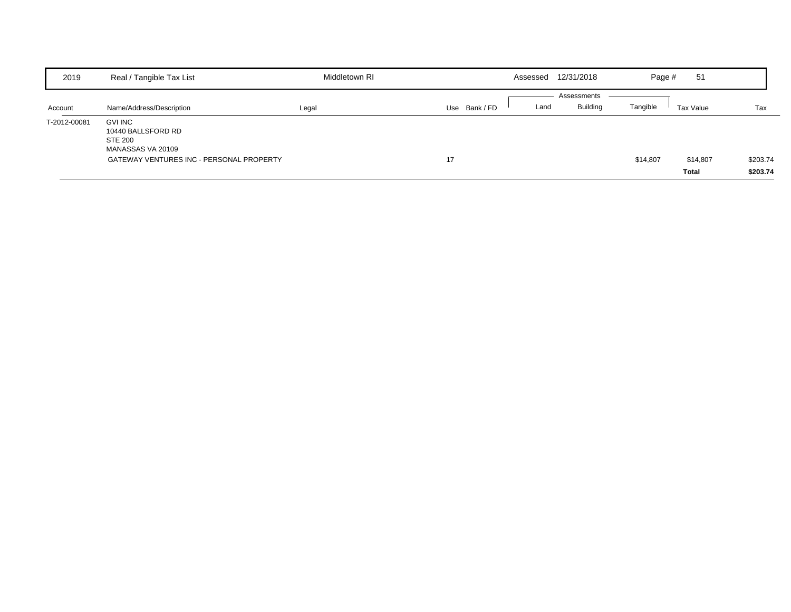| 2019         | Real / Tangible Tax List                                             | Middletown RI |             | Assessed | 12/31/2018                     | Page #   | 51        |          |
|--------------|----------------------------------------------------------------------|---------------|-------------|----------|--------------------------------|----------|-----------|----------|
|              |                                                                      |               |             |          | Assessments<br><b>Building</b> |          |           |          |
| Account      | Name/Address/Description                                             | Legal         | Use Bank/FD | Land     |                                | Tangible | Tax Value | Tax      |
| T-2012-00081 | <b>GVI INC</b><br>10440 BALLSFORD RD<br>STE 200<br>MANASSAS VA 20109 |               |             |          |                                |          |           |          |
|              | GATEWAY VENTURES INC - PERSONAL PROPERTY                             |               | 17          |          |                                | \$14,807 | \$14,807  | \$203.74 |
|              |                                                                      |               |             |          |                                |          | Total     | \$203.74 |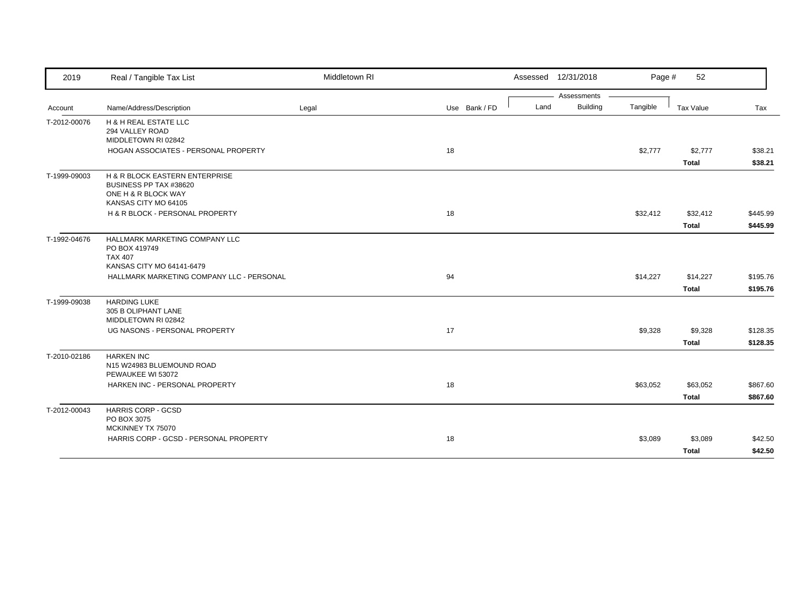| 2019         | Real / Tangible Tax List                            | Middletown RI |               |      | Assessed 12/31/2018 | Page #   | 52           |          |
|--------------|-----------------------------------------------------|---------------|---------------|------|---------------------|----------|--------------|----------|
|              |                                                     |               |               |      | Assessments         |          |              |          |
| Account      | Name/Address/Description                            | Legal         | Use Bank / FD | Land | <b>Building</b>     | Tangible | Tax Value    | Tax      |
| T-2012-00076 | <b>H &amp; H REAL ESTATE LLC</b><br>294 VALLEY ROAD |               |               |      |                     |          |              |          |
|              | MIDDLETOWN RI 02842                                 |               |               |      |                     |          |              |          |
|              | HOGAN ASSOCIATES - PERSONAL PROPERTY                |               | 18            |      |                     | \$2,777  | \$2,777      | \$38.21  |
|              |                                                     |               |               |      |                     |          | <b>Total</b> | \$38.21  |
| T-1999-09003 | H & R BLOCK EASTERN ENTERPRISE                      |               |               |      |                     |          |              |          |
|              | BUSINESS PP TAX #38620                              |               |               |      |                     |          |              |          |
|              | ONE H & R BLOCK WAY<br>KANSAS CITY MO 64105         |               |               |      |                     |          |              |          |
|              | H & R BLOCK - PERSONAL PROPERTY                     |               | 18            |      |                     | \$32,412 | \$32,412     | \$445.99 |
|              |                                                     |               |               |      |                     |          | <b>Total</b> | \$445.99 |
|              |                                                     |               |               |      |                     |          |              |          |
| T-1992-04676 | HALLMARK MARKETING COMPANY LLC<br>PO BOX 419749     |               |               |      |                     |          |              |          |
|              | <b>TAX 407</b>                                      |               |               |      |                     |          |              |          |
|              | KANSAS CITY MO 64141-6479                           |               |               |      |                     |          |              |          |
|              | HALLMARK MARKETING COMPANY LLC - PERSONAL           |               | 94            |      |                     | \$14,227 | \$14,227     | \$195.76 |
|              |                                                     |               |               |      |                     |          | Total        | \$195.76 |
| T-1999-09038 | <b>HARDING LUKE</b>                                 |               |               |      |                     |          |              |          |
|              | 305 B OLIPHANT LANE                                 |               |               |      |                     |          |              |          |
|              | MIDDLETOWN RI 02842                                 |               |               |      |                     |          |              |          |
|              | UG NASONS - PERSONAL PROPERTY                       |               | 17            |      |                     | \$9,328  | \$9,328      | \$128.35 |
|              |                                                     |               |               |      |                     |          | <b>Total</b> | \$128.35 |
| T-2010-02186 | <b>HARKEN INC</b>                                   |               |               |      |                     |          |              |          |
|              | N15 W24983 BLUEMOUND ROAD<br>PEWAUKEE WI 53072      |               |               |      |                     |          |              |          |
|              | HARKEN INC - PERSONAL PROPERTY                      |               | 18            |      |                     | \$63,052 | \$63,052     | \$867.60 |
|              |                                                     |               |               |      |                     |          | <b>Total</b> | \$867.60 |
|              |                                                     |               |               |      |                     |          |              |          |
| T-2012-00043 | <b>HARRIS CORP - GCSD</b><br>PO BOX 3075            |               |               |      |                     |          |              |          |
|              | MCKINNEY TX 75070                                   |               |               |      |                     |          |              |          |
|              | HARRIS CORP - GCSD - PERSONAL PROPERTY              |               | 18            |      |                     | \$3,089  | \$3,089      | \$42.50  |
|              |                                                     |               |               |      |                     |          | <b>Total</b> | \$42.50  |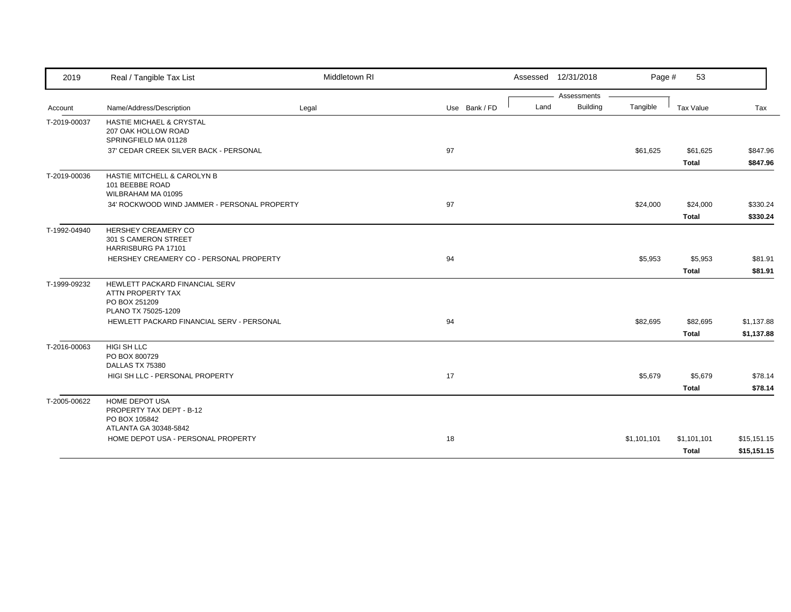| 2019         | Real / Tangible Tax List                                                                    | Middletown RI |               |      | Assessed 12/31/2018 | Page #      | 53                          |                            |
|--------------|---------------------------------------------------------------------------------------------|---------------|---------------|------|---------------------|-------------|-----------------------------|----------------------------|
|              |                                                                                             |               |               |      | Assessments         |             |                             |                            |
| Account      | Name/Address/Description                                                                    | Legal         | Use Bank / FD | Land | <b>Building</b>     | Tangible    | Tax Value                   | Tax                        |
| T-2019-00037 | <b>HASTIE MICHAEL &amp; CRYSTAL</b><br>207 OAK HOLLOW ROAD<br>SPRINGFIELD MA 01128          |               |               |      |                     |             |                             |                            |
|              | 37' CEDAR CREEK SILVER BACK - PERSONAL                                                      |               | 97            |      |                     | \$61,625    | \$61,625<br><b>Total</b>    | \$847.96<br>\$847.96       |
| T-2019-00036 | HASTIE MITCHELL & CAROLYN B<br>101 BEEBBE ROAD<br>WILBRAHAM MA 01095                        |               |               |      |                     |             |                             |                            |
|              | 34' ROCKWOOD WIND JAMMER - PERSONAL PROPERTY                                                |               | 97            |      |                     | \$24,000    | \$24,000                    | \$330.24                   |
|              |                                                                                             |               |               |      |                     |             | <b>Total</b>                | \$330.24                   |
| T-1992-04940 | HERSHEY CREAMERY CO<br>301 S CAMERON STREET<br>HARRISBURG PA 17101                          |               |               |      |                     |             |                             |                            |
|              | HERSHEY CREAMERY CO - PERSONAL PROPERTY                                                     |               | 94            |      |                     | \$5,953     | \$5,953                     | \$81.91                    |
|              |                                                                                             |               |               |      |                     |             | Total                       | \$81.91                    |
| T-1999-09232 | HEWLETT PACKARD FINANCIAL SERV<br>ATTN PROPERTY TAX<br>PO BOX 251209<br>PLANO TX 75025-1209 |               |               |      |                     |             |                             |                            |
|              | HEWLETT PACKARD FINANCIAL SERV - PERSONAL                                                   |               | 94            |      |                     | \$82,695    | \$82,695                    | \$1,137.88                 |
|              |                                                                                             |               |               |      |                     |             | <b>Total</b>                | \$1,137.88                 |
| T-2016-00063 | HIGI SH LLC<br>PO BOX 800729<br>DALLAS TX 75380                                             |               |               |      |                     |             |                             |                            |
|              | HIGI SH LLC - PERSONAL PROPERTY                                                             |               | 17            |      |                     | \$5,679     | \$5,679                     | \$78.14                    |
|              |                                                                                             |               |               |      |                     |             | <b>Total</b>                | \$78.14                    |
| T-2005-00622 | <b>HOME DEPOT USA</b><br>PROPERTY TAX DEPT - B-12<br>PO BOX 105842<br>ATLANTA GA 30348-5842 |               |               |      |                     |             |                             |                            |
|              | HOME DEPOT USA - PERSONAL PROPERTY                                                          |               | 18            |      |                     | \$1,101,101 | \$1,101,101<br><b>Total</b> | \$15,151.15<br>\$15,151.15 |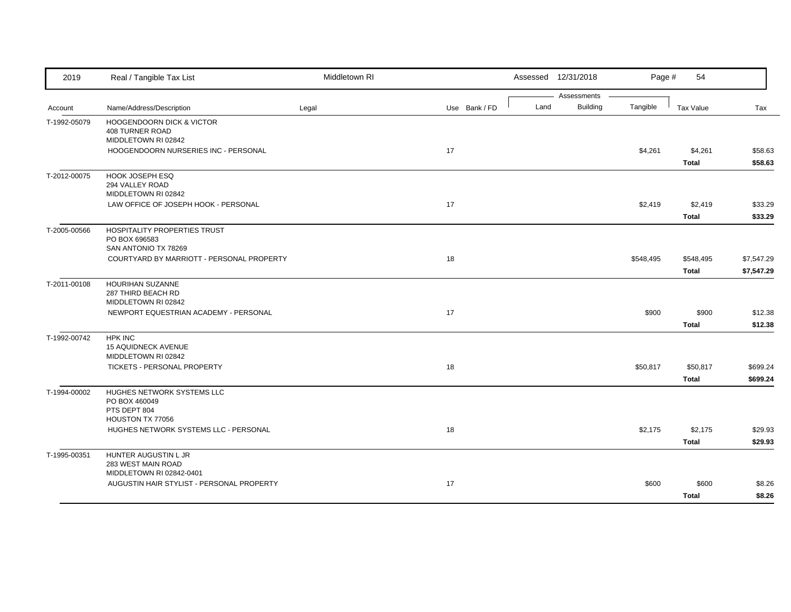| 2019         | Real / Tangible Tax List                                              | Middletown RI |               |      | Assessed 12/31/2018            | Page #    | 54                      |                    |
|--------------|-----------------------------------------------------------------------|---------------|---------------|------|--------------------------------|-----------|-------------------------|--------------------|
| Account      | Name/Address/Description                                              | Legal         | Use Bank / FD | Land | Assessments<br><b>Building</b> | Tangible  | Tax Value               | Tax                |
| T-1992-05079 | <b>HOOGENDOORN DICK &amp; VICTOR</b><br><b>408 TURNER ROAD</b>        |               |               |      |                                |           |                         |                    |
|              | MIDDLETOWN RI 02842                                                   |               |               |      |                                |           |                         |                    |
|              | HOOGENDOORN NURSERIES INC - PERSONAL                                  |               | 17            |      |                                | \$4,261   | \$4,261                 | \$58.63            |
|              |                                                                       |               |               |      |                                |           | Total                   | \$58.63            |
| T-2012-00075 | HOOK JOSEPH ESQ<br>294 VALLEY ROAD<br>MIDDLETOWN RI 02842             |               |               |      |                                |           |                         |                    |
|              | LAW OFFICE OF JOSEPH HOOK - PERSONAL                                  |               | 17            |      |                                | \$2,419   | \$2,419<br><b>Total</b> | \$33.29<br>\$33.29 |
| T-2005-00566 | HOSPITALITY PROPERTIES TRUST<br>PO BOX 696583<br>SAN ANTONIO TX 78269 |               |               |      |                                |           |                         |                    |
|              | COURTYARD BY MARRIOTT - PERSONAL PROPERTY                             |               | 18            |      |                                | \$548,495 | \$548,495               | \$7,547.29         |
|              |                                                                       |               |               |      |                                |           | <b>Total</b>            | \$7,547.29         |
| T-2011-00108 | HOURIHAN SUZANNE<br>287 THIRD BEACH RD<br>MIDDLETOWN RI 02842         |               |               |      |                                |           |                         |                    |
|              | NEWPORT EQUESTRIAN ACADEMY - PERSONAL                                 |               | 17            |      |                                | \$900     | \$900                   | \$12.38            |
|              |                                                                       |               |               |      |                                |           | <b>Total</b>            | \$12.38            |
| T-1992-00742 | <b>HPK INC</b>                                                        |               |               |      |                                |           |                         |                    |
|              | <b>15 AQUIDNECK AVENUE</b><br>MIDDLETOWN RI 02842                     |               |               |      |                                |           |                         |                    |
|              | TICKETS - PERSONAL PROPERTY                                           |               | 18            |      |                                | \$50,817  | \$50,817                | \$699.24           |
|              |                                                                       |               |               |      |                                |           | Total                   | \$699.24           |
| T-1994-00002 | <b>HUGHES NETWORK SYSTEMS LLC</b><br>PO BOX 460049                    |               |               |      |                                |           |                         |                    |
|              | PTS DEPT 804<br>HOUSTON TX 77056                                      |               |               |      |                                |           |                         |                    |
|              | HUGHES NETWORK SYSTEMS LLC - PERSONAL                                 |               | 18            |      |                                | \$2,175   | \$2,175                 | \$29.93            |
|              |                                                                       |               |               |      |                                |           | Total                   | \$29.93            |
| T-1995-00351 | HUNTER AUGUSTIN L JR                                                  |               |               |      |                                |           |                         |                    |
|              | 283 WEST MAIN ROAD                                                    |               |               |      |                                |           |                         |                    |
|              | MIDDLETOWN RI 02842-0401                                              |               |               |      |                                |           |                         |                    |
|              | AUGUSTIN HAIR STYLIST - PERSONAL PROPERTY                             |               | 17            |      |                                | \$600     | \$600                   | \$8.26             |
|              |                                                                       |               |               |      |                                |           | <b>Total</b>            | \$8.26             |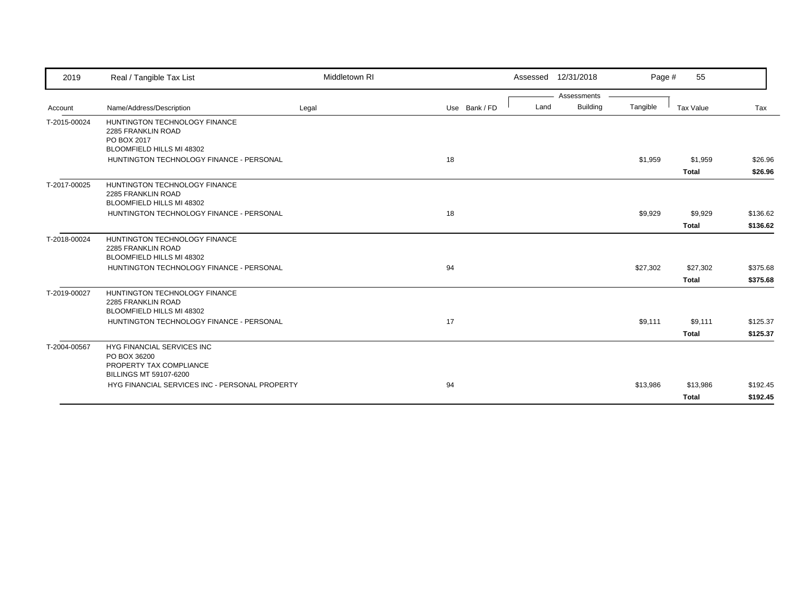| 2019         | Real / Tangible Tax List                                                                        | Middletown RI |               | Assessed 12/31/2018                    | Page #   | 55                       |                      |
|--------------|-------------------------------------------------------------------------------------------------|---------------|---------------|----------------------------------------|----------|--------------------------|----------------------|
| Account      | Name/Address/Description                                                                        | Legal         | Use Bank / FD | Assessments<br><b>Building</b><br>Land | Tangible | Tax Value                | Tax                  |
| T-2015-00024 | HUNTINGTON TECHNOLOGY FINANCE<br>2285 FRANKLIN ROAD<br>PO BOX 2017<br>BLOOMFIELD HILLS MI 48302 |               |               |                                        |          |                          |                      |
|              | HUNTINGTON TECHNOLOGY FINANCE - PERSONAL                                                        |               | 18            |                                        | \$1,959  | \$1,959<br><b>Total</b>  | \$26.96<br>\$26.96   |
| T-2017-00025 | HUNTINGTON TECHNOLOGY FINANCE<br>2285 FRANKLIN ROAD<br>BLOOMFIELD HILLS MI 48302                |               |               |                                        |          |                          |                      |
|              | HUNTINGTON TECHNOLOGY FINANCE - PERSONAL                                                        |               | 18            |                                        | \$9,929  | \$9,929<br><b>Total</b>  | \$136.62<br>\$136.62 |
| T-2018-00024 | HUNTINGTON TECHNOLOGY FINANCE<br>2285 FRANKLIN ROAD<br>BLOOMFIELD HILLS MI 48302                |               |               |                                        |          |                          |                      |
|              | HUNTINGTON TECHNOLOGY FINANCE - PERSONAL                                                        |               | 94            |                                        | \$27,302 | \$27,302<br><b>Total</b> | \$375.68<br>\$375.68 |
| T-2019-00027 | HUNTINGTON TECHNOLOGY FINANCE<br>2285 FRANKLIN ROAD<br>BLOOMFIELD HILLS MI 48302                |               |               |                                        |          |                          |                      |
|              | HUNTINGTON TECHNOLOGY FINANCE - PERSONAL                                                        |               | 17            |                                        | \$9,111  | \$9,111<br><b>Total</b>  | \$125.37<br>\$125.37 |
| T-2004-00567 | HYG FINANCIAL SERVICES INC<br>PO BOX 36200<br>PROPERTY TAX COMPLIANCE<br>BILLINGS MT 59107-6200 |               |               |                                        |          |                          |                      |
|              | HYG FINANCIAL SERVICES INC - PERSONAL PROPERTY                                                  |               | 94            |                                        | \$13,986 | \$13,986<br><b>Total</b> | \$192.45<br>\$192.45 |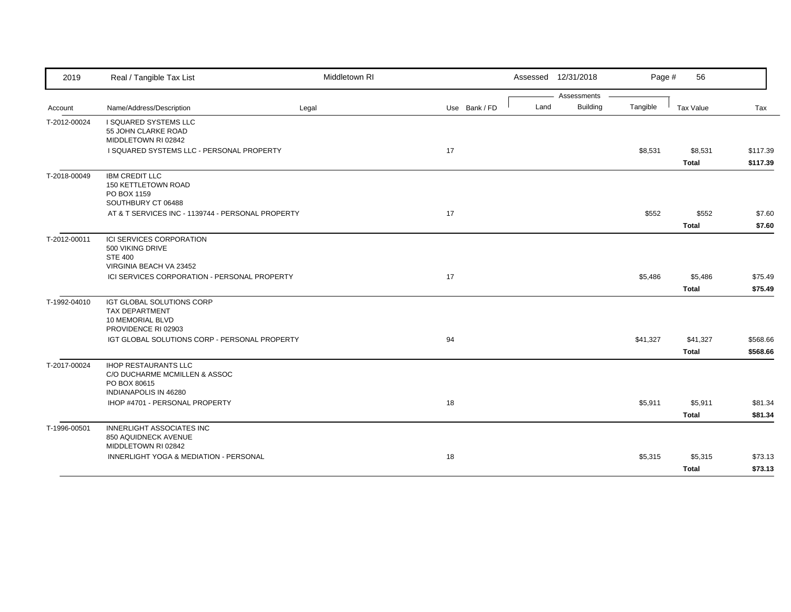| 2019         | Real / Tangible Tax List                                                                                     | Middletown RI |               |      | Assessed 12/31/2018     | Page #   | 56                       |                      |
|--------------|--------------------------------------------------------------------------------------------------------------|---------------|---------------|------|-------------------------|----------|--------------------------|----------------------|
| Account      | Name/Address/Description                                                                                     | Legal         | Use Bank / FD | Land | Assessments<br>Building | Tangible | Tax Value                | Tax                  |
| T-2012-00024 | I SQUARED SYSTEMS LLC<br>55 JOHN CLARKE ROAD<br>MIDDLETOWN RI 02842                                          |               |               |      |                         |          |                          |                      |
|              | I SQUARED SYSTEMS LLC - PERSONAL PROPERTY                                                                    |               | 17            |      |                         | \$8,531  | \$8,531<br><b>Total</b>  | \$117.39<br>\$117.39 |
| T-2018-00049 | <b>IBM CREDIT LLC</b><br>150 KETTLETOWN ROAD<br>PO BOX 1159<br>SOUTHBURY CT 06488                            |               |               |      |                         |          |                          |                      |
|              | AT & T SERVICES INC - 1139744 - PERSONAL PROPERTY                                                            |               | 17            |      |                         | \$552    | \$552<br><b>Total</b>    | \$7.60<br>\$7.60     |
| T-2012-00011 | ICI SERVICES CORPORATION<br>500 VIKING DRIVE<br><b>STE 400</b><br>VIRGINIA BEACH VA 23452                    |               |               |      |                         |          |                          |                      |
|              | ICI SERVICES CORPORATION - PERSONAL PROPERTY                                                                 |               | 17            |      |                         | \$5,486  | \$5,486<br><b>Total</b>  | \$75.49<br>\$75.49   |
| T-1992-04010 | IGT GLOBAL SOLUTIONS CORP<br><b>TAX DEPARTMENT</b><br>10 MEMORIAL BLVD<br>PROVIDENCE RI 02903                |               |               |      |                         |          |                          |                      |
|              | IGT GLOBAL SOLUTIONS CORP - PERSONAL PROPERTY                                                                |               | 94            |      |                         | \$41,327 | \$41,327<br><b>Total</b> | \$568.66<br>\$568.66 |
| T-2017-00024 | <b>IHOP RESTAURANTS LLC</b><br>C/O DUCHARME MCMILLEN & ASSOC<br>PO BOX 80615<br><b>INDIANAPOLIS IN 46280</b> |               |               |      |                         |          |                          |                      |
|              | IHOP #4701 - PERSONAL PROPERTY                                                                               |               | 18            |      |                         | \$5,911  | \$5,911<br><b>Total</b>  | \$81.34<br>\$81.34   |
| T-1996-00501 | <b>INNERLIGHT ASSOCIATES INC</b><br>850 AQUIDNECK AVENUE<br>MIDDLETOWN RI 02842                              |               |               |      |                         |          |                          |                      |
|              | INNERLIGHT YOGA & MEDIATION - PERSONAL                                                                       |               | 18            |      |                         | \$5,315  | \$5,315<br><b>Total</b>  | \$73.13<br>\$73.13   |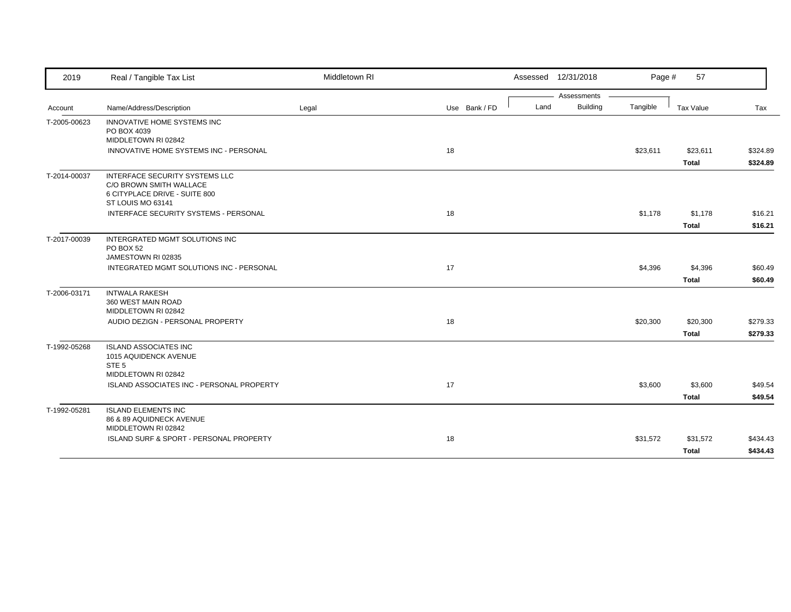| 2019         | Real / Tangible Tax List                                                                                        | Middletown RI |               | Assessed 12/31/2018 |                 | Page #   | 57                       |                      |
|--------------|-----------------------------------------------------------------------------------------------------------------|---------------|---------------|---------------------|-----------------|----------|--------------------------|----------------------|
|              |                                                                                                                 |               |               |                     | Assessments     |          |                          |                      |
| Account      | Name/Address/Description                                                                                        | Legal         | Use Bank / FD | Land                | <b>Building</b> | Tangible | Tax Value                | Tax                  |
| T-2005-00623 | INNOVATIVE HOME SYSTEMS INC<br>PO BOX 4039<br>MIDDLETOWN RI 02842                                               |               |               |                     |                 |          |                          |                      |
|              | INNOVATIVE HOME SYSTEMS INC - PERSONAL                                                                          |               | 18            |                     |                 | \$23,611 | \$23,611<br><b>Total</b> | \$324.89<br>\$324.89 |
| T-2014-00037 | INTERFACE SECURITY SYSTEMS LLC<br>C/O BROWN SMITH WALLACE<br>6 CITYPLACE DRIVE - SUITE 800<br>ST LOUIS MO 63141 |               |               |                     |                 |          |                          |                      |
|              | INTERFACE SECURITY SYSTEMS - PERSONAL                                                                           |               | 18            |                     |                 | \$1,178  | \$1,178<br><b>Total</b>  | \$16.21<br>\$16.21   |
| T-2017-00039 | INTERGRATED MGMT SOLUTIONS INC<br>PO BOX 52<br>JAMESTOWN RI 02835                                               |               |               |                     |                 |          |                          |                      |
|              | INTEGRATED MGMT SOLUTIONS INC - PERSONAL                                                                        |               | 17            |                     |                 | \$4,396  | \$4,396<br><b>Total</b>  | \$60.49<br>\$60.49   |
| T-2006-03171 | <b>INTWALA RAKESH</b><br>360 WEST MAIN ROAD<br>MIDDLETOWN RI 02842                                              |               |               |                     |                 |          |                          |                      |
|              | AUDIO DEZIGN - PERSONAL PROPERTY                                                                                |               | 18            |                     |                 | \$20,300 | \$20,300<br><b>Total</b> | \$279.33<br>\$279.33 |
| T-1992-05268 | <b>ISLAND ASSOCIATES INC</b><br>1015 AQUIDENCK AVENUE<br>STE <sub>5</sub><br>MIDDLETOWN RI 02842                |               |               |                     |                 |          |                          |                      |
|              | ISLAND ASSOCIATES INC - PERSONAL PROPERTY                                                                       |               | 17            |                     |                 | \$3,600  | \$3,600<br><b>Total</b>  | \$49.54<br>\$49.54   |
| T-1992-05281 | <b>ISLAND ELEMENTS INC</b><br>86 & 89 AQUIDNECK AVENUE<br>MIDDLETOWN RI 02842                                   |               |               |                     |                 |          |                          |                      |
|              | ISLAND SURF & SPORT - PERSONAL PROPERTY                                                                         |               | 18            |                     |                 | \$31,572 | \$31,572<br><b>Total</b> | \$434.43<br>\$434.43 |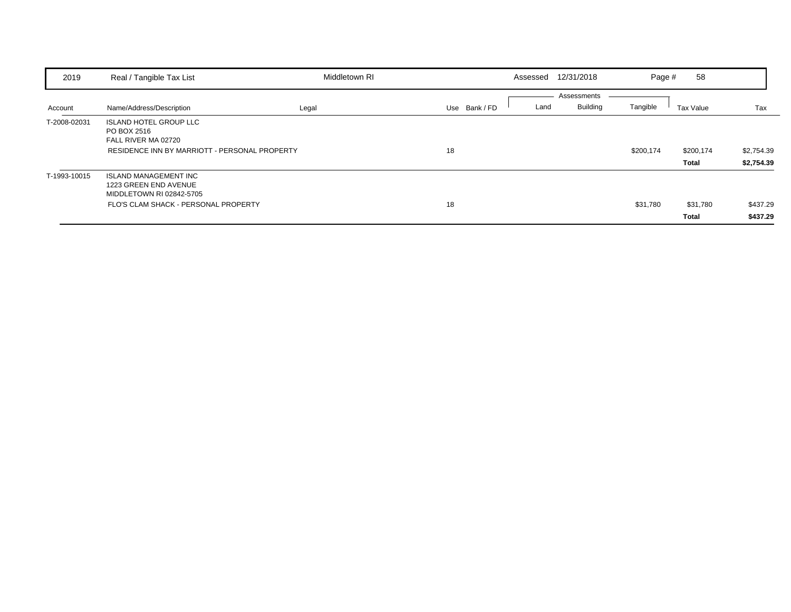| 2019         | Real / Tangible Tax List                                                                                                  | Middletown RI |               | Assessed | 12/31/2018                     | Page #    | 58                       |                          |
|--------------|---------------------------------------------------------------------------------------------------------------------------|---------------|---------------|----------|--------------------------------|-----------|--------------------------|--------------------------|
| Account      | Name/Address/Description                                                                                                  | Legal         | Use Bank / FD | Land     | Assessments<br><b>Building</b> | Tangible  | Tax Value                | Tax                      |
| T-2008-02031 | <b>ISLAND HOTEL GROUP LLC</b><br>PO BOX 2516<br>FALL RIVER MA 02720<br>RESIDENCE INN BY MARRIOTT - PERSONAL PROPERTY      |               | 18            |          |                                | \$200,174 | \$200,174<br>Total       | \$2,754.39<br>\$2,754.39 |
| T-1993-10015 | <b>ISLAND MANAGEMENT INC</b><br>1223 GREEN END AVENUE<br>MIDDLETOWN RI 02842-5705<br>FLO'S CLAM SHACK - PERSONAL PROPERTY |               | 18            |          |                                | \$31,780  | \$31,780<br><b>Total</b> | \$437.29<br>\$437.29     |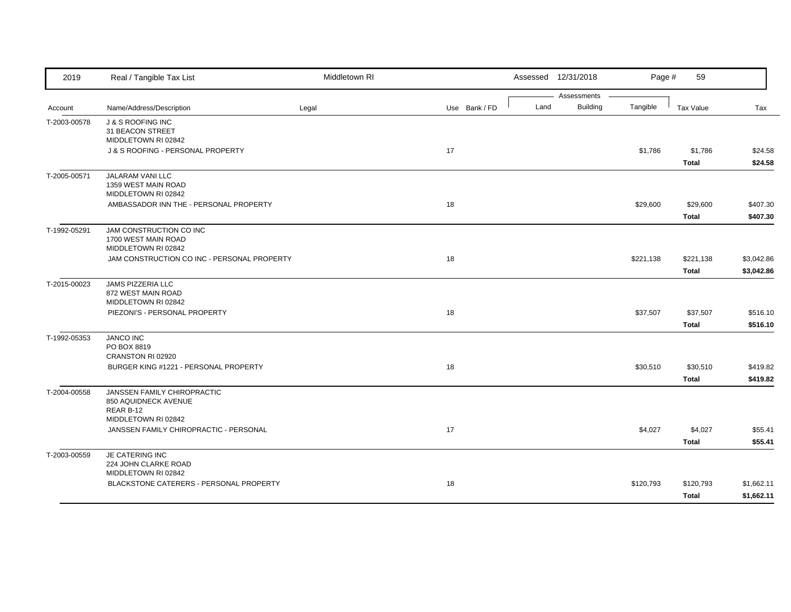| 2019         | Real / Tangible Tax List                                                | Middletown RI |               |      | Assessed 12/31/2018     | Page #    | 59                        |                          |
|--------------|-------------------------------------------------------------------------|---------------|---------------|------|-------------------------|-----------|---------------------------|--------------------------|
| Account      | Name/Address/Description                                                | Legal         | Use Bank / FD | Land | Assessments<br>Building | Tangible  | Tax Value                 | Tax                      |
| T-2003-00578 | J & S ROOFING INC<br>31 BEACON STREET                                   |               |               |      |                         |           |                           |                          |
|              | MIDDLETOWN RI 02842<br>J & S ROOFING - PERSONAL PROPERTY                |               | 17            |      |                         | \$1,786   | \$1,786<br><b>Total</b>   | \$24.58<br>\$24.58       |
| T-2005-00571 | JALARAM VANI LLC<br>1359 WEST MAIN ROAD<br>MIDDLETOWN RI 02842          |               |               |      |                         |           |                           |                          |
|              | AMBASSADOR INN THE - PERSONAL PROPERTY                                  |               | 18            |      |                         | \$29,600  | \$29,600<br><b>Total</b>  | \$407.30<br>\$407.30     |
| T-1992-05291 | JAM CONSTRUCTION CO INC<br>1700 WEST MAIN ROAD<br>MIDDLETOWN RI 02842   |               |               |      |                         |           |                           |                          |
|              | JAM CONSTRUCTION CO INC - PERSONAL PROPERTY                             |               | 18            |      |                         | \$221,138 | \$221,138<br><b>Total</b> | \$3,042.86<br>\$3,042.86 |
| T-2015-00023 | JAMS PIZZERIA LLC<br>872 WEST MAIN ROAD<br>MIDDLETOWN RI 02842          |               |               |      |                         |           |                           |                          |
|              | PIEZONI'S - PERSONAL PROPERTY                                           |               | 18            |      |                         | \$37,507  | \$37,507<br><b>Total</b>  | \$516.10<br>\$516.10     |
| T-1992-05353 | <b>JANCO INC</b><br>PO BOX 8819<br>CRANSTON RI 02920                    |               |               |      |                         |           |                           |                          |
|              | BURGER KING #1221 - PERSONAL PROPERTY                                   |               | 18            |      |                         | \$30,510  | \$30,510<br>Total         | \$419.82<br>\$419.82     |
| T-2004-00558 | <b>JANSSEN FAMILY CHIROPRACTIC</b><br>850 AQUIDNECK AVENUE<br>REAR B-12 |               |               |      |                         |           |                           |                          |
|              | MIDDLETOWN RI 02842<br>JANSSEN FAMILY CHIROPRACTIC - PERSONAL           |               | 17            |      |                         | \$4,027   | \$4,027<br>Total          | \$55.41<br>\$55.41       |
| T-2003-00559 | JE CATERING INC<br>224 JOHN CLARKE ROAD<br>MIDDLETOWN RI 02842          |               |               |      |                         |           |                           |                          |
|              | BLACKSTONE CATERERS - PERSONAL PROPERTY                                 |               | 18            |      |                         | \$120,793 | \$120,793<br><b>Total</b> | \$1,662.11<br>\$1,662.11 |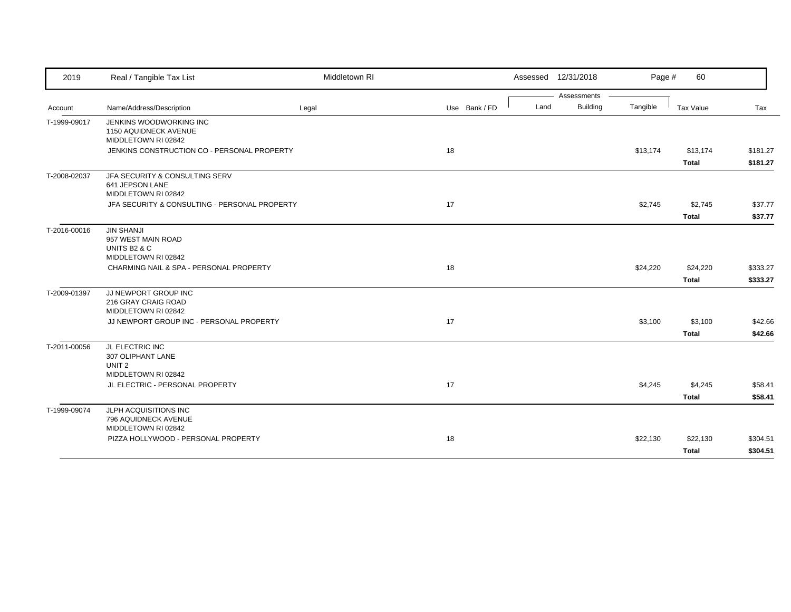| 2019         | Real / Tangible Tax List                                                 | Middletown RI |               |      | Assessed 12/31/2018 | Page #   | 60           |          |
|--------------|--------------------------------------------------------------------------|---------------|---------------|------|---------------------|----------|--------------|----------|
|              |                                                                          |               |               |      | Assessments         |          |              |          |
| Account      | Name/Address/Description                                                 | Legal         | Use Bank / FD | Land | <b>Building</b>     | Tangible | Tax Value    | Tax      |
| T-1999-09017 | JENKINS WOODWORKING INC<br>1150 AQUIDNECK AVENUE<br>MIDDLETOWN RI 02842  |               |               |      |                     |          |              |          |
|              | JENKINS CONSTRUCTION CO - PERSONAL PROPERTY                              |               | 18            |      |                     | \$13,174 | \$13,174     | \$181.27 |
|              |                                                                          |               |               |      |                     |          | <b>Total</b> | \$181.27 |
| T-2008-02037 | JFA SECURITY & CONSULTING SERV<br>641 JEPSON LANE<br>MIDDLETOWN RI 02842 |               |               |      |                     |          |              |          |
|              | JFA SECURITY & CONSULTING - PERSONAL PROPERTY                            |               | 17            |      |                     | \$2,745  | \$2,745      | \$37.77  |
|              |                                                                          |               |               |      |                     |          | <b>Total</b> | \$37.77  |
| T-2016-00016 | <b>JIN SHANJI</b><br>957 WEST MAIN ROAD<br>UNITS B <sub>2</sub> & C      |               |               |      |                     |          |              |          |
|              | MIDDLETOWN RI 02842                                                      |               | 18            |      |                     |          |              |          |
|              | CHARMING NAIL & SPA - PERSONAL PROPERTY                                  |               |               |      |                     | \$24,220 | \$24,220     | \$333.27 |
|              |                                                                          |               |               |      |                     |          | <b>Total</b> | \$333.27 |
| T-2009-01397 | JJ NEWPORT GROUP INC<br>216 GRAY CRAIG ROAD<br>MIDDLETOWN RI 02842       |               |               |      |                     |          |              |          |
|              | JJ NEWPORT GROUP INC - PERSONAL PROPERTY                                 |               | 17            |      |                     | \$3,100  | \$3,100      | \$42.66  |
|              |                                                                          |               |               |      |                     |          | <b>Total</b> | \$42.66  |
| T-2011-00056 | JL ELECTRIC INC<br>307 OLIPHANT LANE<br>UNIT <sub>2</sub>                |               |               |      |                     |          |              |          |
|              | MIDDLETOWN RI 02842                                                      |               |               |      |                     |          |              |          |
|              | JL ELECTRIC - PERSONAL PROPERTY                                          |               | 17            |      |                     | \$4,245  | \$4,245      | \$58.41  |
|              |                                                                          |               |               |      |                     |          | <b>Total</b> | \$58.41  |
| T-1999-09074 | JLPH ACQUISITIONS INC<br>796 AQUIDNECK AVENUE<br>MIDDLETOWN RI 02842     |               |               |      |                     |          |              |          |
|              | PIZZA HOLLYWOOD - PERSONAL PROPERTY                                      |               | 18            |      |                     | \$22,130 | \$22,130     | \$304.51 |
|              |                                                                          |               |               |      |                     |          | <b>Total</b> | \$304.51 |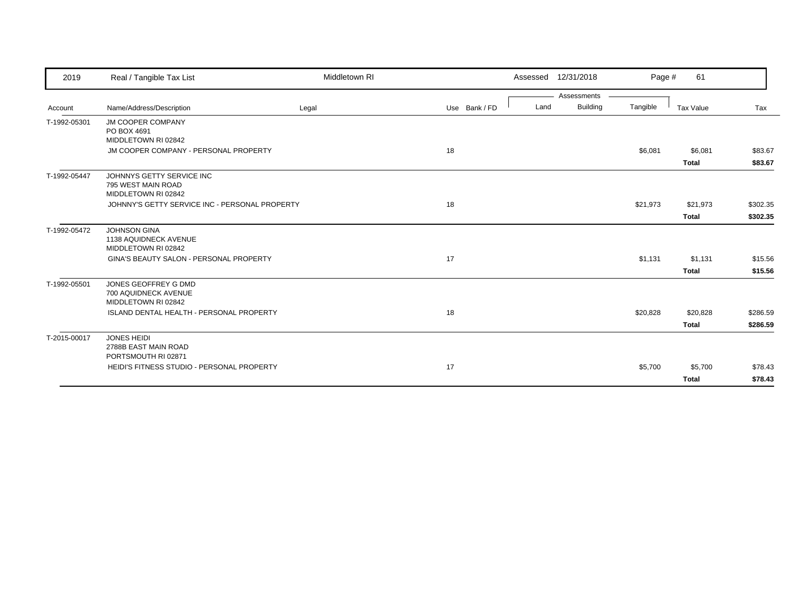| 2019         | Real / Tangible Tax List                                               | Middletown RI |               | 12/31/2018<br>Assessed          | Page #   | 61                       |                      |
|--------------|------------------------------------------------------------------------|---------------|---------------|---------------------------------|----------|--------------------------|----------------------|
| Account      | Name/Address/Description                                               | Legal         | Use Bank / FD | Assessments<br>Building<br>Land | Tangible | <b>Tax Value</b>         | Tax                  |
| T-1992-05301 | <b>JM COOPER COMPANY</b><br>PO BOX 4691<br>MIDDLETOWN RI 02842         |               |               |                                 |          |                          |                      |
|              | JM COOPER COMPANY - PERSONAL PROPERTY                                  |               | 18            |                                 | \$6,081  | \$6,081<br><b>Total</b>  | \$83.67<br>\$83.67   |
| T-1992-05447 | JOHNNYS GETTY SERVICE INC<br>795 WEST MAIN ROAD<br>MIDDLETOWN RI 02842 |               |               |                                 |          |                          |                      |
|              | JOHNNY'S GETTY SERVICE INC - PERSONAL PROPERTY                         |               | 18            |                                 | \$21,973 | \$21,973<br><b>Total</b> | \$302.35<br>\$302.35 |
| T-1992-05472 | <b>JOHNSON GINA</b><br>1138 AQUIDNECK AVENUE<br>MIDDLETOWN RI 02842    |               |               |                                 |          |                          |                      |
|              | GINA'S BEAUTY SALON - PERSONAL PROPERTY                                |               | 17            |                                 | \$1,131  | \$1,131<br><b>Total</b>  | \$15.56<br>\$15.56   |
| T-1992-05501 | JONES GEOFFREY G DMD<br>700 AQUIDNECK AVENUE<br>MIDDLETOWN RI 02842    |               |               |                                 |          |                          |                      |
|              | <b>ISLAND DENTAL HEALTH - PERSONAL PROPERTY</b>                        |               | 18            |                                 | \$20,828 | \$20,828<br><b>Total</b> | \$286.59<br>\$286.59 |
| T-2015-00017 | <b>JONES HEIDI</b><br>2788B EAST MAIN ROAD<br>PORTSMOUTH RI 02871      |               |               |                                 |          |                          |                      |
|              | HEIDI'S FITNESS STUDIO - PERSONAL PROPERTY                             |               | 17            |                                 | \$5,700  | \$5,700<br><b>Total</b>  | \$78.43<br>\$78.43   |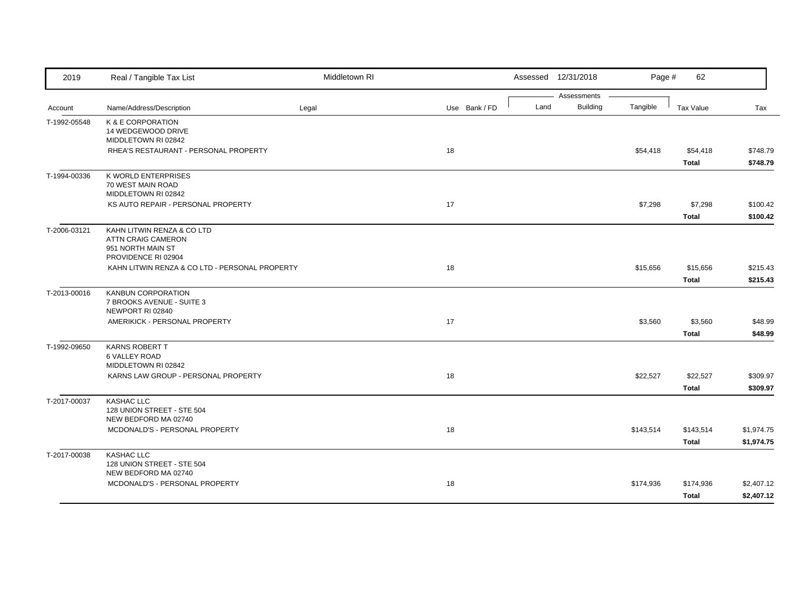| 2019         | Real / Tangible Tax List                               | Middletown RI |               |      | Assessed 12/31/2018 | Page #    | 62           |            |
|--------------|--------------------------------------------------------|---------------|---------------|------|---------------------|-----------|--------------|------------|
|              |                                                        |               |               |      | Assessments         |           |              |            |
| Account      | Name/Address/Description                               | Legal         | Use Bank / FD | Land | <b>Building</b>     | Tangible  | Tax Value    | Tax        |
| T-1992-05548 | K & E CORPORATION                                      |               |               |      |                     |           |              |            |
|              | 14 WEDGEWOOD DRIVE<br>MIDDLETOWN RI 02842              |               |               |      |                     |           |              |            |
|              | RHEA'S RESTAURANT - PERSONAL PROPERTY                  |               | 18            |      |                     | \$54,418  | \$54,418     | \$748.79   |
|              |                                                        |               |               |      |                     |           | <b>Total</b> | \$748.79   |
| T-1994-00336 | K WORLD ENTERPRISES                                    |               |               |      |                     |           |              |            |
|              | 70 WEST MAIN ROAD                                      |               |               |      |                     |           |              |            |
|              | MIDDLETOWN RI 02842                                    |               |               |      |                     |           |              |            |
|              | KS AUTO REPAIR - PERSONAL PROPERTY                     |               | 17            |      |                     | \$7,298   | \$7,298      | \$100.42   |
|              |                                                        |               |               |      |                     |           | <b>Total</b> | \$100.42   |
| T-2006-03121 | KAHN LITWIN RENZA & CO LTD                             |               |               |      |                     |           |              |            |
|              | <b>ATTN CRAIG CAMERON</b>                              |               |               |      |                     |           |              |            |
|              | 951 NORTH MAIN ST<br>PROVIDENCE RI 02904               |               |               |      |                     |           |              |            |
|              | KAHN LITWIN RENZA & CO LTD - PERSONAL PROPERTY         |               | 18            |      |                     | \$15,656  | \$15,656     | \$215.43   |
|              |                                                        |               |               |      |                     |           | <b>Total</b> |            |
|              |                                                        |               |               |      |                     |           |              | \$215.43   |
| T-2013-00016 | <b>KANBUN CORPORATION</b><br>7 BROOKS AVENUE - SUITE 3 |               |               |      |                     |           |              |            |
|              | NEWPORT RI 02840                                       |               |               |      |                     |           |              |            |
|              | AMERIKICK - PERSONAL PROPERTY                          |               | 17            |      |                     | \$3,560   | \$3,560      | \$48.99    |
|              |                                                        |               |               |      |                     |           | <b>Total</b> | \$48.99    |
| T-1992-09650 | KARNS ROBERT T                                         |               |               |      |                     |           |              |            |
|              | 6 VALLEY ROAD                                          |               |               |      |                     |           |              |            |
|              | MIDDLETOWN RI 02842                                    |               |               |      |                     |           |              |            |
|              | KARNS LAW GROUP - PERSONAL PROPERTY                    |               | 18            |      |                     | \$22,527  | \$22,527     | \$309.97   |
|              |                                                        |               |               |      |                     |           | <b>Total</b> | \$309.97   |
| T-2017-00037 | KASHAC LLC                                             |               |               |      |                     |           |              |            |
|              | 128 UNION STREET - STE 504                             |               |               |      |                     |           |              |            |
|              | NEW BEDFORD MA 02740<br>MCDONALD'S - PERSONAL PROPERTY |               | 18            |      |                     |           |              |            |
|              |                                                        |               |               |      |                     | \$143,514 | \$143,514    | \$1,974.75 |
|              |                                                        |               |               |      |                     |           | <b>Total</b> | \$1,974.75 |
| T-2017-00038 | <b>KASHAC LLC</b>                                      |               |               |      |                     |           |              |            |
|              | 128 UNION STREET - STE 504<br>NEW BEDFORD MA 02740     |               |               |      |                     |           |              |            |
|              | MCDONALD'S - PERSONAL PROPERTY                         |               | 18            |      |                     | \$174,936 | \$174,936    | \$2,407.12 |
|              |                                                        |               |               |      |                     |           | <b>Total</b> | \$2,407.12 |
|              |                                                        |               |               |      |                     |           |              |            |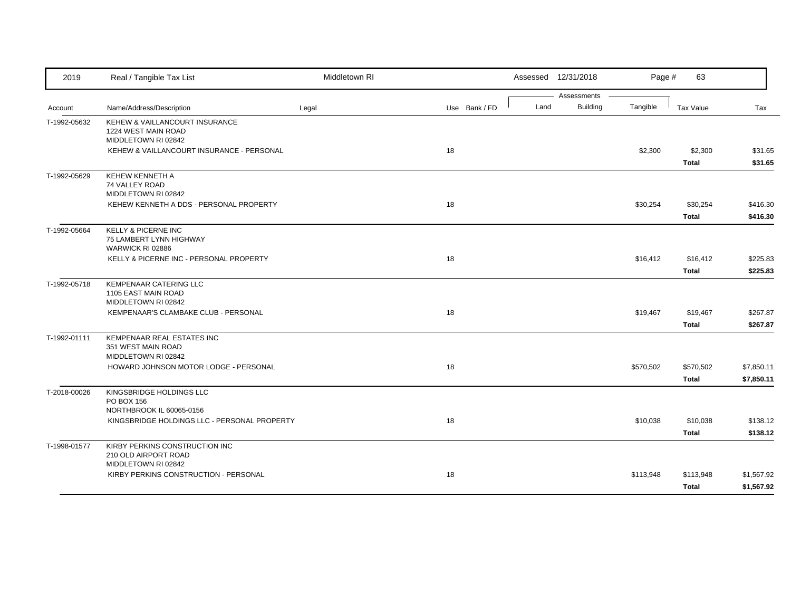| 2019         | Real / Tangible Tax List                                                                                                  | Middletown RI |               |      | Assessed 12/31/2018            | Page #    | 63                                       |                                  |
|--------------|---------------------------------------------------------------------------------------------------------------------------|---------------|---------------|------|--------------------------------|-----------|------------------------------------------|----------------------------------|
| Account      | Name/Address/Description                                                                                                  | Legal         | Use Bank / FD | Land | Assessments<br><b>Building</b> | Tangible  | Tax Value                                | Tax                              |
| T-1992-05632 | KEHEW & VAILLANCOURT INSURANCE<br>1224 WEST MAIN ROAD<br>MIDDLETOWN RI 02842<br>KEHEW & VAILLANCOURT INSURANCE - PERSONAL |               | 18            |      |                                | \$2,300   | \$2,300<br><b>Total</b>                  | \$31.65<br>\$31.65               |
| T-1992-05629 | KEHEW KENNETH A<br>74 VALLEY ROAD<br>MIDDLETOWN RI 02842<br>KEHEW KENNETH A DDS - PERSONAL PROPERTY                       |               | 18            |      |                                | \$30,254  | \$30,254                                 | \$416.30                         |
| T-1992-05664 | <b>KELLY &amp; PICERNE INC</b><br>75 LAMBERT LYNN HIGHWAY<br>WARWICK RI 02886<br>KELLY & PICERNE INC - PERSONAL PROPERTY  |               | 18            |      |                                | \$16,412  | <b>Total</b><br>\$16,412<br><b>Total</b> | \$416.30<br>\$225.83<br>\$225.83 |
| T-1992-05718 | <b>KEMPENAAR CATERING LLC</b><br>1105 EAST MAIN ROAD<br>MIDDLETOWN RI 02842<br>KEMPENAAR'S CLAMBAKE CLUB - PERSONAL       |               | 18            |      |                                | \$19,467  | \$19,467<br>Total                        | \$267.87<br>\$267.87             |
| T-1992-01111 | KEMPENAAR REAL ESTATES INC<br>351 WEST MAIN ROAD<br>MIDDLETOWN RI 02842<br>HOWARD JOHNSON MOTOR LODGE - PERSONAL          |               | 18            |      |                                | \$570,502 | \$570,502<br><b>Total</b>                | \$7,850.11<br>\$7,850.11         |
| T-2018-00026 | KINGSBRIDGE HOLDINGS LLC<br>PO BOX 156<br>NORTHBROOK IL 60065-0156<br>KINGSBRIDGE HOLDINGS LLC - PERSONAL PROPERTY        |               | 18            |      |                                | \$10,038  | \$10,038<br><b>Total</b>                 | \$138.12<br>\$138.12             |
| T-1998-01577 | KIRBY PERKINS CONSTRUCTION INC<br>210 OLD AIRPORT ROAD<br>MIDDLETOWN RI 02842<br>KIRBY PERKINS CONSTRUCTION - PERSONAL    |               | 18            |      |                                | \$113,948 | \$113,948<br><b>Total</b>                | \$1,567.92<br>\$1,567.92         |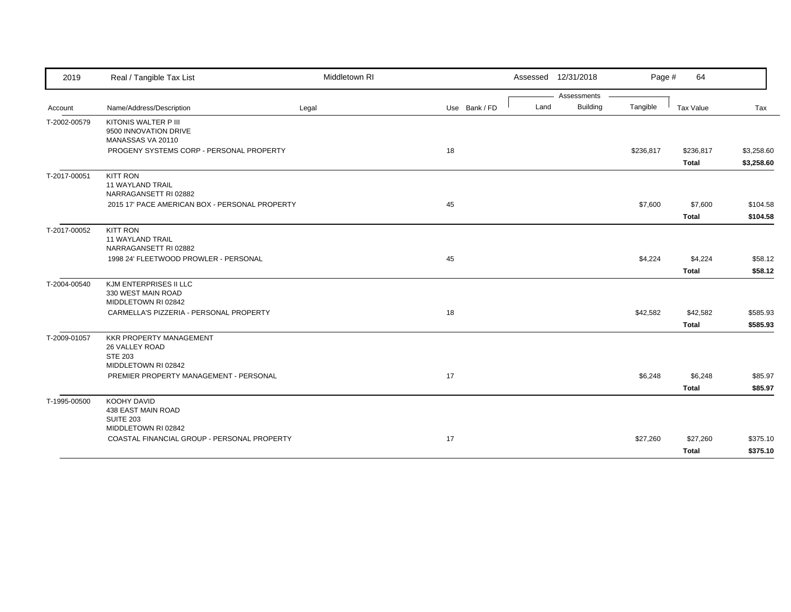| 2019         | Real / Tangible Tax List                                                                  | Middletown RI |               | Assessed 12/31/2018 |                 | Page #    | 64                        |                          |
|--------------|-------------------------------------------------------------------------------------------|---------------|---------------|---------------------|-----------------|-----------|---------------------------|--------------------------|
|              |                                                                                           |               |               |                     | Assessments     |           |                           |                          |
| Account      | Name/Address/Description                                                                  | Legal         | Use Bank / FD | Land                | <b>Building</b> | Tangible  | Tax Value                 | Tax                      |
| T-2002-00579 | KITONIS WALTER P III<br>9500 INNOVATION DRIVE<br>MANASSAS VA 20110                        |               |               |                     |                 |           |                           |                          |
|              | PROGENY SYSTEMS CORP - PERSONAL PROPERTY                                                  |               | 18            |                     |                 | \$236,817 | \$236,817<br><b>Total</b> | \$3,258.60<br>\$3,258.60 |
| T-2017-00051 | KITT RON<br><b>11 WAYLAND TRAIL</b><br>NARRAGANSETT RI 02882                              |               |               |                     |                 |           |                           |                          |
|              | 2015 17' PACE AMERICAN BOX - PERSONAL PROPERTY                                            |               | 45            |                     |                 | \$7,600   | \$7,600                   | \$104.58                 |
|              |                                                                                           |               |               |                     |                 |           | <b>Total</b>              | \$104.58                 |
| T-2017-00052 | <b>KITT RON</b><br>11 WAYLAND TRAIL<br>NARRAGANSETT RI 02882                              |               |               |                     |                 |           |                           |                          |
|              | 1998 24' FLEETWOOD PROWLER - PERSONAL                                                     |               | 45            |                     |                 | \$4,224   | \$4,224                   | \$58.12                  |
|              |                                                                                           |               |               |                     |                 |           | <b>Total</b>              | \$58.12                  |
| T-2004-00540 | KJM ENTERPRISES II LLC<br>330 WEST MAIN ROAD<br>MIDDLETOWN RI 02842                       |               |               |                     |                 |           |                           |                          |
|              | CARMELLA'S PIZZERIA - PERSONAL PROPERTY                                                   |               | 18            |                     |                 | \$42,582  | \$42,582                  | \$585.93                 |
|              |                                                                                           |               |               |                     |                 |           | <b>Total</b>              | \$585.93                 |
| T-2009-01057 | <b>KKR PROPERTY MANAGEMENT</b><br>26 VALLEY ROAD<br><b>STE 203</b><br>MIDDLETOWN RI 02842 |               |               |                     |                 |           |                           |                          |
|              | PREMIER PROPERTY MANAGEMENT - PERSONAL                                                    |               | 17            |                     |                 | \$6,248   | \$6,248                   | \$85.97                  |
|              |                                                                                           |               |               |                     |                 |           | <b>Total</b>              | \$85.97                  |
| T-1995-00500 | <b>KOOHY DAVID</b><br>438 EAST MAIN ROAD<br><b>SUITE 203</b>                              |               |               |                     |                 |           |                           |                          |
|              | MIDDLETOWN RI 02842                                                                       |               |               |                     |                 |           |                           |                          |
|              | COASTAL FINANCIAL GROUP - PERSONAL PROPERTY                                               |               | 17            |                     |                 | \$27,260  | \$27,260                  | \$375.10                 |
|              |                                                                                           |               |               |                     |                 |           | <b>Total</b>              | \$375.10                 |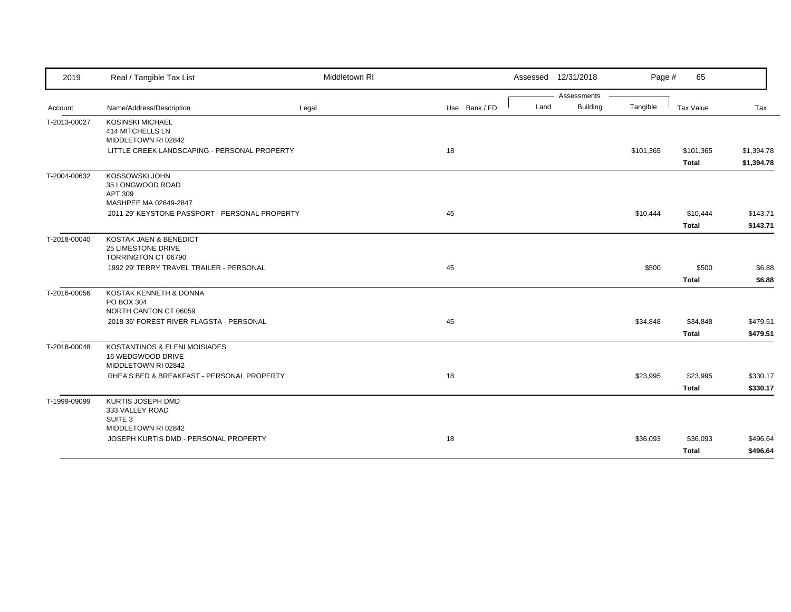| 2019         | Real / Tangible Tax List                                                  | Middletown RI |               | Assessed 12/31/2018 |             | Page #    | 65                        |                          |
|--------------|---------------------------------------------------------------------------|---------------|---------------|---------------------|-------------|-----------|---------------------------|--------------------------|
|              |                                                                           |               |               |                     | Assessments |           |                           |                          |
| Account      | Name/Address/Description                                                  | Legal         | Use Bank / FD | Land                | Building    | Tangible  | Tax Value                 | Tax                      |
| T-2013-00027 | <b>KOSINSKI MICHAEL</b><br>414 MITCHELLS LN<br>MIDDLETOWN RI 02842        |               |               |                     |             |           |                           |                          |
|              | LITTLE CREEK LANDSCAPING - PERSONAL PROPERTY                              |               | 18            |                     |             | \$101,365 | \$101,365<br><b>Total</b> | \$1,394.78<br>\$1,394.78 |
| T-2004-00632 | KOSSOWSKI JOHN<br>35 LONGWOOD ROAD<br>APT 309<br>MASHPEE MA 02649-2847    |               |               |                     |             |           |                           |                          |
|              | 2011 29' KEYSTONE PASSPORT - PERSONAL PROPERTY                            |               | 45            |                     |             | \$10,444  | \$10,444                  | \$143.71                 |
|              |                                                                           |               |               |                     |             |           | <b>Total</b>              | \$143.71                 |
| T-2018-00040 | KOSTAK JAEN & BENEDICT<br>25 LIMESTONE DRIVE<br>TORRINGTON CT 06790       |               |               |                     |             |           |                           |                          |
|              | 1992 29' TERRY TRAVEL TRAILER - PERSONAL                                  |               | 45            |                     |             | \$500     | \$500                     | \$6.88                   |
|              |                                                                           |               |               |                     |             |           | <b>Total</b>              | \$6.88                   |
| T-2016-00056 | KOSTAK KENNETH & DONNA<br>PO BOX 304<br>NORTH CANTON CT 06059             |               |               |                     |             |           |                           |                          |
|              | 2018 36' FOREST RIVER FLAGSTA - PERSONAL                                  |               | 45            |                     |             | \$34,848  | \$34,848                  | \$479.51                 |
|              |                                                                           |               |               |                     |             |           | <b>Total</b>              | \$479.51                 |
| T-2018-00048 | KOSTANTINOS & ELENI MOISIADES<br>16 WEDGWOOD DRIVE<br>MIDDLETOWN RI 02842 |               |               |                     |             |           |                           |                          |
|              | RHEA'S BED & BREAKFAST - PERSONAL PROPERTY                                |               | 18            |                     |             | \$23,995  | \$23,995                  | \$330.17                 |
|              |                                                                           |               |               |                     |             |           | <b>Total</b>              | \$330.17                 |
| T-1999-09099 | KURTIS JOSEPH DMD<br>333 VALLEY ROAD<br>SUITE <sub>3</sub>                |               |               |                     |             |           |                           |                          |
|              | MIDDLETOWN RI 02842<br>JOSEPH KURTIS DMD - PERSONAL PROPERTY              |               | 18            |                     |             | \$36,093  | \$36,093                  | \$496.64                 |
|              |                                                                           |               |               |                     |             |           | Total                     | \$496.64                 |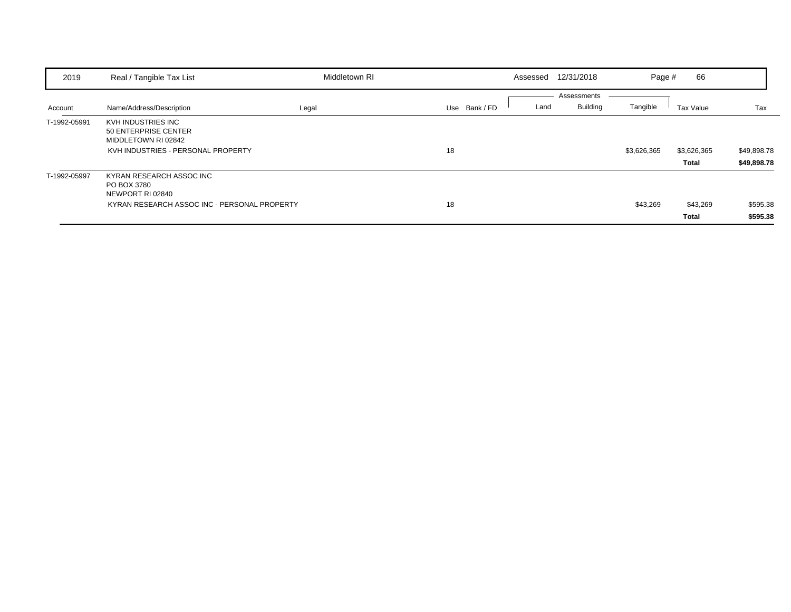| 2019         | Real / Tangible Tax List                                                                                    | Middletown RI |               | Assessed | 12/31/2018                     | Page #      | 66                       |                            |
|--------------|-------------------------------------------------------------------------------------------------------------|---------------|---------------|----------|--------------------------------|-------------|--------------------------|----------------------------|
| Account      | Name/Address/Description                                                                                    | Legal         | Use Bank / FD | Land     | Assessments<br><b>Building</b> | Tangible    | Tax Value                | Tax                        |
| T-1992-05991 | KVH INDUSTRIES INC<br>50 ENTERPRISE CENTER<br>MIDDLETOWN RI 02842<br>KVH INDUSTRIES - PERSONAL PROPERTY     |               | 18            |          |                                | \$3,626,365 | \$3,626,365<br>Total     | \$49,898.78<br>\$49,898.78 |
| T-1992-05997 | KYRAN RESEARCH ASSOC INC<br>PO BOX 3780<br>NEWPORT RI 02840<br>KYRAN RESEARCH ASSOC INC - PERSONAL PROPERTY |               | 18            |          |                                | \$43,269    | \$43,269<br><b>Total</b> | \$595.38<br>\$595.38       |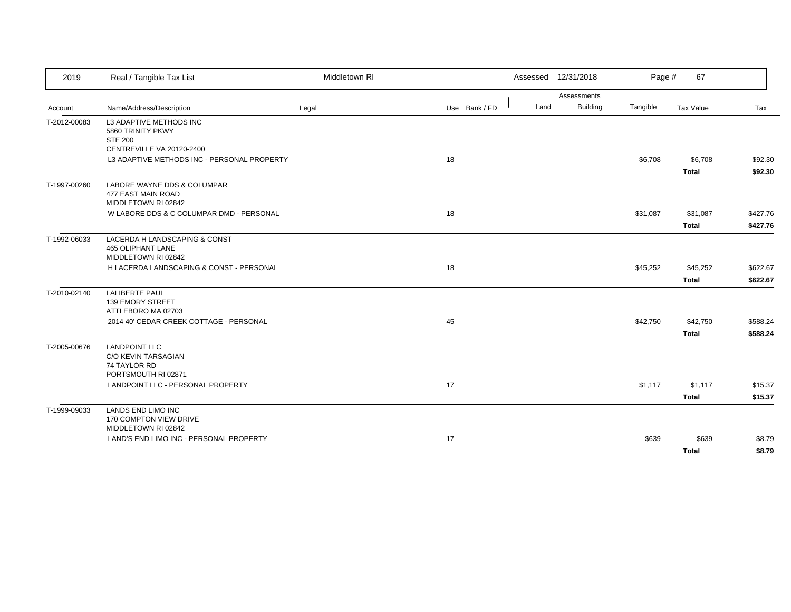| 2019         | Real / Tangible Tax List                                                                  | Middletown RI |               |      | Assessed 12/31/2018            | Page #   | 67                       |                      |
|--------------|-------------------------------------------------------------------------------------------|---------------|---------------|------|--------------------------------|----------|--------------------------|----------------------|
| Account      | Name/Address/Description                                                                  | Legal         | Use Bank / FD | Land | Assessments<br><b>Building</b> | Tangible | Tax Value                | Tax                  |
| T-2012-00083 | L3 ADAPTIVE METHODS INC<br>5860 TRINITY PKWY<br><b>STE 200</b>                            |               |               |      |                                |          |                          |                      |
|              | CENTREVILLE VA 20120-2400<br>L3 ADAPTIVE METHODS INC - PERSONAL PROPERTY                  |               | 18            |      |                                | \$6,708  | \$6,708<br><b>Total</b>  | \$92.30<br>\$92.30   |
| T-1997-00260 | LABORE WAYNE DDS & COLUMPAR<br>477 EAST MAIN ROAD<br>MIDDLETOWN RI 02842                  |               |               |      |                                |          |                          |                      |
|              | W LABORE DDS & C COLUMPAR DMD - PERSONAL                                                  |               | 18            |      |                                | \$31,087 | \$31,087<br><b>Total</b> | \$427.76<br>\$427.76 |
| T-1992-06033 | LACERDA H LANDSCAPING & CONST<br><b>465 OLIPHANT LANE</b><br>MIDDLETOWN RI 02842          |               |               |      |                                |          |                          |                      |
|              | H LACERDA LANDSCAPING & CONST - PERSONAL                                                  |               | 18            |      |                                | \$45,252 | \$45,252<br><b>Total</b> | \$622.67<br>\$622.67 |
| T-2010-02140 | <b>LALIBERTE PAUL</b><br><b>139 EMORY STREET</b><br>ATTLEBORO MA 02703                    |               |               |      |                                |          |                          |                      |
|              | 2014 40' CEDAR CREEK COTTAGE - PERSONAL                                                   |               | 45            |      |                                | \$42,750 | \$42,750<br><b>Total</b> | \$588.24<br>\$588.24 |
| T-2005-00676 | <b>LANDPOINT LLC</b><br><b>C/O KEVIN TARSAGIAN</b><br>74 TAYLOR RD<br>PORTSMOUTH RI 02871 |               |               |      |                                |          |                          |                      |
|              | LANDPOINT LLC - PERSONAL PROPERTY                                                         |               | 17            |      |                                | \$1,117  | \$1,117<br><b>Total</b>  | \$15.37<br>\$15.37   |
| T-1999-09033 | <b>LANDS END LIMO INC</b><br>170 COMPTON VIEW DRIVE<br>MIDDLETOWN RI 02842                |               |               |      |                                |          |                          |                      |
|              | LAND'S END LIMO INC - PERSONAL PROPERTY                                                   |               | 17            |      |                                | \$639    | \$639<br><b>Total</b>    | \$8.79<br>\$8.79     |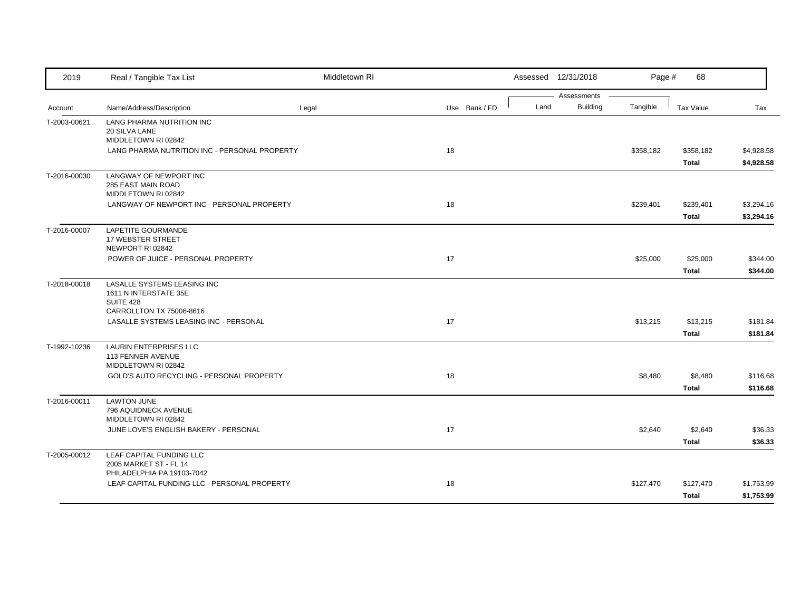| 2019         | Real / Tangible Tax List                                                   | Middletown RI |    |               |      | Assessed 12/31/2018            | Page #    | 68               |            |
|--------------|----------------------------------------------------------------------------|---------------|----|---------------|------|--------------------------------|-----------|------------------|------------|
|              |                                                                            |               |    |               | Land | Assessments<br><b>Building</b> | Tangible  |                  |            |
| Account      | Name/Address/Description                                                   | Legal         |    | Use Bank / FD |      |                                |           | <b>Tax Value</b> | Tax        |
| T-2003-00621 | LANG PHARMA NUTRITION INC<br>20 SILVA LANE                                 |               |    |               |      |                                |           |                  |            |
|              | MIDDLETOWN RI 02842                                                        |               |    |               |      |                                |           |                  |            |
|              | LANG PHARMA NUTRITION INC - PERSONAL PROPERTY                              |               | 18 |               |      |                                | \$358,182 | \$358,182        | \$4,928.58 |
|              |                                                                            |               |    |               |      |                                |           | <b>Total</b>     | \$4,928.58 |
| T-2016-00030 | LANGWAY OF NEWPORT INC                                                     |               |    |               |      |                                |           |                  |            |
|              | 285 EAST MAIN ROAD                                                         |               |    |               |      |                                |           |                  |            |
|              | MIDDLETOWN RI 02842                                                        |               |    |               |      |                                |           |                  |            |
|              | LANGWAY OF NEWPORT INC - PERSONAL PROPERTY                                 |               | 18 |               |      |                                | \$239,401 | \$239,401        | \$3,294.16 |
|              |                                                                            |               |    |               |      |                                |           | <b>Total</b>     | \$3,294.16 |
| T-2016-00007 | LAPETITE GOURMANDE                                                         |               |    |               |      |                                |           |                  |            |
|              | 17 WEBSTER STREET<br>NEWPORT RI 02842                                      |               |    |               |      |                                |           |                  |            |
|              | POWER OF JUICE - PERSONAL PROPERTY                                         |               | 17 |               |      |                                | \$25,000  | \$25,000         | \$344.00   |
|              |                                                                            |               |    |               |      |                                |           | <b>Total</b>     | \$344.00   |
| T-2018-00018 | LASALLE SYSTEMS LEASING INC                                                |               |    |               |      |                                |           |                  |            |
|              | 1611 N INTERSTATE 35E                                                      |               |    |               |      |                                |           |                  |            |
|              | SUITE 428                                                                  |               |    |               |      |                                |           |                  |            |
|              | CARROLLTON TX 75006-8616                                                   |               |    |               |      |                                |           |                  |            |
|              | LASALLE SYSTEMS LEASING INC - PERSONAL                                     |               | 17 |               |      |                                | \$13,215  | \$13,215         | \$181.84   |
|              |                                                                            |               |    |               |      |                                |           | <b>Total</b>     | \$181.84   |
| T-1992-10236 | <b>LAURIN ENTERPRISES LLC</b>                                              |               |    |               |      |                                |           |                  |            |
|              | 113 FENNER AVENUE<br>MIDDLETOWN RI 02842                                   |               |    |               |      |                                |           |                  |            |
|              | GOLD'S AUTO RECYCLING - PERSONAL PROPERTY                                  |               | 18 |               |      |                                | \$8,480   | \$8,480          | \$116.68   |
|              |                                                                            |               |    |               |      |                                |           | <b>Total</b>     | \$116.68   |
| T-2016-00011 | <b>LAWTON JUNE</b>                                                         |               |    |               |      |                                |           |                  |            |
|              | 796 AQUIDNECK AVENUE                                                       |               |    |               |      |                                |           |                  |            |
|              | MIDDLETOWN RI 02842                                                        |               |    |               |      |                                |           |                  |            |
|              | JUNE LOVE'S ENGLISH BAKERY - PERSONAL                                      |               | 17 |               |      |                                | \$2,640   | \$2,640          | \$36.33    |
|              |                                                                            |               |    |               |      |                                |           | <b>Total</b>     | \$36.33    |
| T-2005-00012 | LEAF CAPITAL FUNDING LLC                                                   |               |    |               |      |                                |           |                  |            |
|              | 2005 MARKET ST - FL 14                                                     |               |    |               |      |                                |           |                  |            |
|              | PHILADELPHIA PA 19103-7042<br>LEAF CAPITAL FUNDING LLC - PERSONAL PROPERTY |               | 18 |               |      |                                | \$127,470 | \$127,470        | \$1,753.99 |
|              |                                                                            |               |    |               |      |                                |           |                  |            |
|              |                                                                            |               |    |               |      |                                |           | <b>Total</b>     | \$1,753.99 |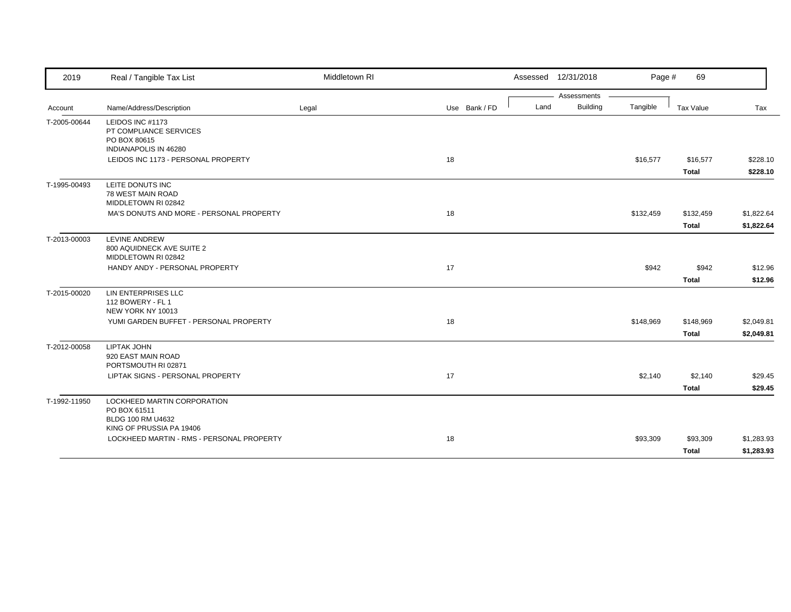| 2019         | Real / Tangible Tax List                                                                     | Middletown RI |               | Assessed 12/31/2018 |                 | Page #    | 69           |            |
|--------------|----------------------------------------------------------------------------------------------|---------------|---------------|---------------------|-----------------|-----------|--------------|------------|
|              |                                                                                              |               |               |                     | Assessments     |           |              |            |
| Account      | Name/Address/Description                                                                     | Legal         | Use Bank / FD | Land                | <b>Building</b> | Tangible  | Tax Value    | Tax        |
| T-2005-00644 | LEIDOS INC #1173<br>PT COMPLIANCE SERVICES<br>PO BOX 80615<br>INDIANAPOLIS IN 46280          |               |               |                     |                 |           |              |            |
|              | LEIDOS INC 1173 - PERSONAL PROPERTY                                                          |               | 18            |                     |                 | \$16,577  | \$16,577     | \$228.10   |
|              |                                                                                              |               |               |                     |                 |           | <b>Total</b> | \$228.10   |
| T-1995-00493 | LEITE DONUTS INC<br>78 WEST MAIN ROAD<br>MIDDLETOWN RI 02842                                 |               |               |                     |                 |           |              |            |
|              | MA'S DONUTS AND MORE - PERSONAL PROPERTY                                                     |               | 18            |                     |                 | \$132,459 | \$132,459    | \$1,822.64 |
|              |                                                                                              |               |               |                     |                 |           | <b>Total</b> | \$1,822.64 |
| T-2013-00003 | <b>LEVINE ANDREW</b><br>800 AQUIDNECK AVE SUITE 2<br>MIDDLETOWN RI 02842                     |               |               |                     |                 |           |              |            |
|              | HANDY ANDY - PERSONAL PROPERTY                                                               |               | 17            |                     |                 | \$942     | \$942        | \$12.96    |
|              |                                                                                              |               |               |                     |                 |           | <b>Total</b> | \$12.96    |
| T-2015-00020 | LIN ENTERPRISES LLC<br>112 BOWERY - FL 1<br>NEW YORK NY 10013                                |               |               |                     |                 |           |              |            |
|              | YUMI GARDEN BUFFET - PERSONAL PROPERTY                                                       |               | 18            |                     |                 | \$148,969 | \$148,969    | \$2,049.81 |
|              |                                                                                              |               |               |                     |                 |           | <b>Total</b> | \$2,049.81 |
| T-2012-00058 | <b>LIPTAK JOHN</b><br>920 EAST MAIN ROAD<br>PORTSMOUTH RI 02871                              |               |               |                     |                 |           |              |            |
|              | LIPTAK SIGNS - PERSONAL PROPERTY                                                             |               | 17            |                     |                 | \$2,140   | \$2,140      | \$29.45    |
|              |                                                                                              |               |               |                     |                 |           | <b>Total</b> | \$29.45    |
| T-1992-11950 | LOCKHEED MARTIN CORPORATION<br>PO BOX 61511<br>BLDG 100 RM U4632<br>KING OF PRUSSIA PA 19406 |               |               |                     |                 |           |              |            |
|              | LOCKHEED MARTIN - RMS - PERSONAL PROPERTY                                                    |               | 18            |                     |                 | \$93,309  | \$93,309     | \$1,283.93 |
|              |                                                                                              |               |               |                     |                 |           | <b>Total</b> | \$1,283.93 |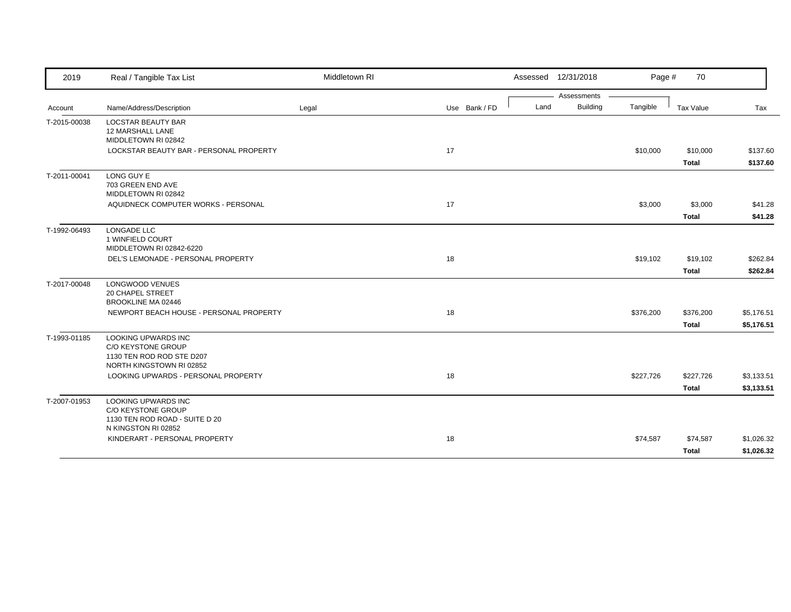| 2019         | Real / Tangible Tax List                                                                           | Middletown RI |               | Assessed 12/31/2018 |             | Page #    | 70           |            |
|--------------|----------------------------------------------------------------------------------------------------|---------------|---------------|---------------------|-------------|-----------|--------------|------------|
|              |                                                                                                    |               |               |                     | Assessments |           |              |            |
| Account      | Name/Address/Description                                                                           | Legal         | Use Bank / FD | Land                | Building    | Tangible  | Tax Value    | Tax        |
| T-2015-00038 | <b>LOCSTAR BEAUTY BAR</b><br>12 MARSHALL LANE<br>MIDDLETOWN RI 02842                               |               |               |                     |             |           |              |            |
|              | LOCKSTAR BEAUTY BAR - PERSONAL PROPERTY                                                            |               | 17            |                     |             | \$10,000  | \$10,000     | \$137.60   |
|              |                                                                                                    |               |               |                     |             |           | <b>Total</b> | \$137.60   |
| T-2011-00041 | LONG GUY E<br>703 GREEN END AVE<br>MIDDLETOWN RI 02842                                             |               |               |                     |             |           |              |            |
|              | AQUIDNECK COMPUTER WORKS - PERSONAL                                                                |               | 17            |                     |             | \$3,000   | \$3,000      | \$41.28    |
|              |                                                                                                    |               |               |                     |             |           | <b>Total</b> | \$41.28    |
| T-1992-06493 | LONGADE LLC<br>1 WINFIELD COURT<br>MIDDLETOWN RI 02842-6220                                        |               |               |                     |             |           |              |            |
|              | DEL'S LEMONADE - PERSONAL PROPERTY                                                                 |               | 18            |                     |             | \$19,102  | \$19,102     | \$262.84   |
|              |                                                                                                    |               |               |                     |             |           | <b>Total</b> | \$262.84   |
| T-2017-00048 | <b>LONGWOOD VENUES</b><br><b>20 CHAPEL STREET</b><br>BROOKLINE MA 02446                            |               |               |                     |             |           |              |            |
|              | NEWPORT BEACH HOUSE - PERSONAL PROPERTY                                                            |               | 18            |                     |             | \$376,200 | \$376,200    | \$5,176.51 |
|              |                                                                                                    |               |               |                     |             |           | Total        | \$5,176.51 |
| T-1993-01185 | LOOKING UPWARDS INC<br>C/O KEYSTONE GROUP<br>1130 TEN ROD ROD STE D207<br>NORTH KINGSTOWN RI 02852 |               |               |                     |             |           |              |            |
|              | LOOKING UPWARDS - PERSONAL PROPERTY                                                                |               | 18            |                     |             | \$227,726 | \$227,726    | \$3,133.51 |
|              |                                                                                                    |               |               |                     |             |           | <b>Total</b> | \$3,133.51 |
| T-2007-01953 | LOOKING UPWARDS INC<br>C/O KEYSTONE GROUP<br>1130 TEN ROD ROAD - SUITE D 20<br>N KINGSTON RI 02852 |               |               |                     |             |           |              |            |
|              | KINDERART - PERSONAL PROPERTY                                                                      |               | 18            |                     |             | \$74,587  | \$74,587     | \$1,026.32 |
|              |                                                                                                    |               |               |                     |             |           | Total        | \$1,026.32 |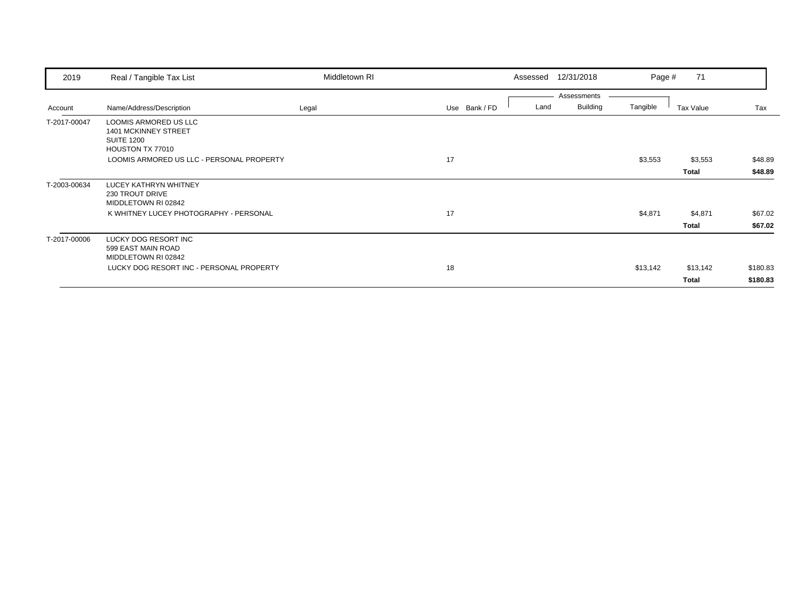| 2019         | Real / Tangible Tax List                                                                             | Middletown RI |               | Assessed | 12/31/2018                     | Page #   | 71           |          |
|--------------|------------------------------------------------------------------------------------------------------|---------------|---------------|----------|--------------------------------|----------|--------------|----------|
| Account      | Name/Address/Description                                                                             | Legal         | Use Bank / FD | Land     | Assessments<br><b>Building</b> | Tangible | Tax Value    | Tax      |
| T-2017-00047 | <b>LOOMIS ARMORED US LLC</b><br><b>1401 MCKINNEY STREET</b><br><b>SUITE 1200</b><br>HOUSTON TX 77010 |               |               |          |                                |          |              |          |
|              | LOOMIS ARMORED US LLC - PERSONAL PROPERTY                                                            |               | 17            |          |                                | \$3,553  | \$3,553      | \$48.89  |
|              |                                                                                                      |               |               |          |                                |          | <b>Total</b> | \$48.89  |
| T-2003-00634 | LUCEY KATHRYN WHITNEY<br><b>230 TROUT DRIVE</b><br>MIDDLETOWN RI 02842                               |               |               |          |                                |          |              |          |
|              | K WHITNEY LUCEY PHOTOGRAPHY - PERSONAL                                                               |               | 17            |          |                                | \$4,871  | \$4,871      | \$67.02  |
|              |                                                                                                      |               |               |          |                                |          | <b>Total</b> | \$67.02  |
| T-2017-00006 | LUCKY DOG RESORT INC<br>599 EAST MAIN ROAD<br>MIDDLETOWN RI 02842                                    |               |               |          |                                |          |              |          |
|              | LUCKY DOG RESORT INC - PERSONAL PROPERTY                                                             |               | 18            |          |                                | \$13,142 | \$13,142     | \$180.83 |
|              |                                                                                                      |               |               |          |                                |          | Total        | \$180.83 |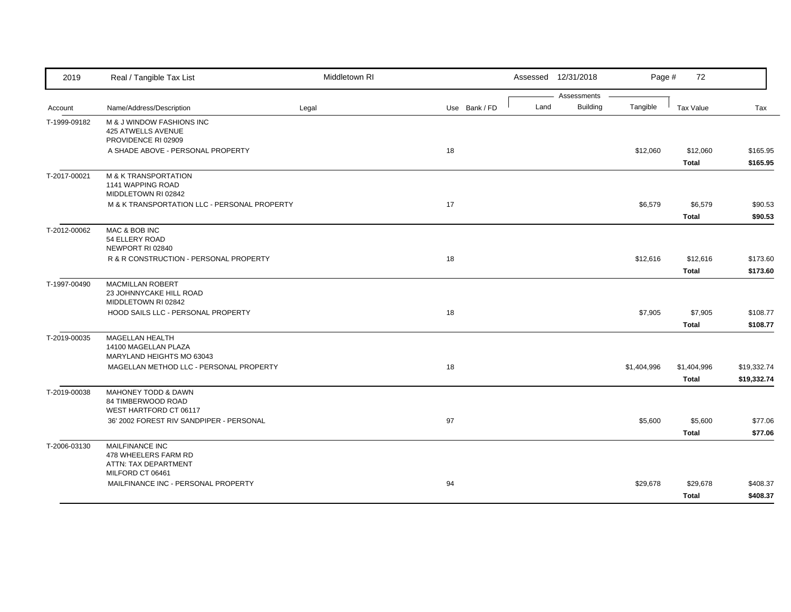| 2019         | Real / Tangible Tax List                                                                   | Middletown RI |               |      | Assessed 12/31/2018            | Page #      | 72                          |                            |
|--------------|--------------------------------------------------------------------------------------------|---------------|---------------|------|--------------------------------|-------------|-----------------------------|----------------------------|
| Account      | Name/Address/Description                                                                   | Legal         | Use Bank / FD | Land | Assessments<br><b>Building</b> | Tangible    | Tax Value                   | Tax                        |
| T-1999-09182 | M & J WINDOW FASHIONS INC<br>425 ATWELLS AVENUE<br>PROVIDENCE RI 02909                     |               |               |      |                                |             |                             |                            |
|              | A SHADE ABOVE - PERSONAL PROPERTY                                                          |               | 18            |      |                                | \$12,060    | \$12,060<br>Total           | \$165.95<br>\$165.95       |
| T-2017-00021 | <b>M &amp; K TRANSPORTATION</b><br>1141 WAPPING ROAD<br>MIDDLETOWN RI 02842                |               |               |      |                                |             |                             |                            |
|              | M & K TRANSPORTATION LLC - PERSONAL PROPERTY                                               |               | 17            |      |                                | \$6,579     | \$6,579<br><b>Total</b>     | \$90.53<br>\$90.53         |
| T-2012-00062 | MAC & BOB INC<br>54 ELLERY ROAD<br>NEWPORT RI 02840                                        |               |               |      |                                |             |                             |                            |
|              | R & R CONSTRUCTION - PERSONAL PROPERTY                                                     |               | 18            |      |                                | \$12,616    | \$12,616<br><b>Total</b>    | \$173.60<br>\$173.60       |
| T-1997-00490 | <b>MACMILLAN ROBERT</b><br>23 JOHNNYCAKE HILL ROAD<br>MIDDLETOWN RI 02842                  |               |               |      |                                |             |                             |                            |
|              | HOOD SAILS LLC - PERSONAL PROPERTY                                                         |               | 18            |      |                                | \$7,905     | \$7,905<br><b>Total</b>     | \$108.77<br>\$108.77       |
| T-2019-00035 | <b>MAGELLAN HEALTH</b><br>14100 MAGELLAN PLAZA<br>MARYLAND HEIGHTS MO 63043                |               |               |      |                                |             |                             |                            |
|              | MAGELLAN METHOD LLC - PERSONAL PROPERTY                                                    |               | 18            |      |                                | \$1,404,996 | \$1,404,996<br><b>Total</b> | \$19,332.74<br>\$19,332.74 |
| T-2019-00038 | MAHONEY TODD & DAWN<br>84 TIMBERWOOD ROAD<br>WEST HARTFORD CT 06117                        |               |               |      |                                |             |                             |                            |
|              | 36' 2002 FOREST RIV SANDPIPER - PERSONAL                                                   |               | 97            |      |                                | \$5,600     | \$5,600<br><b>Total</b>     | \$77.06<br>\$77.06         |
| T-2006-03130 | <b>MAILFINANCE INC</b><br>478 WHEELERS FARM RD<br>ATTN: TAX DEPARTMENT<br>MILFORD CT 06461 |               |               |      |                                |             |                             |                            |
|              | MAILFINANCE INC - PERSONAL PROPERTY                                                        |               | 94            |      |                                | \$29,678    | \$29,678<br><b>Total</b>    | \$408.37<br>\$408.37       |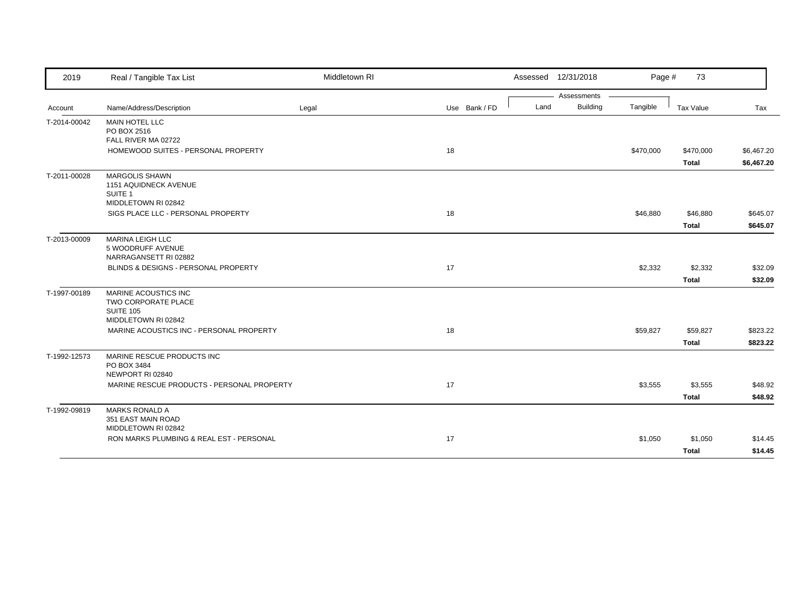| 2019         | Real / Tangible Tax List                                                               | Middletown RI |               | Assessed 12/31/2018 |                 | Page #    | 73                        |                          |
|--------------|----------------------------------------------------------------------------------------|---------------|---------------|---------------------|-----------------|-----------|---------------------------|--------------------------|
|              |                                                                                        |               |               |                     | Assessments     |           |                           |                          |
| Account      | Name/Address/Description                                                               | Legal         | Use Bank / FD | Land                | <b>Building</b> | Tangible  | Tax Value                 | Tax                      |
| T-2014-00042 | <b>MAIN HOTEL LLC</b><br>PO BOX 2516                                                   |               |               |                     |                 |           |                           |                          |
|              | FALL RIVER MA 02722<br>HOMEWOOD SUITES - PERSONAL PROPERTY                             |               | 18            |                     |                 | \$470,000 | \$470,000<br><b>Total</b> | \$6,467.20<br>\$6,467.20 |
| T-2011-00028 | <b>MARGOLIS SHAWN</b><br>1151 AQUIDNECK AVENUE<br>SUITE 1<br>MIDDLETOWN RI 02842       |               |               |                     |                 |           |                           |                          |
|              | SIGS PLACE LLC - PERSONAL PROPERTY                                                     |               | 18            |                     |                 | \$46,880  | \$46,880<br><b>Total</b>  | \$645.07<br>\$645.07     |
| T-2013-00009 | <b>MARINA LEIGH LLC</b><br>5 WOODRUFF AVENUE<br>NARRAGANSETT RI 02882                  |               |               |                     |                 |           |                           |                          |
|              | BLINDS & DESIGNS - PERSONAL PROPERTY                                                   |               | 17            |                     |                 | \$2,332   | \$2,332                   | \$32.09                  |
|              |                                                                                        |               |               |                     |                 |           | <b>Total</b>              | \$32.09                  |
| T-1997-00189 | MARINE ACOUSTICS INC<br>TWO CORPORATE PLACE<br><b>SUITE 105</b><br>MIDDLETOWN RI 02842 |               |               |                     |                 |           |                           |                          |
|              | MARINE ACOUSTICS INC - PERSONAL PROPERTY                                               |               | 18            |                     |                 | \$59,827  | \$59,827<br><b>Total</b>  | \$823.22<br>\$823.22     |
| T-1992-12573 | MARINE RESCUE PRODUCTS INC<br>PO BOX 3484<br>NEWPORT RI 02840                          |               |               |                     |                 |           |                           |                          |
|              | MARINE RESCUE PRODUCTS - PERSONAL PROPERTY                                             |               | 17            |                     |                 | \$3,555   | \$3,555<br><b>Total</b>   | \$48.92<br>\$48.92       |
| T-1992-09819 | <b>MARKS RONALD A</b><br>351 EAST MAIN ROAD<br>MIDDLETOWN RI 02842                     |               |               |                     |                 |           |                           |                          |
|              | RON MARKS PLUMBING & REAL EST - PERSONAL                                               |               | 17            |                     |                 | \$1,050   | \$1,050<br><b>Total</b>   | \$14.45<br>\$14.45       |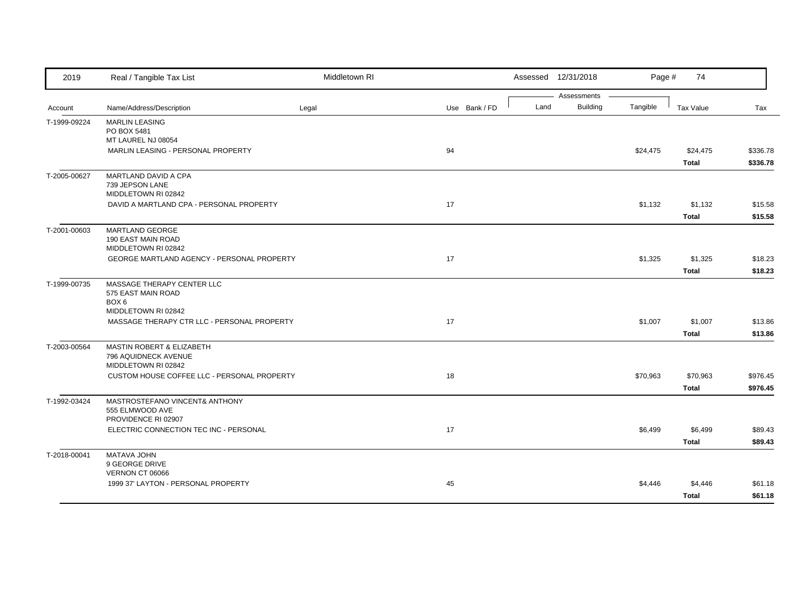| 2019         | Real / Tangible Tax List                          | Middletown RI |               |      | Assessed 12/31/2018            | Page #   | 74           |          |
|--------------|---------------------------------------------------|---------------|---------------|------|--------------------------------|----------|--------------|----------|
|              | Name/Address/Description                          |               | Use Bank / FD | Land | Assessments<br><b>Building</b> | Tangible | Tax Value    |          |
| Account      |                                                   | Legal         |               |      |                                |          |              | Tax      |
| T-1999-09224 | <b>MARLIN LEASING</b><br>PO BOX 5481              |               |               |      |                                |          |              |          |
|              | MT LAUREL NJ 08054                                |               |               |      |                                |          |              |          |
|              | MARLIN LEASING - PERSONAL PROPERTY                |               | 94            |      |                                | \$24,475 | \$24,475     | \$336.78 |
|              |                                                   |               |               |      |                                |          | Total        | \$336.78 |
| T-2005-00627 | MARTLAND DAVID A CPA                              |               |               |      |                                |          |              |          |
|              | 739 JEPSON LANE                                   |               |               |      |                                |          |              |          |
|              | MIDDLETOWN RI 02842                               |               |               |      |                                |          |              |          |
|              | DAVID A MARTLAND CPA - PERSONAL PROPERTY          |               | 17            |      |                                | \$1,132  | \$1,132      | \$15.58  |
|              |                                                   |               |               |      |                                |          | <b>Total</b> | \$15.58  |
| T-2001-00603 | <b>MARTLAND GEORGE</b>                            |               |               |      |                                |          |              |          |
|              | 190 EAST MAIN ROAD<br>MIDDLETOWN RI 02842         |               |               |      |                                |          |              |          |
|              | GEORGE MARTLAND AGENCY - PERSONAL PROPERTY        |               | 17            |      |                                | \$1,325  | \$1,325      | \$18.23  |
|              |                                                   |               |               |      |                                |          | <b>Total</b> | \$18.23  |
| T-1999-00735 | MASSAGE THERAPY CENTER LLC                        |               |               |      |                                |          |              |          |
|              | 575 EAST MAIN ROAD                                |               |               |      |                                |          |              |          |
|              | BOX <sub>6</sub>                                  |               |               |      |                                |          |              |          |
|              | MIDDLETOWN RI 02842                               |               |               |      |                                |          |              |          |
|              | MASSAGE THERAPY CTR LLC - PERSONAL PROPERTY       |               | 17            |      |                                | \$1,007  | \$1,007      | \$13.86  |
|              |                                                   |               |               |      |                                |          | <b>Total</b> | \$13.86  |
| T-2003-00564 | <b>MASTIN ROBERT &amp; ELIZABETH</b>              |               |               |      |                                |          |              |          |
|              | 796 AQUIDNECK AVENUE<br>MIDDLETOWN RI 02842       |               |               |      |                                |          |              |          |
|              | CUSTOM HOUSE COFFEE LLC - PERSONAL PROPERTY       |               | 18            |      |                                | \$70,963 | \$70,963     | \$976.45 |
|              |                                                   |               |               |      |                                |          |              |          |
|              |                                                   |               |               |      |                                |          | <b>Total</b> | \$976.45 |
| T-1992-03424 | MASTROSTEFANO VINCENT& ANTHONY<br>555 ELMWOOD AVE |               |               |      |                                |          |              |          |
|              | PROVIDENCE RI 02907                               |               |               |      |                                |          |              |          |
|              | ELECTRIC CONNECTION TEC INC - PERSONAL            |               | 17            |      |                                | \$6,499  | \$6,499      | \$89.43  |
|              |                                                   |               |               |      |                                |          | <b>Total</b> | \$89.43  |
| T-2018-00041 | MATAVA JOHN                                       |               |               |      |                                |          |              |          |
|              | 9 GEORGE DRIVE                                    |               |               |      |                                |          |              |          |
|              | VERNON CT 06066                                   |               |               |      |                                |          |              |          |
|              | 1999 37' LAYTON - PERSONAL PROPERTY               |               | 45            |      |                                | \$4,446  | \$4,446      | \$61.18  |
|              |                                                   |               |               |      |                                |          | <b>Total</b> | \$61.18  |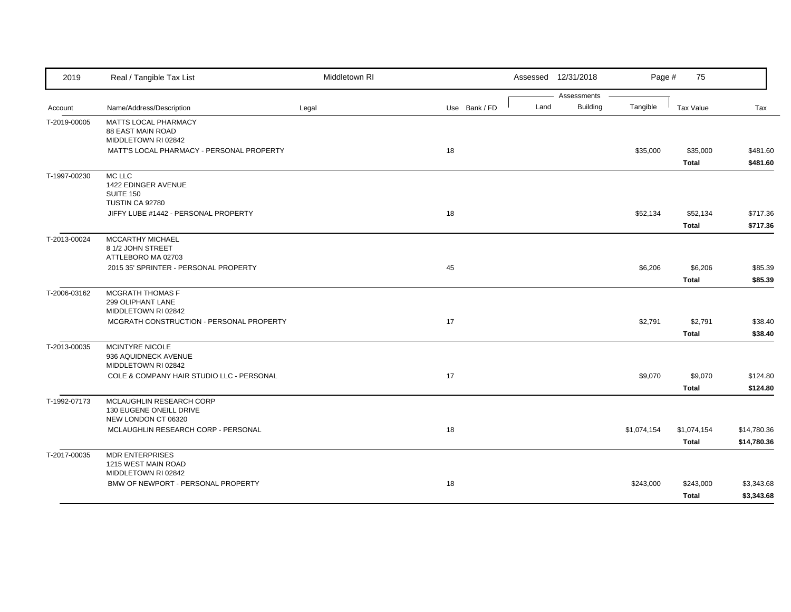| 2019         | Real / Tangible Tax List                                                   | Middletown RI |               |      | Assessed 12/31/2018            | Page #      | 75                          |                            |
|--------------|----------------------------------------------------------------------------|---------------|---------------|------|--------------------------------|-------------|-----------------------------|----------------------------|
| Account      | Name/Address/Description                                                   | Legal         | Use Bank / FD | Land | Assessments<br><b>Building</b> | Tangible    | Tax Value                   | Tax                        |
| T-2019-00005 | MATTS LOCAL PHARMACY<br>88 EAST MAIN ROAD<br>MIDDLETOWN RI 02842           |               |               |      |                                |             |                             |                            |
|              | MATT'S LOCAL PHARMACY - PERSONAL PROPERTY                                  |               | 18            |      |                                | \$35,000    | \$35,000<br><b>Total</b>    | \$481.60<br>\$481.60       |
| T-1997-00230 | MC LLC<br>1422 EDINGER AVENUE<br>SUITE 150<br>TUSTIN CA 92780              |               |               |      |                                |             |                             |                            |
|              | JIFFY LUBE #1442 - PERSONAL PROPERTY                                       |               | 18            |      |                                | \$52,134    | \$52,134<br><b>Total</b>    | \$717.36<br>\$717.36       |
| T-2013-00024 | MCCARTHY MICHAEL<br>8 1/2 JOHN STREET<br>ATTLEBORO MA 02703                |               |               |      |                                |             |                             |                            |
|              | 2015 35' SPRINTER - PERSONAL PROPERTY                                      |               | 45            |      |                                | \$6,206     | \$6,206<br><b>Total</b>     | \$85.39<br>\$85.39         |
| T-2006-03162 | <b>MCGRATH THOMAS F</b><br>299 OLIPHANT LANE<br>MIDDLETOWN RI 02842        |               |               |      |                                |             |                             |                            |
|              | MCGRATH CONSTRUCTION - PERSONAL PROPERTY                                   |               | 17            |      |                                | \$2,791     | \$2,791<br><b>Total</b>     | \$38.40<br>\$38.40         |
| T-2013-00035 | <b>MCINTYRE NICOLE</b><br>936 AQUIDNECK AVENUE<br>MIDDLETOWN RI 02842      |               |               |      |                                |             |                             |                            |
|              | COLE & COMPANY HAIR STUDIO LLC - PERSONAL                                  |               | 17            |      |                                | \$9,070     | \$9,070<br><b>Total</b>     | \$124.80<br>\$124.80       |
| T-1992-07173 | MCLAUGHLIN RESEARCH CORP<br>130 EUGENE ONEILL DRIVE<br>NEW LONDON CT 06320 |               |               |      |                                |             |                             |                            |
|              | MCLAUGHLIN RESEARCH CORP - PERSONAL                                        |               | 18            |      |                                | \$1,074,154 | \$1,074,154<br><b>Total</b> | \$14,780.36<br>\$14,780.36 |
| T-2017-00035 | <b>MDR ENTERPRISES</b><br>1215 WEST MAIN ROAD<br>MIDDLETOWN RI 02842       |               |               |      |                                |             |                             |                            |
|              | BMW OF NEWPORT - PERSONAL PROPERTY                                         |               | 18            |      |                                | \$243,000   | \$243,000<br><b>Total</b>   | \$3,343.68<br>\$3,343.68   |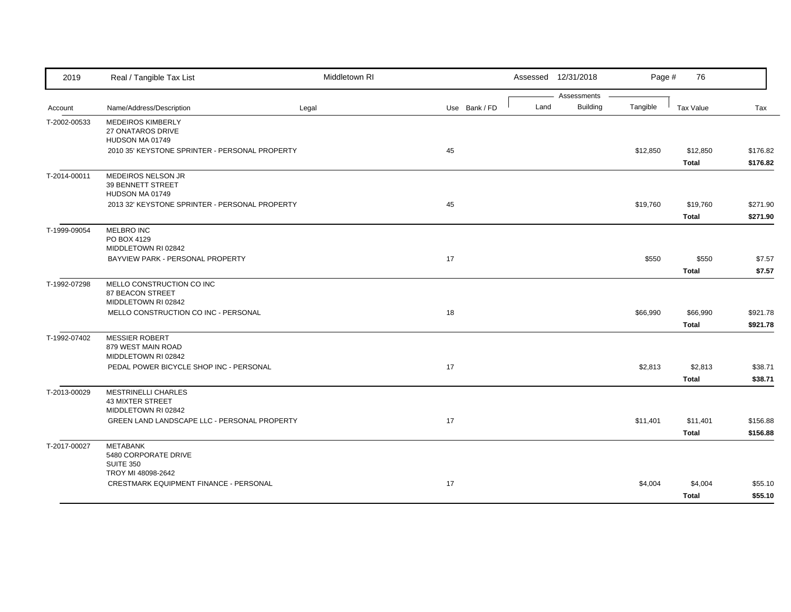| 2019         | Real / Tangible Tax List                                                     | Middletown RI |               |      | Assessed 12/31/2018            | Page #   | 76                       |                      |
|--------------|------------------------------------------------------------------------------|---------------|---------------|------|--------------------------------|----------|--------------------------|----------------------|
| Account      | Name/Address/Description                                                     | Legal         | Use Bank / FD | Land | Assessments<br><b>Building</b> | Tangible | Tax Value                | Tax                  |
| T-2002-00533 | <b>MEDEIROS KIMBERLY</b><br>27 ONATAROS DRIVE<br>HUDSON MA 01749             |               |               |      |                                |          |                          |                      |
|              | 2010 35' KEYSTONE SPRINTER - PERSONAL PROPERTY                               |               | 45            |      |                                | \$12,850 | \$12,850<br><b>Total</b> | \$176.82<br>\$176.82 |
| T-2014-00011 | MEDEIROS NELSON JR<br>39 BENNETT STREET<br>HUDSON MA 01749                   |               |               |      |                                |          |                          |                      |
|              | 2013 32' KEYSTONE SPRINTER - PERSONAL PROPERTY                               |               | 45            |      |                                | \$19,760 | \$19,760<br><b>Total</b> | \$271.90<br>\$271.90 |
| T-1999-09054 | MELBRO INC<br>PO BOX 4129<br>MIDDLETOWN RI 02842                             |               |               |      |                                |          |                          |                      |
|              | BAYVIEW PARK - PERSONAL PROPERTY                                             |               | 17            |      |                                | \$550    | \$550<br><b>Total</b>    | \$7.57<br>\$7.57     |
| T-1992-07298 | MELLO CONSTRUCTION CO INC<br>87 BEACON STREET<br>MIDDLETOWN RI 02842         |               |               |      |                                |          |                          |                      |
|              | MELLO CONSTRUCTION CO INC - PERSONAL                                         |               | 18            |      |                                | \$66,990 | \$66,990<br><b>Total</b> | \$921.78<br>\$921.78 |
| T-1992-07402 | <b>MESSIER ROBERT</b><br>879 WEST MAIN ROAD<br>MIDDLETOWN RI 02842           |               |               |      |                                |          |                          |                      |
|              | PEDAL POWER BICYCLE SHOP INC - PERSONAL                                      |               | 17            |      |                                | \$2,813  | \$2,813<br>Total         | \$38.71<br>\$38.71   |
| T-2013-00029 | <b>MESTRINELLI CHARLES</b><br><b>43 MIXTER STREET</b><br>MIDDLETOWN RI 02842 |               |               |      |                                |          |                          |                      |
|              | GREEN LAND LANDSCAPE LLC - PERSONAL PROPERTY                                 |               | 17            |      |                                | \$11,401 | \$11,401<br><b>Total</b> | \$156.88<br>\$156.88 |
| T-2017-00027 | <b>METABANK</b><br>5480 CORPORATE DRIVE<br><b>SUITE 350</b>                  |               |               |      |                                |          |                          |                      |
|              | TROY MI 48098-2642<br>CRESTMARK EQUIPMENT FINANCE - PERSONAL                 |               | 17            |      |                                | \$4,004  | \$4,004<br><b>Total</b>  | \$55.10<br>\$55.10   |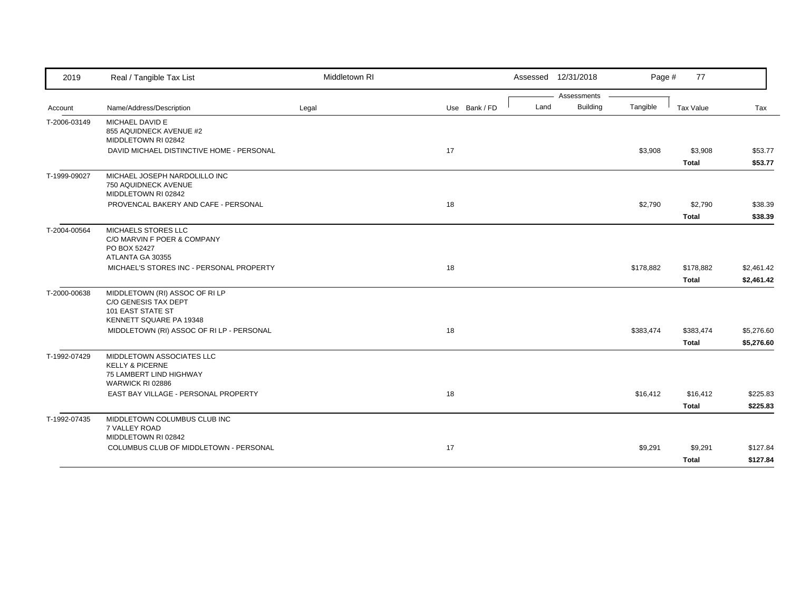| 2019         | Real / Tangible Tax List                                                                               | Middletown RI |               |      | Assessed 12/31/2018 | Page #    | 77               |            |
|--------------|--------------------------------------------------------------------------------------------------------|---------------|---------------|------|---------------------|-----------|------------------|------------|
|              |                                                                                                        |               |               |      | Assessments         |           |                  |            |
| Account      | Name/Address/Description                                                                               | Legal         | Use Bank / FD | Land | <b>Building</b>     | Tangible  | <b>Tax Value</b> | Tax        |
| T-2006-03149 | MICHAEL DAVID E<br>855 AQUIDNECK AVENUE #2<br>MIDDLETOWN RI 02842                                      |               |               |      |                     |           |                  |            |
|              | DAVID MICHAEL DISTINCTIVE HOME - PERSONAL                                                              |               | 17            |      |                     | \$3,908   | \$3,908          | \$53.77    |
|              |                                                                                                        |               |               |      |                     |           | <b>Total</b>     | \$53.77    |
| T-1999-09027 | MICHAEL JOSEPH NARDOLILLO INC<br>750 AQUIDNECK AVENUE<br>MIDDLETOWN RI 02842                           |               |               |      |                     |           |                  |            |
|              | PROVENCAL BAKERY AND CAFE - PERSONAL                                                                   |               | 18            |      |                     | \$2,790   | \$2,790          | \$38.39    |
|              |                                                                                                        |               |               |      |                     |           | <b>Total</b>     | \$38.39    |
| T-2004-00564 | MICHAELS STORES LLC<br>C/O MARVIN F POER & COMPANY<br>PO BOX 52427<br>ATLANTA GA 30355                 |               |               |      |                     |           |                  |            |
|              | MICHAEL'S STORES INC - PERSONAL PROPERTY                                                               |               | 18            |      |                     | \$178,882 | \$178,882        | \$2,461.42 |
|              |                                                                                                        |               |               |      |                     |           | <b>Total</b>     | \$2,461.42 |
| T-2000-00638 | MIDDLETOWN (RI) ASSOC OF RI LP<br>C/O GENESIS TAX DEPT<br>101 EAST STATE ST<br>KENNETT SQUARE PA 19348 |               |               |      |                     |           |                  |            |
|              | MIDDLETOWN (RI) ASSOC OF RI LP - PERSONAL                                                              |               | 18            |      |                     | \$383,474 | \$383,474        | \$5,276.60 |
|              |                                                                                                        |               |               |      |                     |           | <b>Total</b>     | \$5,276.60 |
| T-1992-07429 | MIDDLETOWN ASSOCIATES LLC<br><b>KELLY &amp; PICERNE</b><br>75 LAMBERT LIND HIGHWAY<br>WARWICK RI 02886 |               |               |      |                     |           |                  |            |
|              | EAST BAY VILLAGE - PERSONAL PROPERTY                                                                   |               | 18            |      |                     | \$16,412  | \$16,412         | \$225.83   |
|              |                                                                                                        |               |               |      |                     |           | <b>Total</b>     | \$225.83   |
| T-1992-07435 | MIDDLETOWN COLUMBUS CLUB INC<br>7 VALLEY ROAD<br>MIDDLETOWN RI 02842                                   |               |               |      |                     |           |                  |            |
|              | COLUMBUS CLUB OF MIDDLETOWN - PERSONAL                                                                 |               | 17            |      |                     | \$9,291   | \$9,291          | \$127.84   |
|              |                                                                                                        |               |               |      |                     |           | <b>Total</b>     | \$127.84   |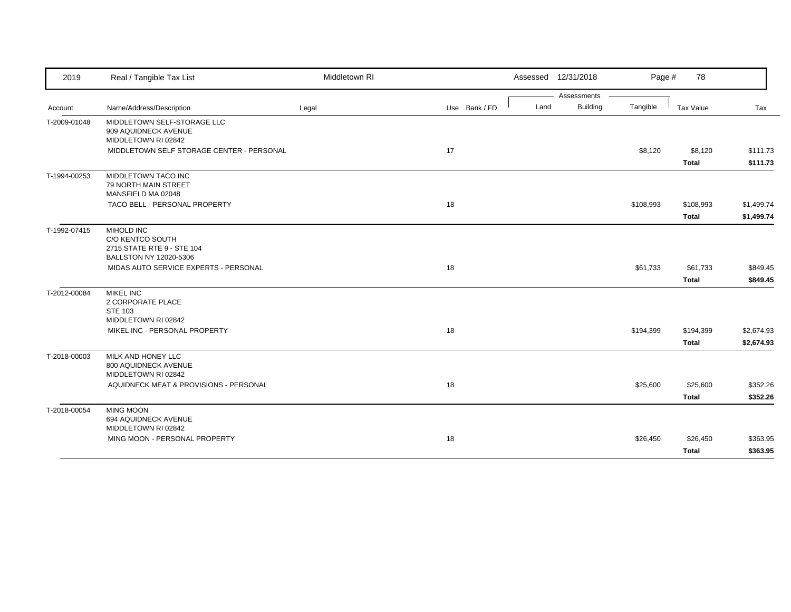| 2019         | Real / Tangible Tax List                                                               | Middletown RI |               | Assessed 12/31/2018     | Page #    | 78                      |                      |
|--------------|----------------------------------------------------------------------------------------|---------------|---------------|-------------------------|-----------|-------------------------|----------------------|
|              |                                                                                        |               |               | Assessments             |           |                         |                      |
| Account      | Name/Address/Description                                                               | Legal         | Use Bank / FD | <b>Building</b><br>Land | Tangible  | Tax Value               | Tax                  |
| T-2009-01048 | MIDDLETOWN SELF-STORAGE LLC<br>909 AQUIDNECK AVENUE<br>MIDDLETOWN RI 02842             |               |               |                         |           |                         |                      |
|              | MIDDLETOWN SELF STORAGE CENTER - PERSONAL                                              |               | 17            |                         | \$8,120   | \$8,120<br><b>Total</b> | \$111.73<br>\$111.73 |
| T-1994-00253 | MIDDLETOWN TACO INC<br>79 NORTH MAIN STREET<br>MANSFIELD MA 02048                      |               |               |                         |           |                         |                      |
|              | TACO BELL - PERSONAL PROPERTY                                                          |               | 18            |                         | \$108,993 | \$108,993               | \$1,499.74           |
|              |                                                                                        |               |               |                         |           | <b>Total</b>            | \$1,499.74           |
| T-1992-07415 | MIHOLD INC<br>C/O KENTCO SOUTH<br>2715 STATE RTE 9 - STE 104<br>BALLSTON NY 12020-5306 |               |               |                         |           |                         |                      |
|              | MIDAS AUTO SERVICE EXPERTS - PERSONAL                                                  |               | 18            |                         | \$61,733  | \$61,733                | \$849.45             |
|              |                                                                                        |               |               |                         |           | <b>Total</b>            | \$849.45             |
| T-2012-00084 | <b>MIKEL INC</b><br>2 CORPORATE PLACE<br><b>STE 103</b>                                |               |               |                         |           |                         |                      |
|              | MIDDLETOWN RI 02842<br>MIKEL INC - PERSONAL PROPERTY                                   |               | 18            |                         | \$194,399 | \$194,399               | \$2,674.93           |
|              |                                                                                        |               |               |                         |           | <b>Total</b>            | \$2,674.93           |
| T-2018-00003 | MILK AND HONEY LLC<br>800 AQUIDNECK AVENUE<br>MIDDLETOWN RI 02842                      |               |               |                         |           |                         |                      |
|              | AQUIDNECK MEAT & PROVISIONS - PERSONAL                                                 |               | 18            |                         | \$25,600  | \$25,600                | \$352.26             |
|              |                                                                                        |               |               |                         |           | <b>Total</b>            | \$352.26             |
| T-2018-00054 | <b>MING MOON</b><br>694 AQUIDNECK AVENUE<br>MIDDLETOWN RI 02842                        |               |               |                         |           |                         |                      |
|              | MING MOON - PERSONAL PROPERTY                                                          |               | 18            |                         | \$26,450  | \$26,450                | \$363.95             |
|              |                                                                                        |               |               |                         |           | <b>Total</b>            | \$363.95             |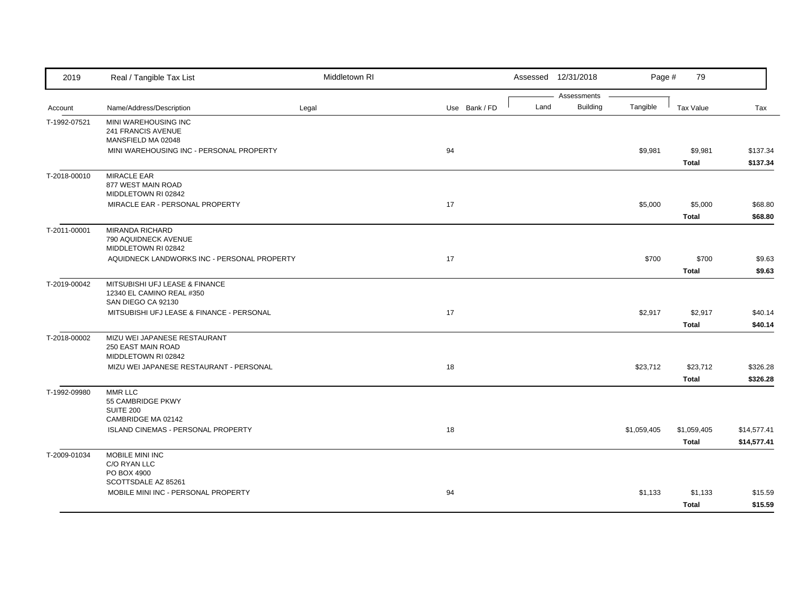| 2019         | Real / Tangible Tax List                                                          | Middletown RI |               |      | Assessed 12/31/2018            | Page #      | 79                          |                            |
|--------------|-----------------------------------------------------------------------------------|---------------|---------------|------|--------------------------------|-------------|-----------------------------|----------------------------|
| Account      | Name/Address/Description                                                          | Legal         | Use Bank / FD | Land | Assessments<br><b>Building</b> | Tangible    | <b>Tax Value</b>            | Tax                        |
| T-1992-07521 | MINI WAREHOUSING INC<br>241 FRANCIS AVENUE<br>MANSFIELD MA 02048                  |               |               |      |                                |             |                             |                            |
|              | MINI WAREHOUSING INC - PERSONAL PROPERTY                                          |               | 94            |      |                                | \$9,981     | \$9,981<br><b>Total</b>     | \$137.34<br>\$137.34       |
| T-2018-00010 | <b>MIRACLE EAR</b><br>877 WEST MAIN ROAD<br>MIDDLETOWN RI 02842                   |               |               |      |                                |             |                             |                            |
|              | MIRACLE EAR - PERSONAL PROPERTY                                                   |               | 17            |      |                                | \$5,000     | \$5,000<br><b>Total</b>     | \$68.80<br>\$68.80         |
| T-2011-00001 | <b>MIRANDA RICHARD</b><br>790 AQUIDNECK AVENUE<br>MIDDLETOWN RI 02842             |               |               |      |                                |             |                             |                            |
|              | AQUIDNECK LANDWORKS INC - PERSONAL PROPERTY                                       |               | 17            |      |                                | \$700       | \$700<br><b>Total</b>       | \$9.63<br>\$9.63           |
| T-2019-00042 | MITSUBISHI UFJ LEASE & FINANCE<br>12340 EL CAMINO REAL #350<br>SAN DIEGO CA 92130 |               |               |      |                                |             |                             |                            |
|              | MITSUBISHI UFJ LEASE & FINANCE - PERSONAL                                         |               | 17            |      |                                | \$2,917     | \$2,917<br><b>Total</b>     | \$40.14<br>\$40.14         |
| T-2018-00002 | MIZU WEI JAPANESE RESTAURANT<br>250 EAST MAIN ROAD<br>MIDDLETOWN RI 02842         |               |               |      |                                |             |                             |                            |
|              | MIZU WEI JAPANESE RESTAURANT - PERSONAL                                           |               | 18            |      |                                | \$23,712    | \$23,712<br><b>Total</b>    | \$326.28<br>\$326.28       |
| T-1992-09980 | <b>MMR LLC</b><br>55 CAMBRIDGE PKWY<br>SUITE 200                                  |               |               |      |                                |             |                             |                            |
|              | CAMBRIDGE MA 02142<br>ISLAND CINEMAS - PERSONAL PROPERTY                          |               | 18            |      |                                | \$1,059,405 | \$1,059,405<br><b>Total</b> | \$14,577.41<br>\$14,577.41 |
| T-2009-01034 | MOBILE MINI INC<br>C/O RYAN LLC<br>PO BOX 4900                                    |               |               |      |                                |             |                             |                            |
|              | SCOTTSDALE AZ 85261<br>MOBILE MINI INC - PERSONAL PROPERTY                        |               | 94            |      |                                | \$1,133     | \$1,133<br>Total            | \$15.59<br>\$15.59         |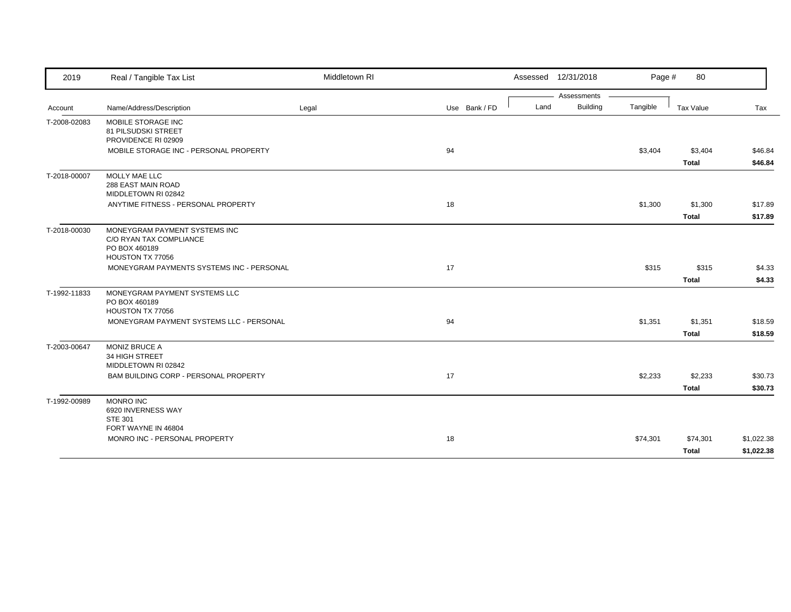| 2019         | Real / Tangible Tax List                                                                      | Middletown RI |               |      | Assessed 12/31/2018 | Page #   | 80               |                    |
|--------------|-----------------------------------------------------------------------------------------------|---------------|---------------|------|---------------------|----------|------------------|--------------------|
|              |                                                                                               |               |               |      | Assessments         |          |                  |                    |
| Account      | Name/Address/Description                                                                      | Legal         | Use Bank / FD | Land | <b>Building</b>     | Tangible | Tax Value        | Tax                |
| T-2008-02083 | MOBILE STORAGE INC<br>81 PILSUDSKI STREET<br>PROVIDENCE RI 02909                              |               |               |      |                     |          |                  |                    |
|              | MOBILE STORAGE INC - PERSONAL PROPERTY                                                        |               | 94            |      |                     | \$3,404  | \$3,404<br>Total | \$46.84<br>\$46.84 |
| T-2018-00007 | MOLLY MAE LLC<br>288 EAST MAIN ROAD<br>MIDDLETOWN RI 02842                                    |               |               |      |                     |          |                  |                    |
|              | ANYTIME FITNESS - PERSONAL PROPERTY                                                           |               | 18            |      |                     | \$1,300  | \$1,300          | \$17.89            |
|              |                                                                                               |               |               |      |                     |          | Total            | \$17.89            |
| T-2018-00030 | MONEYGRAM PAYMENT SYSTEMS INC<br>C/O RYAN TAX COMPLIANCE<br>PO BOX 460189<br>HOUSTON TX 77056 |               |               |      |                     |          |                  |                    |
|              | MONEYGRAM PAYMENTS SYSTEMS INC - PERSONAL                                                     |               | 17            |      |                     | \$315    | \$315            | \$4.33             |
|              |                                                                                               |               |               |      |                     |          | <b>Total</b>     | \$4.33             |
| T-1992-11833 | MONEYGRAM PAYMENT SYSTEMS LLC<br>PO BOX 460189<br>HOUSTON TX 77056                            |               |               |      |                     |          |                  |                    |
|              | MONEYGRAM PAYMENT SYSTEMS LLC - PERSONAL                                                      |               | 94            |      |                     | \$1,351  | \$1,351          | \$18.59            |
|              |                                                                                               |               |               |      |                     |          | <b>Total</b>     | \$18.59            |
| T-2003-00647 | <b>MONIZ BRUCE A</b><br>34 HIGH STREET<br>MIDDLETOWN RI 02842                                 |               |               |      |                     |          |                  |                    |
|              | BAM BUILDING CORP - PERSONAL PROPERTY                                                         |               | 17            |      |                     | \$2,233  | \$2,233          | \$30.73            |
|              |                                                                                               |               |               |      |                     |          | Total            | \$30.73            |
| T-1992-00989 | <b>MONRO INC</b><br>6920 INVERNESS WAY<br><b>STE 301</b>                                      |               |               |      |                     |          |                  |                    |
|              | FORT WAYNE IN 46804<br>MONRO INC - PERSONAL PROPERTY                                          |               | 18            |      |                     | \$74,301 | \$74,301         | \$1,022.38         |
|              |                                                                                               |               |               |      |                     |          | <b>Total</b>     | \$1,022.38         |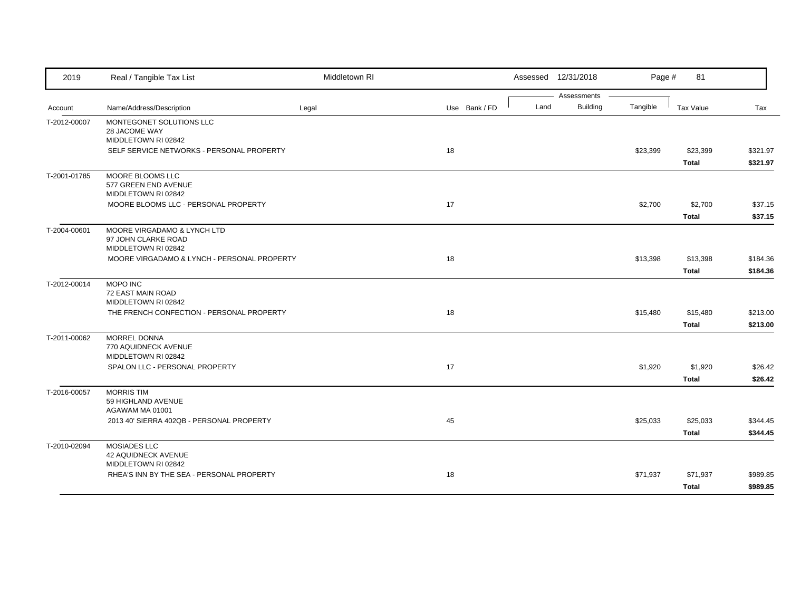| 2019         | Real / Tangible Tax List                                                  | Middletown RI |               |      | Assessed 12/31/2018            | Page #   | 81                       |                      |
|--------------|---------------------------------------------------------------------------|---------------|---------------|------|--------------------------------|----------|--------------------------|----------------------|
| Account      | Name/Address/Description                                                  | Legal         | Use Bank / FD | Land | Assessments<br><b>Building</b> | Tangible | <b>Tax Value</b>         | Tax                  |
| T-2012-00007 | MONTEGONET SOLUTIONS LLC<br>28 JACOME WAY<br>MIDDLETOWN RI 02842          |               |               |      |                                |          |                          |                      |
|              | SELF SERVICE NETWORKS - PERSONAL PROPERTY                                 |               | 18            |      |                                | \$23,399 | \$23,399<br><b>Total</b> | \$321.97<br>\$321.97 |
| T-2001-01785 | MOORE BLOOMS LLC<br>577 GREEN END AVENUE<br>MIDDLETOWN RI 02842           |               |               |      |                                |          |                          |                      |
|              | MOORE BLOOMS LLC - PERSONAL PROPERTY                                      |               | 17            |      |                                | \$2,700  | \$2,700<br><b>Total</b>  | \$37.15<br>\$37.15   |
| T-2004-00601 | MOORE VIRGADAMO & LYNCH LTD<br>97 JOHN CLARKE ROAD<br>MIDDLETOWN RI 02842 |               |               |      |                                |          |                          |                      |
|              | MOORE VIRGADAMO & LYNCH - PERSONAL PROPERTY                               |               | 18            |      |                                | \$13,398 | \$13,398<br><b>Total</b> | \$184.36<br>\$184.36 |
| T-2012-00014 | MOPO INC<br><b>72 EAST MAIN ROAD</b><br>MIDDLETOWN RI 02842               |               |               |      |                                |          |                          |                      |
|              | THE FRENCH CONFECTION - PERSONAL PROPERTY                                 |               | 18            |      |                                | \$15,480 | \$15,480<br><b>Total</b> | \$213.00<br>\$213.00 |
| T-2011-00062 | MORREL DONNA<br>770 AQUIDNECK AVENUE<br>MIDDLETOWN RI 02842               |               |               |      |                                |          |                          |                      |
|              | SPALON LLC - PERSONAL PROPERTY                                            |               | 17            |      |                                | \$1,920  | \$1,920<br><b>Total</b>  | \$26.42<br>\$26.42   |
| T-2016-00057 | <b>MORRIS TIM</b><br>59 HIGHLAND AVENUE<br>AGAWAM MA 01001                |               |               |      |                                |          |                          |                      |
|              | 2013 40' SIERRA 402QB - PERSONAL PROPERTY                                 |               | 45            |      |                                | \$25,033 | \$25,033<br><b>Total</b> | \$344.45<br>\$344.45 |
| T-2010-02094 | MOSIADES LLC<br><b>42 AQUIDNECK AVENUE</b><br>MIDDLETOWN RI 02842         |               |               |      |                                |          |                          |                      |
|              | RHEA'S INN BY THE SEA - PERSONAL PROPERTY                                 |               | 18            |      |                                | \$71,937 | \$71,937<br><b>Total</b> | \$989.85<br>\$989.85 |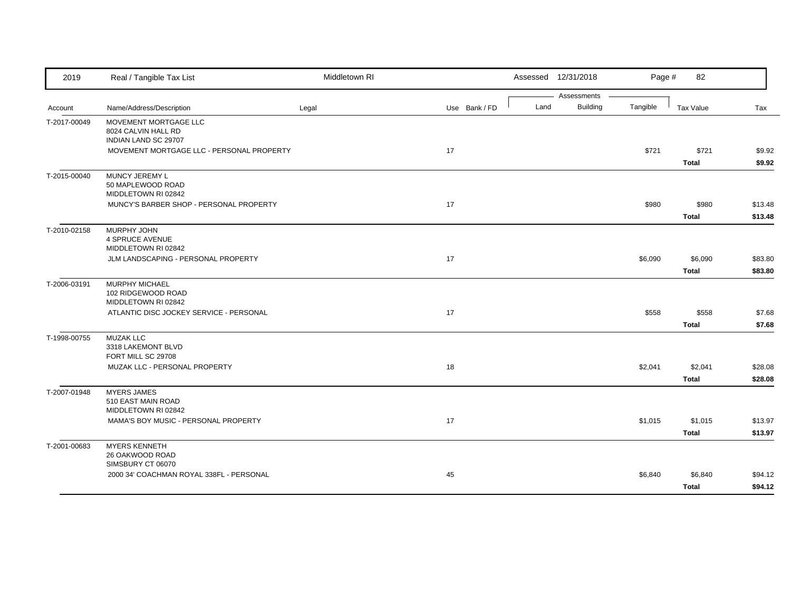| 2019         | Real / Tangible Tax List                                                                                          | Middletown RI |               |      | Assessed 12/31/2018            | Page #   | 82                      |                    |
|--------------|-------------------------------------------------------------------------------------------------------------------|---------------|---------------|------|--------------------------------|----------|-------------------------|--------------------|
| Account      | Name/Address/Description                                                                                          | Legal         | Use Bank / FD | Land | Assessments<br><b>Building</b> | Tangible | Tax Value               | Tax                |
| T-2017-00049 | MOVEMENT MORTGAGE LLC<br>8024 CALVIN HALL RD<br>INDIAN LAND SC 29707<br>MOVEMENT MORTGAGE LLC - PERSONAL PROPERTY |               | 17            |      |                                | \$721    | \$721                   | \$9.92             |
|              |                                                                                                                   |               |               |      |                                |          | <b>Total</b>            | \$9.92             |
| T-2015-00040 | MUNCY JEREMY L<br>50 MAPLEWOOD ROAD<br>MIDDLETOWN RI 02842                                                        |               |               |      |                                |          |                         |                    |
|              | MUNCY'S BARBER SHOP - PERSONAL PROPERTY                                                                           |               | 17            |      |                                | \$980    | \$980<br><b>Total</b>   | \$13.48<br>\$13.48 |
| T-2010-02158 | MURPHY JOHN<br><b>4 SPRUCE AVENUE</b><br>MIDDLETOWN RI 02842                                                      |               |               |      |                                |          |                         |                    |
|              | JLM LANDSCAPING - PERSONAL PROPERTY                                                                               |               | 17            |      |                                | \$6,090  | \$6,090<br><b>Total</b> | \$83.80<br>\$83.80 |
| T-2006-03191 | MURPHY MICHAEL<br>102 RIDGEWOOD ROAD<br>MIDDLETOWN RI 02842                                                       |               |               |      |                                |          |                         |                    |
|              | ATLANTIC DISC JOCKEY SERVICE - PERSONAL                                                                           |               | 17            |      |                                | \$558    | \$558<br><b>Total</b>   | \$7.68<br>\$7.68   |
| T-1998-00755 | <b>MUZAK LLC</b><br>3318 LAKEMONT BLVD<br>FORT MILL SC 29708                                                      |               |               |      |                                |          |                         |                    |
|              | MUZAK LLC - PERSONAL PROPERTY                                                                                     |               | 18            |      |                                | \$2,041  | \$2,041<br><b>Total</b> | \$28.08<br>\$28.08 |
| T-2007-01948 | <b>MYERS JAMES</b><br>510 EAST MAIN ROAD<br>MIDDLETOWN RI 02842                                                   |               |               |      |                                |          |                         |                    |
|              | MAMA'S BOY MUSIC - PERSONAL PROPERTY                                                                              |               | 17            |      |                                | \$1,015  | \$1,015<br><b>Total</b> | \$13.97<br>\$13.97 |
| T-2001-00683 | <b>MYERS KENNETH</b><br>26 OAKWOOD ROAD<br>SIMSBURY CT 06070                                                      |               |               |      |                                |          |                         |                    |
|              | 2000 34' COACHMAN ROYAL 338FL - PERSONAL                                                                          |               | 45            |      |                                | \$6,840  | \$6,840                 | \$94.12            |
|              |                                                                                                                   |               |               |      |                                |          | <b>Total</b>            | \$94.12            |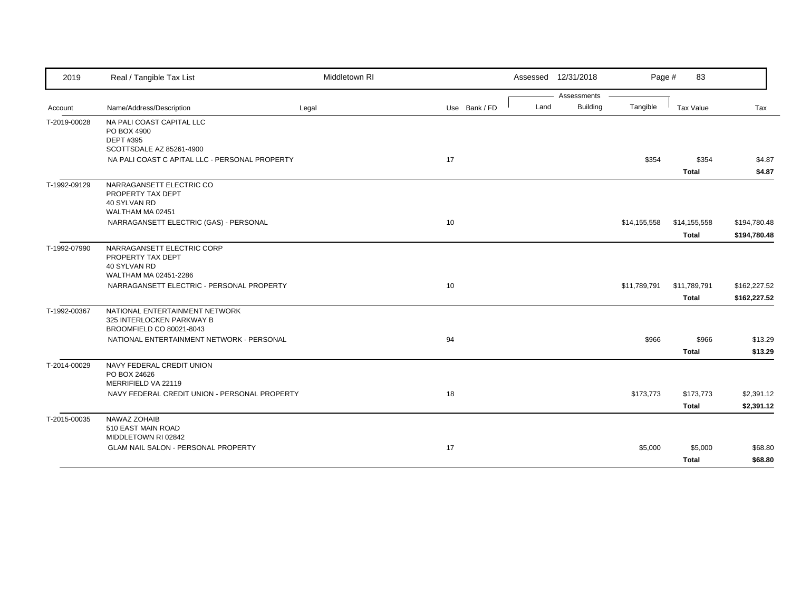| 2019         | Real / Tangible Tax List                                                          | Middletown RI |               |      | Assessed 12/31/2018 | Page #       | 83                    |                  |
|--------------|-----------------------------------------------------------------------------------|---------------|---------------|------|---------------------|--------------|-----------------------|------------------|
|              |                                                                                   |               |               |      | Assessments         |              |                       |                  |
| Account      | Name/Address/Description                                                          | Legal         | Use Bank / FD | Land | <b>Building</b>     | Tangible     | Tax Value             | Tax              |
| T-2019-00028 | NA PALI COAST CAPITAL LLC<br>PO BOX 4900<br>DEPT #395                             |               |               |      |                     |              |                       |                  |
|              | SCOTTSDALE AZ 85261-4900                                                          |               |               |      |                     |              |                       |                  |
|              | NA PALI COAST C APITAL LLC - PERSONAL PROPERTY                                    |               | 17            |      |                     | \$354        | \$354<br><b>Total</b> | \$4.87<br>\$4.87 |
| T-1992-09129 | NARRAGANSETT ELECTRIC CO<br>PROPERTY TAX DEPT<br>40 SYLVAN RD<br>WALTHAM MA 02451 |               |               |      |                     |              |                       |                  |
|              | NARRAGANSETT ELECTRIC (GAS) - PERSONAL                                            |               | 10            |      |                     | \$14,155,558 | \$14,155,558          | \$194,780.48     |
|              |                                                                                   |               |               |      |                     |              | <b>Total</b>          | \$194,780.48     |
| T-1992-07990 | NARRAGANSETT ELECTRIC CORP<br>PROPERTY TAX DEPT<br>40 SYLVAN RD                   |               |               |      |                     |              |                       |                  |
|              | WALTHAM MA 02451-2286<br>NARRAGANSETT ELECTRIC - PERSONAL PROPERTY                |               | 10            |      |                     | \$11,789,791 | \$11,789,791          | \$162,227.52     |
|              |                                                                                   |               |               |      |                     |              |                       |                  |
| T-1992-00367 | NATIONAL ENTERTAINMENT NETWORK<br>325 INTERLOCKEN PARKWAY B                       |               |               |      |                     |              | <b>Total</b>          | \$162,227.52     |
|              | BROOMFIELD CO 80021-8043                                                          |               |               |      |                     |              |                       |                  |
|              | NATIONAL ENTERTAINMENT NETWORK - PERSONAL                                         |               | 94            |      |                     | \$966        | \$966                 | \$13.29          |
|              |                                                                                   |               |               |      |                     |              | <b>Total</b>          | \$13.29          |
| T-2014-00029 | NAVY FEDERAL CREDIT UNION<br>PO BOX 24626<br>MERRIFIELD VA 22119                  |               |               |      |                     |              |                       |                  |
|              | NAVY FEDERAL CREDIT UNION - PERSONAL PROPERTY                                     |               | 18            |      |                     | \$173,773    | \$173,773             | \$2,391.12       |
|              |                                                                                   |               |               |      |                     |              | Total                 | \$2,391.12       |
| T-2015-00035 | NAWAZ ZOHAIB<br>510 EAST MAIN ROAD<br>MIDDLETOWN RI 02842                         |               |               |      |                     |              |                       |                  |
|              | GLAM NAIL SALON - PERSONAL PROPERTY                                               |               | 17            |      |                     | \$5,000      | \$5,000               | \$68.80          |
|              |                                                                                   |               |               |      |                     |              | <b>Total</b>          | \$68.80          |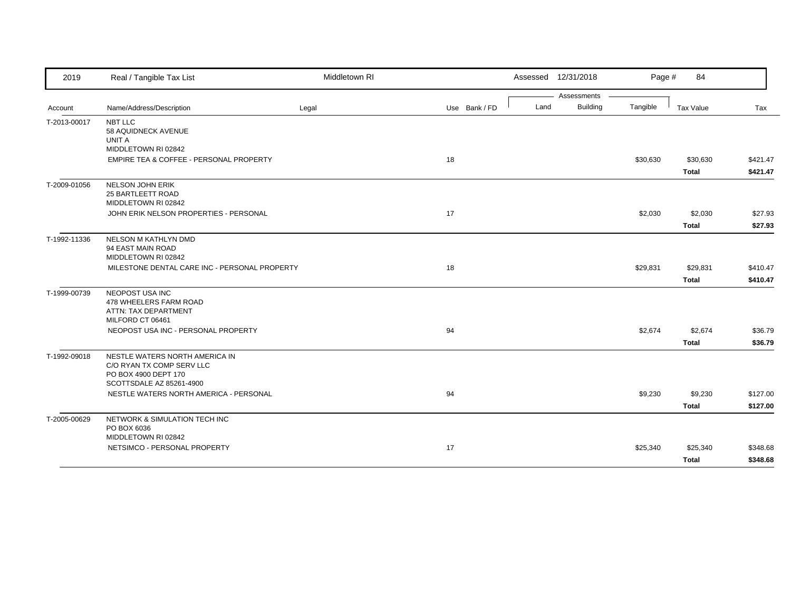| Assessments<br>Building<br>Land<br>Tangible<br>Name/Address/Description<br>Tax Value<br>Legal<br>Use Bank / FD<br>Tax<br>Account<br>NBT LLC<br>58 AQUIDNECK AVENUE<br>UNIT A<br>MIDDLETOWN RI 02842<br>EMPIRE TEA & COFFEE - PERSONAL PROPERTY<br>18<br>\$30,630<br>\$30,630<br><b>Total</b><br>NELSON JOHN ERIK<br>25 BARTLEETT ROAD<br>MIDDLETOWN RI 02842<br>JOHN ERIK NELSON PROPERTIES - PERSONAL<br>17<br>\$2,030<br>\$2,030<br><b>Total</b><br>NELSON M KATHLYN DMD<br>94 EAST MAIN ROAD<br>MIDDLETOWN RI 02842<br>18<br>MILESTONE DENTAL CARE INC - PERSONAL PROPERTY<br>\$29,831<br>\$29,831<br><b>Total</b><br>NEOPOST USA INC<br>478 WHEELERS FARM ROAD<br>ATTN: TAX DEPARTMENT<br>MILFORD CT 06461<br>NEOPOST USA INC - PERSONAL PROPERTY<br>94<br>\$2,674<br>\$2,674<br><b>Total</b><br>NESTLE WATERS NORTH AMERICA IN<br>C/O RYAN TX COMP SERV LLC<br>PO BOX 4900 DEPT 170<br>SCOTTSDALE AZ 85261-4900<br>94<br>NESTLE WATERS NORTH AMERICA - PERSONAL<br>\$9,230<br>\$9,230<br><b>Total</b><br>NETWORK & SIMULATION TECH INC<br>PO BOX 6036<br>MIDDLETOWN RI 02842<br>NETSIMCO - PERSONAL PROPERTY<br>17<br>\$25,340<br>\$25,340<br>Total | 2019         | Real / Tangible Tax List | Middletown RI |  | Assessed 12/31/2018 | Page # | 84 |         |
|----------------------------------------------------------------------------------------------------------------------------------------------------------------------------------------------------------------------------------------------------------------------------------------------------------------------------------------------------------------------------------------------------------------------------------------------------------------------------------------------------------------------------------------------------------------------------------------------------------------------------------------------------------------------------------------------------------------------------------------------------------------------------------------------------------------------------------------------------------------------------------------------------------------------------------------------------------------------------------------------------------------------------------------------------------------------------------------------------------------------------------------------------------|--------------|--------------------------|---------------|--|---------------------|--------|----|---------|
|                                                                                                                                                                                                                                                                                                                                                                                                                                                                                                                                                                                                                                                                                                                                                                                                                                                                                                                                                                                                                                                                                                                                                          |              |                          |               |  |                     |        |    |         |
| \$421.47<br>\$421.47<br>\$27.93                                                                                                                                                                                                                                                                                                                                                                                                                                                                                                                                                                                                                                                                                                                                                                                                                                                                                                                                                                                                                                                                                                                          |              |                          |               |  |                     |        |    |         |
|                                                                                                                                                                                                                                                                                                                                                                                                                                                                                                                                                                                                                                                                                                                                                                                                                                                                                                                                                                                                                                                                                                                                                          | T-2013-00017 |                          |               |  |                     |        |    |         |
|                                                                                                                                                                                                                                                                                                                                                                                                                                                                                                                                                                                                                                                                                                                                                                                                                                                                                                                                                                                                                                                                                                                                                          |              |                          |               |  |                     |        |    |         |
|                                                                                                                                                                                                                                                                                                                                                                                                                                                                                                                                                                                                                                                                                                                                                                                                                                                                                                                                                                                                                                                                                                                                                          |              |                          |               |  |                     |        |    |         |
|                                                                                                                                                                                                                                                                                                                                                                                                                                                                                                                                                                                                                                                                                                                                                                                                                                                                                                                                                                                                                                                                                                                                                          | T-2009-01056 |                          |               |  |                     |        |    |         |
|                                                                                                                                                                                                                                                                                                                                                                                                                                                                                                                                                                                                                                                                                                                                                                                                                                                                                                                                                                                                                                                                                                                                                          |              |                          |               |  |                     |        |    |         |
| \$410.47<br>\$410.47<br>\$36.79<br>\$36.79<br>\$127.00<br>\$127.00<br>\$348.68<br>\$348.68                                                                                                                                                                                                                                                                                                                                                                                                                                                                                                                                                                                                                                                                                                                                                                                                                                                                                                                                                                                                                                                               |              |                          |               |  |                     |        |    | \$27.93 |
|                                                                                                                                                                                                                                                                                                                                                                                                                                                                                                                                                                                                                                                                                                                                                                                                                                                                                                                                                                                                                                                                                                                                                          | T-1992-11336 |                          |               |  |                     |        |    |         |
|                                                                                                                                                                                                                                                                                                                                                                                                                                                                                                                                                                                                                                                                                                                                                                                                                                                                                                                                                                                                                                                                                                                                                          |              |                          |               |  |                     |        |    |         |
|                                                                                                                                                                                                                                                                                                                                                                                                                                                                                                                                                                                                                                                                                                                                                                                                                                                                                                                                                                                                                                                                                                                                                          |              |                          |               |  |                     |        |    |         |
|                                                                                                                                                                                                                                                                                                                                                                                                                                                                                                                                                                                                                                                                                                                                                                                                                                                                                                                                                                                                                                                                                                                                                          | T-1999-00739 |                          |               |  |                     |        |    |         |
|                                                                                                                                                                                                                                                                                                                                                                                                                                                                                                                                                                                                                                                                                                                                                                                                                                                                                                                                                                                                                                                                                                                                                          |              |                          |               |  |                     |        |    |         |
|                                                                                                                                                                                                                                                                                                                                                                                                                                                                                                                                                                                                                                                                                                                                                                                                                                                                                                                                                                                                                                                                                                                                                          |              |                          |               |  |                     |        |    |         |
|                                                                                                                                                                                                                                                                                                                                                                                                                                                                                                                                                                                                                                                                                                                                                                                                                                                                                                                                                                                                                                                                                                                                                          | T-1992-09018 |                          |               |  |                     |        |    |         |
|                                                                                                                                                                                                                                                                                                                                                                                                                                                                                                                                                                                                                                                                                                                                                                                                                                                                                                                                                                                                                                                                                                                                                          |              |                          |               |  |                     |        |    |         |
|                                                                                                                                                                                                                                                                                                                                                                                                                                                                                                                                                                                                                                                                                                                                                                                                                                                                                                                                                                                                                                                                                                                                                          |              |                          |               |  |                     |        |    |         |
|                                                                                                                                                                                                                                                                                                                                                                                                                                                                                                                                                                                                                                                                                                                                                                                                                                                                                                                                                                                                                                                                                                                                                          | T-2005-00629 |                          |               |  |                     |        |    |         |
|                                                                                                                                                                                                                                                                                                                                                                                                                                                                                                                                                                                                                                                                                                                                                                                                                                                                                                                                                                                                                                                                                                                                                          |              |                          |               |  |                     |        |    |         |
|                                                                                                                                                                                                                                                                                                                                                                                                                                                                                                                                                                                                                                                                                                                                                                                                                                                                                                                                                                                                                                                                                                                                                          |              |                          |               |  |                     |        |    |         |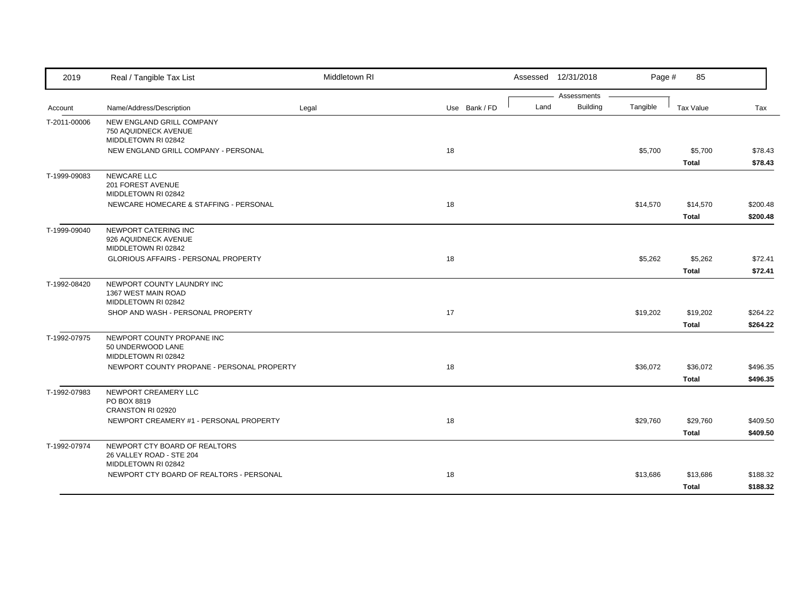| 2019         | Real / Tangible Tax List                                                         | Middletown RI |               |      | Assessed 12/31/2018            | Page #   | 85                       |                      |
|--------------|----------------------------------------------------------------------------------|---------------|---------------|------|--------------------------------|----------|--------------------------|----------------------|
| Account      | Name/Address/Description                                                         | Legal         | Use Bank / FD | Land | Assessments<br><b>Building</b> | Tangible | Tax Value                | Tax                  |
| T-2011-00006 | NEW ENGLAND GRILL COMPANY<br>750 AQUIDNECK AVENUE<br>MIDDLETOWN RI 02842         |               |               |      |                                |          |                          |                      |
|              | NEW ENGLAND GRILL COMPANY - PERSONAL                                             |               | 18            |      |                                | \$5,700  | \$5,700<br><b>Total</b>  | \$78.43<br>\$78.43   |
| T-1999-09083 | NEWCARE LLC<br>201 FOREST AVENUE<br>MIDDLETOWN RI 02842                          |               |               |      |                                |          |                          |                      |
|              | NEWCARE HOMECARE & STAFFING - PERSONAL                                           |               | 18            |      |                                | \$14,570 | \$14,570<br><b>Total</b> | \$200.48<br>\$200.48 |
| T-1999-09040 | NEWPORT CATERING INC<br>926 AQUIDNECK AVENUE<br>MIDDLETOWN RI 02842              |               |               |      |                                |          |                          |                      |
|              | GLORIOUS AFFAIRS - PERSONAL PROPERTY                                             |               | 18            |      |                                | \$5,262  | \$5,262<br><b>Total</b>  | \$72.41<br>\$72.41   |
| T-1992-08420 | NEWPORT COUNTY LAUNDRY INC<br>1367 WEST MAIN ROAD<br>MIDDLETOWN RI 02842         |               |               |      |                                |          |                          |                      |
|              | SHOP AND WASH - PERSONAL PROPERTY                                                |               | 17            |      |                                | \$19,202 | \$19,202<br><b>Total</b> | \$264.22<br>\$264.22 |
| T-1992-07975 | NEWPORT COUNTY PROPANE INC<br>50 UNDERWOOD LANE<br>MIDDLETOWN RI 02842           |               |               |      |                                |          |                          |                      |
|              | NEWPORT COUNTY PROPANE - PERSONAL PROPERTY                                       |               | 18            |      |                                | \$36,072 | \$36,072<br><b>Total</b> | \$496.35<br>\$496.35 |
| T-1992-07983 | NEWPORT CREAMERY LLC<br>PO BOX 8819<br>CRANSTON RI 02920                         |               |               |      |                                |          |                          |                      |
|              | NEWPORT CREAMERY #1 - PERSONAL PROPERTY                                          |               | 18            |      |                                | \$29,760 | \$29,760<br><b>Total</b> | \$409.50<br>\$409.50 |
| T-1992-07974 | NEWPORT CTY BOARD OF REALTORS<br>26 VALLEY ROAD - STE 204<br>MIDDLETOWN RI 02842 |               |               |      |                                |          |                          |                      |
|              | NEWPORT CTY BOARD OF REALTORS - PERSONAL                                         |               | 18            |      |                                | \$13,686 | \$13,686<br><b>Total</b> | \$188.32<br>\$188.32 |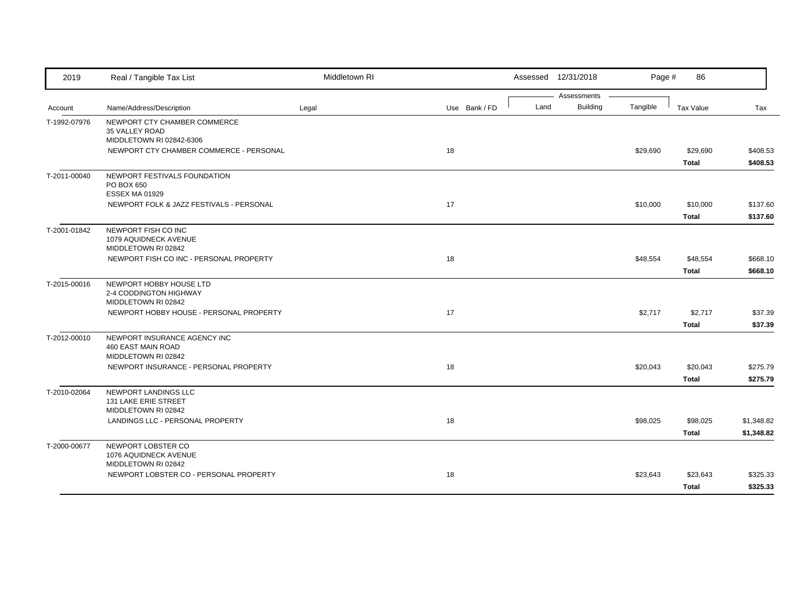| 2019         | Real / Tangible Tax List                                                         | Middletown RI |               |      | Assessed 12/31/2018            | Page #   | 86                       |                          |
|--------------|----------------------------------------------------------------------------------|---------------|---------------|------|--------------------------------|----------|--------------------------|--------------------------|
| Account      | Name/Address/Description                                                         | Legal         | Use Bank / FD | Land | Assessments<br><b>Building</b> | Tangible | Tax Value                | Tax                      |
| T-1992-07976 | NEWPORT CTY CHAMBER COMMERCE<br>35 VALLEY ROAD<br>MIDDLETOWN RI 02842-6306       |               |               |      |                                |          |                          |                          |
|              | NEWPORT CTY CHAMBER COMMERCE - PERSONAL                                          |               | 18            |      |                                | \$29,690 | \$29,690<br><b>Total</b> | \$408.53<br>\$408.53     |
| T-2011-00040 | NEWPORT FESTIVALS FOUNDATION<br>PO BOX 650<br><b>ESSEX MA 01929</b>              |               |               |      |                                |          |                          |                          |
|              | NEWPORT FOLK & JAZZ FESTIVALS - PERSONAL                                         |               | 17            |      |                                | \$10,000 | \$10,000<br><b>Total</b> | \$137.60<br>\$137.60     |
| T-2001-01842 | NEWPORT FISH CO INC<br>1079 AQUIDNECK AVENUE<br>MIDDLETOWN RI 02842              |               |               |      |                                |          |                          |                          |
|              | NEWPORT FISH CO INC - PERSONAL PROPERTY                                          |               | 18            |      |                                | \$48,554 | \$48,554<br><b>Total</b> | \$668.10<br>\$668.10     |
| T-2015-00016 | NEWPORT HOBBY HOUSE LTD<br>2-4 CODDINGTON HIGHWAY<br>MIDDLETOWN RI 02842         |               |               |      |                                |          |                          |                          |
|              | NEWPORT HOBBY HOUSE - PERSONAL PROPERTY                                          |               | 17            |      |                                | \$2,717  | \$2,717<br><b>Total</b>  | \$37.39<br>\$37.39       |
| T-2012-00010 | NEWPORT INSURANCE AGENCY INC<br><b>460 EAST MAIN ROAD</b><br>MIDDLETOWN RI 02842 |               |               |      |                                |          |                          |                          |
|              | NEWPORT INSURANCE - PERSONAL PROPERTY                                            |               | 18            |      |                                | \$20,043 | \$20,043<br><b>Total</b> | \$275.79<br>\$275.79     |
| T-2010-02064 | NEWPORT LANDINGS LLC<br>131 LAKE ERIE STREET<br>MIDDLETOWN RI 02842              |               |               |      |                                |          |                          |                          |
|              | LANDINGS LLC - PERSONAL PROPERTY                                                 |               | 18            |      |                                | \$98,025 | \$98,025<br><b>Total</b> | \$1,348.82<br>\$1,348.82 |
| T-2000-00677 | NEWPORT LOBSTER CO<br>1076 AQUIDNECK AVENUE<br>MIDDLETOWN RI 02842               |               |               |      |                                |          |                          |                          |
|              | NEWPORT LOBSTER CO - PERSONAL PROPERTY                                           |               | 18            |      |                                | \$23,643 | \$23,643<br><b>Total</b> | \$325.33<br>\$325.33     |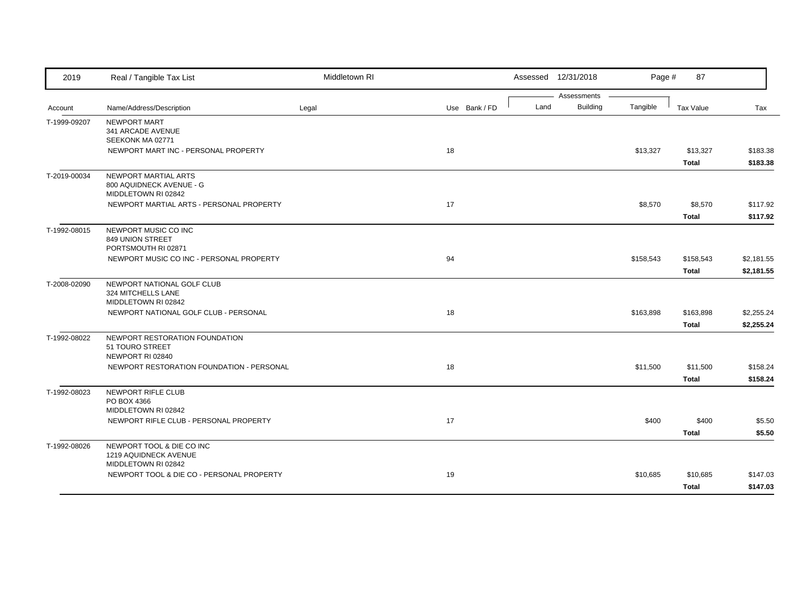| Assessments<br><b>Building</b><br>Land<br>Tangible<br>Name/Address/Description<br>Use Bank / FD<br>Account<br>Legal<br><b>NEWPORT MART</b><br>T-1999-09207<br>341 ARCADE AVENUE | Tax Value<br>Tax<br>\$13,327<br>\$183.38<br>\$183.38 |
|---------------------------------------------------------------------------------------------------------------------------------------------------------------------------------|------------------------------------------------------|
|                                                                                                                                                                                 |                                                      |
|                                                                                                                                                                                 |                                                      |
|                                                                                                                                                                                 |                                                      |
| SEEKONK MA 02771                                                                                                                                                                |                                                      |
| 18<br>NEWPORT MART INC - PERSONAL PROPERTY<br>\$13,327                                                                                                                          |                                                      |
| <b>Total</b>                                                                                                                                                                    |                                                      |
| NEWPORT MARTIAL ARTS<br>T-2019-00034<br>800 AQUIDNECK AVENUE - G                                                                                                                |                                                      |
| MIDDLETOWN RI 02842                                                                                                                                                             |                                                      |
| 17<br>NEWPORT MARTIAL ARTS - PERSONAL PROPERTY<br>\$8,570                                                                                                                       | \$8,570<br>\$117.92                                  |
| <b>Total</b>                                                                                                                                                                    | \$117.92                                             |
| NEWPORT MUSIC CO INC<br>T-1992-08015                                                                                                                                            |                                                      |
| 849 UNION STREET<br>PORTSMOUTH RI 02871                                                                                                                                         |                                                      |
| NEWPORT MUSIC CO INC - PERSONAL PROPERTY<br>94<br>\$158,543                                                                                                                     | \$158,543<br>\$2,181.55                              |
| <b>Total</b>                                                                                                                                                                    | \$2,181.55                                           |
| T-2008-02090<br>NEWPORT NATIONAL GOLF CLUB                                                                                                                                      |                                                      |
| 324 MITCHELLS LANE                                                                                                                                                              |                                                      |
| MIDDLETOWN RI 02842<br>NEWPORT NATIONAL GOLF CLUB - PERSONAL<br>18<br>\$163,898                                                                                                 | \$163,898<br>\$2,255.24                              |
| <b>Total</b>                                                                                                                                                                    | \$2,255.24                                           |
| T-1992-08022<br>NEWPORT RESTORATION FOUNDATION                                                                                                                                  |                                                      |
| 51 TOURO STREET                                                                                                                                                                 |                                                      |
| NEWPORT RI 02840                                                                                                                                                                |                                                      |
| 18<br>NEWPORT RESTORATION FOUNDATION - PERSONAL<br>\$11,500                                                                                                                     | \$11,500<br>\$158.24                                 |
| <b>Total</b>                                                                                                                                                                    | \$158.24                                             |
| NEWPORT RIFLE CLUB<br>T-1992-08023<br>PO BOX 4366                                                                                                                               |                                                      |
| MIDDLETOWN RI 02842                                                                                                                                                             |                                                      |
| NEWPORT RIFLE CLUB - PERSONAL PROPERTY<br>17<br>\$400                                                                                                                           | \$400<br>\$5.50                                      |
| <b>Total</b>                                                                                                                                                                    | \$5.50                                               |
| T-1992-08026<br>NEWPORT TOOL & DIE CO INC                                                                                                                                       |                                                      |
| 1219 AQUIDNECK AVENUE<br>MIDDLETOWN RI 02842                                                                                                                                    |                                                      |
| NEWPORT TOOL & DIE CO - PERSONAL PROPERTY<br>19<br>\$10,685                                                                                                                     | \$10,685<br>\$147.03                                 |
| <b>Total</b>                                                                                                                                                                    | \$147.03                                             |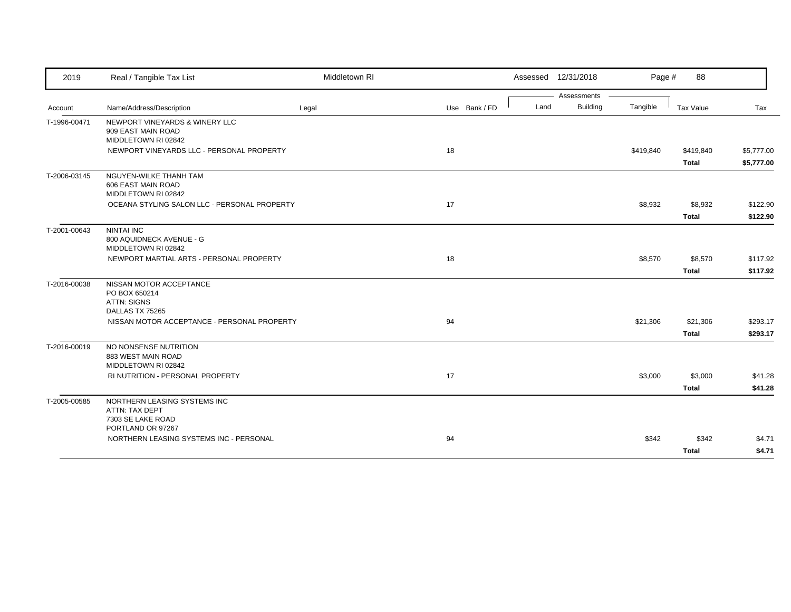| 2019         | Real / Tangible Tax List                                                                 | Middletown RI |               | Assessed 12/31/2018 |                 | Page #    | 88                        |                          |
|--------------|------------------------------------------------------------------------------------------|---------------|---------------|---------------------|-----------------|-----------|---------------------------|--------------------------|
|              |                                                                                          |               |               |                     | Assessments     |           |                           |                          |
| Account      | Name/Address/Description                                                                 | Legal         | Use Bank / FD | Land                | <b>Building</b> | Tangible  | Tax Value                 | Tax                      |
| T-1996-00471 | NEWPORT VINEYARDS & WINERY LLC<br>909 EAST MAIN ROAD<br>MIDDLETOWN RI 02842              |               |               |                     |                 |           |                           |                          |
|              | NEWPORT VINEYARDS LLC - PERSONAL PROPERTY                                                |               | 18            |                     |                 | \$419,840 | \$419,840<br><b>Total</b> | \$5,777.00<br>\$5,777.00 |
| T-2006-03145 | NGUYEN-WILKE THANH TAM<br>606 EAST MAIN ROAD<br>MIDDLETOWN RI 02842                      |               |               |                     |                 |           |                           |                          |
|              | OCEANA STYLING SALON LLC - PERSONAL PROPERTY                                             |               | 17            |                     |                 | \$8,932   | \$8,932                   | \$122.90                 |
|              |                                                                                          |               |               |                     |                 |           | <b>Total</b>              | \$122.90                 |
| T-2001-00643 | <b>NINTAI INC</b><br>800 AQUIDNECK AVENUE - G<br>MIDDLETOWN RI 02842                     |               |               |                     |                 |           |                           |                          |
|              | NEWPORT MARTIAL ARTS - PERSONAL PROPERTY                                                 |               | 18            |                     |                 | \$8,570   | \$8,570                   | \$117.92                 |
|              |                                                                                          |               |               |                     |                 |           | <b>Total</b>              | \$117.92                 |
| T-2016-00038 | NISSAN MOTOR ACCEPTANCE<br>PO BOX 650214<br><b>ATTN: SIGNS</b><br>DALLAS TX 75265        |               |               |                     |                 |           |                           |                          |
|              | NISSAN MOTOR ACCEPTANCE - PERSONAL PROPERTY                                              |               | 94            |                     |                 | \$21,306  | \$21,306                  | \$293.17                 |
|              |                                                                                          |               |               |                     |                 |           | <b>Total</b>              | \$293.17                 |
| T-2016-00019 | NO NONSENSE NUTRITION<br>883 WEST MAIN ROAD<br>MIDDLETOWN RI 02842                       |               |               |                     |                 |           |                           |                          |
|              | RI NUTRITION - PERSONAL PROPERTY                                                         |               | 17            |                     |                 | \$3,000   | \$3,000                   | \$41.28                  |
|              |                                                                                          |               |               |                     |                 |           | Total                     | \$41.28                  |
| T-2005-00585 | NORTHERN LEASING SYSTEMS INC<br>ATTN: TAX DEPT<br>7303 SE LAKE ROAD<br>PORTLAND OR 97267 |               |               |                     |                 |           |                           |                          |
|              | NORTHERN LEASING SYSTEMS INC - PERSONAL                                                  |               | 94            |                     |                 | \$342     | \$342                     | \$4.71                   |
|              |                                                                                          |               |               |                     |                 |           | <b>Total</b>              | \$4.71                   |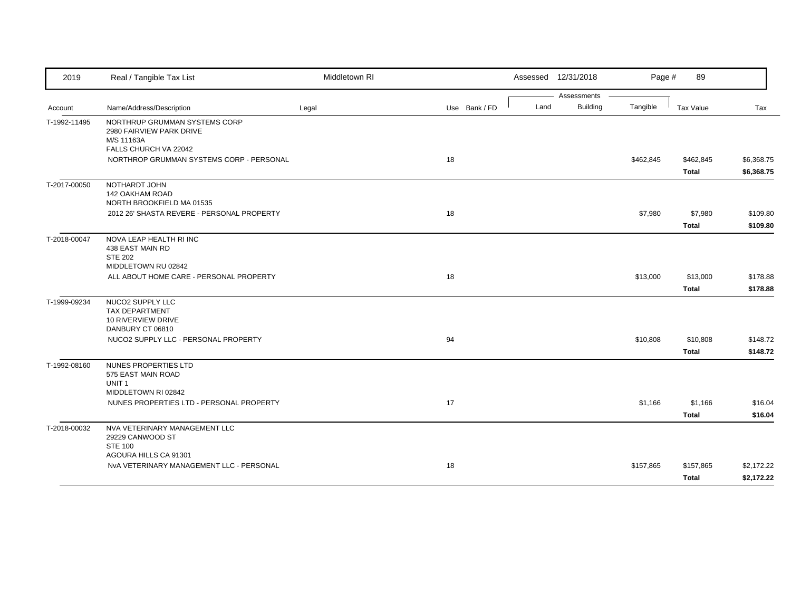| 2019         | Real / Tangible Tax List                                                                         | Middletown RI |               |      | Assessed 12/31/2018     | Page #    | 89                        |                          |
|--------------|--------------------------------------------------------------------------------------------------|---------------|---------------|------|-------------------------|-----------|---------------------------|--------------------------|
| Account      | Name/Address/Description                                                                         | Legal         | Use Bank / FD | Land | Assessments<br>Building | Tangible  | Tax Value                 | Tax                      |
| T-1992-11495 | NORTHRUP GRUMMAN SYSTEMS CORP<br>2980 FAIRVIEW PARK DRIVE<br>M/S 11163A<br>FALLS CHURCH VA 22042 |               |               |      |                         |           |                           |                          |
|              | NORTHROP GRUMMAN SYSTEMS CORP - PERSONAL                                                         |               | 18            |      |                         | \$462,845 | \$462,845<br><b>Total</b> | \$6,368.75<br>\$6,368.75 |
| T-2017-00050 | NOTHARDT JOHN<br><b>142 OAKHAM ROAD</b><br>NORTH BROOKFIELD MA 01535                             |               |               |      |                         |           |                           |                          |
|              | 2012 26' SHASTA REVERE - PERSONAL PROPERTY                                                       |               | 18            |      |                         | \$7,980   | \$7,980<br><b>Total</b>   | \$109.80<br>\$109.80     |
| T-2018-00047 | NOVA LEAP HEALTH RI INC<br>438 EAST MAIN RD<br><b>STE 202</b><br>MIDDLETOWN RU 02842             |               |               |      |                         |           |                           |                          |
|              | ALL ABOUT HOME CARE - PERSONAL PROPERTY                                                          |               | 18            |      |                         | \$13,000  | \$13,000<br><b>Total</b>  | \$178.88<br>\$178.88     |
| T-1999-09234 | NUCO2 SUPPLY LLC<br><b>TAX DEPARTMENT</b><br>10 RIVERVIEW DRIVE<br>DANBURY CT 06810              |               |               |      |                         |           |                           |                          |
|              | NUCO2 SUPPLY LLC - PERSONAL PROPERTY                                                             |               | 94            |      |                         | \$10,808  | \$10,808<br><b>Total</b>  | \$148.72<br>\$148.72     |
| T-1992-08160 | NUNES PROPERTIES LTD<br>575 EAST MAIN ROAD<br>UNIT <sub>1</sub>                                  |               |               |      |                         |           |                           |                          |
|              | MIDDLETOWN RI 02842<br>NUNES PROPERTIES LTD - PERSONAL PROPERTY                                  |               | 17            |      |                         | \$1,166   | \$1,166<br><b>Total</b>   | \$16.04<br>\$16.04       |
| T-2018-00032 | NVA VETERINARY MANAGEMENT LLC<br>29229 CANWOOD ST<br><b>STE 100</b>                              |               |               |      |                         |           |                           |                          |
|              | AGOURA HILLS CA 91301<br>NvA VETERINARY MANAGEMENT LLC - PERSONAL                                |               | 18            |      |                         | \$157,865 | \$157,865<br><b>Total</b> | \$2,172.22<br>\$2,172.22 |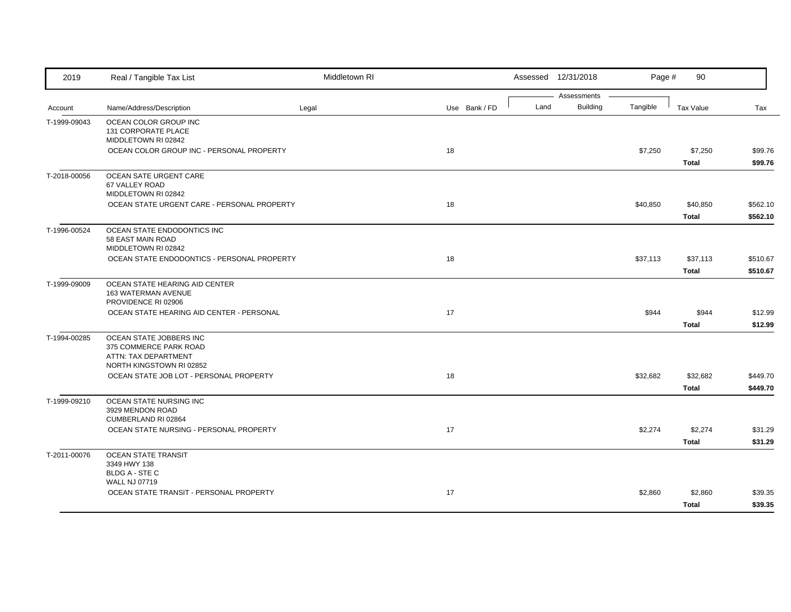| 2019         | Real / Tangible Tax List                                                                              | Middletown RI |               |      | Assessed 12/31/2018            | Page #   | 90                       |                      |
|--------------|-------------------------------------------------------------------------------------------------------|---------------|---------------|------|--------------------------------|----------|--------------------------|----------------------|
| Account      | Name/Address/Description                                                                              | Legal         | Use Bank / FD | Land | Assessments<br><b>Building</b> | Tangible | <b>Tax Value</b>         | Tax                  |
| T-1999-09043 | OCEAN COLOR GROUP INC<br>131 CORPORATE PLACE<br>MIDDLETOWN RI 02842                                   |               |               |      |                                |          |                          |                      |
|              | OCEAN COLOR GROUP INC - PERSONAL PROPERTY                                                             |               | 18            |      |                                | \$7,250  | \$7,250<br><b>Total</b>  | \$99.76<br>\$99.76   |
| T-2018-00056 | OCEAN SATE URGENT CARE<br>67 VALLEY ROAD<br>MIDDLETOWN RI 02842                                       |               |               |      |                                |          |                          |                      |
|              | OCEAN STATE URGENT CARE - PERSONAL PROPERTY                                                           |               | 18            |      |                                | \$40,850 | \$40,850<br><b>Total</b> | \$562.10<br>\$562.10 |
| T-1996-00524 | OCEAN STATE ENDODONTICS INC<br>58 EAST MAIN ROAD<br>MIDDLETOWN RI 02842                               |               |               |      |                                |          |                          |                      |
|              | OCEAN STATE ENDODONTICS - PERSONAL PROPERTY                                                           |               | 18            |      |                                | \$37,113 | \$37,113<br><b>Total</b> | \$510.67<br>\$510.67 |
| T-1999-09009 | OCEAN STATE HEARING AID CENTER<br>163 WATERMAN AVENUE<br>PROVIDENCE RI 02906                          |               |               |      |                                |          |                          |                      |
|              | OCEAN STATE HEARING AID CENTER - PERSONAL                                                             |               | 17            |      |                                | \$944    | \$944<br><b>Total</b>    | \$12.99<br>\$12.99   |
| T-1994-00285 | OCEAN STATE JOBBERS INC<br>375 COMMERCE PARK ROAD<br>ATTN: TAX DEPARTMENT<br>NORTH KINGSTOWN RI 02852 |               |               |      |                                |          |                          |                      |
|              | OCEAN STATE JOB LOT - PERSONAL PROPERTY                                                               |               | 18            |      |                                | \$32,682 | \$32,682<br><b>Total</b> | \$449.70<br>\$449.70 |
| T-1999-09210 | OCEAN STATE NURSING INC<br>3929 MENDON ROAD<br>CUMBERLAND RI 02864                                    |               |               |      |                                |          |                          |                      |
|              | OCEAN STATE NURSING - PERSONAL PROPERTY                                                               |               | 17            |      |                                | \$2,274  | \$2,274<br>Total         | \$31.29<br>\$31.29   |
| T-2011-00076 | <b>OCEAN STATE TRANSIT</b><br>3349 HWY 138<br><b>BLDG A - STE C</b>                                   |               |               |      |                                |          |                          |                      |
|              | <b>WALL NJ 07719</b><br>OCEAN STATE TRANSIT - PERSONAL PROPERTY                                       |               | 17            |      |                                | \$2,860  | \$2,860<br><b>Total</b>  | \$39.35<br>\$39.35   |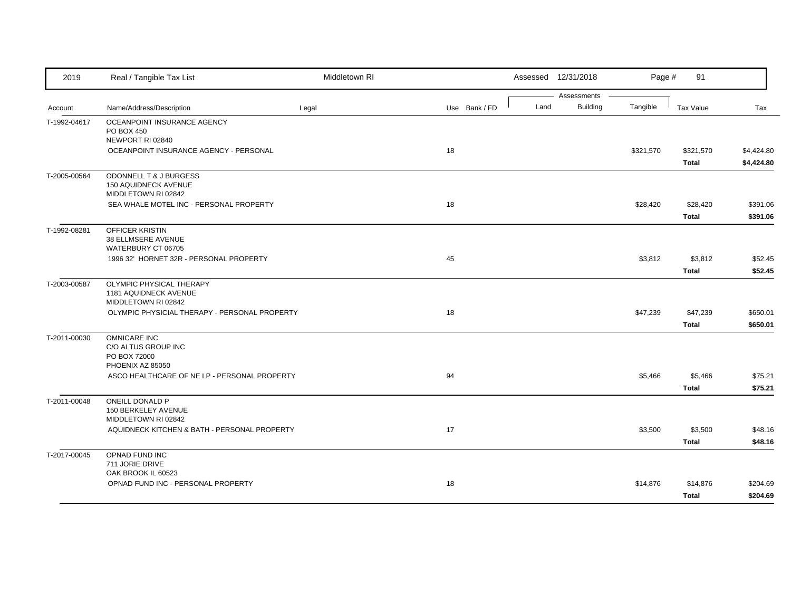| 2019         | Real / Tangible Tax List                                                       | Middletown RI |               |      | Assessed 12/31/2018            | Page #    | 91                        |                          |
|--------------|--------------------------------------------------------------------------------|---------------|---------------|------|--------------------------------|-----------|---------------------------|--------------------------|
| Account      | Name/Address/Description                                                       | Legal         | Use Bank / FD | Land | Assessments<br><b>Building</b> | Tangible  | <b>Tax Value</b>          | Tax                      |
| T-1992-04617 | OCEANPOINT INSURANCE AGENCY<br><b>PO BOX 450</b><br>NEWPORT RI 02840           |               |               |      |                                |           |                           |                          |
|              | OCEANPOINT INSURANCE AGENCY - PERSONAL                                         |               | 18            |      |                                | \$321,570 | \$321,570<br><b>Total</b> | \$4,424.80<br>\$4,424.80 |
| T-2005-00564 | ODONNELL T & J BURGESS<br>150 AQUIDNECK AVENUE<br>MIDDLETOWN RI 02842          |               |               |      |                                |           |                           |                          |
|              | SEA WHALE MOTEL INC - PERSONAL PROPERTY                                        |               | 18            |      |                                | \$28,420  | \$28,420<br><b>Total</b>  | \$391.06<br>\$391.06     |
| T-1992-08281 | <b>OFFICER KRISTIN</b><br>38 ELLMSERE AVENUE<br>WATERBURY CT 06705             |               |               |      |                                |           |                           |                          |
|              | 1996 32' HORNET 32R - PERSONAL PROPERTY                                        |               | 45            |      |                                | \$3,812   | \$3,812<br><b>Total</b>   | \$52.45<br>\$52.45       |
| T-2003-00587 | OLYMPIC PHYSICAL THERAPY<br>1181 AQUIDNECK AVENUE<br>MIDDLETOWN RI 02842       |               |               |      |                                |           |                           |                          |
|              | OLYMPIC PHYSICIAL THERAPY - PERSONAL PROPERTY                                  |               | 18            |      |                                | \$47,239  | \$47,239<br><b>Total</b>  | \$650.01<br>\$650.01     |
| T-2011-00030 | <b>OMNICARE INC</b><br>C/O ALTUS GROUP INC<br>PO BOX 72000<br>PHOENIX AZ 85050 |               |               |      |                                |           |                           |                          |
|              | ASCO HEALTHCARE OF NE LP - PERSONAL PROPERTY                                   |               | 94            |      |                                | \$5,466   | \$5,466<br><b>Total</b>   | \$75.21<br>\$75.21       |
| T-2011-00048 | <b>ONEILL DONALD P</b><br>150 BERKELEY AVENUE<br>MIDDLETOWN RI 02842           |               |               |      |                                |           |                           |                          |
|              | AQUIDNECK KITCHEN & BATH - PERSONAL PROPERTY                                   |               | 17            |      |                                | \$3,500   | \$3,500<br><b>Total</b>   | \$48.16<br>\$48.16       |
| T-2017-00045 | OPNAD FUND INC<br>711 JORIE DRIVE<br>OAK BROOK IL 60523                        |               |               |      |                                |           |                           |                          |
|              | OPNAD FUND INC - PERSONAL PROPERTY                                             |               | 18            |      |                                | \$14,876  | \$14,876<br><b>Total</b>  | \$204.69<br>\$204.69     |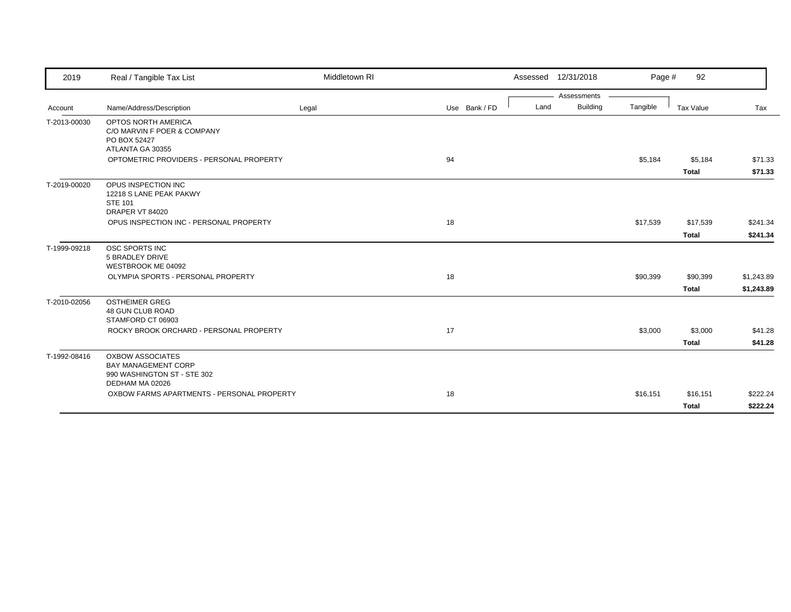| 2019         | Real / Tangible Tax List                                                                                | Middletown RI |               |      | Assessed 12/31/2018 | Page #   | 92                       |                          |
|--------------|---------------------------------------------------------------------------------------------------------|---------------|---------------|------|---------------------|----------|--------------------------|--------------------------|
|              |                                                                                                         |               |               |      | Assessments         |          |                          |                          |
| Account      | Name/Address/Description                                                                                | Legal         | Use Bank / FD | Land | <b>Building</b>     | Tangible | Tax Value                | Tax                      |
| T-2013-00030 | OPTOS NORTH AMERICA<br>C/O MARVIN F POER & COMPANY<br>PO BOX 52427<br>ATLANTA GA 30355                  |               |               |      |                     |          |                          |                          |
|              | OPTOMETRIC PROVIDERS - PERSONAL PROPERTY                                                                |               | 94            |      |                     | \$5,184  | \$5,184<br><b>Total</b>  | \$71.33<br>\$71.33       |
| T-2019-00020 | OPUS INSPECTION INC<br>12218 S LANE PEAK PAKWY<br><b>STE 101</b><br>DRAPER VT 84020                     |               |               |      |                     |          |                          |                          |
|              | OPUS INSPECTION INC - PERSONAL PROPERTY                                                                 |               | 18            |      |                     | \$17,539 | \$17,539<br><b>Total</b> | \$241.34<br>\$241.34     |
| T-1999-09218 | OSC SPORTS INC<br>5 BRADLEY DRIVE<br>WESTBROOK ME 04092                                                 |               |               |      |                     |          |                          |                          |
|              | OLYMPIA SPORTS - PERSONAL PROPERTY                                                                      |               | 18            |      |                     | \$90,399 | \$90,399<br><b>Total</b> | \$1,243.89<br>\$1,243.89 |
| T-2010-02056 | <b>OSTHEIMER GREG</b><br>48 GUN CLUB ROAD<br>STAMFORD CT 06903                                          |               |               |      |                     |          |                          |                          |
|              | ROCKY BROOK ORCHARD - PERSONAL PROPERTY                                                                 |               | 17            |      |                     | \$3,000  | \$3,000<br><b>Total</b>  | \$41.28<br>\$41.28       |
| T-1992-08416 | <b>OXBOW ASSOCIATES</b><br><b>BAY MANAGEMENT CORP</b><br>990 WASHINGTON ST - STE 302<br>DEDHAM MA 02026 |               |               |      |                     |          |                          |                          |
|              | OXBOW FARMS APARTMENTS - PERSONAL PROPERTY                                                              |               | 18            |      |                     | \$16,151 | \$16,151<br><b>Total</b> | \$222.24<br>\$222.24     |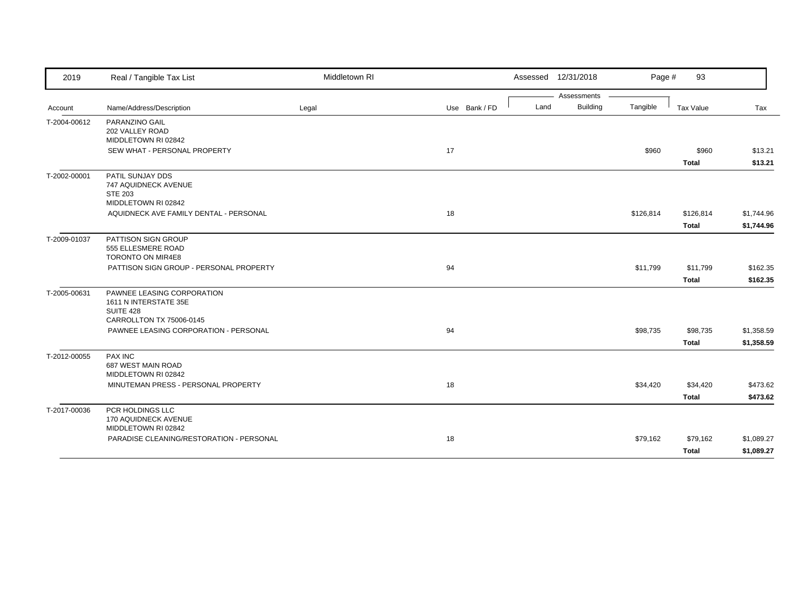| 2019         | Real / Tangible Tax List                                                                     | Middletown RI |               |      | Assessed 12/31/2018            | Page #    | 93                    |                    |
|--------------|----------------------------------------------------------------------------------------------|---------------|---------------|------|--------------------------------|-----------|-----------------------|--------------------|
|              |                                                                                              |               |               | Land | Assessments<br><b>Building</b> |           |                       |                    |
| Account      | Name/Address/Description                                                                     | Legal         | Use Bank / FD |      |                                | Tangible  | Tax Value             | Tax                |
| T-2004-00612 | PARANZINO GAIL<br>202 VALLEY ROAD                                                            |               |               |      |                                |           |                       |                    |
|              | MIDDLETOWN RI 02842<br>SEW WHAT - PERSONAL PROPERTY                                          |               | 17            |      |                                | \$960     | \$960<br><b>Total</b> | \$13.21<br>\$13.21 |
| T-2002-00001 | PATIL SUNJAY DDS<br>747 AQUIDNECK AVENUE<br><b>STE 203</b><br>MIDDLETOWN RI 02842            |               |               |      |                                |           |                       |                    |
|              | AQUIDNECK AVE FAMILY DENTAL - PERSONAL                                                       |               | 18            |      |                                | \$126,814 | \$126,814             | \$1,744.96         |
|              |                                                                                              |               |               |      |                                |           | <b>Total</b>          | \$1,744.96         |
| T-2009-01037 | PATTISON SIGN GROUP<br>555 ELLESMERE ROAD<br>TORONTO ON MIR4E8                               |               |               |      |                                |           |                       |                    |
|              | PATTISON SIGN GROUP - PERSONAL PROPERTY                                                      |               | 94            |      |                                | \$11,799  | \$11,799              | \$162.35           |
|              |                                                                                              |               |               |      |                                |           | <b>Total</b>          | \$162.35           |
| T-2005-00631 | PAWNEE LEASING CORPORATION<br>1611 N INTERSTATE 35E<br>SUITE 428<br>CARROLLTON TX 75006-0145 |               |               |      |                                |           |                       |                    |
|              | PAWNEE LEASING CORPORATION - PERSONAL                                                        |               | 94            |      |                                | \$98,735  | \$98,735              | \$1,358.59         |
|              |                                                                                              |               |               |      |                                |           | <b>Total</b>          | \$1,358.59         |
| T-2012-00055 | <b>PAX INC</b><br>687 WEST MAIN ROAD<br>MIDDLETOWN RI 02842                                  |               |               |      |                                |           |                       |                    |
|              | MINUTEMAN PRESS - PERSONAL PROPERTY                                                          |               | 18            |      |                                | \$34,420  | \$34,420              | \$473.62           |
|              |                                                                                              |               |               |      |                                |           | <b>Total</b>          | \$473.62           |
| T-2017-00036 | PCR HOLDINGS LLC<br>170 AQUIDNECK AVENUE<br>MIDDLETOWN RI 02842                              |               |               |      |                                |           |                       |                    |
|              | PARADISE CLEANING/RESTORATION - PERSONAL                                                     |               | 18            |      |                                | \$79,162  | \$79,162              | \$1,089.27         |
|              |                                                                                              |               |               |      |                                |           | <b>Total</b>          | \$1,089.27         |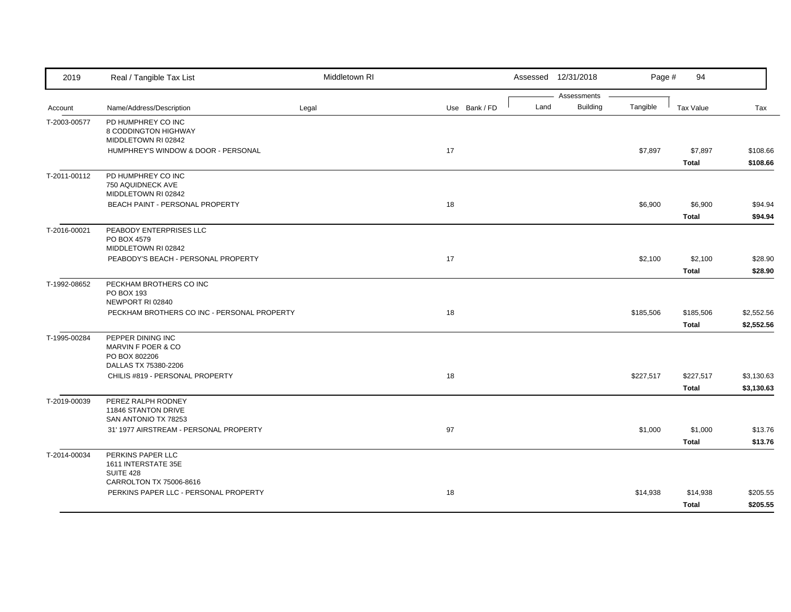| 2019         | Real / Tangible Tax List                                                         | Middletown RI |               |      | Assessed 12/31/2018            | Page #    | 94                        |                          |
|--------------|----------------------------------------------------------------------------------|---------------|---------------|------|--------------------------------|-----------|---------------------------|--------------------------|
| Account      | Name/Address/Description                                                         | Legal         | Use Bank / FD | Land | Assessments<br><b>Building</b> | Tangible  | <b>Tax Value</b>          | Tax                      |
| T-2003-00577 | PD HUMPHREY CO INC<br>8 CODDINGTON HIGHWAY<br>MIDDLETOWN RI 02842                |               |               |      |                                |           |                           |                          |
|              | HUMPHREY'S WINDOW & DOOR - PERSONAL                                              |               | 17            |      |                                | \$7,897   | \$7,897<br><b>Total</b>   | \$108.66<br>\$108.66     |
| T-2011-00112 | PD HUMPHREY CO INC<br>750 AQUIDNECK AVE<br>MIDDLETOWN RI 02842                   |               |               |      |                                |           |                           |                          |
|              | BEACH PAINT - PERSONAL PROPERTY                                                  |               | 18            |      |                                | \$6,900   | \$6,900<br><b>Total</b>   | \$94.94<br>\$94.94       |
| T-2016-00021 | PEABODY ENTERPRISES LLC<br>PO BOX 4579<br>MIDDLETOWN RI 02842                    |               |               |      |                                |           |                           |                          |
|              | PEABODY'S BEACH - PERSONAL PROPERTY                                              |               | 17            |      |                                | \$2,100   | \$2,100<br><b>Total</b>   | \$28.90<br>\$28.90       |
| T-1992-08652 | PECKHAM BROTHERS CO INC<br>PO BOX 193<br>NEWPORT RI 02840                        |               |               |      |                                |           |                           |                          |
|              | PECKHAM BROTHERS CO INC - PERSONAL PROPERTY                                      |               | 18            |      |                                | \$185,506 | \$185,506<br><b>Total</b> | \$2,552.56<br>\$2,552.56 |
| T-1995-00284 | PEPPER DINING INC<br>MARVIN F POER & CO<br>PO BOX 802206<br>DALLAS TX 75380-2206 |               |               |      |                                |           |                           |                          |
|              | CHILIS #819 - PERSONAL PROPERTY                                                  |               | 18            |      |                                | \$227,517 | \$227,517<br><b>Total</b> | \$3,130.63<br>\$3,130.63 |
| T-2019-00039 | PEREZ RALPH RODNEY<br>11846 STANTON DRIVE<br>SAN ANTONIO TX 78253                |               |               |      |                                |           |                           |                          |
|              | 31' 1977 AIRSTREAM - PERSONAL PROPERTY                                           |               | 97            |      |                                | \$1,000   | \$1,000<br><b>Total</b>   | \$13.76<br>\$13.76       |
| T-2014-00034 | PERKINS PAPER LLC<br>1611 INTERSTATE 35E<br><b>SUITE 428</b>                     |               |               |      |                                |           |                           |                          |
|              | CARROLTON TX 75006-8616<br>PERKINS PAPER LLC - PERSONAL PROPERTY                 |               | 18            |      |                                | \$14,938  | \$14,938<br>Total         | \$205.55<br>\$205.55     |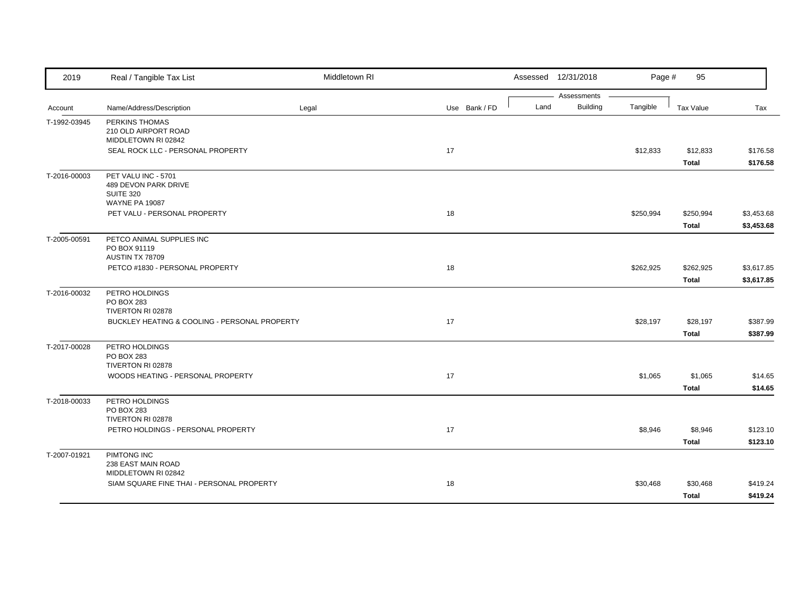| 2019         | Real / Tangible Tax List                      | Middletown RI |               |      | Assessed 12/31/2018     | Page #    | 95               |            |
|--------------|-----------------------------------------------|---------------|---------------|------|-------------------------|-----------|------------------|------------|
|              |                                               |               |               |      | Assessments<br>Building |           |                  |            |
| Account      | Name/Address/Description                      | Legal         | Use Bank / FD | Land |                         | Tangible  | <b>Tax Value</b> | Tax        |
| T-1992-03945 | PERKINS THOMAS                                |               |               |      |                         |           |                  |            |
|              | 210 OLD AIRPORT ROAD<br>MIDDLETOWN RI 02842   |               |               |      |                         |           |                  |            |
|              | SEAL ROCK LLC - PERSONAL PROPERTY             |               | 17            |      |                         | \$12,833  | \$12,833         | \$176.58   |
|              |                                               |               |               |      |                         |           | <b>Total</b>     | \$176.58   |
| T-2016-00003 | PET VALU INC - 5701                           |               |               |      |                         |           |                  |            |
|              | 489 DEVON PARK DRIVE                          |               |               |      |                         |           |                  |            |
|              | <b>SUITE 320</b>                              |               |               |      |                         |           |                  |            |
|              | <b>WAYNE PA 19087</b>                         |               |               |      |                         |           |                  |            |
|              | PET VALU - PERSONAL PROPERTY                  |               | 18            |      |                         | \$250,994 | \$250,994        | \$3,453.68 |
|              |                                               |               |               |      |                         |           | <b>Total</b>     | \$3,453.68 |
| T-2005-00591 | PETCO ANIMAL SUPPLIES INC                     |               |               |      |                         |           |                  |            |
|              | PO BOX 91119                                  |               |               |      |                         |           |                  |            |
|              | AUSTIN TX 78709                               |               |               |      |                         |           |                  |            |
|              | PETCO #1830 - PERSONAL PROPERTY               |               | 18            |      |                         | \$262,925 | \$262,925        | \$3,617.85 |
|              |                                               |               |               |      |                         |           | <b>Total</b>     | \$3,617.85 |
| T-2016-00032 | PETRO HOLDINGS                                |               |               |      |                         |           |                  |            |
|              | PO BOX 283                                    |               |               |      |                         |           |                  |            |
|              | TIVERTON RI 02878                             |               |               |      |                         |           |                  |            |
|              | BUCKLEY HEATING & COOLING - PERSONAL PROPERTY |               | 17            |      |                         | \$28,197  | \$28,197         | \$387.99   |
|              |                                               |               |               |      |                         |           | <b>Total</b>     | \$387.99   |
| T-2017-00028 | PETRO HOLDINGS                                |               |               |      |                         |           |                  |            |
|              | PO BOX 283                                    |               |               |      |                         |           |                  |            |
|              | TIVERTON RI 02878                             |               |               |      |                         |           |                  |            |
|              | WOODS HEATING - PERSONAL PROPERTY             |               | 17            |      |                         | \$1,065   | \$1,065          | \$14.65    |
|              |                                               |               |               |      |                         |           | <b>Total</b>     | \$14.65    |
| T-2018-00033 | PETRO HOLDINGS                                |               |               |      |                         |           |                  |            |
|              | PO BOX 283                                    |               |               |      |                         |           |                  |            |
|              | TIVERTON RI 02878                             |               |               |      |                         |           |                  |            |
|              | PETRO HOLDINGS - PERSONAL PROPERTY            |               | 17            |      |                         | \$8,946   | \$8,946          | \$123.10   |
|              |                                               |               |               |      |                         |           | <b>Total</b>     | \$123.10   |
| T-2007-01921 | PIMTONG INC                                   |               |               |      |                         |           |                  |            |
|              | 238 EAST MAIN ROAD<br>MIDDLETOWN RI 02842     |               |               |      |                         |           |                  |            |
|              | SIAM SQUARE FINE THAI - PERSONAL PROPERTY     |               | 18            |      |                         | \$30,468  | \$30,468         | \$419.24   |
|              |                                               |               |               |      |                         |           |                  |            |
|              |                                               |               |               |      |                         |           | <b>Total</b>     | \$419.24   |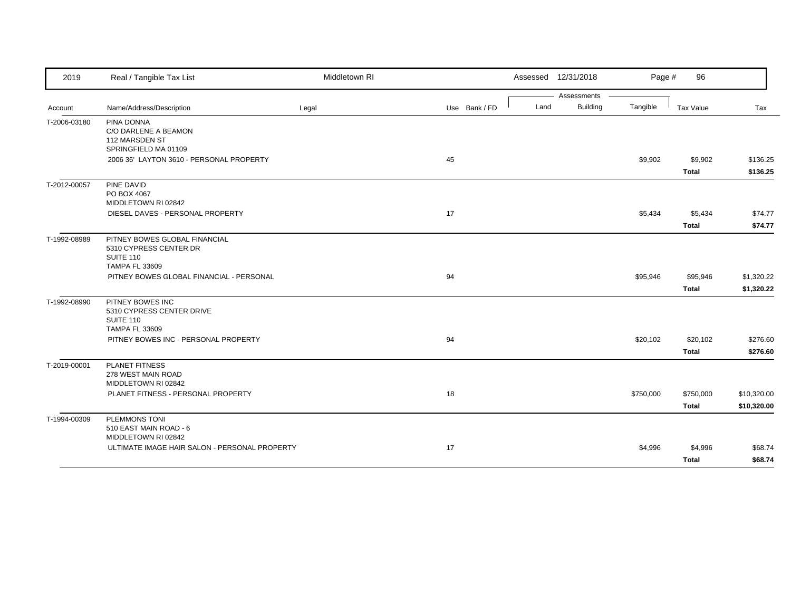| 2019         | Real / Tangible Tax List                                                                      | Middletown RI |               | Assessed 12/31/2018 |                 | Page #    | 96           |             |
|--------------|-----------------------------------------------------------------------------------------------|---------------|---------------|---------------------|-----------------|-----------|--------------|-------------|
|              |                                                                                               |               |               |                     | Assessments     |           |              |             |
| Account      | Name/Address/Description                                                                      | Legal         | Use Bank / FD | Land                | <b>Building</b> | Tangible  | Tax Value    | Tax         |
| T-2006-03180 | PINA DONNA<br>C/O DARLENE A BEAMON<br>112 MARSDEN ST<br>SPRINGFIELD MA 01109                  |               |               |                     |                 |           |              |             |
|              | 2006 36' LAYTON 3610 - PERSONAL PROPERTY                                                      |               | 45            |                     |                 | \$9,902   | \$9,902      | \$136.25    |
|              |                                                                                               |               |               |                     |                 |           | <b>Total</b> | \$136.25    |
| T-2012-00057 | PINE DAVID<br>PO BOX 4067<br>MIDDLETOWN RI 02842                                              |               |               |                     |                 |           |              |             |
|              | DIESEL DAVES - PERSONAL PROPERTY                                                              |               | 17            |                     |                 | \$5,434   | \$5,434      | \$74.77     |
|              |                                                                                               |               |               |                     |                 |           | <b>Total</b> | \$74.77     |
| T-1992-08989 | PITNEY BOWES GLOBAL FINANCIAL<br>5310 CYPRESS CENTER DR<br>SUITE 110<br><b>TAMPA FL 33609</b> |               |               |                     |                 |           |              |             |
|              | PITNEY BOWES GLOBAL FINANCIAL - PERSONAL                                                      |               | 94            |                     |                 | \$95,946  | \$95,946     | \$1,320.22  |
|              |                                                                                               |               |               |                     |                 |           | <b>Total</b> | \$1,320.22  |
| T-1992-08990 | PITNEY BOWES INC<br>5310 CYPRESS CENTER DRIVE<br><b>SUITE 110</b><br><b>TAMPA FL 33609</b>    |               |               |                     |                 |           |              |             |
|              | PITNEY BOWES INC - PERSONAL PROPERTY                                                          |               | 94            |                     |                 | \$20,102  | \$20,102     | \$276.60    |
|              |                                                                                               |               |               |                     |                 |           | <b>Total</b> | \$276.60    |
| T-2019-00001 | <b>PLANET FITNESS</b><br>278 WEST MAIN ROAD<br>MIDDLETOWN RI 02842                            |               |               |                     |                 |           |              |             |
|              | PLANET FITNESS - PERSONAL PROPERTY                                                            |               | 18            |                     |                 | \$750,000 | \$750,000    | \$10,320.00 |
|              |                                                                                               |               |               |                     |                 |           | <b>Total</b> | \$10,320.00 |
| T-1994-00309 | <b>PLEMMONS TONI</b><br>510 EAST MAIN ROAD - 6<br>MIDDLETOWN RI 02842                         |               |               |                     |                 |           |              |             |
|              | ULTIMATE IMAGE HAIR SALON - PERSONAL PROPERTY                                                 |               | 17            |                     |                 | \$4,996   | \$4,996      | \$68.74     |
|              |                                                                                               |               |               |                     |                 |           | <b>Total</b> | \$68.74     |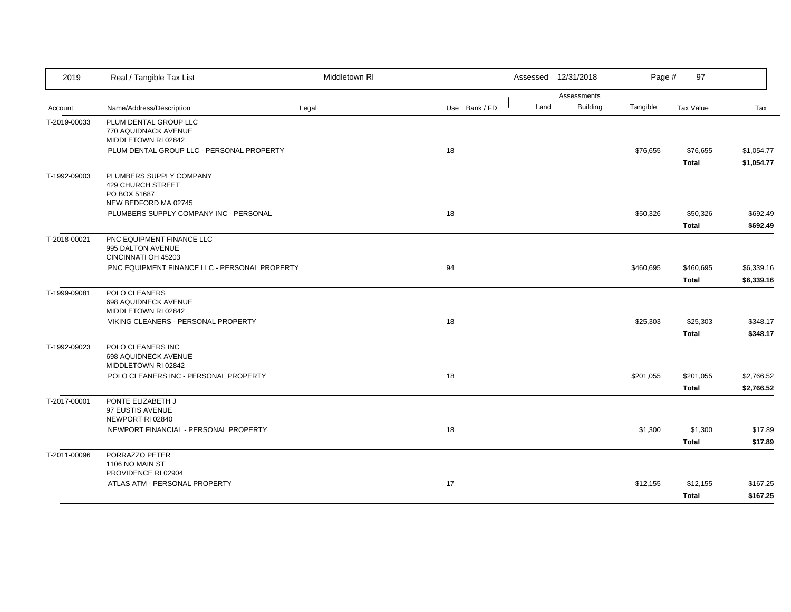| 2019         | Real / Tangible Tax List                                  | Middletown RI |               |      | Assessed 12/31/2018     | Page #    | 97               |            |
|--------------|-----------------------------------------------------------|---------------|---------------|------|-------------------------|-----------|------------------|------------|
|              |                                                           |               |               | Land | Assessments<br>Building |           |                  |            |
| Account      | Name/Address/Description                                  | Legal         | Use Bank / FD |      |                         | Tangible  | <b>Tax Value</b> | Tax        |
| T-2019-00033 | PLUM DENTAL GROUP LLC<br>770 AQUIDNACK AVENUE             |               |               |      |                         |           |                  |            |
|              | MIDDLETOWN RI 02842                                       |               |               |      |                         |           |                  |            |
|              | PLUM DENTAL GROUP LLC - PERSONAL PROPERTY                 |               | 18            |      |                         | \$76,655  | \$76,655         | \$1,054.77 |
|              |                                                           |               |               |      |                         |           | <b>Total</b>     | \$1,054.77 |
| T-1992-09003 | PLUMBERS SUPPLY COMPANY                                   |               |               |      |                         |           |                  |            |
|              | <b>429 CHURCH STREET</b>                                  |               |               |      |                         |           |                  |            |
|              | PO BOX 51687                                              |               |               |      |                         |           |                  |            |
|              | NEW BEDFORD MA 02745                                      |               |               |      |                         |           |                  |            |
|              | PLUMBERS SUPPLY COMPANY INC - PERSONAL                    |               | 18            |      |                         | \$50,326  | \$50,326         | \$692.49   |
|              |                                                           |               |               |      |                         |           | <b>Total</b>     | \$692.49   |
| T-2018-00021 | PNC EQUIPMENT FINANCE LLC                                 |               |               |      |                         |           |                  |            |
|              | 995 DALTON AVENUE<br>CINCINNATI OH 45203                  |               |               |      |                         |           |                  |            |
|              | PNC EQUIPMENT FINANCE LLC - PERSONAL PROPERTY             |               | 94            |      |                         | \$460,695 | \$460,695        | \$6,339.16 |
|              |                                                           |               |               |      |                         |           | <b>Total</b>     | \$6,339.16 |
|              |                                                           |               |               |      |                         |           |                  |            |
| T-1999-09081 | POLO CLEANERS<br>698 AQUIDNECK AVENUE                     |               |               |      |                         |           |                  |            |
|              | MIDDLETOWN RI 02842                                       |               |               |      |                         |           |                  |            |
|              | VIKING CLEANERS - PERSONAL PROPERTY                       |               | 18            |      |                         | \$25,303  | \$25,303         | \$348.17   |
|              |                                                           |               |               |      |                         |           | <b>Total</b>     | \$348.17   |
| T-1992-09023 | POLO CLEANERS INC                                         |               |               |      |                         |           |                  |            |
|              | 698 AQUIDNECK AVENUE                                      |               |               |      |                         |           |                  |            |
|              | MIDDLETOWN RI 02842                                       |               |               |      |                         |           |                  |            |
|              | POLO CLEANERS INC - PERSONAL PROPERTY                     |               | 18            |      |                         | \$201,055 | \$201,055        | \$2,766.52 |
|              |                                                           |               |               |      |                         |           | <b>Total</b>     | \$2,766.52 |
| T-2017-00001 | PONTE ELIZABETH J                                         |               |               |      |                         |           |                  |            |
|              | 97 EUSTIS AVENUE                                          |               |               |      |                         |           |                  |            |
|              | NEWPORT RI 02840<br>NEWPORT FINANCIAL - PERSONAL PROPERTY |               | 18            |      |                         | \$1,300   | \$1,300          | \$17.89    |
|              |                                                           |               |               |      |                         |           |                  |            |
|              |                                                           |               |               |      |                         |           | Total            | \$17.89    |
| T-2011-00096 | PORRAZZO PETER                                            |               |               |      |                         |           |                  |            |
|              | 1106 NO MAIN ST<br>PROVIDENCE RI 02904                    |               |               |      |                         |           |                  |            |
|              | ATLAS ATM - PERSONAL PROPERTY                             |               | 17            |      |                         | \$12,155  | \$12,155         | \$167.25   |
|              |                                                           |               |               |      |                         |           | <b>Total</b>     | \$167.25   |
|              |                                                           |               |               |      |                         |           |                  |            |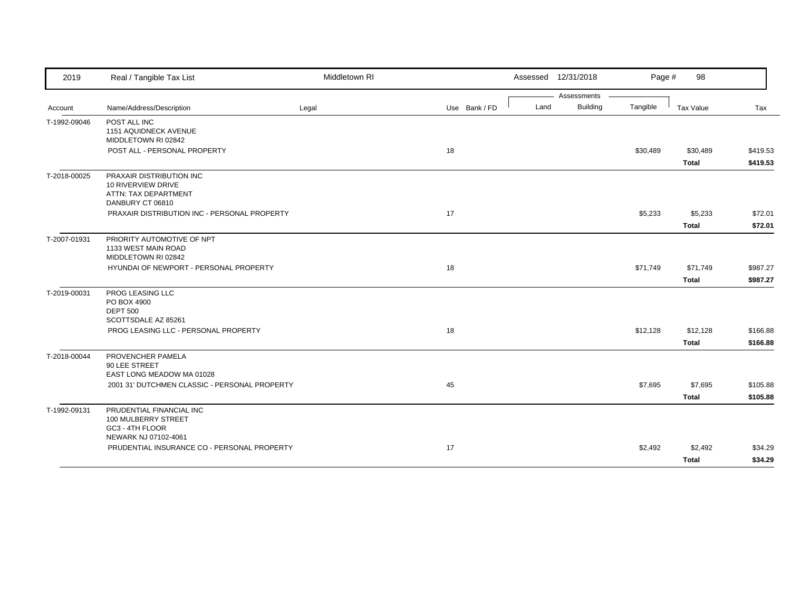| 2019         | Real / Tangible Tax List                                                                   | Middletown RI |               |      | Assessed 12/31/2018 | Page #   | 98           |          |
|--------------|--------------------------------------------------------------------------------------------|---------------|---------------|------|---------------------|----------|--------------|----------|
|              |                                                                                            |               |               |      | Assessments         |          |              |          |
| Account      | Name/Address/Description                                                                   | Legal         | Use Bank / FD | Land | <b>Building</b>     | Tangible | Tax Value    | Tax      |
| T-1992-09046 | POST ALL INC<br>1151 AQUIDNECK AVENUE<br>MIDDLETOWN RI 02842                               |               |               |      |                     |          |              |          |
|              | POST ALL - PERSONAL PROPERTY                                                               |               | 18            |      |                     | \$30,489 | \$30,489     | \$419.53 |
|              |                                                                                            |               |               |      |                     |          | <b>Total</b> | \$419.53 |
| T-2018-00025 | PRAXAIR DISTRIBUTION INC<br>10 RIVERVIEW DRIVE<br>ATTN: TAX DEPARTMENT<br>DANBURY CT 06810 |               |               |      |                     |          |              |          |
|              | PRAXAIR DISTRIBUTION INC - PERSONAL PROPERTY                                               |               | 17            |      |                     | \$5,233  | \$5,233      | \$72.01  |
|              |                                                                                            |               |               |      |                     |          | <b>Total</b> | \$72.01  |
| T-2007-01931 | PRIORITY AUTOMOTIVE OF NPT<br>1133 WEST MAIN ROAD<br>MIDDLETOWN RI 02842                   |               |               |      |                     |          |              |          |
|              | HYUNDAI OF NEWPORT - PERSONAL PROPERTY                                                     |               | 18            |      |                     | \$71,749 | \$71,749     | \$987.27 |
|              |                                                                                            |               |               |      |                     |          | <b>Total</b> | \$987.27 |
| T-2019-00031 | PROG LEASING LLC<br>PO BOX 4900<br><b>DEPT 500</b><br>SCOTTSDALE AZ 85261                  |               |               |      |                     |          |              |          |
|              | PROG LEASING LLC - PERSONAL PROPERTY                                                       |               | 18            |      |                     | \$12,128 | \$12,128     | \$166.88 |
|              |                                                                                            |               |               |      |                     |          | <b>Total</b> | \$166.88 |
| T-2018-00044 | PROVENCHER PAMELA<br>90 LEE STREET<br>EAST LONG MEADOW MA 01028                            |               |               |      |                     |          |              |          |
|              | 2001 31' DUTCHMEN CLASSIC - PERSONAL PROPERTY                                              |               | 45            |      |                     | \$7,695  | \$7,695      | \$105.88 |
|              |                                                                                            |               |               |      |                     |          | <b>Total</b> | \$105.88 |
| T-1992-09131 | PRUDENTIAL FINANCIAL INC<br>100 MULBERRY STREET<br>GC3 - 4TH FLOOR<br>NEWARK NJ 07102-4061 |               |               |      |                     |          |              |          |
|              | PRUDENTIAL INSURANCE CO - PERSONAL PROPERTY                                                |               | 17            |      |                     | \$2,492  | \$2,492      | \$34.29  |
|              |                                                                                            |               |               |      |                     |          | <b>Total</b> | \$34.29  |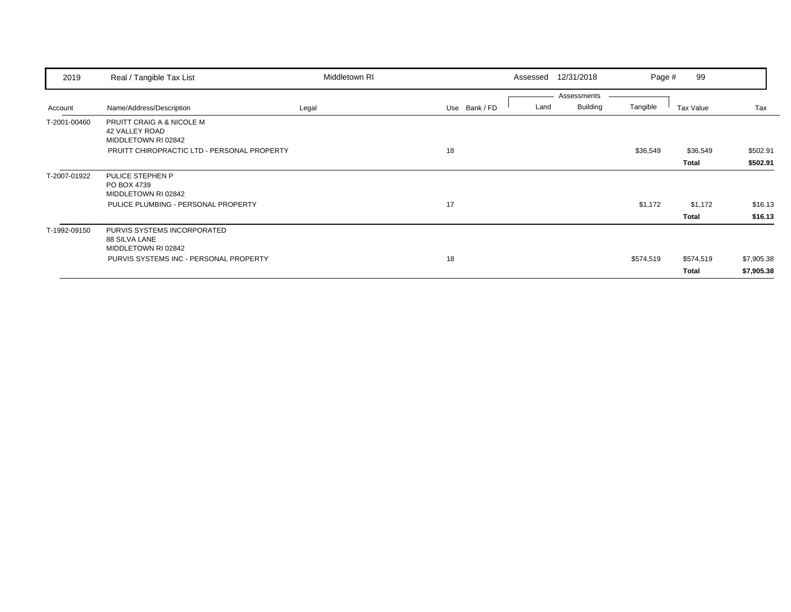| 2019         | Real / Tangible Tax List                                                  | Middletown RI |               | 12/31/2018<br>Assessed                 | Page #    | 99                        |                          |
|--------------|---------------------------------------------------------------------------|---------------|---------------|----------------------------------------|-----------|---------------------------|--------------------------|
| Account      | Name/Address/Description                                                  | Legal         | Use Bank / FD | Assessments<br><b>Building</b><br>Land | Tangible  | Tax Value                 | Tax                      |
| T-2001-00460 | PRUITT CRAIG A & NICOLE M<br><b>42 VALLEY ROAD</b><br>MIDDLETOWN RI 02842 |               |               |                                        |           |                           |                          |
|              | PRUITT CHIROPRACTIC LTD - PERSONAL PROPERTY                               |               | 18            |                                        | \$36,549  | \$36,549<br><b>Total</b>  | \$502.91<br>\$502.91     |
| T-2007-01922 | PULICE STEPHEN P<br>PO BOX 4739<br>MIDDLETOWN RI 02842                    |               |               |                                        |           |                           |                          |
|              | PULICE PLUMBING - PERSONAL PROPERTY                                       |               | 17            |                                        | \$1,172   | \$1,172<br>Total          | \$16.13<br>\$16.13       |
| T-1992-09150 | PURVIS SYSTEMS INCORPORATED<br>88 SILVA LANE<br>MIDDLETOWN RI 02842       |               |               |                                        |           |                           |                          |
|              | PURVIS SYSTEMS INC - PERSONAL PROPERTY                                    |               | 18            |                                        | \$574,519 | \$574,519<br><b>Total</b> | \$7,905.38<br>\$7,905.38 |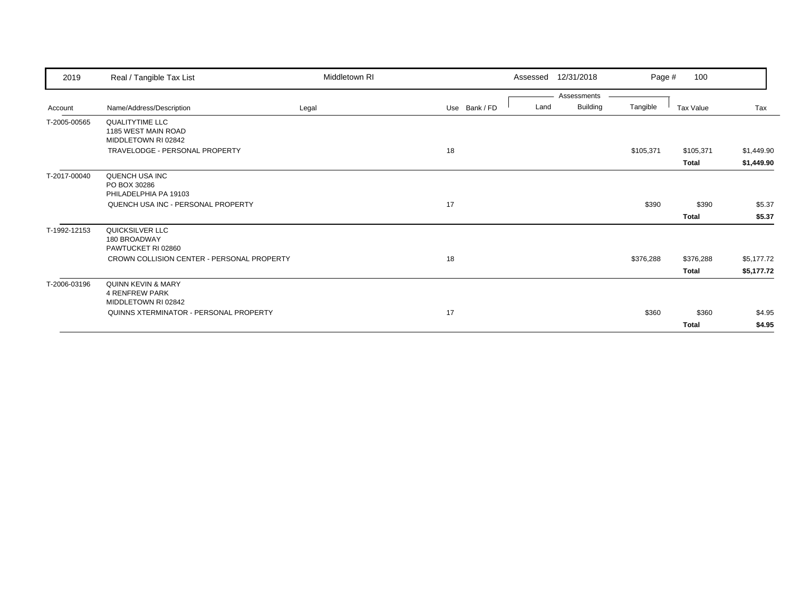| 2019         | Real / Tangible Tax List                                             | Middletown RI |               | 12/31/2018<br>Assessed          | Page #    | 100                   |                          |
|--------------|----------------------------------------------------------------------|---------------|---------------|---------------------------------|-----------|-----------------------|--------------------------|
| Account      | Name/Address/Description                                             | Legal         | Use Bank / FD | Assessments<br>Building<br>Land | Tangible  | Tax Value             | Tax                      |
| T-2005-00565 | <b>QUALITYTIME LLC</b><br>1185 WEST MAIN ROAD<br>MIDDLETOWN RI 02842 |               |               |                                 |           |                       |                          |
|              | TRAVELODGE - PERSONAL PROPERTY                                       |               | 18            |                                 | \$105,371 | \$105,371<br>Total    | \$1,449.90<br>\$1,449.90 |
| T-2017-00040 | QUENCH USA INC<br>PO BOX 30286<br>PHILADELPHIA PA 19103              |               |               |                                 |           |                       |                          |
|              | QUENCH USA INC - PERSONAL PROPERTY                                   |               | 17            |                                 | \$390     | \$390<br><b>Total</b> | \$5.37<br>\$5.37         |
| T-1992-12153 | QUICKSILVER LLC<br>180 BROADWAY<br>PAWTUCKET RI 02860                |               |               |                                 |           |                       |                          |
|              | CROWN COLLISION CENTER - PERSONAL PROPERTY                           |               | 18            |                                 | \$376,288 | \$376,288<br>Total    | \$5,177.72<br>\$5,177.72 |
| T-2006-03196 | QUINN KEVIN & MARY<br><b>4 RENFREW PARK</b><br>MIDDLETOWN RI 02842   |               |               |                                 |           |                       |                          |
|              | QUINNS XTERMINATOR - PERSONAL PROPERTY                               |               | 17            |                                 | \$360     | \$360<br>Total        | \$4.95<br>\$4.95         |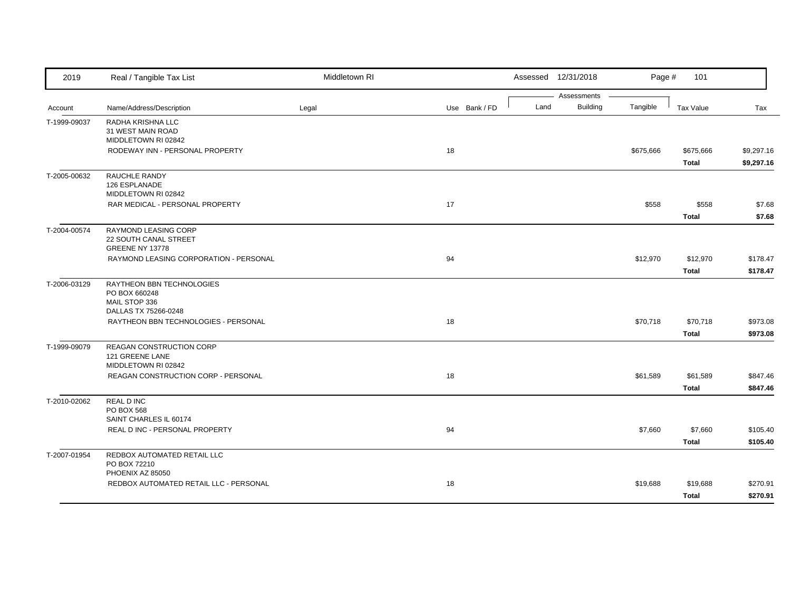| 2019         | Real / Tangible Tax List                    | Middletown RI |               |      | Assessed 12/31/2018            | Page #    | 101          |            |
|--------------|---------------------------------------------|---------------|---------------|------|--------------------------------|-----------|--------------|------------|
|              | Name/Address/Description                    | Legal         | Use Bank / FD | Land | Assessments<br><b>Building</b> | Tangible  | Tax Value    | Tax        |
| Account      |                                             |               |               |      |                                |           |              |            |
| T-1999-09037 | RADHA KRISHNA LLC<br>31 WEST MAIN ROAD      |               |               |      |                                |           |              |            |
|              | MIDDLETOWN RI 02842                         |               |               |      |                                |           |              |            |
|              | RODEWAY INN - PERSONAL PROPERTY             |               | 18            |      |                                | \$675,666 | \$675,666    | \$9,297.16 |
|              |                                             |               |               |      |                                |           | <b>Total</b> | \$9,297.16 |
| T-2005-00632 | RAUCHLE RANDY                               |               |               |      |                                |           |              |            |
|              | 126 ESPLANADE                               |               |               |      |                                |           |              |            |
|              | MIDDLETOWN RI 02842                         |               |               |      |                                |           |              |            |
|              | RAR MEDICAL - PERSONAL PROPERTY             |               | 17            |      |                                | \$558     | \$558        | \$7.68     |
|              |                                             |               |               |      |                                |           | <b>Total</b> | \$7.68     |
| T-2004-00574 | RAYMOND LEASING CORP                        |               |               |      |                                |           |              |            |
|              | 22 SOUTH CANAL STREET                       |               |               |      |                                |           |              |            |
|              | GREENE NY 13778                             |               |               |      |                                |           |              |            |
|              | RAYMOND LEASING CORPORATION - PERSONAL      |               | 94            |      |                                | \$12,970  | \$12,970     | \$178.47   |
|              |                                             |               |               |      |                                |           | <b>Total</b> | \$178.47   |
| T-2006-03129 | RAYTHEON BBN TECHNOLOGIES                   |               |               |      |                                |           |              |            |
|              | PO BOX 660248                               |               |               |      |                                |           |              |            |
|              | MAIL STOP 336<br>DALLAS TX 75266-0248       |               |               |      |                                |           |              |            |
|              | RAYTHEON BBN TECHNOLOGIES - PERSONAL        |               | 18            |      |                                | \$70,718  | \$70,718     | \$973.08   |
|              |                                             |               |               |      |                                |           |              |            |
|              |                                             |               |               |      |                                |           | <b>Total</b> | \$973.08   |
| T-1999-09079 | <b>REAGAN CONSTRUCTION CORP</b>             |               |               |      |                                |           |              |            |
|              | 121 GREENE LANE<br>MIDDLETOWN RI 02842      |               |               |      |                                |           |              |            |
|              | REAGAN CONSTRUCTION CORP - PERSONAL         |               | 18            |      |                                | \$61,589  | \$61,589     | \$847.46   |
|              |                                             |               |               |      |                                |           | <b>Total</b> | \$847.46   |
|              |                                             |               |               |      |                                |           |              |            |
| T-2010-02062 | <b>REAL D INC</b><br><b>PO BOX 568</b>      |               |               |      |                                |           |              |            |
|              | SAINT CHARLES IL 60174                      |               |               |      |                                |           |              |            |
|              | REAL D INC - PERSONAL PROPERTY              |               | 94            |      |                                | \$7,660   | \$7,660      | \$105.40   |
|              |                                             |               |               |      |                                |           | <b>Total</b> | \$105.40   |
|              |                                             |               |               |      |                                |           |              |            |
| T-2007-01954 | REDBOX AUTOMATED RETAIL LLC<br>PO BOX 72210 |               |               |      |                                |           |              |            |
|              | PHOENIX AZ 85050                            |               |               |      |                                |           |              |            |
|              | REDBOX AUTOMATED RETAIL LLC - PERSONAL      |               | 18            |      |                                | \$19,688  | \$19,688     | \$270.91   |
|              |                                             |               |               |      |                                |           | <b>Total</b> | \$270.91   |
|              |                                             |               |               |      |                                |           |              |            |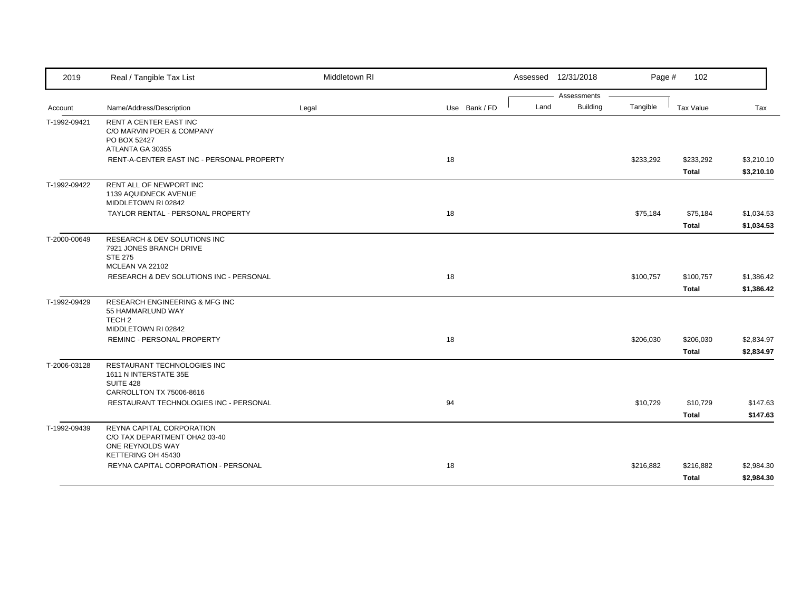| 2019         | Real / Tangible Tax List                                                                                   | Middletown RI |               |      | Assessed 12/31/2018            | Page #    | 102                       |                          |
|--------------|------------------------------------------------------------------------------------------------------------|---------------|---------------|------|--------------------------------|-----------|---------------------------|--------------------------|
| Account      | Name/Address/Description                                                                                   | Legal         | Use Bank / FD | Land | Assessments<br><b>Building</b> | Tangible  | Tax Value                 | Tax                      |
| T-1992-09421 | <b>RENT A CENTER EAST INC</b><br>C/O MARVIN POER & COMPANY<br>PO BOX 52427<br>ATLANTA GA 30355             |               |               |      |                                |           |                           |                          |
|              | RENT-A-CENTER EAST INC - PERSONAL PROPERTY                                                                 |               | 18            |      |                                | \$233,292 | \$233,292<br><b>Total</b> | \$3,210.10<br>\$3,210.10 |
| T-1992-09422 | RENT ALL OF NEWPORT INC<br>1139 AQUIDNECK AVENUE<br>MIDDLETOWN RI 02842                                    |               |               |      |                                |           |                           |                          |
|              | TAYLOR RENTAL - PERSONAL PROPERTY                                                                          |               | 18            |      |                                | \$75,184  | \$75,184<br><b>Total</b>  | \$1,034.53<br>\$1,034.53 |
| T-2000-00649 | RESEARCH & DEV SOLUTIONS INC<br>7921 JONES BRANCH DRIVE<br><b>STE 275</b><br>MCLEAN VA 22102               |               |               |      |                                |           |                           |                          |
|              | RESEARCH & DEV SOLUTIONS INC - PERSONAL                                                                    |               | 18            |      |                                | \$100,757 | \$100,757<br>Total        | \$1,386.42<br>\$1,386.42 |
| T-1992-09429 | <b>RESEARCH ENGINEERING &amp; MFG INC</b><br>55 HAMMARLUND WAY<br>TECH <sub>2</sub><br>MIDDLETOWN RI 02842 |               |               |      |                                |           |                           |                          |
|              | <b>REMINC - PERSONAL PROPERTY</b>                                                                          |               | 18            |      |                                | \$206,030 | \$206,030<br><b>Total</b> | \$2,834.97<br>\$2,834.97 |
| T-2006-03128 | RESTAURANT TECHNOLOGIES INC<br>1611 N INTERSTATE 35E<br>SUITE 428<br>CARROLLTON TX 75006-8616              |               |               |      |                                |           |                           |                          |
|              | RESTAURANT TECHNOLOGIES INC - PERSONAL                                                                     |               | 94            |      |                                | \$10,729  | \$10,729<br><b>Total</b>  | \$147.63<br>\$147.63     |
| T-1992-09439 | REYNA CAPITAL CORPORATION<br>C/O TAX DEPARTMENT OHA2 03-40<br>ONE REYNOLDS WAY<br>KETTERING OH 45430       |               |               |      |                                |           |                           |                          |
|              | REYNA CAPITAL CORPORATION - PERSONAL                                                                       |               | 18            |      |                                | \$216,882 | \$216,882<br><b>Total</b> | \$2,984.30<br>\$2,984.30 |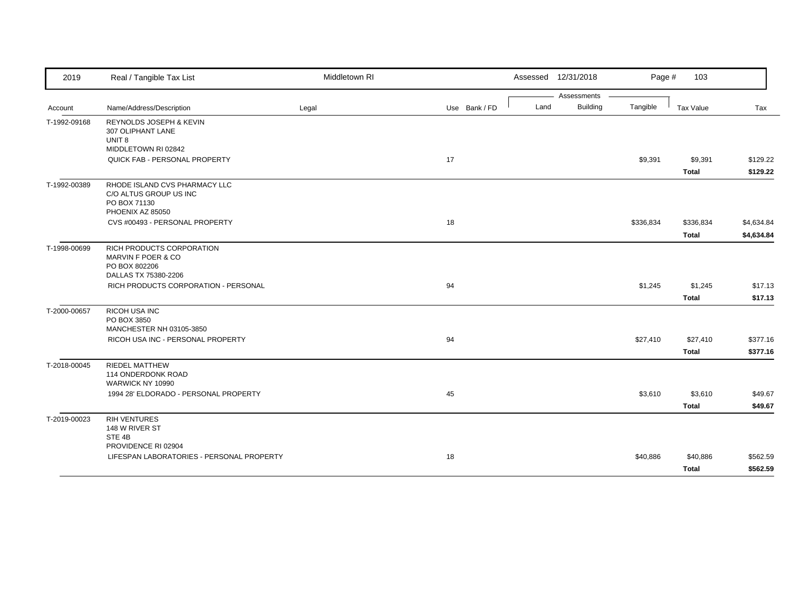| 2019         | Real / Tangible Tax List                                                                            | Middletown RI |               | Assessed 12/31/2018 |                                | Page #    | 103                       |                          |
|--------------|-----------------------------------------------------------------------------------------------------|---------------|---------------|---------------------|--------------------------------|-----------|---------------------------|--------------------------|
| Account      | Name/Address/Description                                                                            | Legal         | Use Bank / FD | Land                | Assessments<br><b>Building</b> | Tangible  | Tax Value                 | Tax                      |
| T-1992-09168 | <b>REYNOLDS JOSEPH &amp; KEVIN</b><br>307 OLIPHANT LANE<br>UNIT <sub>8</sub><br>MIDDLETOWN RI 02842 |               |               |                     |                                |           |                           |                          |
|              | QUICK FAB - PERSONAL PROPERTY                                                                       |               | 17            |                     |                                | \$9,391   | \$9,391<br><b>Total</b>   | \$129.22<br>\$129.22     |
| T-1992-00389 | RHODE ISLAND CVS PHARMACY LLC<br>C/O ALTUS GROUP US INC<br>PO BOX 71130<br>PHOENIX AZ 85050         |               |               |                     |                                |           |                           |                          |
|              | CVS #00493 - PERSONAL PROPERTY                                                                      |               | 18            |                     |                                | \$336,834 | \$336,834<br><b>Total</b> | \$4,634.84<br>\$4,634.84 |
| T-1998-00699 | RICH PRODUCTS CORPORATION<br>MARVIN F POER & CO<br>PO BOX 802206<br>DALLAS TX 75380-2206            |               |               |                     |                                |           |                           |                          |
|              | RICH PRODUCTS CORPORATION - PERSONAL                                                                |               | 94            |                     |                                | \$1,245   | \$1,245<br><b>Total</b>   | \$17.13<br>\$17.13       |
| T-2000-00657 | RICOH USA INC<br>PO BOX 3850<br>MANCHESTER NH 03105-3850                                            |               |               |                     |                                |           |                           |                          |
|              | RICOH USA INC - PERSONAL PROPERTY                                                                   |               | 94            |                     |                                | \$27,410  | \$27,410<br>Total         | \$377.16<br>\$377.16     |
| T-2018-00045 | <b>RIEDEL MATTHEW</b><br>114 ONDERDONK ROAD<br>WARWICK NY 10990                                     |               |               |                     |                                |           |                           |                          |
|              | 1994 28' ELDORADO - PERSONAL PROPERTY                                                               |               | 45            |                     |                                | \$3,610   | \$3,610<br><b>Total</b>   | \$49.67<br>\$49.67       |
| T-2019-00023 | <b>RIH VENTURES</b><br>148 W RIVER ST<br>STE <sub>4B</sub>                                          |               |               |                     |                                |           |                           |                          |
|              | PROVIDENCE RI 02904<br>LIFESPAN LABORATORIES - PERSONAL PROPERTY                                    |               | 18            |                     |                                | \$40,886  | \$40,886<br><b>Total</b>  | \$562.59<br>\$562.59     |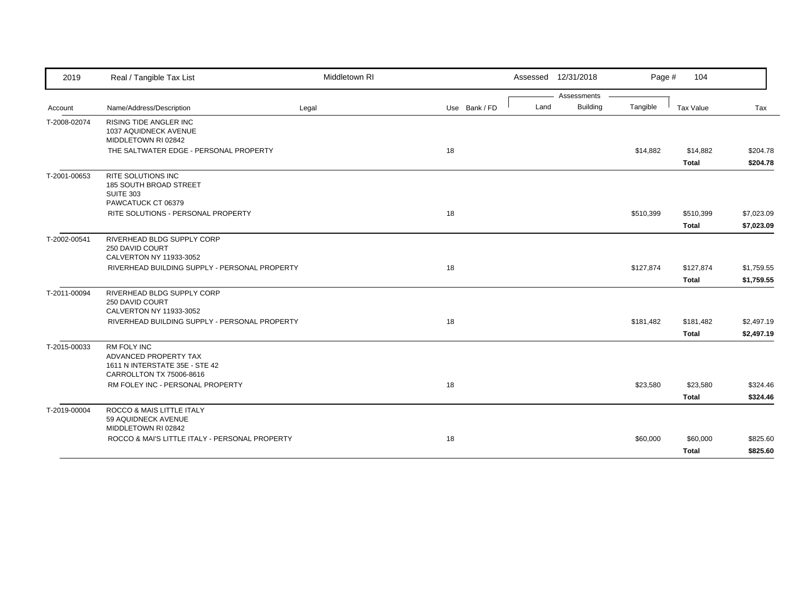| 2019         | Real / Tangible Tax List                                                                                  | Middletown RI |               |      | Assessed 12/31/2018            | Page #    | 104          |            |
|--------------|-----------------------------------------------------------------------------------------------------------|---------------|---------------|------|--------------------------------|-----------|--------------|------------|
|              |                                                                                                           |               |               | Land | Assessments<br><b>Building</b> | Tangible  |              |            |
| Account      | Name/Address/Description                                                                                  | Legal         | Use Bank / FD |      |                                |           | Tax Value    | Tax        |
| T-2008-02074 | RISING TIDE ANGLER INC<br>1037 AQUIDNECK AVENUE<br>MIDDLETOWN RI 02842                                    |               |               |      |                                |           |              |            |
|              | THE SALTWATER EDGE - PERSONAL PROPERTY                                                                    |               | 18            |      |                                | \$14,882  | \$14,882     | \$204.78   |
|              |                                                                                                           |               |               |      |                                |           | <b>Total</b> | \$204.78   |
| T-2001-00653 | RITE SOLUTIONS INC<br>185 SOUTH BROAD STREET<br><b>SUITE 303</b><br>PAWCATUCK CT 06379                    |               |               |      |                                |           |              |            |
|              | RITE SOLUTIONS - PERSONAL PROPERTY                                                                        |               | 18            |      |                                | \$510,399 | \$510,399    | \$7,023.09 |
|              |                                                                                                           |               |               |      |                                |           | <b>Total</b> | \$7,023.09 |
| T-2002-00541 | RIVERHEAD BLDG SUPPLY CORP<br>250 DAVID COURT<br>CALVERTON NY 11933-3052                                  |               |               |      |                                |           |              |            |
|              | RIVERHEAD BUILDING SUPPLY - PERSONAL PROPERTY                                                             |               | 18            |      |                                | \$127,874 | \$127,874    | \$1,759.55 |
|              |                                                                                                           |               |               |      |                                |           | <b>Total</b> | \$1,759.55 |
| T-2011-00094 | RIVERHEAD BLDG SUPPLY CORP<br>250 DAVID COURT<br>CALVERTON NY 11933-3052                                  |               |               |      |                                |           |              |            |
|              | RIVERHEAD BUILDING SUPPLY - PERSONAL PROPERTY                                                             |               | 18            |      |                                | \$181,482 | \$181,482    | \$2,497.19 |
|              |                                                                                                           |               |               |      |                                |           | <b>Total</b> | \$2,497.19 |
| T-2015-00033 | <b>RM FOLY INC</b><br>ADVANCED PROPERTY TAX<br>1611 N INTERSTATE 35E - STE 42<br>CARROLLTON TX 75006-8616 |               |               |      |                                |           |              |            |
|              | RM FOLEY INC - PERSONAL PROPERTY                                                                          |               | 18            |      |                                | \$23,580  | \$23,580     | \$324.46   |
|              |                                                                                                           |               |               |      |                                |           | <b>Total</b> | \$324.46   |
| T-2019-00004 | ROCCO & MAIS LITTLE ITALY<br>59 AQUIDNECK AVENUE                                                          |               |               |      |                                |           |              |            |
|              | MIDDLETOWN RI 02842<br>ROCCO & MAI'S LITTLE ITALY - PERSONAL PROPERTY                                     |               | 18            |      |                                |           |              | \$825.60   |
|              |                                                                                                           |               |               |      |                                | \$60,000  | \$60,000     |            |
|              |                                                                                                           |               |               |      |                                |           | <b>Total</b> | \$825.60   |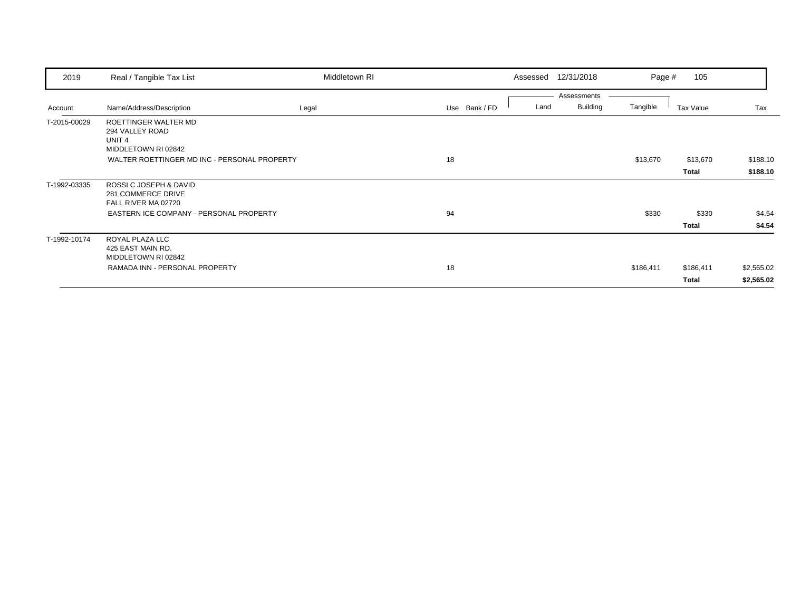| 2019         | Real / Tangible Tax List                                                            | Middletown RI |               | Assessed | 12/31/2018      | Page #    | 105       |            |
|--------------|-------------------------------------------------------------------------------------|---------------|---------------|----------|-----------------|-----------|-----------|------------|
|              |                                                                                     |               |               |          | Assessments     |           |           |            |
| Account      | Name/Address/Description                                                            | Legal         | Use Bank / FD | Land     | <b>Building</b> | Tangible  | Tax Value | Tax        |
| T-2015-00029 | ROETTINGER WALTER MD<br>294 VALLEY ROAD<br>UNIT <sub>4</sub><br>MIDDLETOWN RI 02842 |               |               |          |                 |           |           |            |
|              | WALTER ROETTINGER MD INC - PERSONAL PROPERTY                                        |               | 18            |          |                 | \$13,670  | \$13,670  | \$188.10   |
|              |                                                                                     |               |               |          |                 |           | Total     | \$188.10   |
| T-1992-03335 | ROSSI C JOSEPH & DAVID<br>281 COMMERCE DRIVE<br>FALL RIVER MA 02720                 |               |               |          |                 |           |           |            |
|              | EASTERN ICE COMPANY - PERSONAL PROPERTY                                             |               | 94            |          |                 | \$330     | \$330     | \$4.54     |
|              |                                                                                     |               |               |          |                 |           | Total     | \$4.54     |
| T-1992-10174 | ROYAL PLAZA LLC<br>425 EAST MAIN RD.<br>MIDDLETOWN RI 02842                         |               |               |          |                 |           |           |            |
|              | RAMADA INN - PERSONAL PROPERTY                                                      |               | 18            |          |                 | \$186,411 | \$186,411 | \$2,565.02 |
|              |                                                                                     |               |               |          |                 |           | Total     | \$2,565.02 |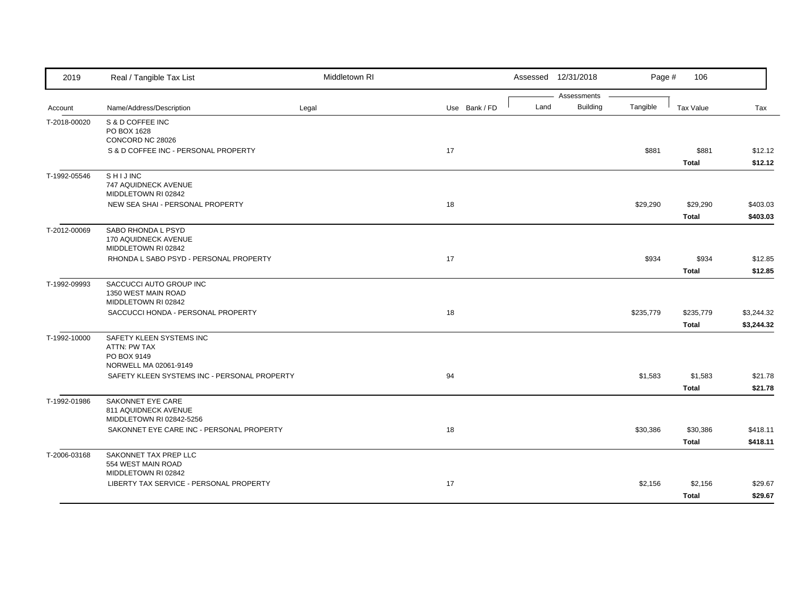| 2019         | Real / Tangible Tax List                                                         | Middletown RI |               |      | Assessed 12/31/2018            | Page #    | 106                       |                          |
|--------------|----------------------------------------------------------------------------------|---------------|---------------|------|--------------------------------|-----------|---------------------------|--------------------------|
| Account      | Name/Address/Description                                                         | Legal         | Use Bank / FD | Land | Assessments<br><b>Building</b> | Tangible  | <b>Tax Value</b>          | Tax                      |
| T-2018-00020 | S & D COFFEE INC<br>PO BOX 1628<br>CONCORD NC 28026                              |               |               |      |                                |           |                           |                          |
|              | S & D COFFEE INC - PERSONAL PROPERTY                                             |               | 17            |      |                                | \$881     | \$881<br><b>Total</b>     | \$12.12<br>\$12.12       |
| T-1992-05546 | SHIJINC<br>747 AQUIDNECK AVENUE<br>MIDDLETOWN RI 02842                           |               |               |      |                                |           |                           |                          |
|              | NEW SEA SHAI - PERSONAL PROPERTY                                                 |               | 18            |      |                                | \$29,290  | \$29,290<br><b>Total</b>  | \$403.03<br>\$403.03     |
| T-2012-00069 | SABO RHONDA L PSYD<br>170 AQUIDNECK AVENUE<br>MIDDLETOWN RI 02842                |               |               |      |                                |           |                           |                          |
|              | RHONDA L SABO PSYD - PERSONAL PROPERTY                                           |               | 17            |      |                                | \$934     | \$934<br><b>Total</b>     | \$12.85<br>\$12.85       |
| T-1992-09993 | SACCUCCI AUTO GROUP INC<br>1350 WEST MAIN ROAD<br>MIDDLETOWN RI 02842            |               |               |      |                                |           |                           |                          |
|              | SACCUCCI HONDA - PERSONAL PROPERTY                                               |               | 18            |      |                                | \$235,779 | \$235,779<br><b>Total</b> | \$3,244.32<br>\$3,244.32 |
| T-1992-10000 | SAFETY KLEEN SYSTEMS INC<br>ATTN: PW TAX<br>PO BOX 9149<br>NORWELL MA 02061-9149 |               |               |      |                                |           |                           |                          |
|              | SAFETY KLEEN SYSTEMS INC - PERSONAL PROPERTY                                     |               | 94            |      |                                | \$1,583   | \$1,583<br><b>Total</b>   | \$21.78<br>\$21.78       |
| T-1992-01986 | <b>SAKONNET EYE CARE</b><br>811 AQUIDNECK AVENUE<br>MIDDLETOWN RI 02842-5256     |               |               |      |                                |           |                           |                          |
|              | SAKONNET EYE CARE INC - PERSONAL PROPERTY                                        |               | 18            |      |                                | \$30,386  | \$30,386<br><b>Total</b>  | \$418.11<br>\$418.11     |
| T-2006-03168 | SAKONNET TAX PREP LLC<br>554 WEST MAIN ROAD<br>MIDDLETOWN RI 02842               |               |               |      |                                |           |                           |                          |
|              | LIBERTY TAX SERVICE - PERSONAL PROPERTY                                          |               | 17            |      |                                | \$2,156   | \$2,156<br><b>Total</b>   | \$29.67<br>\$29.67       |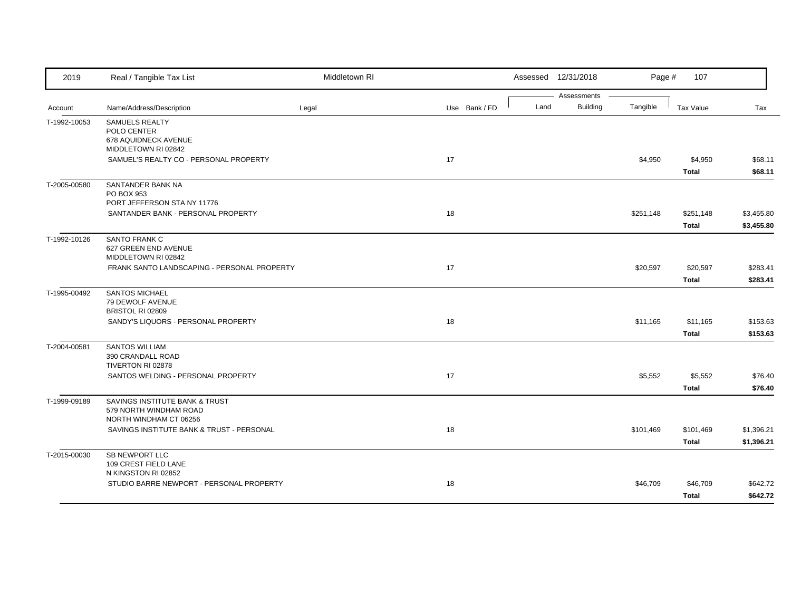| 2019         | Real / Tangible Tax List                                                           | Middletown RI |               |      | Assessed 12/31/2018            | Page #    | 107                       |                          |
|--------------|------------------------------------------------------------------------------------|---------------|---------------|------|--------------------------------|-----------|---------------------------|--------------------------|
| Account      | Name/Address/Description                                                           | Legal         | Use Bank / FD | Land | Assessments<br><b>Building</b> | Tangible  | Tax Value                 | Tax                      |
| T-1992-10053 | SAMUELS REALTY<br>POLO CENTER<br>678 AQUIDNECK AVENUE<br>MIDDLETOWN RI 02842       |               |               |      |                                |           |                           |                          |
|              | SAMUEL'S REALTY CO - PERSONAL PROPERTY                                             |               | 17            |      |                                | \$4,950   | \$4,950<br><b>Total</b>   | \$68.11<br>\$68.11       |
| T-2005-00580 | SANTANDER BANK NA<br>PO BOX 953<br>PORT JEFFERSON STA NY 11776                     |               |               |      |                                |           |                           |                          |
|              | SANTANDER BANK - PERSONAL PROPERTY                                                 |               | 18            |      |                                | \$251,148 | \$251,148<br><b>Total</b> | \$3,455.80<br>\$3,455.80 |
| T-1992-10126 | SANTO FRANK C<br>627 GREEN END AVENUE<br>MIDDLETOWN RI 02842                       |               |               |      |                                |           |                           |                          |
|              | FRANK SANTO LANDSCAPING - PERSONAL PROPERTY                                        |               | 17            |      |                                | \$20,597  | \$20,597<br><b>Total</b>  | \$283.41<br>\$283.41     |
| T-1995-00492 | <b>SANTOS MICHAEL</b><br>79 DEWOLF AVENUE<br>BRISTOL RI 02809                      |               |               |      |                                |           |                           |                          |
|              | SANDY'S LIQUORS - PERSONAL PROPERTY                                                |               | 18            |      |                                | \$11,165  | \$11,165<br><b>Total</b>  | \$153.63<br>\$153.63     |
| T-2004-00581 | <b>SANTOS WILLIAM</b><br>390 CRANDALL ROAD<br>TIVERTON RI 02878                    |               |               |      |                                |           |                           |                          |
|              | SANTOS WELDING - PERSONAL PROPERTY                                                 |               | 17            |      |                                | \$5,552   | \$5,552<br><b>Total</b>   | \$76.40<br>\$76.40       |
| T-1999-09189 | SAVINGS INSTITUTE BANK & TRUST<br>579 NORTH WINDHAM ROAD<br>NORTH WINDHAM CT 06256 |               |               |      |                                |           |                           |                          |
|              | SAVINGS INSTITUTE BANK & TRUST - PERSONAL                                          |               | 18            |      |                                | \$101,469 | \$101,469<br><b>Total</b> | \$1,396.21<br>\$1,396.21 |
| T-2015-00030 | <b>SB NEWPORT LLC</b><br>109 CREST FIELD LANE<br>N KINGSTON RI 02852               |               |               |      |                                |           |                           |                          |
|              | STUDIO BARRE NEWPORT - PERSONAL PROPERTY                                           |               | 18            |      |                                | \$46,709  | \$46,709<br><b>Total</b>  | \$642.72<br>\$642.72     |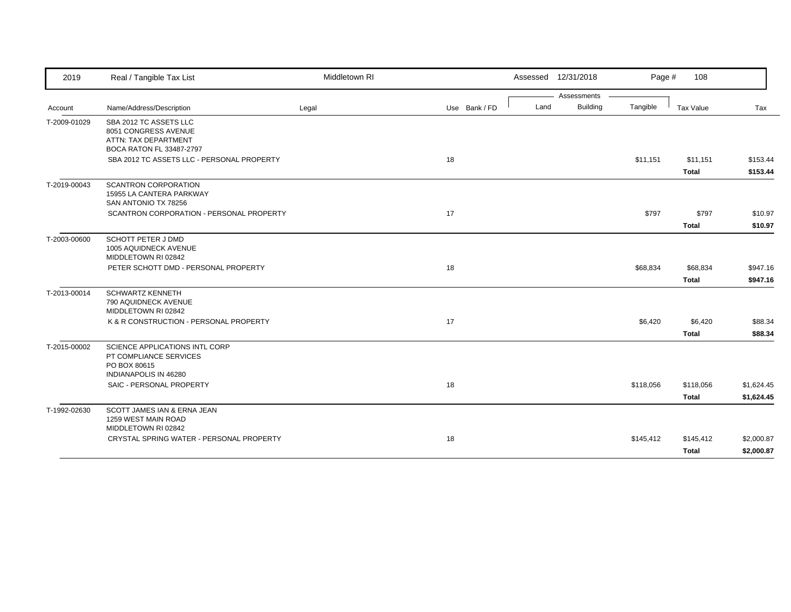| 2019         | Real / Tangible Tax List                                                                           | Middletown RI |               | Assessed 12/31/2018 |                 | Page #    | 108          |            |
|--------------|----------------------------------------------------------------------------------------------------|---------------|---------------|---------------------|-----------------|-----------|--------------|------------|
|              |                                                                                                    |               |               |                     | Assessments     |           |              |            |
| Account      | Name/Address/Description                                                                           | Legal         | Use Bank / FD | Land                | <b>Building</b> | Tangible  | Tax Value    | Tax        |
| T-2009-01029 | SBA 2012 TC ASSETS LLC<br>8051 CONGRESS AVENUE<br>ATTN: TAX DEPARTMENT<br>BOCA RATON FL 33487-2797 |               |               |                     |                 |           |              |            |
|              | SBA 2012 TC ASSETS LLC - PERSONAL PROPERTY                                                         |               | 18            |                     |                 | \$11,151  | \$11,151     | \$153.44   |
|              |                                                                                                    |               |               |                     |                 |           | <b>Total</b> | \$153.44   |
| T-2019-00043 | <b>SCANTRON CORPORATION</b><br>15955 LA CANTERA PARKWAY<br>SAN ANTONIO TX 78256                    |               |               |                     |                 |           |              |            |
|              | SCANTRON CORPORATION - PERSONAL PROPERTY                                                           |               | 17            |                     |                 | \$797     | \$797        | \$10.97    |
|              |                                                                                                    |               |               |                     |                 |           | <b>Total</b> | \$10.97    |
| T-2003-00600 | SCHOTT PETER J DMD<br>1005 AQUIDNECK AVENUE<br>MIDDLETOWN RI 02842                                 |               |               |                     |                 |           |              |            |
|              | PETER SCHOTT DMD - PERSONAL PROPERTY                                                               |               | 18            |                     |                 | \$68,834  | \$68,834     | \$947.16   |
|              |                                                                                                    |               |               |                     |                 |           | <b>Total</b> | \$947.16   |
| T-2013-00014 | <b>SCHWARTZ KENNETH</b><br>790 AQUIDNECK AVENUE<br>MIDDLETOWN RI 02842                             |               |               |                     |                 |           |              |            |
|              | K & R CONSTRUCTION - PERSONAL PROPERTY                                                             |               | 17            |                     |                 | \$6,420   | \$6,420      | \$88.34    |
|              |                                                                                                    |               |               |                     |                 |           | <b>Total</b> | \$88.34    |
| T-2015-00002 | SCIENCE APPLICATIONS INTL CORP<br>PT COMPLIANCE SERVICES<br>PO BOX 80615<br>INDIANAPOLIS IN 46280  |               |               |                     |                 |           |              |            |
|              | SAIC - PERSONAL PROPERTY                                                                           |               | 18            |                     |                 | \$118,056 | \$118,056    | \$1,624.45 |
|              |                                                                                                    |               |               |                     |                 |           | <b>Total</b> | \$1,624.45 |
| T-1992-02630 | SCOTT JAMES IAN & ERNA JEAN<br>1259 WEST MAIN ROAD<br>MIDDLETOWN RI 02842                          |               |               |                     |                 |           |              |            |
|              | CRYSTAL SPRING WATER - PERSONAL PROPERTY                                                           |               | 18            |                     |                 | \$145,412 | \$145,412    | \$2,000.87 |
|              |                                                                                                    |               |               |                     |                 |           | <b>Total</b> | \$2,000.87 |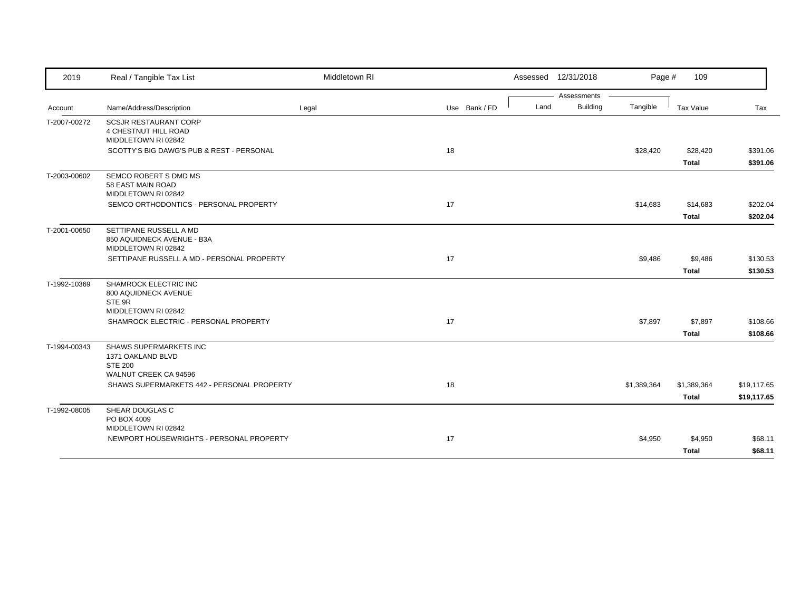| 2019         | Real / Tangible Tax List                                                       | Middletown RI |               | Assessed 12/31/2018 |                 | Page #      | 109                         |                            |
|--------------|--------------------------------------------------------------------------------|---------------|---------------|---------------------|-----------------|-------------|-----------------------------|----------------------------|
|              |                                                                                |               |               |                     | Assessments     |             |                             |                            |
| Account      | Name/Address/Description                                                       | Legal         | Use Bank / FD | Land                | <b>Building</b> | Tangible    | Tax Value                   | Tax                        |
| T-2007-00272 | <b>SCSJR RESTAURANT CORP</b><br>4 CHESTNUT HILL ROAD<br>MIDDLETOWN RI 02842    |               |               |                     |                 |             |                             |                            |
|              | SCOTTY'S BIG DAWG'S PUB & REST - PERSONAL                                      |               | 18            |                     |                 | \$28,420    | \$28,420<br><b>Total</b>    | \$391.06<br>\$391.06       |
| T-2003-00602 | SEMCO ROBERT S DMD MS<br>58 EAST MAIN ROAD<br>MIDDLETOWN RI 02842              |               |               |                     |                 |             |                             |                            |
|              | SEMCO ORTHODONTICS - PERSONAL PROPERTY                                         |               | 17            |                     |                 | \$14,683    | \$14,683<br><b>Total</b>    | \$202.04<br>\$202.04       |
| T-2001-00650 | SETTIPANE RUSSELL A MD<br>850 AQUIDNECK AVENUE - B3A<br>MIDDLETOWN RI 02842    |               |               |                     |                 |             |                             |                            |
|              | SETTIPANE RUSSELL A MD - PERSONAL PROPERTY                                     |               | 17            |                     |                 | \$9,486     | \$9,486<br><b>Total</b>     | \$130.53<br>\$130.53       |
| T-1992-10369 | SHAMROCK ELECTRIC INC<br>800 AQUIDNECK AVENUE<br>STE 9R<br>MIDDLETOWN RI 02842 |               |               |                     |                 |             |                             |                            |
|              | SHAMROCK ELECTRIC - PERSONAL PROPERTY                                          |               | 17            |                     |                 | \$7,897     | \$7,897<br><b>Total</b>     | \$108.66<br>\$108.66       |
| T-1994-00343 | <b>SHAWS SUPERMARKETS INC</b><br>1371 OAKLAND BLVD<br><b>STE 200</b>           |               |               |                     |                 |             |                             |                            |
|              | WALNUT CREEK CA 94596<br>SHAWS SUPERMARKETS 442 - PERSONAL PROPERTY            |               | 18            |                     |                 | \$1,389,364 | \$1,389,364<br><b>Total</b> | \$19,117.65<br>\$19,117.65 |
| T-1992-08005 | SHEAR DOUGLAS C<br>PO BOX 4009<br>MIDDLETOWN RI 02842                          |               |               |                     |                 |             |                             |                            |
|              | NEWPORT HOUSEWRIGHTS - PERSONAL PROPERTY                                       |               | 17            |                     |                 | \$4,950     | \$4,950<br><b>Total</b>     | \$68.11<br>\$68.11         |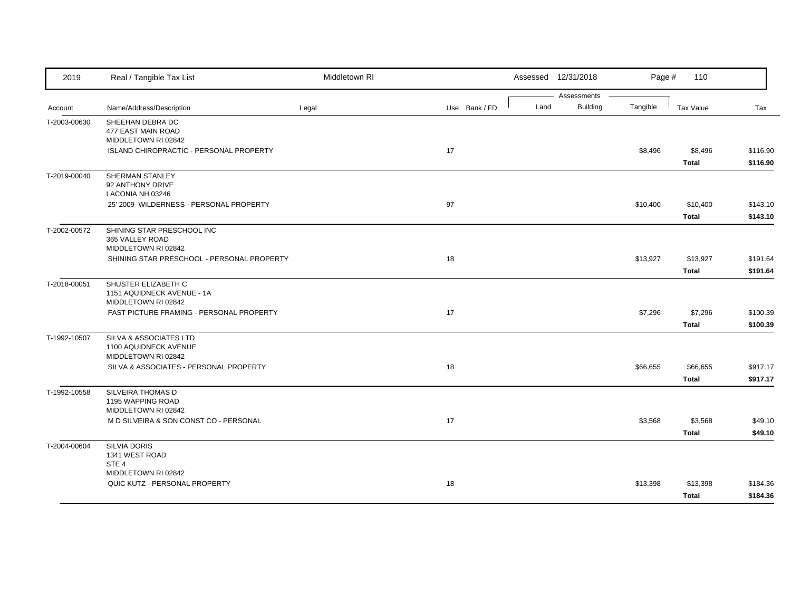| 2019         | Real / Tangible Tax List                      | Middletown RI |               |      | Assessed 12/31/2018            | Page #   | 110          |          |
|--------------|-----------------------------------------------|---------------|---------------|------|--------------------------------|----------|--------------|----------|
|              |                                               |               |               | Land | Assessments<br><b>Building</b> | Tangible |              |          |
| Account      | Name/Address/Description                      | Legal         | Use Bank / FD |      |                                |          | Tax Value    | Tax      |
| T-2003-00630 | SHEEHAN DEBRA DC<br>477 EAST MAIN ROAD        |               |               |      |                                |          |              |          |
|              | MIDDLETOWN RI 02842                           |               |               |      |                                |          |              |          |
|              | ISLAND CHIROPRACTIC - PERSONAL PROPERTY       |               | 17            |      |                                | \$8,496  | \$8,496      | \$116.90 |
|              |                                               |               |               |      |                                |          | <b>Total</b> | \$116.90 |
| T-2019-00040 | SHERMAN STANLEY                               |               |               |      |                                |          |              |          |
|              | 92 ANTHONY DRIVE                              |               |               |      |                                |          |              |          |
|              | LACONIA NH 03246                              |               |               |      |                                |          |              |          |
|              | 25' 2009 WILDERNESS - PERSONAL PROPERTY       |               | 97            |      |                                | \$10,400 | \$10,400     | \$143.10 |
|              |                                               |               |               |      |                                |          | <b>Total</b> | \$143.10 |
| T-2002-00572 | SHINING STAR PRESCHOOL INC<br>365 VALLEY ROAD |               |               |      |                                |          |              |          |
|              | MIDDLETOWN RI 02842                           |               |               |      |                                |          |              |          |
|              | SHINING STAR PRESCHOOL - PERSONAL PROPERTY    |               | 18            |      |                                | \$13,927 | \$13,927     | \$191.64 |
|              |                                               |               |               |      |                                |          | <b>Total</b> | \$191.64 |
| T-2018-00051 | SHUSTER ELIZABETH C                           |               |               |      |                                |          |              |          |
|              | 1151 AQUIDNECK AVENUE - 1A                    |               |               |      |                                |          |              |          |
|              | MIDDLETOWN RI 02842                           |               |               |      |                                |          |              |          |
|              | FAST PICTURE FRAMING - PERSONAL PROPERTY      |               | 17            |      |                                | \$7,296  | \$7,296      | \$100.39 |
|              |                                               |               |               |      |                                |          | <b>Total</b> | \$100.39 |
| T-1992-10507 | SILVA & ASSOCIATES LTD                        |               |               |      |                                |          |              |          |
|              | 1100 AQUIDNECK AVENUE<br>MIDDLETOWN RI 02842  |               |               |      |                                |          |              |          |
|              | SILVA & ASSOCIATES - PERSONAL PROPERTY        |               | 18            |      |                                | \$66,655 | \$66,655     | \$917.17 |
|              |                                               |               |               |      |                                |          | <b>Total</b> | \$917.17 |
| T-1992-10558 | SILVEIRA THOMAS D                             |               |               |      |                                |          |              |          |
|              | 1195 WAPPING ROAD                             |               |               |      |                                |          |              |          |
|              | MIDDLETOWN RI 02842                           |               |               |      |                                |          |              |          |
|              | M D SILVEIRA & SON CONST CO - PERSONAL        |               | 17            |      |                                | \$3,568  | \$3,568      | \$49.10  |
|              |                                               |               |               |      |                                |          | <b>Total</b> | \$49.10  |
| T-2004-00604 | <b>SILVIA DORIS</b>                           |               |               |      |                                |          |              |          |
|              | 1341 WEST ROAD                                |               |               |      |                                |          |              |          |
|              | STE <sub>4</sub><br>MIDDLETOWN RI 02842       |               |               |      |                                |          |              |          |
|              | QUIC KUTZ - PERSONAL PROPERTY                 |               | 18            |      |                                | \$13,398 | \$13,398     | \$184.36 |
|              |                                               |               |               |      |                                |          | <b>Total</b> | \$184.36 |
|              |                                               |               |               |      |                                |          |              |          |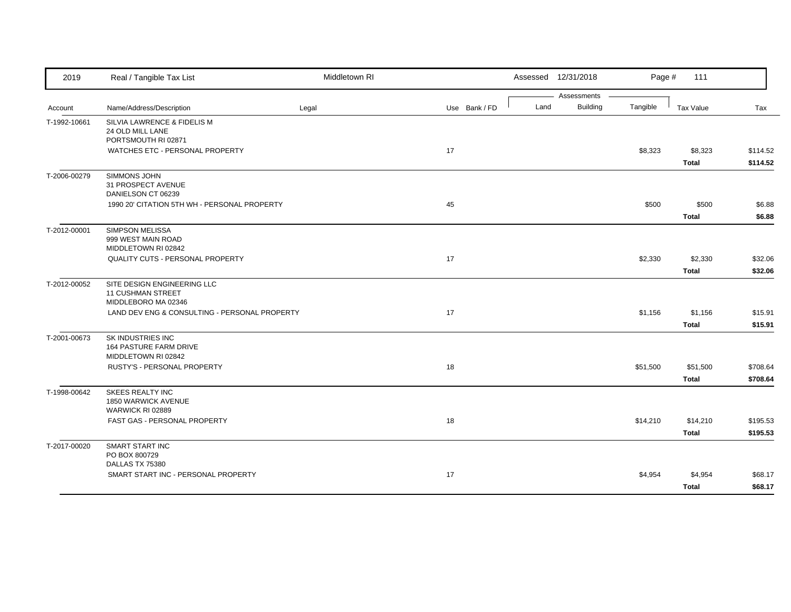| 2019         | Real / Tangible Tax List                                                       | Middletown RI |    |               |      | Assessed 12/31/2018            | Page #   | 111                      |                      |
|--------------|--------------------------------------------------------------------------------|---------------|----|---------------|------|--------------------------------|----------|--------------------------|----------------------|
| Account      | Name/Address/Description                                                       | Legal         |    | Use Bank / FD | Land | Assessments<br><b>Building</b> | Tangible | Tax Value                | Tax                  |
| T-1992-10661 | SILVIA LAWRENCE & FIDELIS M<br>24 OLD MILL LANE<br>PORTSMOUTH RI 02871         |               |    |               |      |                                |          |                          |                      |
|              | WATCHES ETC - PERSONAL PROPERTY                                                |               | 17 |               |      |                                | \$8,323  | \$8,323<br><b>Total</b>  | \$114.52<br>\$114.52 |
| T-2006-00279 | SIMMONS JOHN<br>31 PROSPECT AVENUE<br>DANIELSON CT 06239                       |               |    |               |      |                                |          |                          |                      |
|              | 1990 20' CITATION 5TH WH - PERSONAL PROPERTY                                   |               | 45 |               |      |                                | \$500    | \$500<br><b>Total</b>    | \$6.88<br>\$6.88     |
| T-2012-00001 | <b>SIMPSON MELISSA</b><br>999 WEST MAIN ROAD<br>MIDDLETOWN RI 02842            |               |    |               |      |                                |          |                          |                      |
|              | <b>QUALITY CUTS - PERSONAL PROPERTY</b>                                        |               | 17 |               |      |                                | \$2,330  | \$2,330<br><b>Total</b>  | \$32.06<br>\$32.06   |
| T-2012-00052 | SITE DESIGN ENGINEERING LLC<br><b>11 CUSHMAN STREET</b><br>MIDDLEBORO MA 02346 |               |    |               |      |                                |          |                          |                      |
|              | LAND DEV ENG & CONSULTING - PERSONAL PROPERTY                                  |               | 17 |               |      |                                | \$1,156  | \$1,156<br><b>Total</b>  | \$15.91<br>\$15.91   |
| T-2001-00673 | SK INDUSTRIES INC<br>164 PASTURE FARM DRIVE<br>MIDDLETOWN RI 02842             |               |    |               |      |                                |          |                          |                      |
|              | RUSTY'S - PERSONAL PROPERTY                                                    |               | 18 |               |      |                                | \$51,500 | \$51,500<br><b>Total</b> | \$708.64<br>\$708.64 |
| T-1998-00642 | <b>SKEES REALTY INC</b><br>1850 WARWICK AVENUE<br>WARWICK RI 02889             |               |    |               |      |                                |          |                          |                      |
|              | FAST GAS - PERSONAL PROPERTY                                                   |               | 18 |               |      |                                | \$14,210 | \$14,210<br><b>Total</b> | \$195.53<br>\$195.53 |
| T-2017-00020 | SMART START INC<br>PO BOX 800729                                               |               |    |               |      |                                |          |                          |                      |
|              | DALLAS TX 75380<br>SMART START INC - PERSONAL PROPERTY                         |               | 17 |               |      |                                | \$4,954  | \$4,954<br><b>Total</b>  | \$68.17<br>\$68.17   |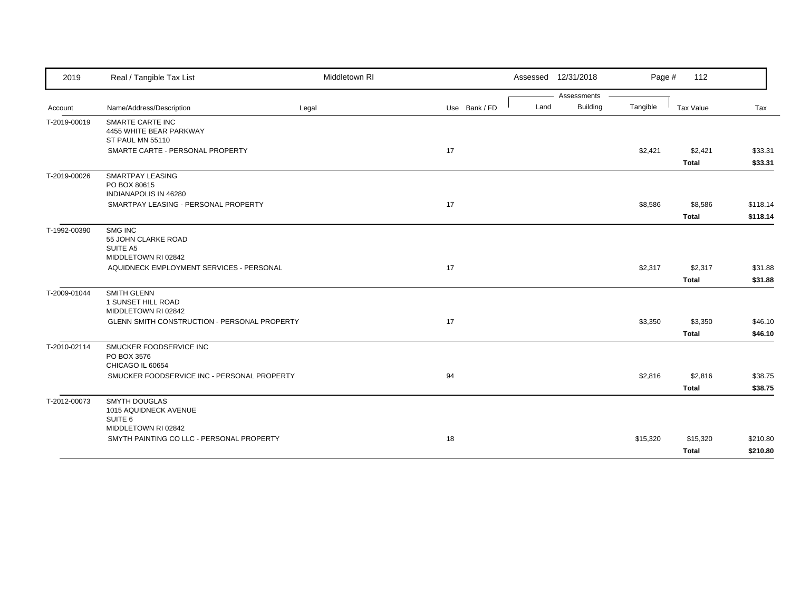| 2019         | Real / Tangible Tax List                                               | Middletown RI |               |      | Assessed 12/31/2018            | Page #   | 112                      |                      |
|--------------|------------------------------------------------------------------------|---------------|---------------|------|--------------------------------|----------|--------------------------|----------------------|
| Account      | Name/Address/Description                                               | Legal         | Use Bank / FD | Land | Assessments<br><b>Building</b> | Tangible | Tax Value                | Tax                  |
| T-2019-00019 | <b>SMARTE CARTE INC</b><br>4455 WHITE BEAR PARKWAY<br>ST PAUL MN 55110 |               |               |      |                                |          |                          |                      |
|              | SMARTE CARTE - PERSONAL PROPERTY                                       |               | 17            |      |                                | \$2,421  | \$2,421<br>Total         | \$33.31<br>\$33.31   |
| T-2019-00026 | <b>SMARTPAY LEASING</b><br>PO BOX 80615<br>INDIANAPOLIS IN 46280       |               |               |      |                                |          |                          |                      |
|              | SMARTPAY LEASING - PERSONAL PROPERTY                                   |               | 17            |      |                                | \$8,586  | \$8,586<br><b>Total</b>  | \$118.14<br>\$118.14 |
| T-1992-00390 | SMG INC<br>55 JOHN CLARKE ROAD<br>SUITE A5<br>MIDDLETOWN RI 02842      |               |               |      |                                |          |                          |                      |
|              | AQUIDNECK EMPLOYMENT SERVICES - PERSONAL                               |               | 17            |      |                                | \$2,317  | \$2,317<br><b>Total</b>  | \$31.88<br>\$31.88   |
| T-2009-01044 | <b>SMITH GLENN</b><br>1 SUNSET HILL ROAD<br>MIDDLETOWN RI 02842        |               |               |      |                                |          |                          |                      |
|              | GLENN SMITH CONSTRUCTION - PERSONAL PROPERTY                           |               | 17            |      |                                | \$3,350  | \$3,350<br><b>Total</b>  | \$46.10<br>\$46.10   |
| T-2010-02114 | SMUCKER FOODSERVICE INC<br>PO BOX 3576<br>CHICAGO IL 60654             |               |               |      |                                |          |                          |                      |
|              | SMUCKER FOODSERVICE INC - PERSONAL PROPERTY                            |               | 94            |      |                                | \$2,816  | \$2,816<br>Total         | \$38.75<br>\$38.75   |
| T-2012-00073 | <b>SMYTH DOUGLAS</b><br>1015 AQUIDNECK AVENUE<br>SUITE <sub>6</sub>    |               |               |      |                                |          |                          |                      |
|              | MIDDLETOWN RI 02842<br>SMYTH PAINTING CO LLC - PERSONAL PROPERTY       |               | 18            |      |                                | \$15,320 | \$15,320<br><b>Total</b> | \$210.80<br>\$210.80 |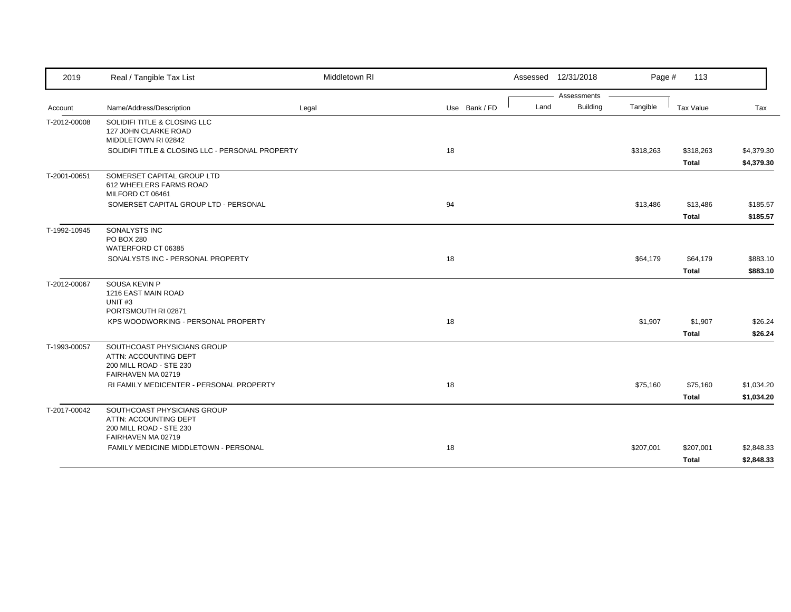| 2019         | Real / Tangible Tax List                                                                              | Middletown RI |               |      | Assessed 12/31/2018 | Page #    | 113          |            |
|--------------|-------------------------------------------------------------------------------------------------------|---------------|---------------|------|---------------------|-----------|--------------|------------|
|              |                                                                                                       |               |               |      | Assessments         |           |              |            |
| Account      | Name/Address/Description                                                                              | Legal         | Use Bank / FD | Land | <b>Building</b>     | Tangible  | Tax Value    | Tax        |
| T-2012-00008 | SOLIDIFI TITLE & CLOSING LLC<br>127 JOHN CLARKE ROAD<br>MIDDLETOWN RI 02842                           |               |               |      |                     |           |              |            |
|              | SOLIDIFI TITLE & CLOSING LLC - PERSONAL PROPERTY                                                      |               | 18            |      |                     | \$318,263 | \$318,263    | \$4,379.30 |
|              |                                                                                                       |               |               |      |                     |           | <b>Total</b> | \$4,379.30 |
| T-2001-00651 | SOMERSET CAPITAL GROUP LTD<br>612 WHEELERS FARMS ROAD<br>MILFORD CT 06461                             |               |               |      |                     |           |              |            |
|              | SOMERSET CAPITAL GROUP LTD - PERSONAL                                                                 |               | 94            |      |                     | \$13,486  | \$13,486     | \$185.57   |
|              |                                                                                                       |               |               |      |                     |           | <b>Total</b> | \$185.57   |
| T-1992-10945 | SONALYSTS INC<br>PO BOX 280<br>WATERFORD CT 06385                                                     |               |               |      |                     |           |              |            |
|              | SONALYSTS INC - PERSONAL PROPERTY                                                                     |               | 18            |      |                     | \$64,179  | \$64,179     | \$883.10   |
|              |                                                                                                       |               |               |      |                     |           | <b>Total</b> | \$883.10   |
| T-2012-00067 | SOUSA KEVIN P<br>1216 EAST MAIN ROAD<br>UNIT <sub>#3</sub><br>PORTSMOUTH RI 02871                     |               |               |      |                     |           |              |            |
|              | KPS WOODWORKING - PERSONAL PROPERTY                                                                   |               | 18            |      |                     | \$1,907   | \$1,907      | \$26.24    |
|              |                                                                                                       |               |               |      |                     |           | <b>Total</b> | \$26.24    |
| T-1993-00057 | SOUTHCOAST PHYSICIANS GROUP<br>ATTN: ACCOUNTING DEPT<br>200 MILL ROAD - STE 230<br>FAIRHAVEN MA 02719 |               |               |      |                     |           |              |            |
|              | RI FAMILY MEDICENTER - PERSONAL PROPERTY                                                              |               | 18            |      |                     | \$75,160  | \$75,160     | \$1,034.20 |
|              |                                                                                                       |               |               |      |                     |           | <b>Total</b> | \$1,034.20 |
| T-2017-00042 | SOUTHCOAST PHYSICIANS GROUP<br>ATTN: ACCOUNTING DEPT<br>200 MILL ROAD - STE 230<br>FAIRHAVEN MA 02719 |               |               |      |                     |           |              |            |
|              | FAMILY MEDICINE MIDDLETOWN - PERSONAL                                                                 |               | 18            |      |                     | \$207,001 | \$207,001    | \$2,848.33 |
|              |                                                                                                       |               |               |      |                     |           | <b>Total</b> | \$2,848.33 |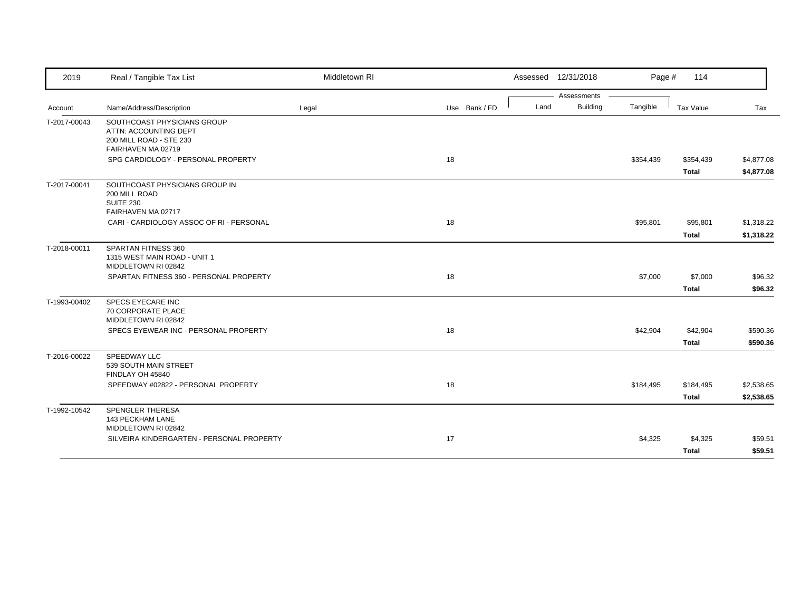| 2019         | Real / Tangible Tax List                                                                              | Middletown RI |               | Assessed 12/31/2018 |                 | Page #    | 114                       |                          |
|--------------|-------------------------------------------------------------------------------------------------------|---------------|---------------|---------------------|-----------------|-----------|---------------------------|--------------------------|
|              |                                                                                                       |               |               |                     | Assessments     |           |                           |                          |
| Account      | Name/Address/Description                                                                              | Legal         | Use Bank / FD | Land                | <b>Building</b> | Tangible  | Tax Value                 | Tax                      |
| T-2017-00043 | SOUTHCOAST PHYSICIANS GROUP<br>ATTN: ACCOUNTING DEPT<br>200 MILL ROAD - STE 230<br>FAIRHAVEN MA 02719 |               |               |                     |                 |           |                           |                          |
|              | SPG CARDIOLOGY - PERSONAL PROPERTY                                                                    |               | 18            |                     |                 | \$354,439 | \$354,439<br><b>Total</b> | \$4,877.08<br>\$4,877.08 |
| T-2017-00041 | SOUTHCOAST PHYSICIANS GROUP IN<br>200 MILL ROAD<br><b>SUITE 230</b><br>FAIRHAVEN MA 02717             |               |               |                     |                 |           |                           |                          |
|              | CARI - CARDIOLOGY ASSOC OF RI - PERSONAL                                                              |               | 18            |                     |                 | \$95,801  | \$95,801                  | \$1,318.22               |
|              |                                                                                                       |               |               |                     |                 |           | <b>Total</b>              | \$1,318.22               |
| T-2018-00011 | SPARTAN FITNESS 360<br>1315 WEST MAIN ROAD - UNIT 1<br>MIDDLETOWN RI 02842                            |               |               |                     |                 |           |                           |                          |
|              | SPARTAN FITNESS 360 - PERSONAL PROPERTY                                                               |               | 18            |                     |                 | \$7,000   | \$7,000                   | \$96.32                  |
|              |                                                                                                       |               |               |                     |                 |           | <b>Total</b>              | \$96.32                  |
| T-1993-00402 | SPECS EYECARE INC<br>70 CORPORATE PLACE<br>MIDDLETOWN RI 02842                                        |               |               |                     |                 |           |                           |                          |
|              | SPECS EYEWEAR INC - PERSONAL PROPERTY                                                                 |               | 18            |                     |                 | \$42,904  | \$42,904                  | \$590.36                 |
|              |                                                                                                       |               |               |                     |                 |           | <b>Total</b>              | \$590.36                 |
| T-2016-00022 | SPEEDWAY LLC<br>539 SOUTH MAIN STREET<br>FINDLAY OH 45840                                             |               |               |                     |                 |           |                           |                          |
|              | SPEEDWAY #02822 - PERSONAL PROPERTY                                                                   |               | 18            |                     |                 | \$184,495 | \$184,495                 | \$2,538.65               |
|              |                                                                                                       |               |               |                     |                 |           | <b>Total</b>              | \$2,538.65               |
| T-1992-10542 | <b>SPENGLER THERESA</b><br>143 PECKHAM LANE<br>MIDDLETOWN RI 02842                                    |               |               |                     |                 |           |                           |                          |
|              | SILVEIRA KINDERGARTEN - PERSONAL PROPERTY                                                             |               | 17            |                     |                 | \$4,325   | \$4,325                   | \$59.51                  |
|              |                                                                                                       |               |               |                     |                 |           | <b>Total</b>              | \$59.51                  |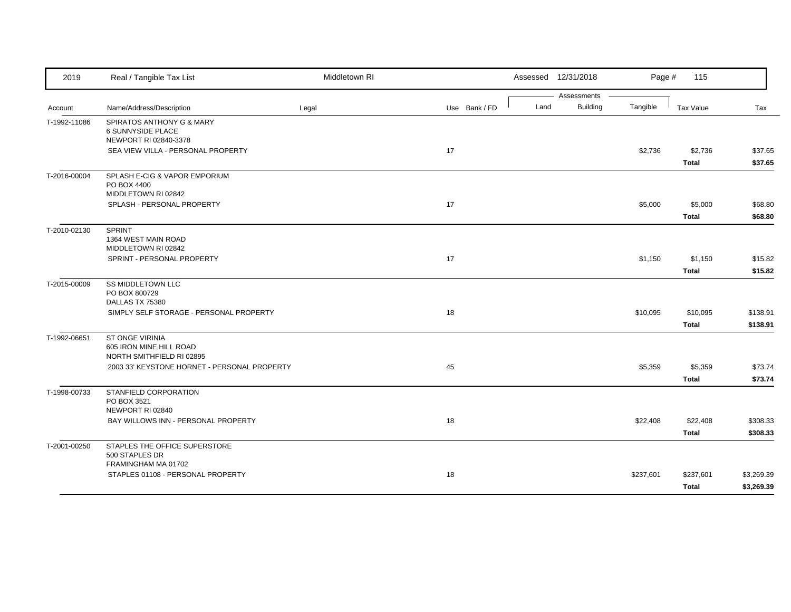| 2019         | Real / Tangible Tax List                                                                                             | Middletown RI |               |      | Assessed 12/31/2018     | Page #    | 115                       |                          |
|--------------|----------------------------------------------------------------------------------------------------------------------|---------------|---------------|------|-------------------------|-----------|---------------------------|--------------------------|
| Account      | Name/Address/Description                                                                                             | Legal         | Use Bank / FD | Land | Assessments<br>Building | Tangible  | Tax Value                 | Tax                      |
| T-1992-11086 | SPIRATOS ANTHONY G & MARY<br><b>6 SUNNYSIDE PLACE</b><br>NEWPORT RI 02840-3378<br>SEA VIEW VILLA - PERSONAL PROPERTY |               | 17            |      |                         | \$2,736   | \$2,736                   | \$37.65                  |
|              |                                                                                                                      |               |               |      |                         |           | <b>Total</b>              | \$37.65                  |
| T-2016-00004 | SPLASH E-CIG & VAPOR EMPORIUM<br>PO BOX 4400<br>MIDDLETOWN RI 02842                                                  |               |               |      |                         |           |                           |                          |
|              | SPLASH - PERSONAL PROPERTY                                                                                           |               | 17            |      |                         | \$5,000   | \$5,000<br><b>Total</b>   | \$68.80<br>\$68.80       |
| T-2010-02130 | <b>SPRINT</b><br>1364 WEST MAIN ROAD<br>MIDDLETOWN RI 02842                                                          |               |               |      |                         |           |                           |                          |
|              | SPRINT - PERSONAL PROPERTY                                                                                           |               | 17            |      |                         | \$1,150   | \$1,150<br><b>Total</b>   | \$15.82<br>\$15.82       |
| T-2015-00009 | <b>SS MIDDLETOWN LLC</b><br>PO BOX 800729<br>DALLAS TX 75380                                                         |               |               |      |                         |           |                           |                          |
|              | SIMPLY SELF STORAGE - PERSONAL PROPERTY                                                                              |               | 18            |      |                         | \$10,095  | \$10,095<br><b>Total</b>  | \$138.91<br>\$138.91     |
| T-1992-06651 | ST ONGE VIRINIA<br>605 IRON MINE HILL ROAD<br>NORTH SMITHFIELD RI 02895                                              |               |               |      |                         |           |                           |                          |
|              | 2003 33' KEYSTONE HORNET - PERSONAL PROPERTY                                                                         |               | 45            |      |                         | \$5,359   | \$5,359<br><b>Total</b>   | \$73.74<br>\$73.74       |
| T-1998-00733 | STANFIELD CORPORATION<br>PO BOX 3521<br>NEWPORT RI 02840                                                             |               |               |      |                         |           |                           |                          |
|              | BAY WILLOWS INN - PERSONAL PROPERTY                                                                                  |               | 18            |      |                         | \$22,408  | \$22,408<br><b>Total</b>  | \$308.33<br>\$308.33     |
| T-2001-00250 | STAPLES THE OFFICE SUPERSTORE<br>500 STAPLES DR                                                                      |               |               |      |                         |           |                           |                          |
|              | FRAMINGHAM MA 01702<br>STAPLES 01108 - PERSONAL PROPERTY                                                             |               | 18            |      |                         | \$237,601 | \$237,601<br><b>Total</b> | \$3,269.39<br>\$3,269.39 |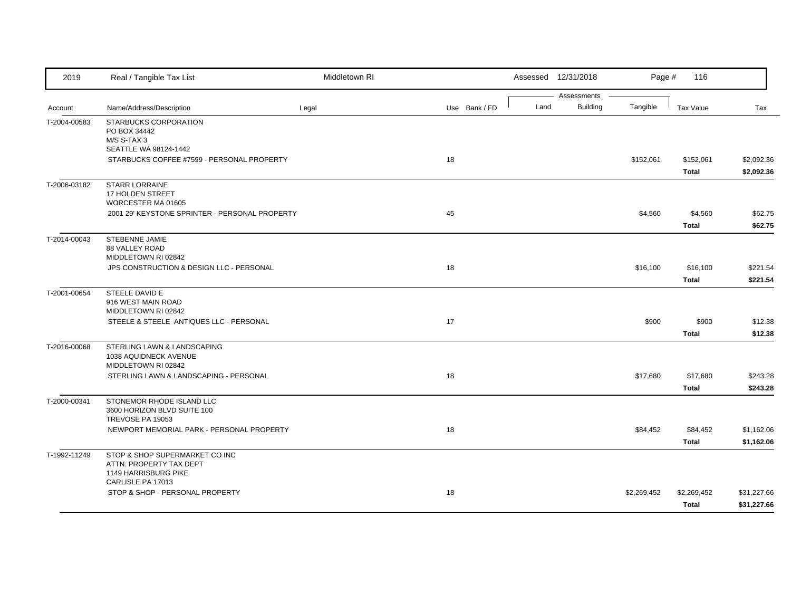| 2019         | Real / Tangible Tax List                                                          | Middletown RI |               |      | Assessed 12/31/2018            | Page #      | 116                       |                            |
|--------------|-----------------------------------------------------------------------------------|---------------|---------------|------|--------------------------------|-------------|---------------------------|----------------------------|
| Account      | Name/Address/Description                                                          | Legal         | Use Bank / FD | Land | Assessments<br><b>Building</b> | Tangible    | <b>Tax Value</b>          | Tax                        |
| T-2004-00583 | STARBUCKS CORPORATION<br>PO BOX 34442<br>M/S S-TAX 3                              |               |               |      |                                |             |                           |                            |
|              | SEATTLE WA 98124-1442<br>STARBUCKS COFFEE #7599 - PERSONAL PROPERTY               |               | 18            |      |                                | \$152,061   | \$152,061<br><b>Total</b> | \$2,092.36<br>\$2,092.36   |
| T-2006-03182 | <b>STARR LORRAINE</b><br>17 HOLDEN STREET<br>WORCESTER MA 01605                   |               |               |      |                                |             |                           |                            |
|              | 2001 29' KEYSTONE SPRINTER - PERSONAL PROPERTY                                    |               | 45            |      |                                | \$4,560     | \$4,560<br><b>Total</b>   | \$62.75<br>\$62.75         |
| T-2014-00043 | STEBENNE JAMIE<br>88 VALLEY ROAD<br>MIDDLETOWN RI 02842                           |               |               |      |                                |             |                           |                            |
|              | JPS CONSTRUCTION & DESIGN LLC - PERSONAL                                          |               | 18            |      |                                | \$16,100    | \$16,100<br><b>Total</b>  | \$221.54<br>\$221.54       |
| T-2001-00654 | STEELE DAVID E<br>916 WEST MAIN ROAD<br>MIDDLETOWN RI 02842                       |               |               |      |                                |             |                           |                            |
|              | STEELE & STEELE ANTIQUES LLC - PERSONAL                                           |               | 17            |      |                                | \$900       | \$900<br><b>Total</b>     | \$12.38<br>\$12.38         |
| T-2016-00068 | STERLING LAWN & LANDSCAPING<br>1038 AQUIDNECK AVENUE<br>MIDDLETOWN RI 02842       |               |               |      |                                |             |                           |                            |
|              | STERLING LAWN & LANDSCAPING - PERSONAL                                            |               | 18            |      |                                | \$17,680    | \$17,680<br><b>Total</b>  | \$243.28<br>\$243.28       |
| T-2000-00341 | STONEMOR RHODE ISLAND LLC<br>3600 HORIZON BLVD SUITE 100<br>TREVOSE PA 19053      |               |               |      |                                |             |                           |                            |
|              | NEWPORT MEMORIAL PARK - PERSONAL PROPERTY                                         |               | 18            |      |                                | \$84,452    | \$84,452<br><b>Total</b>  | \$1,162.06<br>\$1,162.06   |
| T-1992-11249 | STOP & SHOP SUPERMARKET CO INC<br>ATTN: PROPERTY TAX DEPT<br>1149 HARRISBURG PIKE |               |               |      |                                |             |                           |                            |
|              | CARLISLE PA 17013<br>STOP & SHOP - PERSONAL PROPERTY                              |               | 18            |      |                                | \$2,269,452 | \$2,269,452<br>Total      | \$31,227.66<br>\$31,227.66 |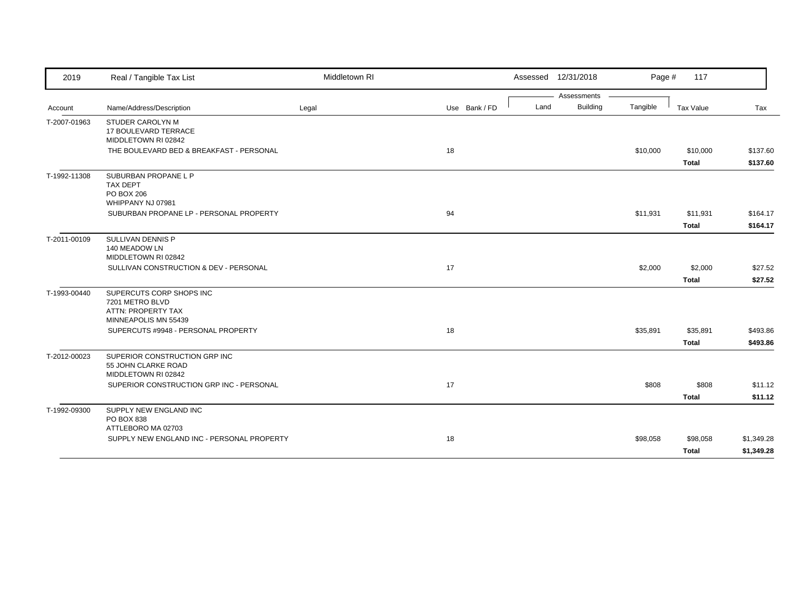| 2019         | Real / Tangible Tax List                                                                  | Middletown RI |               | Assessed 12/31/2018 |             | Page #   | 117                      |                      |
|--------------|-------------------------------------------------------------------------------------------|---------------|---------------|---------------------|-------------|----------|--------------------------|----------------------|
|              |                                                                                           |               |               |                     | Assessments |          |                          |                      |
| Account      | Name/Address/Description                                                                  | Legal         | Use Bank / FD | Land                | Building    | Tangible | Tax Value                | Tax                  |
| T-2007-01963 | <b>STUDER CAROLYN M</b><br>17 BOULEVARD TERRACE<br>MIDDLETOWN RI 02842                    |               |               |                     |             |          |                          |                      |
|              | THE BOULEVARD BED & BREAKFAST - PERSONAL                                                  |               | 18            |                     |             | \$10,000 | \$10,000<br><b>Total</b> | \$137.60<br>\$137.60 |
| T-1992-11308 | SUBURBAN PROPANE L P<br><b>TAX DEPT</b><br>PO BOX 206<br>WHIPPANY NJ 07981                |               |               |                     |             |          |                          |                      |
|              | SUBURBAN PROPANE LP - PERSONAL PROPERTY                                                   |               | 94            |                     |             | \$11,931 | \$11,931                 | \$164.17             |
|              |                                                                                           |               |               |                     |             |          | <b>Total</b>             | \$164.17             |
| T-2011-00109 | SULLIVAN DENNIS P<br>140 MEADOW LN<br>MIDDLETOWN RI 02842                                 |               |               |                     |             |          |                          |                      |
|              | SULLIVAN CONSTRUCTION & DEV - PERSONAL                                                    |               | 17            |                     |             | \$2,000  | \$2,000                  | \$27.52              |
|              |                                                                                           |               |               |                     |             |          | <b>Total</b>             | \$27.52              |
| T-1993-00440 | SUPERCUTS CORP SHOPS INC<br>7201 METRO BLVD<br>ATTN: PROPERTY TAX<br>MINNEAPOLIS MN 55439 |               |               |                     |             |          |                          |                      |
|              | SUPERCUTS #9948 - PERSONAL PROPERTY                                                       |               | 18            |                     |             | \$35,891 | \$35,891                 | \$493.86             |
|              |                                                                                           |               |               |                     |             |          | <b>Total</b>             | \$493.86             |
| T-2012-00023 | SUPERIOR CONSTRUCTION GRP INC<br>55 JOHN CLARKE ROAD<br>MIDDLETOWN RI 02842               |               |               |                     |             |          |                          |                      |
|              | SUPERIOR CONSTRUCTION GRP INC - PERSONAL                                                  |               | 17            |                     |             | \$808    | \$808                    | \$11.12              |
|              |                                                                                           |               |               |                     |             |          | <b>Total</b>             | \$11.12              |
| T-1992-09300 | SUPPLY NEW ENGLAND INC<br>PO BOX 838<br>ATTLEBORO MA 02703                                |               |               |                     |             |          |                          |                      |
|              | SUPPLY NEW ENGLAND INC - PERSONAL PROPERTY                                                |               | 18            |                     |             | \$98,058 | \$98,058                 | \$1,349.28           |
|              |                                                                                           |               |               |                     |             |          | Total                    | \$1,349.28           |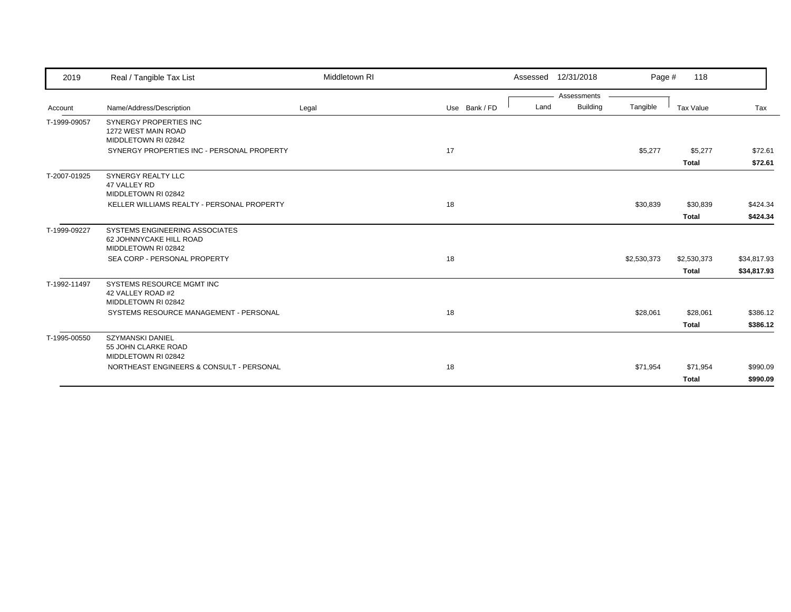| 2019         | Real / Tangible Tax List                                                         | Middletown RI |               | Assessed 12/31/2018     | Page #      | 118          |             |
|--------------|----------------------------------------------------------------------------------|---------------|---------------|-------------------------|-------------|--------------|-------------|
|              |                                                                                  |               |               | Assessments             |             |              |             |
| Account      | Name/Address/Description                                                         | Legal         | Use Bank / FD | <b>Building</b><br>Land | Tangible    | Tax Value    | Tax         |
| T-1999-09057 | <b>SYNERGY PROPERTIES INC</b><br>1272 WEST MAIN ROAD<br>MIDDLETOWN RI 02842      |               |               |                         |             |              |             |
|              | SYNERGY PROPERTIES INC - PERSONAL PROPERTY                                       |               | 17            |                         | \$5,277     | \$5,277      | \$72.61     |
|              |                                                                                  |               |               |                         |             | <b>Total</b> | \$72.61     |
| T-2007-01925 | SYNERGY REALTY LLC<br>47 VALLEY RD<br>MIDDLETOWN RI 02842                        |               |               |                         |             |              |             |
|              | KELLER WILLIAMS REALTY - PERSONAL PROPERTY                                       |               | 18            |                         | \$30,839    | \$30,839     | \$424.34    |
|              |                                                                                  |               |               |                         |             | <b>Total</b> | \$424.34    |
| T-1999-09227 | SYSTEMS ENGINEERING ASSOCIATES<br>62 JOHNNYCAKE HILL ROAD<br>MIDDLETOWN RI 02842 |               |               |                         |             |              |             |
|              | SEA CORP - PERSONAL PROPERTY                                                     |               | 18            |                         | \$2,530,373 | \$2,530,373  | \$34,817.93 |
|              |                                                                                  |               |               |                         |             | <b>Total</b> | \$34,817.93 |
| T-1992-11497 | SYSTEMS RESOURCE MGMT INC<br>42 VALLEY ROAD #2<br>MIDDLETOWN RI 02842            |               |               |                         |             |              |             |
|              | SYSTEMS RESOURCE MANAGEMENT - PERSONAL                                           |               | 18            |                         | \$28,061    | \$28,061     | \$386.12    |
|              |                                                                                  |               |               |                         |             | <b>Total</b> | \$386.12    |
| T-1995-00550 | <b>SZYMANSKI DANIEL</b><br>55 JOHN CLARKE ROAD<br>MIDDLETOWN RI 02842            |               |               |                         |             |              |             |
|              | NORTHEAST ENGINEERS & CONSULT - PERSONAL                                         |               | 18            |                         | \$71,954    | \$71,954     | \$990.09    |
|              |                                                                                  |               |               |                         |             | <b>Total</b> | \$990.09    |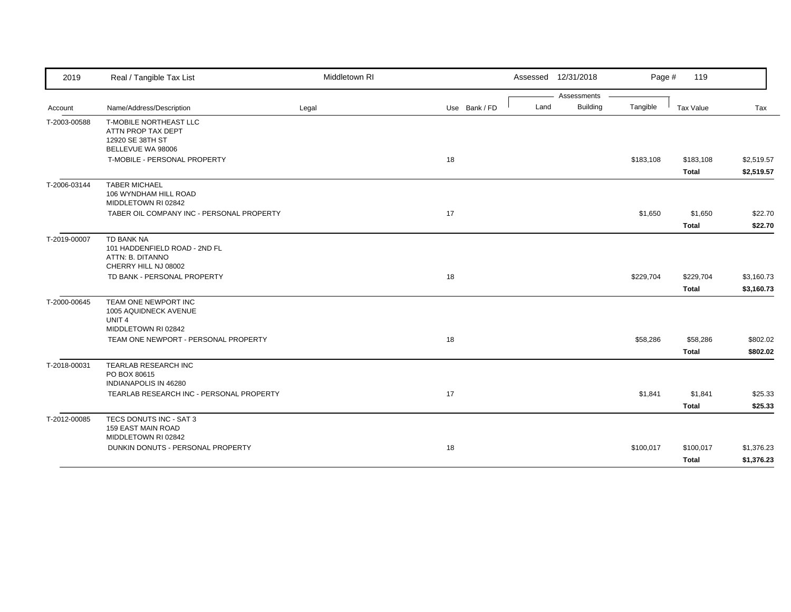| 2019         | Real / Tangible Tax List                                                                | Middletown RI |               | Assessed 12/31/2018     | Page #    | 119                       |                          |
|--------------|-----------------------------------------------------------------------------------------|---------------|---------------|-------------------------|-----------|---------------------------|--------------------------|
|              |                                                                                         |               |               | Assessments             |           |                           |                          |
| Account      | Name/Address/Description                                                                | Legal         | Use Bank / FD | <b>Building</b><br>Land | Tangible  | Tax Value                 | Tax                      |
| T-2003-00588 | T-MOBILE NORTHEAST LLC<br>ATTN PROP TAX DEPT<br>12920 SE 38TH ST<br>BELLEVUE WA 98006   |               |               |                         |           |                           |                          |
|              | T-MOBILE - PERSONAL PROPERTY                                                            |               | 18            |                         | \$183,108 | \$183,108<br><b>Total</b> | \$2,519.57<br>\$2,519.57 |
| T-2006-03144 | <b>TABER MICHAEL</b><br>106 WYNDHAM HILL ROAD<br>MIDDLETOWN RI 02842                    |               |               |                         |           |                           |                          |
|              | TABER OIL COMPANY INC - PERSONAL PROPERTY                                               |               | 17            |                         | \$1,650   | \$1,650<br><b>Total</b>   | \$22.70<br>\$22.70       |
| T-2019-00007 | TD BANK NA<br>101 HADDENFIELD ROAD - 2ND FL<br>ATTN: B. DITANNO<br>CHERRY HILL NJ 08002 |               |               |                         |           |                           |                          |
|              | TD BANK - PERSONAL PROPERTY                                                             |               | 18            |                         | \$229,704 | \$229,704<br><b>Total</b> | \$3,160.73<br>\$3,160.73 |
| T-2000-00645 | TEAM ONE NEWPORT INC<br>1005 AQUIDNECK AVENUE<br>UNIT <sub>4</sub>                      |               |               |                         |           |                           |                          |
|              | MIDDLETOWN RI 02842<br>TEAM ONE NEWPORT - PERSONAL PROPERTY                             |               | 18            |                         | \$58,286  | \$58,286<br><b>Total</b>  | \$802.02<br>\$802.02     |
| T-2018-00031 | TEARLAB RESEARCH INC<br>PO BOX 80615<br>INDIANAPOLIS IN 46280                           |               |               |                         |           |                           |                          |
|              | TEARLAB RESEARCH INC - PERSONAL PROPERTY                                                |               | 17            |                         | \$1,841   | \$1,841<br><b>Total</b>   | \$25.33<br>\$25.33       |
| T-2012-00085 | TECS DONUTS INC - SAT 3<br><b>159 EAST MAIN ROAD</b><br>MIDDLETOWN RI 02842             |               |               |                         |           |                           |                          |
|              | DUNKIN DONUTS - PERSONAL PROPERTY                                                       |               | 18            |                         | \$100,017 | \$100,017<br><b>Total</b> | \$1,376.23<br>\$1,376.23 |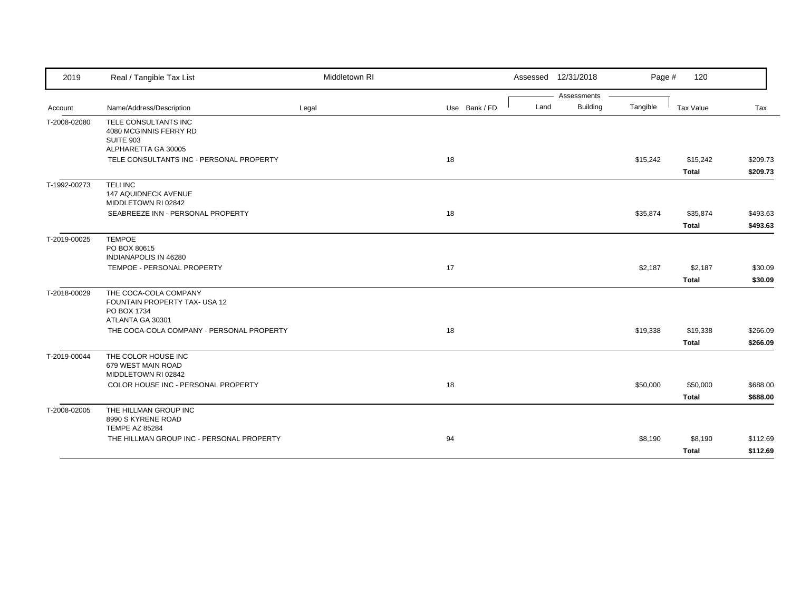| 2019         | Real / Tangible Tax List                                                                  | Middletown RI |               |      | Assessed 12/31/2018            | Page #   | 120                      |                      |
|--------------|-------------------------------------------------------------------------------------------|---------------|---------------|------|--------------------------------|----------|--------------------------|----------------------|
| Account      | Name/Address/Description                                                                  | Legal         | Use Bank / FD | Land | Assessments<br><b>Building</b> | Tangible | Tax Value                | Tax                  |
| T-2008-02080 | TELE CONSULTANTS INC<br>4080 MCGINNIS FERRY RD<br><b>SUITE 903</b>                        |               |               |      |                                |          |                          |                      |
|              | ALPHARETTA GA 30005<br>TELE CONSULTANTS INC - PERSONAL PROPERTY                           |               | 18            |      |                                | \$15,242 | \$15,242<br><b>Total</b> | \$209.73<br>\$209.73 |
| T-1992-00273 | <b>TELINC</b><br><b>147 AQUIDNECK AVENUE</b><br>MIDDLETOWN RI 02842                       |               |               |      |                                |          |                          |                      |
|              | SEABREEZE INN - PERSONAL PROPERTY                                                         |               | 18            |      |                                | \$35,874 | \$35,874<br><b>Total</b> | \$493.63<br>\$493.63 |
| T-2019-00025 | <b>TEMPOE</b><br>PO BOX 80615<br>INDIANAPOLIS IN 46280                                    |               |               |      |                                |          |                          |                      |
|              | TEMPOE - PERSONAL PROPERTY                                                                |               | 17            |      |                                | \$2,187  | \$2,187<br><b>Total</b>  | \$30.09<br>\$30.09   |
| T-2018-00029 | THE COCA-COLA COMPANY<br>FOUNTAIN PROPERTY TAX- USA 12<br>PO BOX 1734<br>ATLANTA GA 30301 |               |               |      |                                |          |                          |                      |
|              | THE COCA-COLA COMPANY - PERSONAL PROPERTY                                                 |               | 18            |      |                                | \$19,338 | \$19,338<br><b>Total</b> | \$266.09<br>\$266.09 |
| T-2019-00044 | THE COLOR HOUSE INC<br>679 WEST MAIN ROAD<br>MIDDLETOWN RI 02842                          |               |               |      |                                |          |                          |                      |
|              | COLOR HOUSE INC - PERSONAL PROPERTY                                                       |               | 18            |      |                                | \$50,000 | \$50,000<br><b>Total</b> | \$688.00<br>\$688.00 |
| T-2008-02005 | THE HILLMAN GROUP INC<br>8990 S KYRENE ROAD<br><b>TEMPE AZ 85284</b>                      |               |               |      |                                |          |                          |                      |
|              | THE HILLMAN GROUP INC - PERSONAL PROPERTY                                                 |               | 94            |      |                                | \$8,190  | \$8,190<br><b>Total</b>  | \$112.69<br>\$112.69 |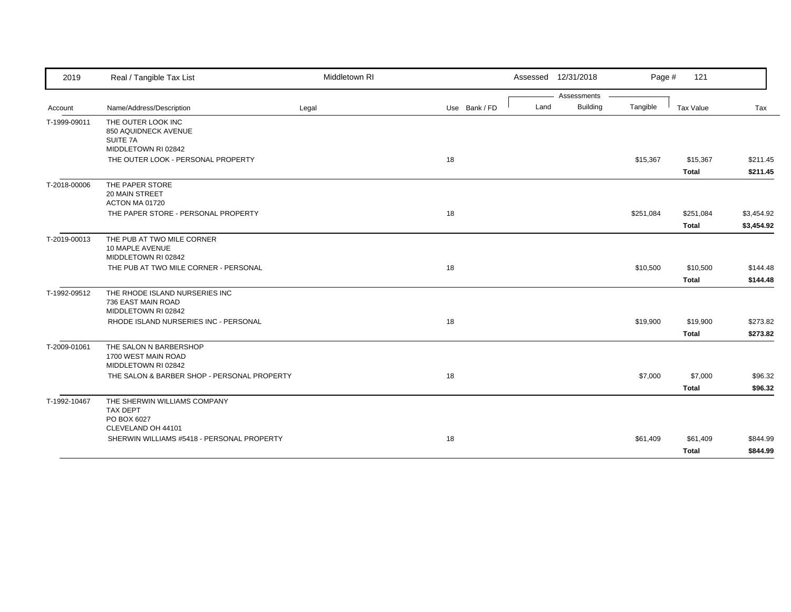| 2019         | Real / Tangible Tax List                                                    | Middletown RI |               | Assessed 12/31/2018 |             | Page #    | 121                      |                      |
|--------------|-----------------------------------------------------------------------------|---------------|---------------|---------------------|-------------|-----------|--------------------------|----------------------|
|              |                                                                             |               |               |                     | Assessments |           |                          |                      |
| Account      | Name/Address/Description                                                    | Legal         | Use Bank / FD | Land                | Building    | Tangible  | Tax Value                | Tax                  |
| T-1999-09011 | THE OUTER LOOK INC<br>850 AQUIDNECK AVENUE<br>SUITE 7A                      |               |               |                     |             |           |                          |                      |
|              | MIDDLETOWN RI 02842                                                         |               |               |                     |             |           |                          |                      |
|              | THE OUTER LOOK - PERSONAL PROPERTY                                          |               | 18            |                     |             | \$15,367  | \$15,367<br><b>Total</b> | \$211.45<br>\$211.45 |
| T-2018-00006 | THE PAPER STORE<br><b>20 MAIN STREET</b><br>ACTON MA 01720                  |               |               |                     |             |           |                          |                      |
|              | THE PAPER STORE - PERSONAL PROPERTY                                         |               | 18            |                     |             | \$251,084 | \$251,084                | \$3,454.92           |
|              |                                                                             |               |               |                     |             |           | <b>Total</b>             | \$3,454.92           |
| T-2019-00013 | THE PUB AT TWO MILE CORNER<br>10 MAPLE AVENUE<br>MIDDLETOWN RI 02842        |               |               |                     |             |           |                          |                      |
|              | THE PUB AT TWO MILE CORNER - PERSONAL                                       |               | 18            |                     |             | \$10,500  | \$10,500                 | \$144.48             |
|              |                                                                             |               |               |                     |             |           | Total                    | \$144.48             |
| T-1992-09512 | THE RHODE ISLAND NURSERIES INC<br>736 EAST MAIN ROAD<br>MIDDLETOWN RI 02842 |               |               |                     |             |           |                          |                      |
|              | RHODE ISLAND NURSERIES INC - PERSONAL                                       |               | 18            |                     |             | \$19,900  | \$19,900                 | \$273.82             |
|              |                                                                             |               |               |                     |             |           | <b>Total</b>             | \$273.82             |
| T-2009-01061 | THE SALON N BARBERSHOP<br>1700 WEST MAIN ROAD<br>MIDDLETOWN RI 02842        |               |               |                     |             |           |                          |                      |
|              | THE SALON & BARBER SHOP - PERSONAL PROPERTY                                 |               | 18            |                     |             | \$7,000   | \$7,000                  | \$96.32              |
|              |                                                                             |               |               |                     |             |           | <b>Total</b>             | \$96.32              |
| T-1992-10467 | THE SHERWIN WILLIAMS COMPANY<br><b>TAX DEPT</b><br>PO BOX 6027              |               |               |                     |             |           |                          |                      |
|              | CLEVELAND OH 44101                                                          |               |               |                     |             |           |                          |                      |
|              | SHERWIN WILLIAMS #5418 - PERSONAL PROPERTY                                  |               | 18            |                     |             | \$61,409  | \$61,409                 | \$844.99             |
|              |                                                                             |               |               |                     |             |           | <b>Total</b>             | \$844.99             |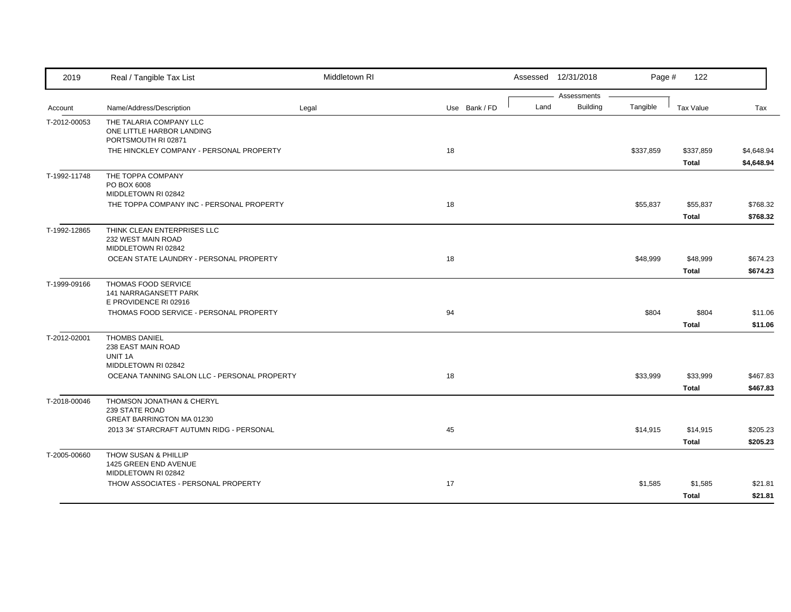| 2019         | Real / Tangible Tax List                                                     | Middletown RI |               |      | Assessed 12/31/2018            | Page #    | 122                       |                          |
|--------------|------------------------------------------------------------------------------|---------------|---------------|------|--------------------------------|-----------|---------------------------|--------------------------|
| Account      | Name/Address/Description                                                     | Legal         | Use Bank / FD | Land | Assessments<br><b>Building</b> | Tangible  | <b>Tax Value</b>          | Tax                      |
| T-2012-00053 | THE TALARIA COMPANY LLC<br>ONE LITTLE HARBOR LANDING<br>PORTSMOUTH RI 02871  |               |               |      |                                |           |                           |                          |
|              | THE HINCKLEY COMPANY - PERSONAL PROPERTY                                     |               | 18            |      |                                | \$337,859 | \$337,859<br><b>Total</b> | \$4,648.94<br>\$4,648.94 |
| T-1992-11748 | THE TOPPA COMPANY<br>PO BOX 6008<br>MIDDLETOWN RI 02842                      |               |               |      |                                |           |                           |                          |
|              | THE TOPPA COMPANY INC - PERSONAL PROPERTY                                    |               | 18            |      |                                | \$55,837  | \$55,837<br><b>Total</b>  | \$768.32<br>\$768.32     |
| T-1992-12865 | THINK CLEAN ENTERPRISES LLC<br>232 WEST MAIN ROAD<br>MIDDLETOWN RI 02842     |               |               |      |                                |           |                           |                          |
|              | OCEAN STATE LAUNDRY - PERSONAL PROPERTY                                      |               | 18            |      |                                | \$48,999  | \$48,999<br><b>Total</b>  | \$674.23<br>\$674.23     |
| T-1999-09166 | THOMAS FOOD SERVICE<br>141 NARRAGANSETT PARK<br>E PROVIDENCE RI 02916        |               |               |      |                                |           |                           |                          |
|              | THOMAS FOOD SERVICE - PERSONAL PROPERTY                                      |               | 94            |      |                                | \$804     | \$804<br><b>Total</b>     | \$11.06<br>\$11.06       |
| T-2012-02001 | <b>THOMBS DANIEL</b><br>238 EAST MAIN ROAD<br>UNIT 1A<br>MIDDLETOWN RI 02842 |               |               |      |                                |           |                           |                          |
|              | OCEANA TANNING SALON LLC - PERSONAL PROPERTY                                 |               | 18            |      |                                | \$33,999  | \$33,999<br><b>Total</b>  | \$467.83<br>\$467.83     |
| T-2018-00046 | THOMSON JONATHAN & CHERYL<br>239 STATE ROAD<br>GREAT BARRINGTON MA 01230     |               |               |      |                                |           |                           |                          |
|              | 2013 34' STARCRAFT AUTUMN RIDG - PERSONAL                                    |               | 45            |      |                                | \$14,915  | \$14,915<br><b>Total</b>  | \$205.23<br>\$205.23     |
| T-2005-00660 | THOW SUSAN & PHILLIP<br>1425 GREEN END AVENUE<br>MIDDLETOWN RI 02842         |               |               |      |                                |           |                           |                          |
|              | THOW ASSOCIATES - PERSONAL PROPERTY                                          |               | 17            |      |                                | \$1,585   | \$1,585<br><b>Total</b>   | \$21.81<br>\$21.81       |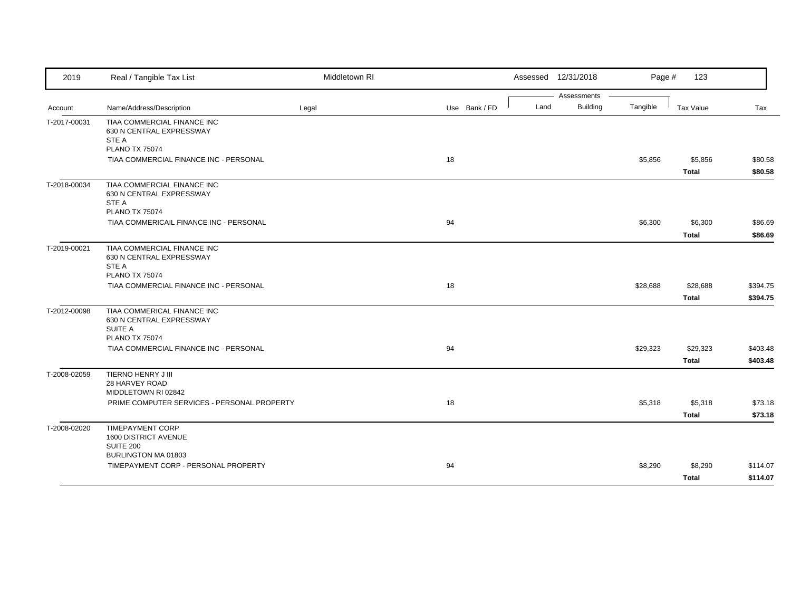| 2019         | Real / Tangible Tax List                                                                           | Middletown RI |               | Assessed 12/31/2018                    | Page #   | 123                      |                      |
|--------------|----------------------------------------------------------------------------------------------------|---------------|---------------|----------------------------------------|----------|--------------------------|----------------------|
| Account      | Name/Address/Description                                                                           | Legal         | Use Bank / FD | Assessments<br><b>Building</b><br>Land | Tangible | Tax Value                | Tax                  |
| T-2017-00031 | TIAA COMMERCIAL FINANCE INC<br>630 N CENTRAL EXPRESSWAY<br>STE A<br><b>PLANO TX 75074</b>          |               |               |                                        |          |                          |                      |
|              | TIAA COMMERCIAL FINANCE INC - PERSONAL                                                             |               | 18            |                                        | \$5,856  | \$5,856<br><b>Total</b>  | \$80.58<br>\$80.58   |
| T-2018-00034 | TIAA COMMERCIAL FINANCE INC<br>630 N CENTRAL EXPRESSWAY<br>STE A<br><b>PLANO TX 75074</b>          |               |               |                                        |          |                          |                      |
|              | TIAA COMMERICAIL FINANCE INC - PERSONAL                                                            |               | 94            |                                        | \$6,300  | \$6,300<br><b>Total</b>  | \$86.69<br>\$86.69   |
| T-2019-00021 | TIAA COMMERCIAL FINANCE INC<br>630 N CENTRAL EXPRESSWAY<br>STE A<br><b>PLANO TX 75074</b>          |               |               |                                        |          |                          |                      |
|              | TIAA COMMERCIAL FINANCE INC - PERSONAL                                                             |               | 18            |                                        | \$28,688 | \$28,688<br><b>Total</b> | \$394.75<br>\$394.75 |
| T-2012-00098 | TIAA COMMERICAL FINANCE INC<br>630 N CENTRAL EXPRESSWAY<br><b>SUITE A</b><br><b>PLANO TX 75074</b> |               |               |                                        |          |                          |                      |
|              | TIAA COMMERCIAL FINANCE INC - PERSONAL                                                             |               | 94            |                                        | \$29,323 | \$29,323<br><b>Total</b> | \$403.48<br>\$403.48 |
| T-2008-02059 | TIERNO HENRY J III<br>28 HARVEY ROAD<br>MIDDLETOWN RI 02842                                        |               |               |                                        |          |                          |                      |
|              | PRIME COMPUTER SERVICES - PERSONAL PROPERTY                                                        |               | 18            |                                        | \$5,318  | \$5,318<br><b>Total</b>  | \$73.18<br>\$73.18   |
| T-2008-02020 | <b>TIMEPAYMENT CORP</b><br>1600 DISTRICT AVENUE<br><b>SUITE 200</b><br>BURLINGTON MA 01803         |               |               |                                        |          |                          |                      |
|              | TIMEPAYMENT CORP - PERSONAL PROPERTY                                                               |               | 94            |                                        | \$8,290  | \$8,290<br><b>Total</b>  | \$114.07<br>\$114.07 |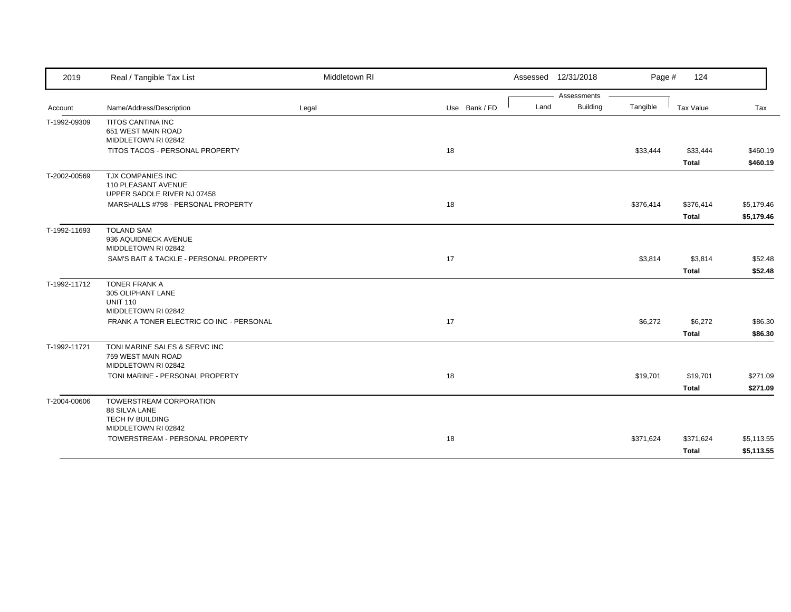| 2019         | Real / Tangible Tax List                                                                   | Middletown RI |               | Assessed 12/31/2018 |                 | Page #    | 124                      |                      |
|--------------|--------------------------------------------------------------------------------------------|---------------|---------------|---------------------|-----------------|-----------|--------------------------|----------------------|
|              |                                                                                            |               |               |                     | Assessments     |           |                          |                      |
| Account      | Name/Address/Description                                                                   | Legal         | Use Bank / FD | Land                | <b>Building</b> | Tangible  | Tax Value                | Tax                  |
| T-1992-09309 | <b>TITOS CANTINA INC</b><br>651 WEST MAIN ROAD<br>MIDDLETOWN RI 02842                      |               |               |                     |                 |           |                          |                      |
|              | TITOS TACOS - PERSONAL PROPERTY                                                            |               | 18            |                     |                 | \$33,444  | \$33,444<br><b>Total</b> | \$460.19<br>\$460.19 |
| T-2002-00569 | <b>TJX COMPANIES INC</b><br>110 PLEASANT AVENUE<br>UPPER SADDLE RIVER NJ 07458             |               |               |                     |                 |           |                          |                      |
|              | MARSHALLS #798 - PERSONAL PROPERTY                                                         |               | 18            |                     |                 | \$376,414 | \$376,414                | \$5,179.46           |
|              |                                                                                            |               |               |                     |                 |           | <b>Total</b>             | \$5,179.46           |
| T-1992-11693 | <b>TOLAND SAM</b><br>936 AQUIDNECK AVENUE<br>MIDDLETOWN RI 02842                           |               |               |                     |                 |           |                          |                      |
|              | SAM'S BAIT & TACKLE - PERSONAL PROPERTY                                                    |               | 17            |                     |                 | \$3,814   | \$3,814                  | \$52.48              |
|              |                                                                                            |               |               |                     |                 |           | <b>Total</b>             | \$52.48              |
| T-1992-11712 | <b>TONER FRANK A</b><br>305 OLIPHANT LANE<br><b>UNIT 110</b><br>MIDDLETOWN RI 02842        |               |               |                     |                 |           |                          |                      |
|              | FRANK A TONER ELECTRIC CO INC - PERSONAL                                                   |               | 17            |                     |                 | \$6,272   | \$6,272                  | \$86.30              |
|              |                                                                                            |               |               |                     |                 |           | <b>Total</b>             | \$86.30              |
| T-1992-11721 | TONI MARINE SALES & SERVC INC<br>759 WEST MAIN ROAD<br>MIDDLETOWN RI 02842                 |               |               |                     |                 |           |                          |                      |
|              | TONI MARINE - PERSONAL PROPERTY                                                            |               | 18            |                     |                 | \$19,701  | \$19,701                 | \$271.09             |
|              |                                                                                            |               |               |                     |                 |           | <b>Total</b>             | \$271.09             |
| T-2004-00606 | TOWERSTREAM CORPORATION<br>88 SILVA LANE<br><b>TECH IV BUILDING</b><br>MIDDLETOWN RI 02842 |               |               |                     |                 |           |                          |                      |
|              | TOWERSTREAM - PERSONAL PROPERTY                                                            |               | 18            |                     |                 | \$371,624 | \$371,624                | \$5,113.55           |
|              |                                                                                            |               |               |                     |                 |           | <b>Total</b>             | \$5,113.55           |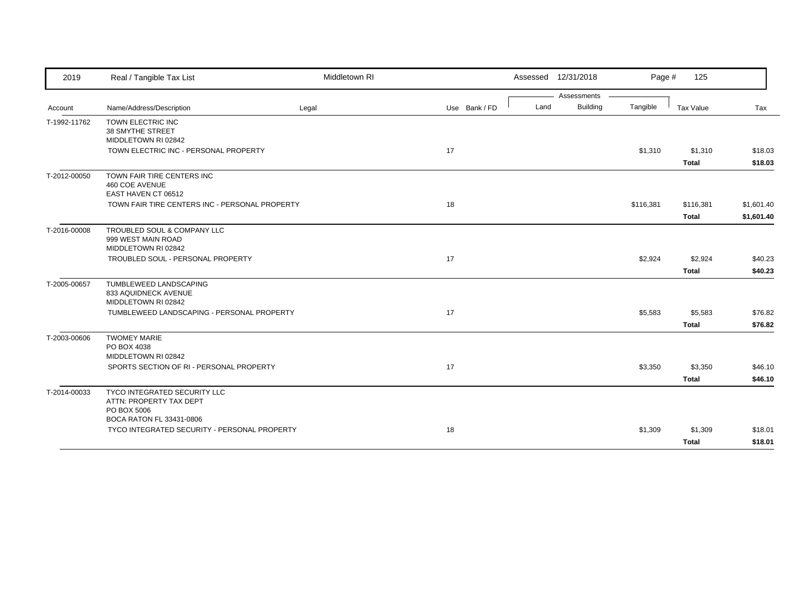| 2019         | Real / Tangible Tax List                                                 | Middletown RI |               |      | Assessed 12/31/2018            | Page #    | 125                       |                          |
|--------------|--------------------------------------------------------------------------|---------------|---------------|------|--------------------------------|-----------|---------------------------|--------------------------|
| Account      | Name/Address/Description                                                 | Legal         | Use Bank / FD | Land | Assessments<br><b>Building</b> | Tangible  | Tax Value                 | Tax                      |
| T-1992-11762 | TOWN ELECTRIC INC<br>38 SMYTHE STREET<br>MIDDLETOWN RI 02842             |               |               |      |                                |           |                           |                          |
|              | TOWN ELECTRIC INC - PERSONAL PROPERTY                                    |               | 17            |      |                                | \$1,310   | \$1,310<br><b>Total</b>   | \$18.03<br>\$18.03       |
| T-2012-00050 | TOWN FAIR TIRE CENTERS INC<br>460 COE AVENUE<br>EAST HAVEN CT 06512      |               |               |      |                                |           |                           |                          |
|              | TOWN FAIR TIRE CENTERS INC - PERSONAL PROPERTY                           |               | 18            |      |                                | \$116,381 | \$116,381<br><b>Total</b> | \$1,601.40<br>\$1,601.40 |
| T-2016-00008 | TROUBLED SOUL & COMPANY LLC<br>999 WEST MAIN ROAD<br>MIDDLETOWN RI 02842 |               |               |      |                                |           |                           |                          |
|              | TROUBLED SOUL - PERSONAL PROPERTY                                        |               | 17            |      |                                | \$2,924   | \$2,924<br><b>Total</b>   | \$40.23<br>\$40.23       |
| T-2005-00657 | TUMBLEWEED LANDSCAPING<br>833 AQUIDNECK AVENUE<br>MIDDLETOWN RI 02842    |               |               |      |                                |           |                           |                          |
|              | TUMBLEWEED LANDSCAPING - PERSONAL PROPERTY                               |               | 17            |      |                                | \$5,583   | \$5,583<br><b>Total</b>   | \$76.82<br>\$76.82       |
| T-2003-00606 | <b>TWOMEY MARIE</b><br>PO BOX 4038<br>MIDDLETOWN RI 02842                |               |               |      |                                |           |                           |                          |
|              | SPORTS SECTION OF RI - PERSONAL PROPERTY                                 |               | 17            |      |                                | \$3,350   | \$3,350<br><b>Total</b>   | \$46.10<br>\$46.10       |
| T-2014-00033 | TYCO INTEGRATED SECURITY LLC<br>ATTN: PROPERTY TAX DEPT<br>PO BOX 5006   |               |               |      |                                |           |                           |                          |
|              | BOCA RATON FL 33431-0806<br>TYCO INTEGRATED SECURITY - PERSONAL PROPERTY |               | 18            |      |                                | \$1,309   | \$1,309<br><b>Total</b>   | \$18.01<br>\$18.01       |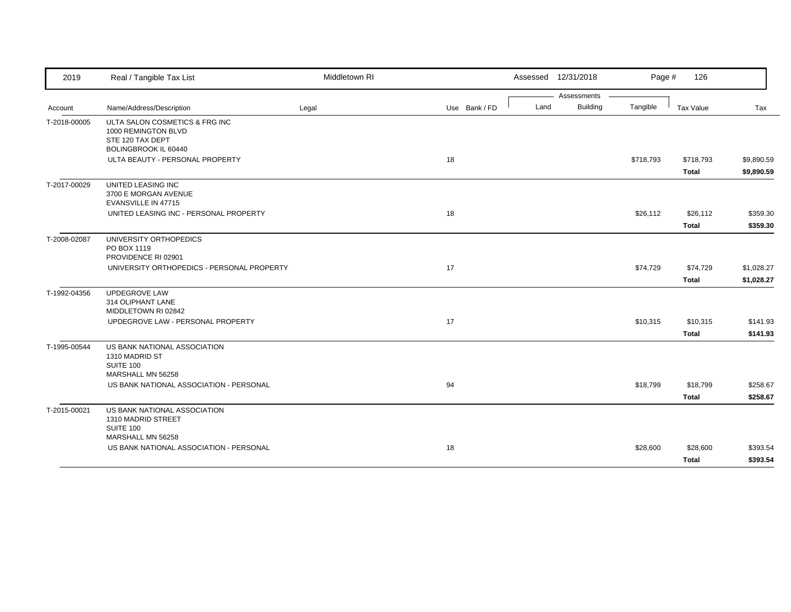| 2019         | Real / Tangible Tax List                                      | Middletown RI |               |      | Assessed 12/31/2018            | Page #    | 126          |            |
|--------------|---------------------------------------------------------------|---------------|---------------|------|--------------------------------|-----------|--------------|------------|
|              | Name/Address/Description                                      |               | Use Bank / FD | Land | Assessments<br><b>Building</b> | Tangible  | Tax Value    | Tax        |
| Account      |                                                               | Legal         |               |      |                                |           |              |            |
| T-2018-00005 | ULTA SALON COSMETICS & FRG INC<br>1000 REMINGTON BLVD         |               |               |      |                                |           |              |            |
|              | STE 120 TAX DEPT                                              |               |               |      |                                |           |              |            |
|              | BOLINGBROOK IL 60440                                          |               |               |      |                                |           |              |            |
|              | ULTA BEAUTY - PERSONAL PROPERTY                               |               | 18            |      |                                | \$718,793 | \$718,793    | \$9,890.59 |
|              |                                                               |               |               |      |                                |           | <b>Total</b> | \$9,890.59 |
| T-2017-00029 | UNITED LEASING INC                                            |               |               |      |                                |           |              |            |
|              | 3700 E MORGAN AVENUE                                          |               |               |      |                                |           |              |            |
|              | EVANSVILLE IN 47715<br>UNITED LEASING INC - PERSONAL PROPERTY |               | 18            |      |                                |           |              | \$359.30   |
|              |                                                               |               |               |      |                                | \$26,112  | \$26,112     |            |
|              |                                                               |               |               |      |                                |           | <b>Total</b> | \$359.30   |
| T-2008-02087 | UNIVERSITY ORTHOPEDICS<br>PO BOX 1119                         |               |               |      |                                |           |              |            |
|              | PROVIDENCE RI 02901                                           |               |               |      |                                |           |              |            |
|              | UNIVERSITY ORTHOPEDICS - PERSONAL PROPERTY                    |               | 17            |      |                                | \$74,729  | \$74,729     | \$1,028.27 |
|              |                                                               |               |               |      |                                |           | <b>Total</b> | \$1,028.27 |
| T-1992-04356 | <b>UPDEGROVE LAW</b>                                          |               |               |      |                                |           |              |            |
|              | 314 OLIPHANT LANE                                             |               |               |      |                                |           |              |            |
|              | MIDDLETOWN RI 02842                                           |               |               |      |                                |           |              |            |
|              | UPDEGROVE LAW - PERSONAL PROPERTY                             |               | 17            |      |                                | \$10,315  | \$10,315     | \$141.93   |
|              |                                                               |               |               |      |                                |           | <b>Total</b> | \$141.93   |
| T-1995-00544 | US BANK NATIONAL ASSOCIATION                                  |               |               |      |                                |           |              |            |
|              | 1310 MADRID ST<br>SUITE 100                                   |               |               |      |                                |           |              |            |
|              | MARSHALL MN 56258                                             |               |               |      |                                |           |              |            |
|              | US BANK NATIONAL ASSOCIATION - PERSONAL                       |               | 94            |      |                                | \$18,799  | \$18,799     | \$258.67   |
|              |                                                               |               |               |      |                                |           | <b>Total</b> | \$258.67   |
| T-2015-00021 | US BANK NATIONAL ASSOCIATION                                  |               |               |      |                                |           |              |            |
|              | 1310 MADRID STREET                                            |               |               |      |                                |           |              |            |
|              | SUITE 100                                                     |               |               |      |                                |           |              |            |
|              | MARSHALL MN 56258                                             |               |               |      |                                |           |              |            |
|              | US BANK NATIONAL ASSOCIATION - PERSONAL                       |               | 18            |      |                                | \$28,600  | \$28,600     | \$393.54   |
|              |                                                               |               |               |      |                                |           | Total        | \$393.54   |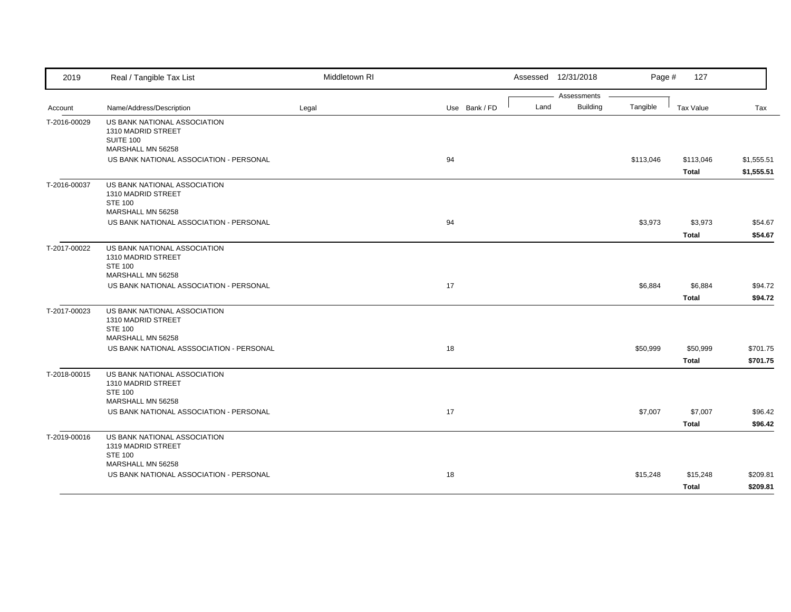| 2019         | Real / Tangible Tax List                                                                    | Middletown RI |               | Assessed 12/31/2018 | Page #                                     | 127                       |                          |
|--------------|---------------------------------------------------------------------------------------------|---------------|---------------|---------------------|--------------------------------------------|---------------------------|--------------------------|
| Account      | Name/Address/Description                                                                    | Legal         | Use Bank / FD | Land                | Assessments<br><b>Building</b><br>Tangible | Tax Value                 | Tax                      |
| T-2016-00029 | US BANK NATIONAL ASSOCIATION<br>1310 MADRID STREET<br><b>SUITE 100</b><br>MARSHALL MN 56258 |               |               |                     |                                            |                           |                          |
|              | US BANK NATIONAL ASSOCIATION - PERSONAL                                                     |               | 94            |                     | \$113,046                                  | \$113,046<br><b>Total</b> | \$1,555.51<br>\$1,555.51 |
| T-2016-00037 | US BANK NATIONAL ASSOCIATION<br>1310 MADRID STREET<br><b>STE 100</b><br>MARSHALL MN 56258   |               |               |                     |                                            |                           |                          |
|              | US BANK NATIONAL ASSOCIATION - PERSONAL                                                     |               | 94            |                     | \$3,973                                    | \$3,973<br><b>Total</b>   | \$54.67<br>\$54.67       |
| T-2017-00022 | US BANK NATIONAL ASSOCIATION<br>1310 MADRID STREET<br><b>STE 100</b><br>MARSHALL MN 56258   |               |               |                     |                                            |                           |                          |
|              | US BANK NATIONAL ASSOCIATION - PERSONAL                                                     |               | 17            |                     | \$6,884                                    | \$6,884<br><b>Total</b>   | \$94.72<br>\$94.72       |
| T-2017-00023 | US BANK NATIONAL ASSOCIATION<br>1310 MADRID STREET<br><b>STE 100</b><br>MARSHALL MN 56258   |               |               |                     |                                            |                           |                          |
|              | US BANK NATIONAL ASSSOCIATION - PERSONAL                                                    |               | 18            |                     | \$50,999                                   | \$50,999<br><b>Total</b>  | \$701.75<br>\$701.75     |
| T-2018-00015 | US BANK NATIONAL ASSOCIATION<br>1310 MADRID STREET<br><b>STE 100</b><br>MARSHALL MN 56258   |               |               |                     |                                            |                           |                          |
|              | US BANK NATIONAL ASSOCIATION - PERSONAL                                                     |               | 17            |                     | \$7,007                                    | \$7,007<br><b>Total</b>   | \$96.42<br>\$96.42       |
| T-2019-00016 | US BANK NATIONAL ASSOCIATION<br>1319 MADRID STREET<br><b>STE 100</b>                        |               |               |                     |                                            |                           |                          |
|              | MARSHALL MN 56258<br>US BANK NATIONAL ASSOCIATION - PERSONAL                                |               | 18            |                     | \$15,248                                   | \$15,248<br><b>Total</b>  | \$209.81<br>\$209.81     |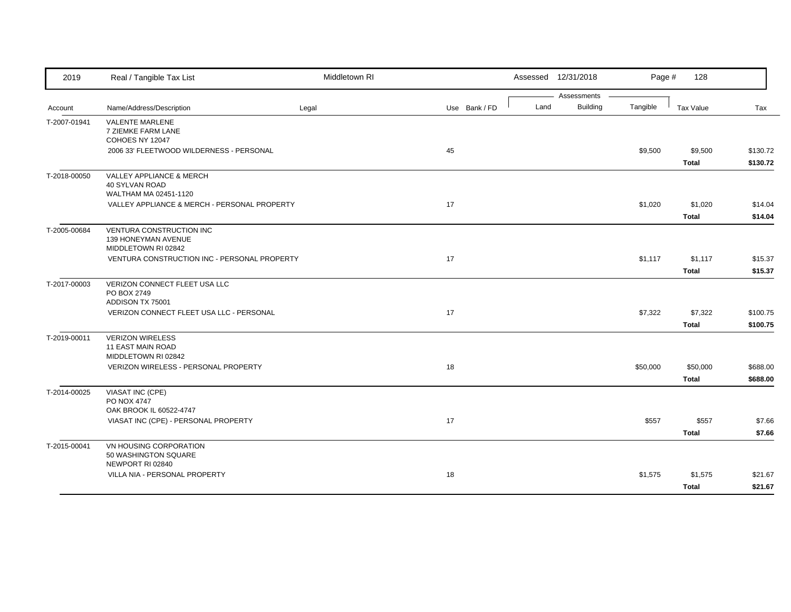| 2019         | Real / Tangible Tax List                                              | Middletown RI |               | Assessed 12/31/2018            | Page #   | 128          |          |
|--------------|-----------------------------------------------------------------------|---------------|---------------|--------------------------------|----------|--------------|----------|
|              |                                                                       |               |               | Assessments<br><b>Building</b> | Tangible |              |          |
| Account      | Name/Address/Description                                              | Legal         | Use Bank / FD | Land                           |          | Tax Value    | Tax      |
| T-2007-01941 | <b>VALENTE MARLENE</b><br>7 ZIEMKE FARM LANE                          |               |               |                                |          |              |          |
|              | COHOES NY 12047                                                       |               |               |                                |          |              |          |
|              | 2006 33' FLEETWOOD WILDERNESS - PERSONAL                              |               | 45            |                                | \$9,500  | \$9,500      | \$130.72 |
|              |                                                                       |               |               |                                |          | <b>Total</b> | \$130.72 |
| T-2018-00050 | VALLEY APPLIANCE & MERCH                                              |               |               |                                |          |              |          |
|              | <b>40 SYLVAN ROAD</b>                                                 |               |               |                                |          |              |          |
|              | WALTHAM MA 02451-1120<br>VALLEY APPLIANCE & MERCH - PERSONAL PROPERTY |               | 17            |                                | \$1,020  | \$1,020      | \$14.04  |
|              |                                                                       |               |               |                                |          | <b>Total</b> | \$14.04  |
| T-2005-00684 | VENTURA CONSTRUCTION INC                                              |               |               |                                |          |              |          |
|              | 139 HONEYMAN AVENUE                                                   |               |               |                                |          |              |          |
|              | MIDDLETOWN RI 02842                                                   |               |               |                                |          |              |          |
|              | VENTURA CONSTRUCTION INC - PERSONAL PROPERTY                          |               | 17            |                                | \$1,117  | \$1,117      | \$15.37  |
|              |                                                                       |               |               |                                |          | <b>Total</b> | \$15.37  |
| T-2017-00003 | VERIZON CONNECT FLEET USA LLC                                         |               |               |                                |          |              |          |
|              | PO BOX 2749<br>ADDISON TX 75001                                       |               |               |                                |          |              |          |
|              | VERIZON CONNECT FLEET USA LLC - PERSONAL                              |               | 17            |                                | \$7,322  | \$7,322      | \$100.75 |
|              |                                                                       |               |               |                                |          | <b>Total</b> | \$100.75 |
| T-2019-00011 | <b>VERIZON WIRELESS</b>                                               |               |               |                                |          |              |          |
|              | <b>11 EAST MAIN ROAD</b>                                              |               |               |                                |          |              |          |
|              | MIDDLETOWN RI 02842                                                   |               |               |                                |          |              |          |
|              | VERIZON WIRELESS - PERSONAL PROPERTY                                  |               | 18            |                                | \$50,000 | \$50,000     | \$688.00 |
|              |                                                                       |               |               |                                |          | <b>Total</b> | \$688.00 |
| T-2014-00025 | VIASAT INC (CPE)<br>PO NOX 4747                                       |               |               |                                |          |              |          |
|              | OAK BROOK IL 60522-4747                                               |               |               |                                |          |              |          |
|              | VIASAT INC (CPE) - PERSONAL PROPERTY                                  |               | 17            |                                | \$557    | \$557        | \$7.66   |
|              |                                                                       |               |               |                                |          | <b>Total</b> | \$7.66   |
| T-2015-00041 | VN HOUSING CORPORATION                                                |               |               |                                |          |              |          |
|              | 50 WASHINGTON SQUARE                                                  |               |               |                                |          |              |          |
|              | NEWPORT RI 02840                                                      |               |               |                                |          |              |          |
|              | VILLA NIA - PERSONAL PROPERTY                                         |               | 18            |                                | \$1,575  | \$1,575      | \$21.67  |
|              |                                                                       |               |               |                                |          | <b>Total</b> | \$21.67  |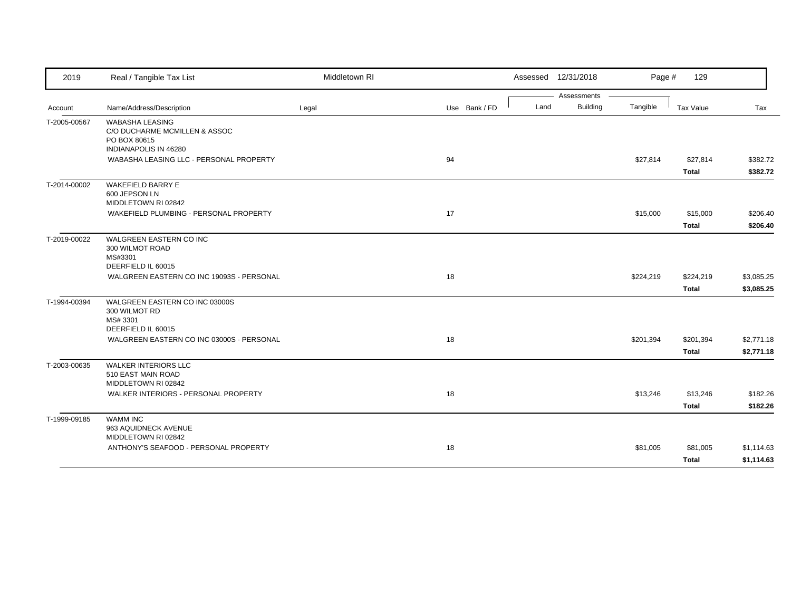| 2019         | Real / Tangible Tax List                                                                         | Middletown RI |               |      | Assessed 12/31/2018 | Page #    | 129          |            |
|--------------|--------------------------------------------------------------------------------------------------|---------------|---------------|------|---------------------|-----------|--------------|------------|
|              |                                                                                                  |               |               |      | Assessments         |           |              |            |
| Account      | Name/Address/Description                                                                         | Legal         | Use Bank / FD | Land | <b>Building</b>     | Tangible  | Tax Value    | Tax        |
| T-2005-00567 | <b>WABASHA LEASING</b><br>C/O DUCHARME MCMILLEN & ASSOC<br>PO BOX 80615<br>INDIANAPOLIS IN 46280 |               |               |      |                     |           |              |            |
|              | WABASHA LEASING LLC - PERSONAL PROPERTY                                                          |               | 94            |      |                     | \$27,814  | \$27,814     | \$382.72   |
|              |                                                                                                  |               |               |      |                     |           | <b>Total</b> | \$382.72   |
| T-2014-00002 | <b>WAKEFIELD BARRY E</b><br>600 JEPSON LN<br>MIDDLETOWN RI 02842                                 |               |               |      |                     |           |              |            |
|              | WAKEFIELD PLUMBING - PERSONAL PROPERTY                                                           |               | 17            |      |                     | \$15,000  | \$15,000     | \$206.40   |
|              |                                                                                                  |               |               |      |                     |           | <b>Total</b> | \$206.40   |
| T-2019-00022 | <b>WALGREEN EASTERN CO INC</b><br>300 WILMOT ROAD<br>MS#3301<br>DEERFIELD IL 60015               |               |               |      |                     |           |              |            |
|              | WALGREEN EASTERN CO INC 19093S - PERSONAL                                                        |               | 18            |      |                     | \$224,219 | \$224,219    | \$3,085.25 |
|              |                                                                                                  |               |               |      |                     |           | <b>Total</b> | \$3,085.25 |
| T-1994-00394 | WALGREEN EASTERN CO INC 03000S<br>300 WILMOT RD<br>MS# 3301<br>DEERFIELD IL 60015                |               |               |      |                     |           |              |            |
|              | WALGREEN EASTERN CO INC 03000S - PERSONAL                                                        |               | 18            |      |                     | \$201,394 | \$201,394    | \$2,771.18 |
|              |                                                                                                  |               |               |      |                     |           | <b>Total</b> | \$2,771.18 |
| T-2003-00635 | <b>WALKER INTERIORS LLC</b><br>510 EAST MAIN ROAD<br>MIDDLETOWN RI 02842                         |               |               |      |                     |           |              |            |
|              | WALKER INTERIORS - PERSONAL PROPERTY                                                             |               | 18            |      |                     | \$13,246  | \$13,246     | \$182.26   |
|              |                                                                                                  |               |               |      |                     |           | <b>Total</b> | \$182.26   |
| T-1999-09185 | <b>WAMM INC</b><br>963 AQUIDNECK AVENUE<br>MIDDLETOWN RI 02842                                   |               |               |      |                     |           |              |            |
|              | ANTHONY'S SEAFOOD - PERSONAL PROPERTY                                                            |               | 18            |      |                     | \$81,005  | \$81,005     | \$1,114.63 |
|              |                                                                                                  |               |               |      |                     |           | <b>Total</b> | \$1,114.63 |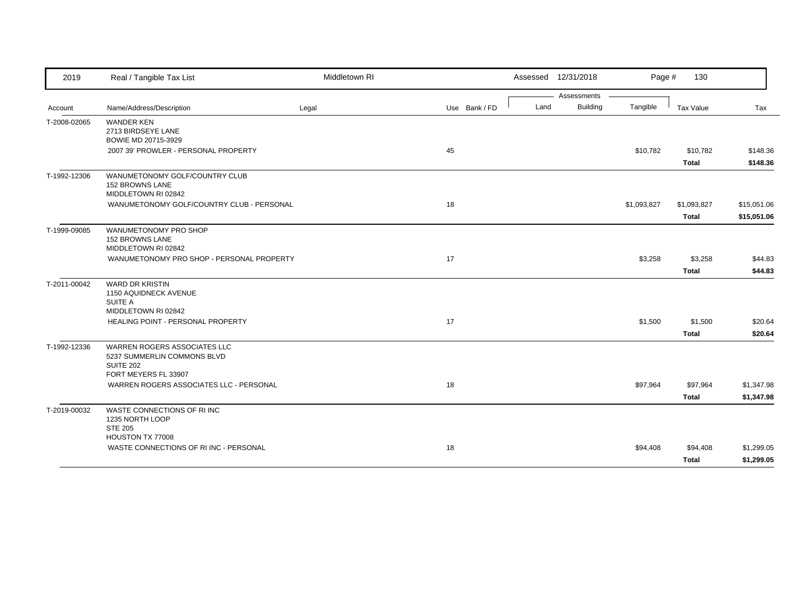| 2019         | Real / Tangible Tax List                                                        | Middletown RI |               |      | Assessed 12/31/2018 | Page #      | 130          |             |
|--------------|---------------------------------------------------------------------------------|---------------|---------------|------|---------------------|-------------|--------------|-------------|
|              |                                                                                 |               |               |      | Assessments         |             |              |             |
| Account      | Name/Address/Description                                                        | Legal         | Use Bank / FD | Land | <b>Building</b>     | Tangible    | Tax Value    | Tax         |
| T-2008-02065 | <b>WANDER KEN</b><br>2713 BIRDSEYE LANE<br>BOWIE MD 20715-3929                  |               |               |      |                     |             |              |             |
|              | 2007 39' PROWLER - PERSONAL PROPERTY                                            |               | 45            |      |                     | \$10,782    | \$10,782     | \$148.36    |
|              |                                                                                 |               |               |      |                     |             |              | \$148.36    |
|              |                                                                                 |               |               |      |                     |             | <b>Total</b> |             |
| T-1992-12306 | WANUMETONOMY GOLF/COUNTRY CLUB<br><b>152 BROWNS LANE</b><br>MIDDLETOWN RI 02842 |               |               |      |                     |             |              |             |
|              | WANUMETONOMY GOLF/COUNTRY CLUB - PERSONAL                                       |               | 18            |      |                     | \$1,093,827 | \$1,093,827  | \$15,051.06 |
|              |                                                                                 |               |               |      |                     |             | <b>Total</b> | \$15,051.06 |
|              |                                                                                 |               |               |      |                     |             |              |             |
| T-1999-09085 | WANUMETONOMY PRO SHOP<br>152 BROWNS LANE                                        |               |               |      |                     |             |              |             |
|              | MIDDLETOWN RI 02842                                                             |               | 17            |      |                     |             |              |             |
|              | WANUMETONOMY PRO SHOP - PERSONAL PROPERTY                                       |               |               |      |                     | \$3,258     | \$3,258      | \$44.83     |
|              |                                                                                 |               |               |      |                     |             | <b>Total</b> | \$44.83     |
| T-2011-00042 | <b>WARD DR KRISTIN</b><br>1150 AQUIDNECK AVENUE                                 |               |               |      |                     |             |              |             |
|              | SUITE A<br>MIDDLETOWN RI 02842                                                  |               |               |      |                     |             |              |             |
|              | HEALING POINT - PERSONAL PROPERTY                                               |               | 17            |      |                     | \$1,500     | \$1,500      | \$20.64     |
|              |                                                                                 |               |               |      |                     |             |              |             |
|              |                                                                                 |               |               |      |                     |             | <b>Total</b> | \$20.64     |
| T-1992-12336 | WARREN ROGERS ASSOCIATES LLC<br>5237 SUMMERLIN COMMONS BLVD<br><b>SUITE 202</b> |               |               |      |                     |             |              |             |
|              | FORT MEYERS FL 33907                                                            |               |               |      |                     |             |              |             |
|              | WARREN ROGERS ASSOCIATES LLC - PERSONAL                                         |               | 18            |      |                     | \$97,964    | \$97,964     | \$1,347.98  |
|              |                                                                                 |               |               |      |                     |             | <b>Total</b> | \$1,347.98  |
| T-2019-00032 | WASTE CONNECTIONS OF RIINC<br>1235 NORTH LOOP                                   |               |               |      |                     |             |              |             |
|              | <b>STE 205</b><br>HOUSTON TX 77008                                              |               |               |      |                     |             |              |             |
|              | WASTE CONNECTIONS OF RIINC - PERSONAL                                           |               | 18            |      |                     | \$94,408    | \$94,408     | \$1,299.05  |
|              |                                                                                 |               |               |      |                     |             |              |             |
|              |                                                                                 |               |               |      |                     |             | Total        | \$1,299.05  |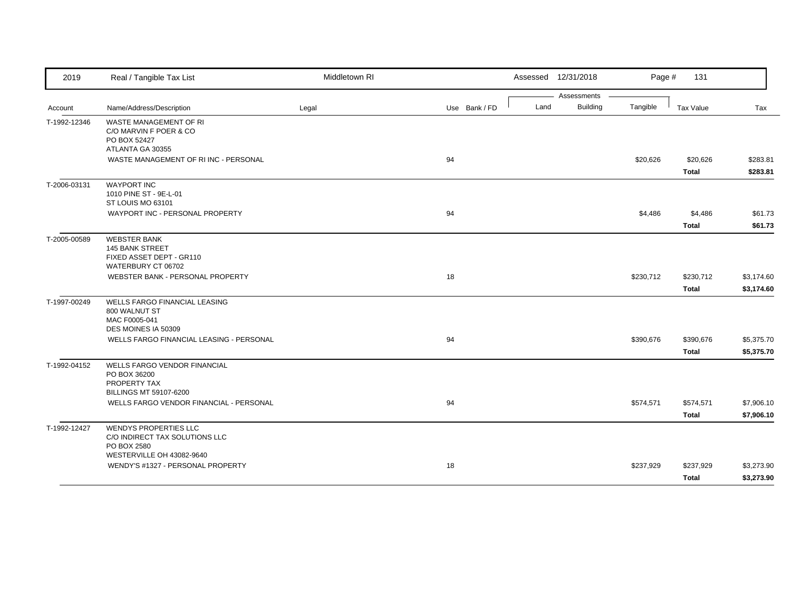| 2019         | Real / Tangible Tax List                                                                                   | Middletown RI |               | Assessed 12/31/2018 |                 | Page #    | 131                       |                          |
|--------------|------------------------------------------------------------------------------------------------------------|---------------|---------------|---------------------|-----------------|-----------|---------------------------|--------------------------|
|              |                                                                                                            |               |               |                     | Assessments     |           |                           |                          |
| Account      | Name/Address/Description                                                                                   | Legal         | Use Bank / FD | Land                | <b>Building</b> | Tangible  | Tax Value                 | Tax                      |
| T-1992-12346 | WASTE MANAGEMENT OF RI<br>C/O MARVIN F POER & CO<br>PO BOX 52427<br>ATLANTA GA 30355                       |               |               |                     |                 |           |                           |                          |
|              | WASTE MANAGEMENT OF RIINC - PERSONAL                                                                       |               | 94            |                     |                 | \$20,626  | \$20,626                  | \$283.81                 |
|              |                                                                                                            |               |               |                     |                 |           | Total                     | \$283.81                 |
| T-2006-03131 | <b>WAYPORT INC</b><br>1010 PINE ST - 9E-L-01<br>ST LOUIS MO 63101                                          |               |               |                     |                 |           |                           |                          |
|              | WAYPORT INC - PERSONAL PROPERTY                                                                            |               | 94            |                     |                 | \$4,486   | \$4,486                   | \$61.73                  |
|              |                                                                                                            |               |               |                     |                 |           | <b>Total</b>              | \$61.73                  |
| T-2005-00589 | <b>WEBSTER BANK</b><br><b>145 BANK STREET</b><br>FIXED ASSET DEPT - GR110<br>WATERBURY CT 06702            |               |               |                     |                 |           |                           |                          |
|              | WEBSTER BANK - PERSONAL PROPERTY                                                                           |               | 18            |                     |                 | \$230,712 | \$230,712                 | \$3,174.60               |
|              |                                                                                                            |               |               |                     |                 |           | <b>Total</b>              | \$3,174.60               |
| T-1997-00249 | <b>WELLS FARGO FINANCIAL LEASING</b><br>800 WALNUT ST<br>MAC F0005-041<br>DES MOINES IA 50309              |               |               |                     |                 |           |                           |                          |
|              | WELLS FARGO FINANCIAL LEASING - PERSONAL                                                                   |               | 94            |                     |                 | \$390,676 | \$390,676<br><b>Total</b> | \$5,375.70<br>\$5,375.70 |
| T-1992-04152 | WELLS FARGO VENDOR FINANCIAL<br>PO BOX 36200<br>PROPERTY TAX<br>BILLINGS MT 59107-6200                     |               |               |                     |                 |           |                           |                          |
|              | WELLS FARGO VENDOR FINANCIAL - PERSONAL                                                                    |               | 94            |                     |                 | \$574,571 | \$574,571                 | \$7,906.10               |
|              |                                                                                                            |               |               |                     |                 |           | <b>Total</b>              | \$7,906.10               |
| T-1992-12427 | <b>WENDYS PROPERTIES LLC</b><br>C/O INDIRECT TAX SOLUTIONS LLC<br>PO BOX 2580<br>WESTERVILLE OH 43082-9640 |               |               |                     |                 |           |                           |                          |
|              | WENDY'S #1327 - PERSONAL PROPERTY                                                                          |               | 18            |                     |                 | \$237,929 | \$237,929                 | \$3,273.90               |
|              |                                                                                                            |               |               |                     |                 |           | <b>Total</b>              | \$3,273.90               |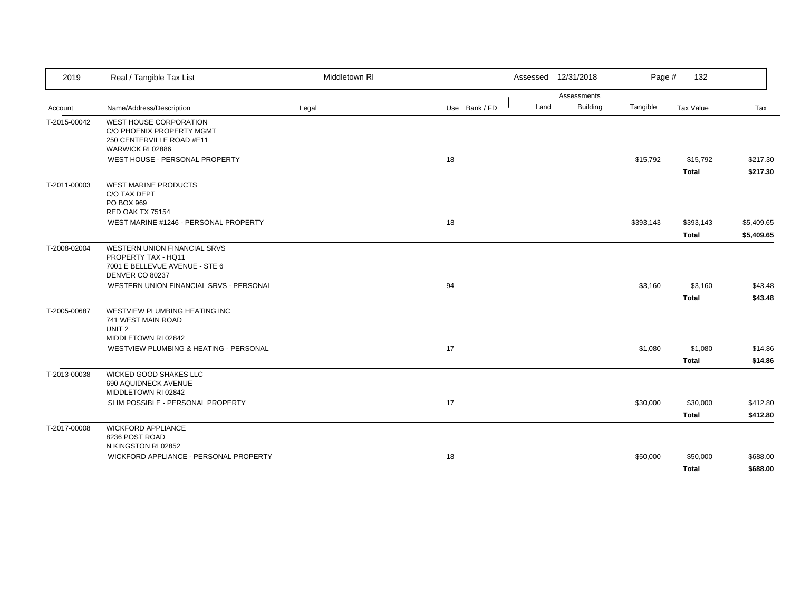| 2019         | Real / Tangible Tax List                                                                                    | Middletown RI |               | Assessed 12/31/2018     | Page #    | 132          |            |
|--------------|-------------------------------------------------------------------------------------------------------------|---------------|---------------|-------------------------|-----------|--------------|------------|
|              |                                                                                                             |               |               | Assessments             |           |              |            |
| Account      | Name/Address/Description                                                                                    | Legal         | Use Bank / FD | <b>Building</b><br>Land | Tangible  | Tax Value    | Tax        |
| T-2015-00042 | <b>WEST HOUSE CORPORATION</b><br>C/O PHOENIX PROPERTY MGMT<br>250 CENTERVILLE ROAD #E11<br>WARWICK RI 02886 |               |               |                         |           |              |            |
|              | WEST HOUSE - PERSONAL PROPERTY                                                                              |               | 18            |                         | \$15,792  | \$15,792     | \$217.30   |
|              |                                                                                                             |               |               |                         |           | <b>Total</b> | \$217.30   |
| T-2011-00003 | <b>WEST MARINE PRODUCTS</b><br>C/O TAX DEPT<br>PO BOX 969<br>RED OAK TX 75154                               |               |               |                         |           |              |            |
|              | WEST MARINE #1246 - PERSONAL PROPERTY                                                                       |               | 18            |                         | \$393,143 | \$393,143    | \$5,409.65 |
|              |                                                                                                             |               |               |                         |           | <b>Total</b> | \$5,409.65 |
| T-2008-02004 | WESTERN UNION FINANCIAL SRVS<br>PROPERTY TAX - HQ11<br>7001 E BELLEVUE AVENUE - STE 6<br>DENVER CO 80237    |               |               |                         |           |              |            |
|              | WESTERN UNION FINANCIAL SRVS - PERSONAL                                                                     |               | 94            |                         | \$3,160   | \$3,160      | \$43.48    |
|              |                                                                                                             |               |               |                         |           | <b>Total</b> | \$43.48    |
| T-2005-00687 | WESTVIEW PLUMBING HEATING INC<br>741 WEST MAIN ROAD<br>UNIT <sub>2</sub><br>MIDDLETOWN RI 02842             |               |               |                         |           |              |            |
|              | WESTVIEW PLUMBING & HEATING - PERSONAL                                                                      |               | 17            |                         | \$1,080   | \$1,080      | \$14.86    |
|              |                                                                                                             |               |               |                         |           | <b>Total</b> | \$14.86    |
| T-2013-00038 | WICKED GOOD SHAKES LLC<br>690 AQUIDNECK AVENUE<br>MIDDLETOWN RI 02842                                       |               |               |                         |           |              |            |
|              | SLIM POSSIBLE - PERSONAL PROPERTY                                                                           |               | 17            |                         | \$30,000  | \$30,000     | \$412.80   |
|              |                                                                                                             |               |               |                         |           | <b>Total</b> | \$412.80   |
| T-2017-00008 | <b>WICKFORD APPLIANCE</b><br>8236 POST ROAD<br>N KINGSTON RI 02852                                          |               |               |                         |           |              |            |
|              | WICKFORD APPLIANCE - PERSONAL PROPERTY                                                                      |               | 18            |                         | \$50,000  | \$50,000     | \$688.00   |
|              |                                                                                                             |               |               |                         |           | <b>Total</b> | \$688.00   |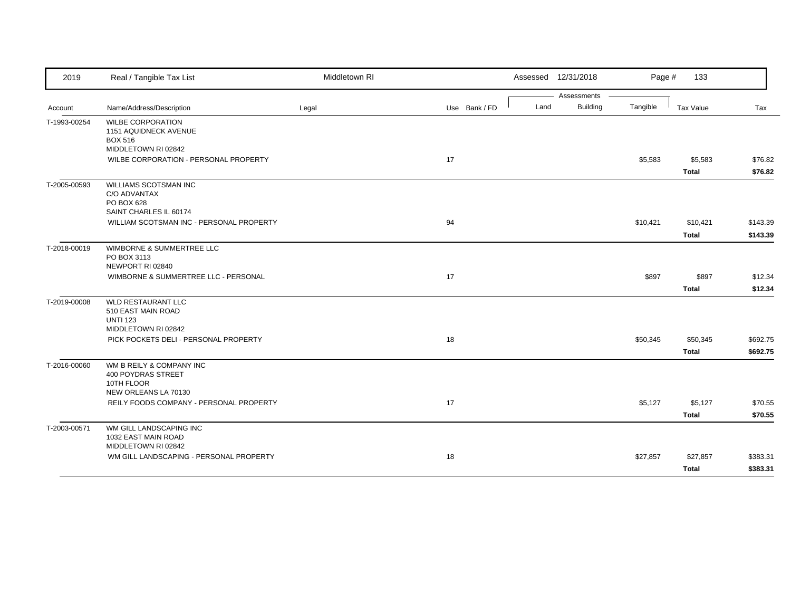| 2019         | Real / Tangible Tax List                                                                   | Middletown RI |               |      | Assessed 12/31/2018            | Page #   | 133                      |                      |
|--------------|--------------------------------------------------------------------------------------------|---------------|---------------|------|--------------------------------|----------|--------------------------|----------------------|
| Account      | Name/Address/Description                                                                   | Legal         | Use Bank / FD | Land | Assessments<br><b>Building</b> | Tangible | Tax Value                | Tax                  |
| T-1993-00254 | <b>WILBE CORPORATION</b><br>1151 AQUIDNECK AVENUE<br><b>BOX 516</b><br>MIDDLETOWN RI 02842 |               |               |      |                                |          |                          |                      |
|              | WILBE CORPORATION - PERSONAL PROPERTY                                                      |               | 17            |      |                                | \$5,583  | \$5,583<br><b>Total</b>  | \$76.82<br>\$76.82   |
| T-2005-00593 | WILLIAMS SCOTSMAN INC<br>C/O ADVANTAX<br><b>PO BOX 628</b><br>SAINT CHARLES IL 60174       |               |               |      |                                |          |                          |                      |
|              | WILLIAM SCOTSMAN INC - PERSONAL PROPERTY                                                   |               | 94            |      |                                | \$10,421 | \$10,421<br><b>Total</b> | \$143.39<br>\$143.39 |
| T-2018-00019 | WIMBORNE & SUMMERTREE LLC<br>PO BOX 3113<br>NEWPORT RI 02840                               |               |               |      |                                |          |                          |                      |
|              | WIMBORNE & SUMMERTREE LLC - PERSONAL                                                       |               | 17            |      |                                | \$897    | \$897<br><b>Total</b>    | \$12.34<br>\$12.34   |
| T-2019-00008 | <b>WLD RESTAURANT LLC</b><br>510 EAST MAIN ROAD<br><b>UNTI 123</b><br>MIDDLETOWN RI 02842  |               |               |      |                                |          |                          |                      |
|              | PICK POCKETS DELI - PERSONAL PROPERTY                                                      |               | 18            |      |                                | \$50,345 | \$50,345<br><b>Total</b> | \$692.75<br>\$692.75 |
| T-2016-00060 | WM B REILY & COMPANY INC<br>400 POYDRAS STREET<br>10TH FLOOR<br>NEW ORLEANS LA 70130       |               |               |      |                                |          |                          |                      |
|              | REILY FOODS COMPANY - PERSONAL PROPERTY                                                    |               | 17            |      |                                | \$5,127  | \$5,127<br><b>Total</b>  | \$70.55<br>\$70.55   |
| T-2003-00571 | WM GILL LANDSCAPING INC<br>1032 EAST MAIN ROAD                                             |               |               |      |                                |          |                          |                      |
|              | MIDDLETOWN RI 02842<br>WM GILL LANDSCAPING - PERSONAL PROPERTY                             |               | 18            |      |                                | \$27,857 | \$27,857<br><b>Total</b> | \$383.31<br>\$383.31 |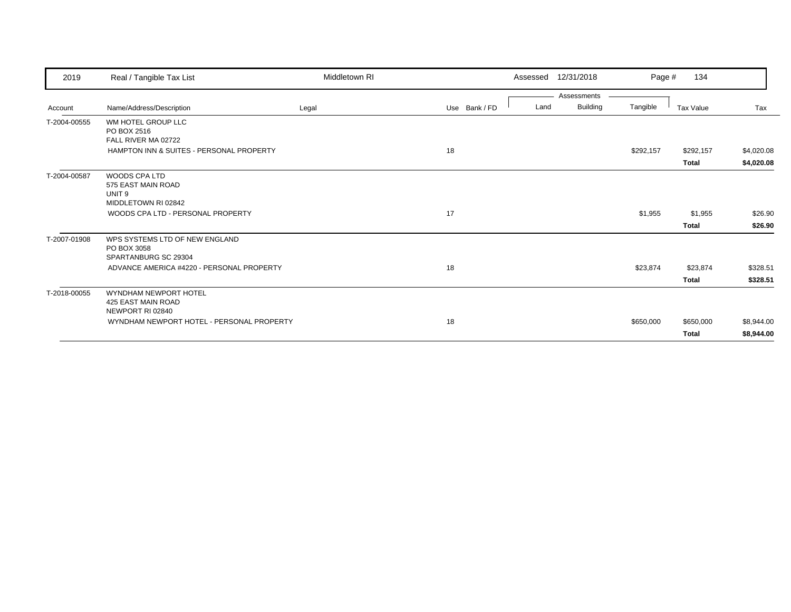| 2019         | Real / Tangible Tax List                  | Middletown RI |               | Assessed | 12/31/2018      | Page #    | 134          |            |
|--------------|-------------------------------------------|---------------|---------------|----------|-----------------|-----------|--------------|------------|
|              |                                           |               |               |          | Assessments     |           |              |            |
| Account      | Name/Address/Description                  | Legal         | Use Bank / FD | Land     | <b>Building</b> | Tangible  | Tax Value    | Tax        |
| T-2004-00555 | WM HOTEL GROUP LLC                        |               |               |          |                 |           |              |            |
|              | PO BOX 2516                               |               |               |          |                 |           |              |            |
|              | FALL RIVER MA 02722                       |               |               |          |                 |           |              |            |
|              | HAMPTON INN & SUITES - PERSONAL PROPERTY  |               | 18            |          |                 | \$292,157 | \$292,157    | \$4,020.08 |
|              |                                           |               |               |          |                 |           | <b>Total</b> | \$4,020.08 |
| T-2004-00587 | <b>WOODS CPA LTD</b>                      |               |               |          |                 |           |              |            |
|              | 575 EAST MAIN ROAD                        |               |               |          |                 |           |              |            |
|              | UNIT <sub>9</sub>                         |               |               |          |                 |           |              |            |
|              | MIDDLETOWN RI 02842                       |               |               |          |                 |           |              |            |
|              | WOODS CPA LTD - PERSONAL PROPERTY         |               | 17            |          |                 | \$1,955   | \$1,955      | \$26.90    |
|              |                                           |               |               |          |                 |           | <b>Total</b> | \$26.90    |
| T-2007-01908 | WPS SYSTEMS LTD OF NEW ENGLAND            |               |               |          |                 |           |              |            |
|              | PO BOX 3058                               |               |               |          |                 |           |              |            |
|              | SPARTANBURG SC 29304                      |               |               |          |                 |           |              |            |
|              | ADVANCE AMERICA #4220 - PERSONAL PROPERTY |               | 18            |          |                 | \$23,874  | \$23,874     | \$328.51   |
|              |                                           |               |               |          |                 |           | <b>Total</b> | \$328.51   |
| T-2018-00055 | WYNDHAM NEWPORT HOTEL                     |               |               |          |                 |           |              |            |
|              | 425 EAST MAIN ROAD                        |               |               |          |                 |           |              |            |
|              | NEWPORT RI 02840                          |               |               |          |                 |           |              |            |
|              | WYNDHAM NEWPORT HOTEL - PERSONAL PROPERTY |               | 18            |          |                 | \$650,000 | \$650,000    | \$8,944.00 |
|              |                                           |               |               |          |                 |           | <b>Total</b> | \$8,944.00 |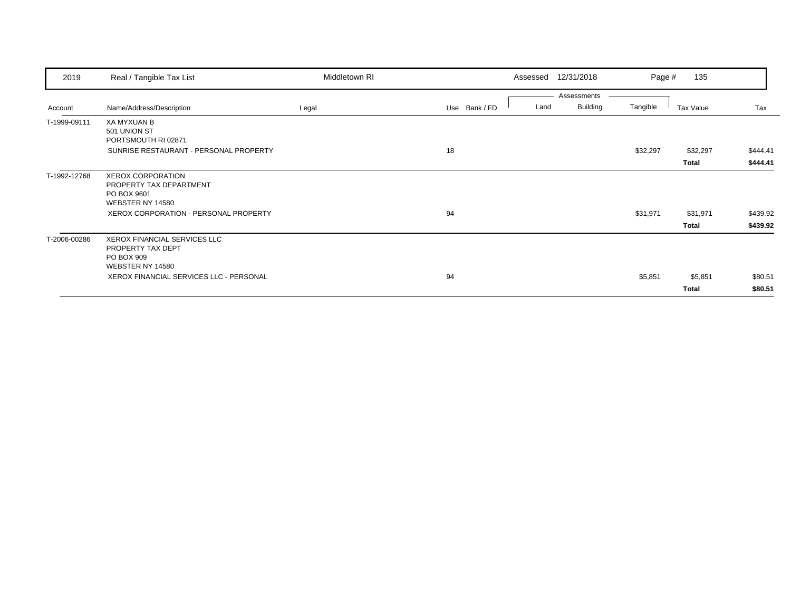| 2019         | Real / Tangible Tax List                                      | Middletown RI |               | Assessed | 12/31/2018      | Page #   | 135          |          |
|--------------|---------------------------------------------------------------|---------------|---------------|----------|-----------------|----------|--------------|----------|
|              |                                                               |               |               |          | Assessments     |          |              |          |
| Account      | Name/Address/Description                                      | Legal         | Use Bank / FD | Land     | <b>Building</b> | Tangible | Tax Value    | Tax      |
| T-1999-09111 | <b>XA MYXUAN B</b>                                            |               |               |          |                 |          |              |          |
|              | 501 UNION ST                                                  |               |               |          |                 |          |              |          |
|              | PORTSMOUTH RI 02871<br>SUNRISE RESTAURANT - PERSONAL PROPERTY |               | 18            |          |                 | \$32,297 | \$32,297     | \$444.41 |
|              |                                                               |               |               |          |                 |          |              |          |
|              |                                                               |               |               |          |                 |          | <b>Total</b> | \$444.41 |
| T-1992-12768 | <b>XEROX CORPORATION</b>                                      |               |               |          |                 |          |              |          |
|              | PROPERTY TAX DEPARTMENT<br>PO BOX 9601                        |               |               |          |                 |          |              |          |
|              | WEBSTER NY 14580                                              |               |               |          |                 |          |              |          |
|              | XEROX CORPORATION - PERSONAL PROPERTY                         |               | 94            |          |                 | \$31,971 | \$31,971     | \$439.92 |
|              |                                                               |               |               |          |                 |          | <b>Total</b> | \$439.92 |
| T-2006-00286 | <b>XEROX FINANCIAL SERVICES LLC</b>                           |               |               |          |                 |          |              |          |
|              | PROPERTY TAX DEPT                                             |               |               |          |                 |          |              |          |
|              | PO BOX 909<br>WEBSTER NY 14580                                |               |               |          |                 |          |              |          |
|              | XEROX FINANCIAL SERVICES LLC - PERSONAL                       |               | 94            |          |                 | \$5,851  | \$5,851      | \$80.51  |
|              |                                                               |               |               |          |                 |          |              | \$80.51  |
|              |                                                               |               |               |          |                 |          | <b>Total</b> |          |